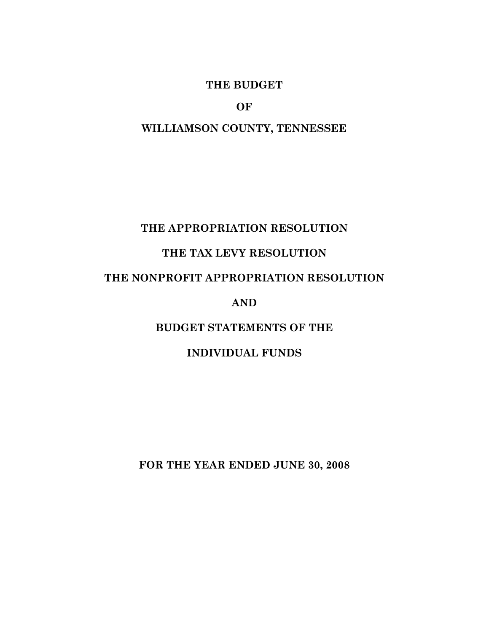#### **THE BUDGET**

**OF** 

### **WILLIAMSON COUNTY, TENNESSEE**

### **THE APPROPRIATION RESOLUTION**

# **THE TAX LEVY RESOLUTION**

## **THE NONPROFIT APPROPRIATION RESOLUTION**

#### **AND**

## **BUDGET STATEMENTS OF THE**

#### **INDIVIDUAL FUNDS**

**FOR THE YEAR ENDED JUNE 30, 2008**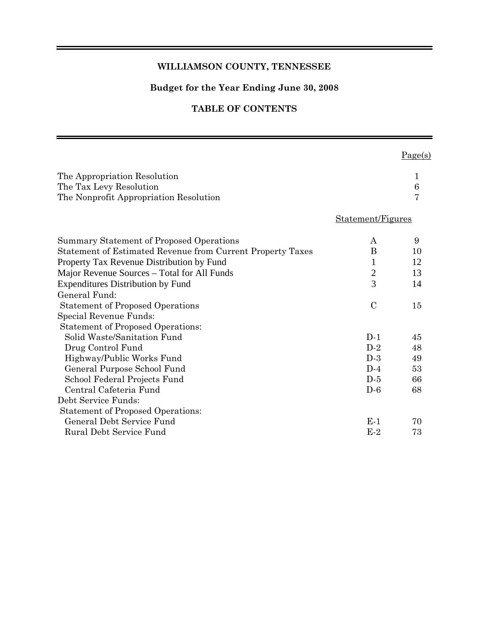#### **WILLIAMSON COUNTY, TENNESSEE**

#### **Budget for the Year Ending June 30, 2008**

#### **TABLE OF CONTENTS**

 $Page(s)$ 

| The Appropriation Resolution<br>The Tax Levy Resolution<br>The Nonprofit Appropriation Resolution |                   | 1<br>6<br>7 |
|---------------------------------------------------------------------------------------------------|-------------------|-------------|
|                                                                                                   | Statement/Figures |             |
| Summary Statement of Proposed Operations                                                          | A                 | 9           |
| Statement of Estimated Revenue from Current Property Taxes                                        | B                 | 10          |
| Property Tax Revenue Distribution by Fund                                                         | 1                 | 12          |
| Major Revenue Sources – Total for All Funds                                                       | $\overline{2}$    | 13          |
| <b>Expenditures Distribution by Fund</b>                                                          | $\overline{3}$    | 14          |
| General Fund:                                                                                     |                   |             |
| <b>Statement of Proposed Operations</b>                                                           | $\mathcal{C}$     | 15          |
| Special Revenue Funds:                                                                            |                   |             |
| <b>Statement of Proposed Operations:</b>                                                          |                   |             |
| Solid Waste/Sanitation Fund                                                                       | $D-1$             | 45          |
| Drug Control Fund                                                                                 | $D-2$             | 48          |
| Highway/Public Works Fund                                                                         | $D-3$             | 49          |
| General Purpose School Fund                                                                       | $D-4$             | 53          |
| School Federal Projects Fund                                                                      | $D-5$             | 66          |
| Central Cafeteria Fund                                                                            | $D-6$             | 68          |
| Debt Service Funds:                                                                               |                   |             |
| <b>Statement of Proposed Operations:</b>                                                          |                   |             |
| General Debt Service Fund                                                                         | $E-1$             | 70          |
| Rural Debt Service Fund                                                                           | $E-2$             | 73          |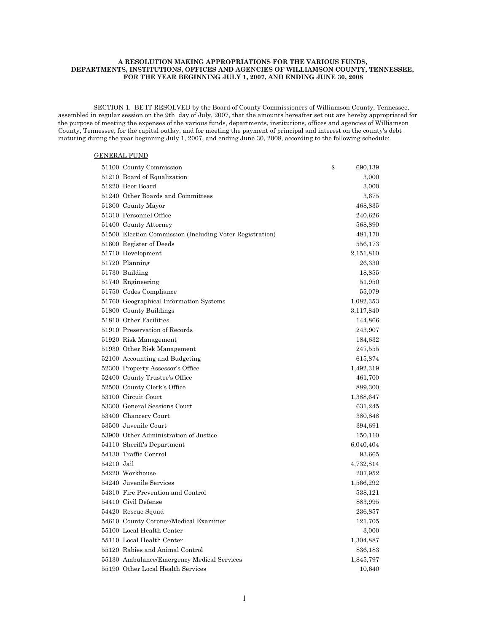#### **A RESOLUTION MAKING APPROPRIATIONS FOR THE VARIOUS FUNDS, DEPARTMENTS, INSTITUTIONS, OFFICES AND AGENCIES OF WILLIAMSON COUNTY, TENNESSEE, FOR THE YEAR BEGINNING JULY 1, 2007, AND ENDING JUNE 30, 2008**

 SECTION 1. BE IT RESOLVED by the Board of County Commissioners of Williamson County, Tennessee, assembled in regular session on the 9th day of July, 2007, that the amounts hereafter set out are hereby appropriated for the purpose of meeting the expenses of the various funds, departments, institutions, offices and agencies of Williamson County, Tennessee, for the capital outlay, and for meeting the payment of principal and interest on the county's debt maturing during the year beginning July 1, 2007, and ending June 30, 2008, according to the following schedule:

#### GENERAL FUND

|            | 51100 County Commission                                  | \$<br>690,139 |
|------------|----------------------------------------------------------|---------------|
|            | 51210 Board of Equalization                              | 3,000         |
|            | 51220 Beer Board                                         | 3,000         |
|            | 51240 Other Boards and Committees                        | 3,675         |
|            | 51300 County Mayor                                       | 468,835       |
|            | 51310 Personnel Office                                   | 240,626       |
|            | 51400 County Attorney                                    | 568,890       |
|            | 51500 Election Commission (Including Voter Registration) | 481,170       |
|            | 51600 Register of Deeds                                  | 556,173       |
|            | 51710 Development                                        | 2,151,810     |
|            | 51720 Planning                                           | 26,330        |
|            | 51730 Building                                           | 18,855        |
|            | 51740 Engineering                                        | 51,950        |
|            | 51750 Codes Compliance                                   | 55,079        |
|            | 51760 Geographical Information Systems                   | 1,082,353     |
|            | 51800 County Buildings                                   | 3,117,840     |
|            | 51810 Other Facilities                                   | 144,866       |
|            | 51910 Preservation of Records                            | 243,907       |
|            | 51920 Risk Management                                    | 184,632       |
|            | 51930 Other Risk Management                              | 247,555       |
|            | 52100 Accounting and Budgeting                           | 615,874       |
|            | 52300 Property Assessor's Office                         | 1,492,319     |
|            | 52400 County Trustee's Office                            | 461,700       |
|            | 52500 County Clerk's Office                              | 889,300       |
|            | 53100 Circuit Court                                      | 1,388,647     |
|            | 53300 General Sessions Court                             | 631,245       |
|            | 53400 Chancery Court                                     | 380,848       |
|            | 53500 Juvenile Court                                     | 394,691       |
|            | 53900 Other Administration of Justice                    | 150,110       |
|            | 54110 Sheriff's Department                               | 6,040,404     |
|            | 54130 Traffic Control                                    | 93,665        |
| 54210 Jail |                                                          | 4,732,814     |
|            | 54220 Workhouse                                          | 207,952       |
|            | 54240 Juvenile Services                                  | 1,566,292     |
|            | 54310 Fire Prevention and Control                        | 538,121       |
|            | 54410 Civil Defense                                      | 883,995       |
|            | 54420 Rescue Squad                                       | 236,857       |
|            | 54610 County Coroner/Medical Examiner                    | 121,705       |
|            | 55100 Local Health Center                                | 3,000         |
|            | 55110 Local Health Center                                | 1,304,887     |
|            | 55120 Rabies and Animal Control                          | 836,183       |
|            | 55130 Ambulance/Emergency Medical Services               | 1,845,797     |
|            | 55190 Other Local Health Services                        | 10,640        |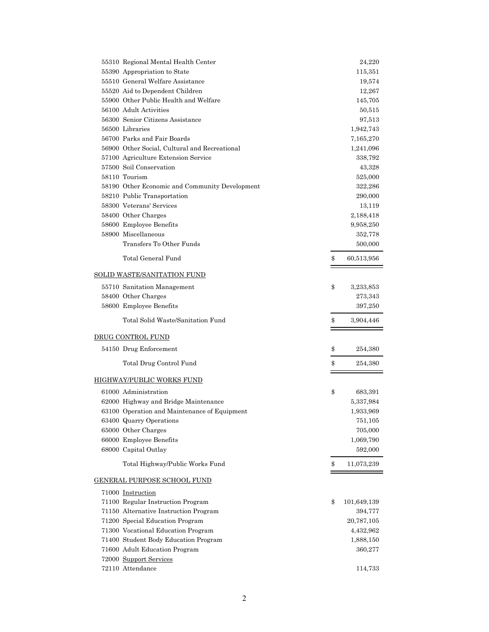| 55310 Regional Mental Health Center            | 24,220            |
|------------------------------------------------|-------------------|
| 55390 Appropriation to State                   | 115,351           |
| 55510 General Welfare Assistance               | 19,574            |
| 55520 Aid to Dependent Children                | 12,267            |
| 55900 Other Public Health and Welfare          | 145,705           |
| 56100 Adult Activities                         | 50,515            |
| 56300 Senior Citizens Assistance               | 97,513            |
| 56500 Libraries                                | 1,942,743         |
| 56700 Parks and Fair Boards                    | 7,165,270         |
| 56900 Other Social, Cultural and Recreational  | 1,241,096         |
| 57100 Agriculture Extension Service            | 338,792           |
| 57500 Soil Conservation                        | 43,328            |
| 58110 Tourism                                  | 525,000           |
| 58190 Other Economic and Community Development | 322,286           |
| 58210 Public Transportation                    | 290,000           |
| 58300 Veterans' Services                       | 13,119            |
| 58400 Other Charges                            | 2,188,418         |
| 58600 Employee Benefits                        | 9,958,250         |
| 58900 Miscellaneous                            | 352,778           |
| Transfers To Other Funds                       | 500,000           |
| Total General Fund                             | \$<br>60,513,956  |
| <b>SOLID WASTE/SANITATION FUND</b>             |                   |
| 55710 Sanitation Management                    | \$<br>3,233,853   |
| 58400 Other Charges                            | 273,343           |
| 58600 Employee Benefits                        | 397,250           |
| Total Solid Waste/Sanitation Fund              | \$<br>3,904,446   |
| <b>DRUG CONTROL FUND</b>                       |                   |
| 54150 Drug Enforcement                         | \$<br>254,380     |
| Total Drug Control Fund                        | \$<br>254,380     |
| HIGHWAY/PUBLIC WORKS FUND                      |                   |
| 61000 Administration                           | \$<br>683,391     |
| 62000 Highway and Bridge Maintenance           | 5,337,984         |
| 63100 Operation and Maintenance of Equipment   | 1,933,969         |
| 63400 Quarry Operations                        | 751,105           |
| 65000 Other Charges                            | 705,000           |
| 66000 Employee Benefits                        | 1,069,790         |
| 68000 Capital Outlay                           | 592,000           |
| Total Highway/Public Works Fund                | \$<br>11,073,239  |
|                                                |                   |
| GENERAL PURPOSE SCHOOL FUND                    |                   |
| 71000 Instruction                              |                   |
| 71100 Regular Instruction Program              | \$<br>101,649,139 |
| 71150 Alternative Instruction Program          | 394,777           |
| 71200 Special Education Program                | 20,787,105        |
| 71300 Vocational Education Program             | 4,432,962         |
| 71400 Student Body Education Program           | 1,888,150         |
| 71600 Adult Education Program                  | 360,277           |
| 72000 Support Services                         |                   |
| 72110 Attendance                               | 114,733           |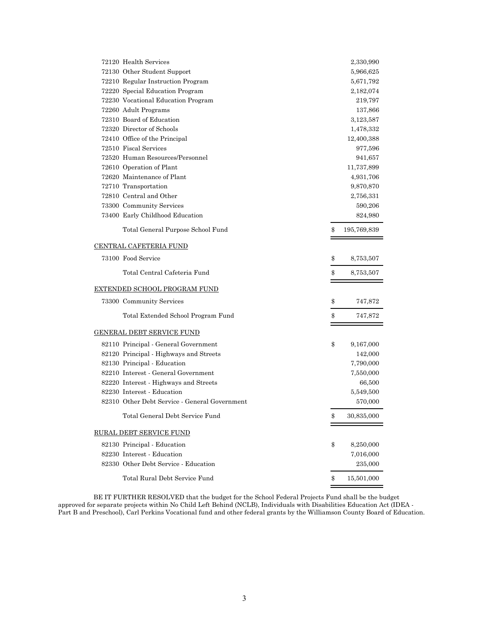| 72120 Health Services                         | 2,330,990         |
|-----------------------------------------------|-------------------|
| 72130 Other Student Support                   | 5,966,625         |
| 72210 Regular Instruction Program             | 5,671,792         |
| 72220 Special Education Program               | 2,182,074         |
| 72230 Vocational Education Program            | 219,797           |
| 72260 Adult Programs                          | 137,866           |
| 72310 Board of Education                      | 3,123,587         |
| 72320 Director of Schools                     | 1,478,332         |
| 72410 Office of the Principal                 | 12,400,388        |
| 72510 Fiscal Services                         | 977,596           |
| 72520 Human Resources/Personnel               | 941,657           |
| 72610 Operation of Plant                      | 11,737,899        |
| 72620 Maintenance of Plant                    | 4,931,706         |
| 72710 Transportation                          | 9,870,870         |
| 72810 Central and Other                       | 2,756,331         |
| 73300 Community Services                      | 590,206           |
| 73400 Early Childhood Education               | 824,980           |
| Total General Purpose School Fund             | \$<br>195,769,839 |
| <u>CENTRAL CAFETERIA FUND</u>                 |                   |
| 73100 Food Service                            | \$<br>8,753,507   |
| Total Central Cafeteria Fund                  | \$<br>8,753,507   |
| <u>EXTENDED SCHOOL PROGRAM FUND</u>           |                   |
| 73300 Community Services                      | \$<br>747,872     |
| Total Extended School Program Fund            | \$<br>747,872     |
| <u>GENERAL DEBT SERVICE FUND</u>              |                   |
| 82110 Principal - General Government          | \$<br>9,167,000   |
| 82120 Principal - Highways and Streets        | 142,000           |
| 82130 Principal - Education                   | 7,790,000         |
| 82210 Interest - General Government           | 7,550,000         |
| 82220 Interest - Highways and Streets         | 66,500            |
| 82230 Interest - Education                    | 5,549,500         |
| 82310 Other Debt Service - General Government | 570,000           |
| Total General Debt Service Fund               | \$<br>30,835,000  |
| <u>RURAL DEBT SERVICE FUND</u>                |                   |
| 82130 Principal - Education                   | \$<br>8,250,000   |
| 82230 Interest - Education                    | 7,016,000         |
| 82330 Other Debt Service - Education          | 235,000           |
| Total Rural Debt Service Fund                 | \$<br>15,501,000  |
|                                               |                   |

 BE IT FURTHER RESOLVED that the budget for the School Federal Projects Fund shall be the budget approved for separate projects within No Child Left Behind (NCLB), Individuals with Disabilities Education Act (IDEA - Part B and Preschool), Carl Perkins Vocational fund and other federal grants by the Williamson County Board of Education.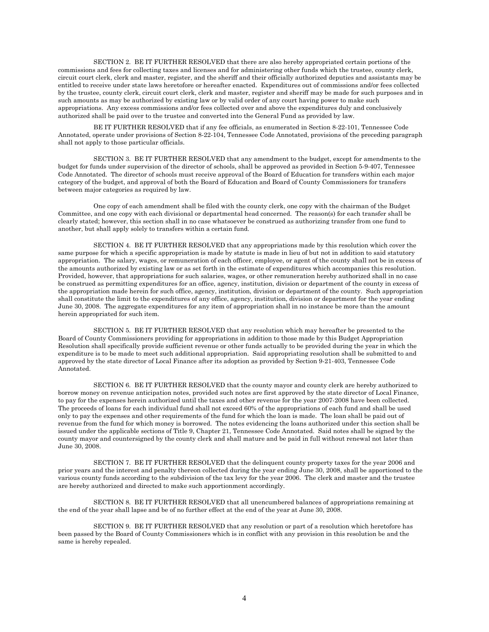SECTION 2. BE IT FURTHER RESOLVED that there are also hereby appropriated certain portions of the commissions and fees for collecting taxes and licenses and for administering other funds which the trustee, county clerk, circuit court clerk, clerk and master, register, and the sheriff and their officially authorized deputies and assistants may be entitled to receive under state laws heretofore or hereafter enacted. Expenditures out of commissions and/or fees collected by the trustee, county clerk, circuit court clerk, clerk and master, register and sheriff may be made for such purposes and in such amounts as may be authorized by existing law or by valid order of any court having power to make such appropriations. Any excess commissions and/or fees collected over and above the expenditures duly and conclusively authorized shall be paid over to the trustee and converted into the General Fund as provided by law.

 BE IT FURTHER RESOLVED that if any fee officials, as enumerated in Section 8-22-101, Tennessee Code Annotated, operate under provisions of Section 8-22-104, Tennessee Code Annotated, provisions of the preceding paragraph shall not apply to those particular officials.

 SECTION 3. BE IT FURTHER RESOLVED that any amendment to the budget, except for amendments to the budget for funds under supervision of the director of schools, shall be approved as provided in Section 5-9-407, Tennessee Code Annotated. The director of schools must receive approval of the Board of Education for transfers within each major category of the budget, and approval of both the Board of Education and Board of County Commissioners for transfers between major categories as required by law.

 One copy of each amendment shall be filed with the county clerk, one copy with the chairman of the Budget Committee, and one copy with each divisional or departmental head concerned. The reason(s) for each transfer shall be clearly stated; however, this section shall in no case whatsoever be construed as authorizing transfer from one fund to another, but shall apply solely to transfers within a certain fund.

 SECTION 4. BE IT FURTHER RESOLVED that any appropriations made by this resolution which cover the same purpose for which a specific appropriation is made by statute is made in lieu of but not in addition to said statutory appropriation. The salary, wages, or remuneration of each officer, employee, or agent of the county shall not be in excess of the amounts authorized by existing law or as set forth in the estimate of expenditures which accompanies this resolution. Provided, however, that appropriations for such salaries, wages, or other remuneration hereby authorized shall in no case be construed as permitting expenditures for an office, agency, institution, division or department of the county in excess of the appropriation made herein for such office, agency, institution, division or department of the county. Such appropriation shall constitute the limit to the expenditures of any office, agency, institution, division or department for the year ending June 30, 2008. The aggregate expenditures for any item of appropriation shall in no instance be more than the amount herein appropriated for such item.

 SECTION 5. BE IT FURTHER RESOLVED that any resolution which may hereafter be presented to the Board of County Commissioners providing for appropriations in addition to those made by this Budget Appropriation Resolution shall specifically provide sufficient revenue or other funds actually to be provided during the year in which the expenditure is to be made to meet such additional appropriation. Said appropriating resolution shall be submitted to and approved by the state director of Local Finance after its adoption as provided by Section 9-21-403, Tennessee Code Annotated.

 SECTION 6. BE IT FURTHER RESOLVED that the county mayor and county clerk are hereby authorized to borrow money on revenue anticipation notes, provided such notes are first approved by the state director of Local Finance, to pay for the expenses herein authorized until the taxes and other revenue for the year 2007-2008 have been collected. The proceeds of loans for each individual fund shall not exceed 60% of the appropriations of each fund and shall be used only to pay the expenses and other requirements of the fund for which the loan is made. The loan shall be paid out of revenue from the fund for which money is borrowed. The notes evidencing the loans authorized under this section shall be issued under the applicable sections of Title 9, Chapter 21, Tennessee Code Annotated. Said notes shall be signed by the county mayor and countersigned by the county clerk and shall mature and be paid in full without renewal not later than June 30, 2008.

 SECTION 7. BE IT FURTHER RESOLVED that the delinquent county property taxes for the year 2006 and prior years and the interest and penalty thereon collected during the year ending June 30, 2008, shall be apportioned to the various county funds according to the subdivision of the tax levy for the year 2006. The clerk and master and the trustee are hereby authorized and directed to make such apportionment accordingly.

 SECTION 8. BE IT FURTHER RESOLVED that all unencumbered balances of appropriations remaining at the end of the year shall lapse and be of no further effect at the end of the year at June 30, 2008.

 SECTION 9. BE IT FURTHER RESOLVED that any resolution or part of a resolution which heretofore has been passed by the Board of County Commissioners which is in conflict with any provision in this resolution be and the same is hereby repealed.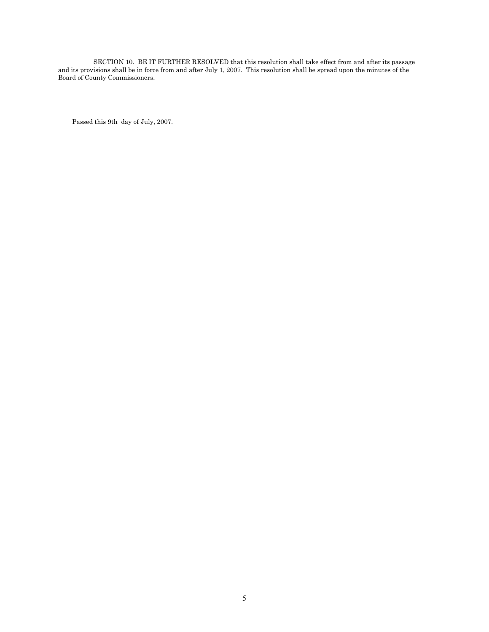SECTION 10. BE IT FURTHER RESOLVED that this resolution shall take effect from and after its passage and its provisions shall be in force from and after July 1, 2007. This resolution shall be spread upon the minutes of the Board of County Commissioners.

Passed this 9th day of July, 2007.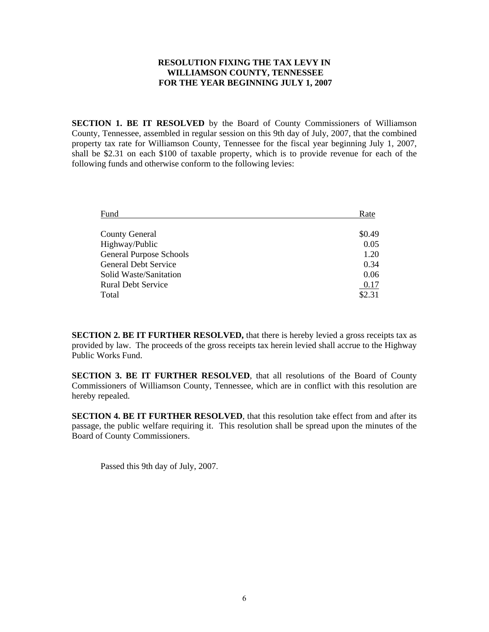#### **RESOLUTION FIXING THE TAX LEVY IN WILLIAMSON COUNTY, TENNESSEE FOR THE YEAR BEGINNING JULY 1, 2007**

**SECTION 1. BE IT RESOLVED** by the Board of County Commissioners of Williamson County, Tennessee, assembled in regular session on this 9th day of July, 2007, that the combined property tax rate for Williamson County, Tennessee for the fiscal year beginning July 1, 2007, shall be \$2.31 on each \$100 of taxable property, which is to provide revenue for each of the following funds and otherwise conform to the following levies:

| Fund                           | Rate   |
|--------------------------------|--------|
|                                |        |
| <b>County General</b>          | \$0.49 |
| Highway/Public                 | 0.05   |
| <b>General Purpose Schools</b> | 1.20   |
| <b>General Debt Service</b>    | 0.34   |
| Solid Waste/Sanitation         | 0.06   |
| <b>Rural Debt Service</b>      | 0.17   |
| Total                          | \$2.31 |

**SECTION 2. BE IT FURTHER RESOLVED,** that there is hereby levied a gross receipts tax as provided by law. The proceeds of the gross receipts tax herein levied shall accrue to the Highway Public Works Fund.

**SECTION 3. BE IT FURTHER RESOLVED**, that all resolutions of the Board of County Commissioners of Williamson County, Tennessee, which are in conflict with this resolution are hereby repealed.

**SECTION 4. BE IT FURTHER RESOLVED**, that this resolution take effect from and after its passage, the public welfare requiring it. This resolution shall be spread upon the minutes of the Board of County Commissioners.

Passed this 9th day of July, 2007.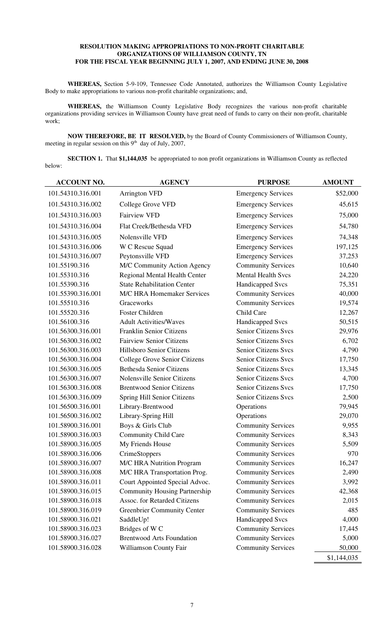#### **RESOLUTION MAKING APPROPRIATIONS TO NON-PROFIT CHARITABLE ORGANIZATIONS OF WILLIAMSON COUNTY, TN FOR THE FISCAL YEAR BEGINNING JULY 1, 2007, AND ENDING JUNE 30, 2008**

**WHEREAS,** Section 5-9-109, Tennessee Code Annotated, authorizes the Williamson County Legislative Body to make appropriations to various non-profit charitable organizations; and,

**WHEREAS,** the Williamson County Legislative Body recognizes the various non-profit charitable organizations providing services in Williamson County have great need of funds to carry on their non-profit, charitable work;

**NOW THEREFORE, BE IT RESOLVED,** by the Board of County Commissioners of Williamson County, meeting in regular session on this  $9<sup>th</sup>$  day of July, 2007,

**SECTION 1.** That \$1,144,035 be appropriated to non profit organizations in Williamson County as reflected below:

| <b>ACCOUNT NO.</b> | <b>AGENCY</b>                        | <b>PURPOSE</b>              | <b>AMOUNT</b> |
|--------------------|--------------------------------------|-----------------------------|---------------|
| 101.54310.316.001  | <b>Arrington VFD</b>                 | <b>Emergency Services</b>   | \$52,000      |
| 101.54310.316.002  | <b>College Grove VFD</b>             | <b>Emergency Services</b>   | 45,615        |
| 101.54310.316.003  | <b>Fairview VFD</b>                  | <b>Emergency Services</b>   | 75,000        |
| 101.54310.316.004  | Flat Creek/Bethesda VFD              | <b>Emergency Services</b>   | 54,780        |
| 101.54310.316.005  | Nolensville VFD                      | <b>Emergency Services</b>   | 74,348        |
| 101.54310.316.006  | W C Rescue Squad                     | <b>Emergency Services</b>   | 197,125       |
| 101.54310.316.007  | Peytonsville VFD                     | <b>Emergency Services</b>   | 37,253        |
| 101.55190.316      | M/C Community Action Agency          | <b>Community Services</b>   | 10,640        |
| 101.55310.316      | Regional Mental Health Center        | <b>Mental Health Svcs</b>   | 24,220        |
| 101.55390.316      | <b>State Rehabilitation Center</b>   | <b>Handicapped Svcs</b>     | 75,351        |
| 101.55390.316.001  | <b>M/C HRA Homemaker Services</b>    | <b>Community Services</b>   | 40,000        |
| 101.55510.316      | Graceworks                           | <b>Community Services</b>   | 19,574        |
| 101.55520.316      | <b>Foster Children</b>               | Child Care                  | 12,267        |
| 101.56100.316      | <b>Adult Activities/Waves</b>        | Handicapped Svcs            | 50,515        |
| 101.56300.316.001  | <b>Franklin Senior Citizens</b>      | <b>Senior Citizens Svcs</b> | 29,976        |
| 101.56300.316.002  | <b>Fairview Senior Citizens</b>      | <b>Senior Citizens Svcs</b> | 6,702         |
| 101.56300.316.003  | <b>Hillsboro Senior Citizens</b>     | <b>Senior Citizens Svcs</b> | 4,790         |
| 101.56300.316.004  | <b>College Grove Senior Citizens</b> | Senior Citizens Svcs        | 17,750        |
| 101.56300.316.005  | <b>Bethesda Senior Citizens</b>      | <b>Senior Citizens Svcs</b> | 13,345        |
| 101.56300.316.007  | <b>Nolensville Senior Citizens</b>   | <b>Senior Citizens Svcs</b> | 4,700         |
| 101.56300.316.008  | <b>Brentwood Senior Citizens</b>     | Senior Citizens Svcs        | 17,750        |
| 101.56300.316.009  | Spring Hill Senior Citizens          | Senior Citizens Svcs        | 2,500         |
| 101.56500.316.001  | Library-Brentwood                    | Operations                  | 79,945        |
| 101.56500.316.002  | Library-Spring Hill                  | Operations                  | 29,070        |
| 101.58900.316.001  | Boys & Girls Club                    | <b>Community Services</b>   | 9,955         |
| 101.58900.316.003  | <b>Community Child Care</b>          | <b>Community Services</b>   | 8,343         |
| 101.58900.316.005  | My Friends House                     | <b>Community Services</b>   | 5,509         |
| 101.58900.316.006  | <b>CrimeStoppers</b>                 | <b>Community Services</b>   | 970           |
| 101.58900.316.007  | <b>M/C HRA Nutrition Program</b>     | <b>Community Services</b>   | 16,247        |
| 101.58900.316.008  | M/C HRA Transportation Prog.         | <b>Community Services</b>   | 2,490         |
| 101.58900.316.011  | Court Appointed Special Advoc.       | <b>Community Services</b>   | 3,992         |
| 101.58900.316.015  | <b>Community Housing Partnership</b> | <b>Community Services</b>   | 42,368        |
| 101.58900.316.018  | <b>Assoc.</b> for Retarded Citizens  | <b>Community Services</b>   | 2,015         |
| 101.58900.316.019  | <b>Greenbrier Community Center</b>   | <b>Community Services</b>   | 485           |
| 101.58900.316.021  | SaddleUp!                            | <b>Handicapped Svcs</b>     | 4,000         |
| 101.58900.316.023  | Bridges of W <sub>C</sub>            | <b>Community Services</b>   | 17,445        |
| 101.58900.316.027  | <b>Brentwood Arts Foundation</b>     | <b>Community Services</b>   | 5,000         |
| 101.58900.316.028  | Williamson County Fair               | <b>Community Services</b>   | 50,000        |
|                    |                                      |                             | \$1,144,035   |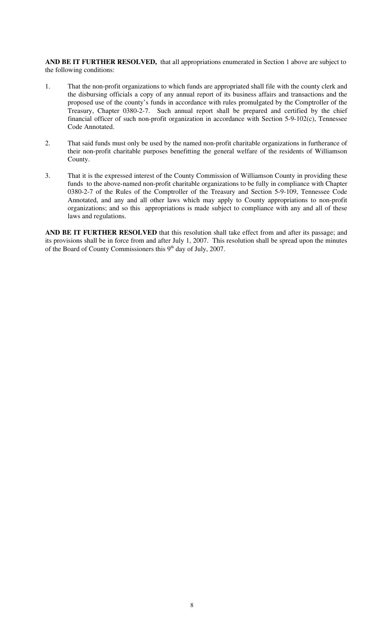**AND BE IT FURTHER RESOLVED,** that all appropriations enumerated in Section 1 above are subject to the following conditions:

- 1. That the non-profit organizations to which funds are appropriated shall file with the county clerk and the disbursing officials a copy of any annual report of its business affairs and transactions and the proposed use of the county's funds in accordance with rules promulgated by the Comptroller of the Treasury, Chapter 0380-2-7. Such annual report shall be prepared and certified by the chief financial officer of such non-profit organization in accordance with Section 5-9-102(c), Tennessee Code Annotated.
- 2. That said funds must only be used by the named non-profit charitable organizations in furtherance of their non-profit charitable purposes benefitting the general welfare of the residents of Williamson County.
- 3. That it is the expressed interest of the County Commission of Williamson County in providing these funds to the above-named non-profit charitable organizations to be fully in compliance with Chapter 0380-2-7 of the Rules of the Comptroller of the Treasury and Section 5-9-109, Tennessee Code Annotated, and any and all other laws which may apply to County appropriations to non-profit organizations; and so this appropriations is made subject to compliance with any and all of these laws and regulations.

**AND BE IT FURTHER RESOLVED** that this resolution shall take effect from and after its passage; and its provisions shall be in force from and after July 1, 2007. This resolution shall be spread upon the minutes of the Board of County Commissioners this 9<sup>th</sup> day of July, 2007.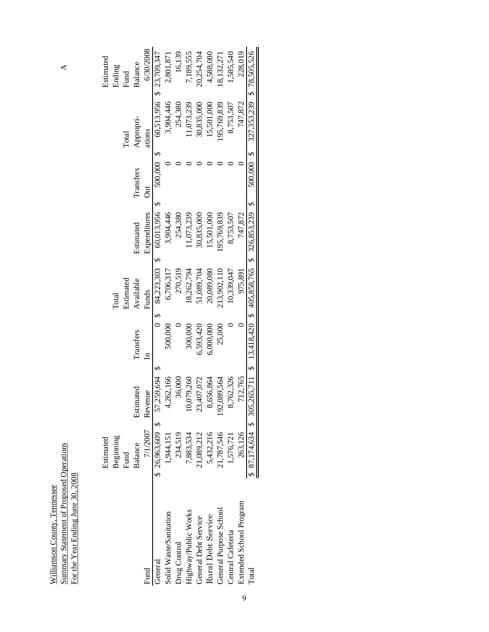$\blacktriangle$ 

Summary Statement of Proposed Operations A Summary Statement of Proposed Operations<br>For the Year Ending June 30, 2008 For the Year Ending June 30, 2008 Williamson County, Tennessee Williamson County, Tennessee

|                         | Estimated      |                                                                            |              |            |                                        |           |             | Estimated                     |
|-------------------------|----------------|----------------------------------------------------------------------------|--------------|------------|----------------------------------------|-----------|-------------|-------------------------------|
|                         | Beginning      |                                                                            |              | Total      |                                        |           |             | Ending                        |
|                         | Fund           |                                                                            |              | Estimated  |                                        |           | Total       | Fund                          |
|                         | <b>Balance</b> | Estimated                                                                  | Transfers    | Available  | Estimated                              | Transfers | Appropri-   | Balance                       |
| Fund                    | 7/1/2007       | Revenue                                                                    | $\mathbf{r}$ | Funds      | Expenditures                           | J         | ations      | 6/30/2008                     |
| General                 |                | $$26,963,609$ \$ 57,259,694 \$                                             |              |            | $0$ \$ $84,223,303$ \$ $60,013,956$ \$ | 500,000\$ |             | 60,513,956 \$ 23,709,347      |
| Solid Waste/Sanitation  | 1,944,151      | 4,262,166                                                                  | 500,000      | 6,706,317  | 3,904,446                              |           | 3,904,446   | 2,801,871                     |
| Drug Control            | 234,519        | 36,000                                                                     |              | 270,519    | 254,380                                |           | 254,380     | 16,139                        |
| Highway/Public Works    | 7,883,534      | 0,079,260                                                                  | 300,000      | 18,262,794 | 1,073,239                              |           | 11,073,239  | 7,189,555                     |
| General Debt Service    | 21,089,212     | 23,407,072                                                                 | 6,593,420    | 51,089,704 | 30,835,000                             |           | 30,835,000  | 20,254,704                    |
| Rural Debt Service      | 5,432,216      | 3,656,864                                                                  | 6,000,000    | 20,089,080 | 15,501,000                             |           | 15,501,000  | 4,588,080                     |
| General Purpose School  | 21,787,546     | 192,089,564                                                                | 25,000       | 13,902,110 | 195,769,839                            |           | 195,769,839 | 18,132,271                    |
| Central Cafeteria       | 1,576,721      | 3,762,326                                                                  |              | 10,339,047 | 8,753,507                              |           | 8,753,507   | 1,585,540                     |
| Extended School Program | 263,126        | 712,765                                                                    |              | 975,891    | 747,872                                |           | 747,872     | 228,019                       |
| Total                   |                | $87,174,634$ \$ 305,265,711 \$ 13,418,420 \$ 405,858,765 \$ 326,853,239 \$ |              |            |                                        | 500,000\$ |             | 327, 353, 239 \$ 78, 505, 526 |
|                         |                |                                                                            |              |            |                                        |           |             |                               |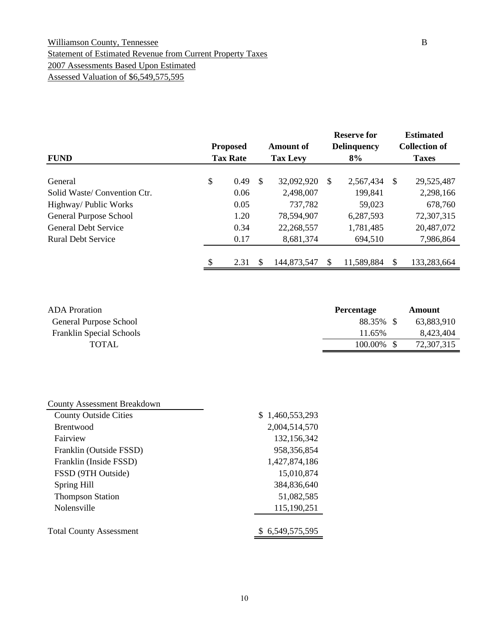#### Williamson County, Tennessee B Statement of Estimated Revenue from Current Property Taxes 2007 Assessments Based Upon Estimated Assessed Valuation of \$6,549,575,595

|                             | <b>Proposed</b> |               | <b>Amount of</b> |   | <b>Reserve for</b><br><b>Delinquency</b> |              | <b>Estimated</b><br><b>Collection of</b> |
|-----------------------------|-----------------|---------------|------------------|---|------------------------------------------|--------------|------------------------------------------|
| <b>FUND</b>                 | <b>Tax Rate</b> |               | <b>Tax Levy</b>  |   | 8%                                       |              | <b>Taxes</b>                             |
| General                     | \$<br>0.49      | <sup>\$</sup> | 32,092,920       | S | 2,567,434                                | <sup>S</sup> | 29,525,487                               |
| Solid Waste/Convention Ctr. | 0.06            |               | 2,498,007        |   | 199,841                                  |              | 2,298,166                                |
| Highway/ Public Works       | 0.05            |               | 737,782          |   | 59,023                                   |              | 678,760                                  |
| General Purpose School      | 1.20            |               | 78,594,907       |   | 6,287,593                                |              | 72,307,315                               |
| <b>General Debt Service</b> | 0.34            |               | 22,268,557       |   | 1,781,485                                |              | 20,487,072                               |
| <b>Rural Debt Service</b>   | 0.17            |               | 8,681,374        |   | 694,510                                  |              | 7,986,864                                |
|                             |                 |               |                  |   |                                          |              |                                          |
|                             | \$<br>2.31      | \$.           | 144,873,547      |   | 11,589,884                               | S            | 133,283,664                              |

| <b>ADA</b> Proration            | <b>Percentage</b> | Amount     |
|---------------------------------|-------------------|------------|
| General Purpose School          | 88.35% \$         | 63,883,910 |
| <b>Franklin Special Schools</b> | 11.65%            | 8,423,404  |
| <b>TOTAL</b>                    | $100.00\%$ \$     | 72,307,315 |

| <b>County Assessment Breakdown</b> |                 |
|------------------------------------|-----------------|
| <b>County Outside Cities</b>       | \$1,460,553,293 |
| <b>Brentwood</b>                   | 2,004,514,570   |
| Fairview                           | 132,156,342     |
| Franklin (Outside FSSD)            | 958, 356, 854   |
| Franklin (Inside FSSD)             | 1,427,874,186   |
| FSSD (9TH Outside)                 | 15,010,874      |
| Spring Hill                        | 384,836,640     |
| <b>Thompson Station</b>            | 51,082,585      |
| Nolensville                        | 115,190,251     |
| <b>Total County Assessment</b>     | \$6,549,575,595 |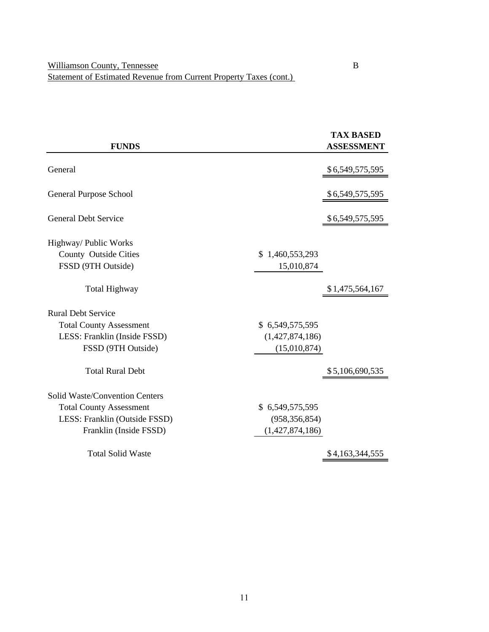|                                |                 | <b>TAX BASED</b>  |
|--------------------------------|-----------------|-------------------|
| <b>FUNDS</b>                   |                 | <b>ASSESSMENT</b> |
| General                        |                 |                   |
|                                |                 | \$6,549,575,595   |
| General Purpose School         |                 | \$6,549,575,595   |
| <b>General Debt Service</b>    |                 | \$6,549,575,595   |
| Highway/ Public Works          |                 |                   |
| County Outside Cities          | \$1,460,553,293 |                   |
| FSSD (9TH Outside)             | 15,010,874      |                   |
| <b>Total Highway</b>           |                 | \$1,475,564,167   |
| <b>Rural Debt Service</b>      |                 |                   |
| <b>Total County Assessment</b> | \$6,549,575,595 |                   |
| LESS: Franklin (Inside FSSD)   | (1,427,874,186) |                   |
| FSSD (9TH Outside)             | (15,010,874)    |                   |
| <b>Total Rural Debt</b>        |                 | \$5,106,690,535   |
| Solid Waste/Convention Centers |                 |                   |
| <b>Total County Assessment</b> | \$6,549,575,595 |                   |
| LESS: Franklin (Outside FSSD)  | (958, 356, 854) |                   |
| Franklin (Inside FSSD)         | (1,427,874,186) |                   |
| <b>Total Solid Waste</b>       |                 | \$4,163,344,555   |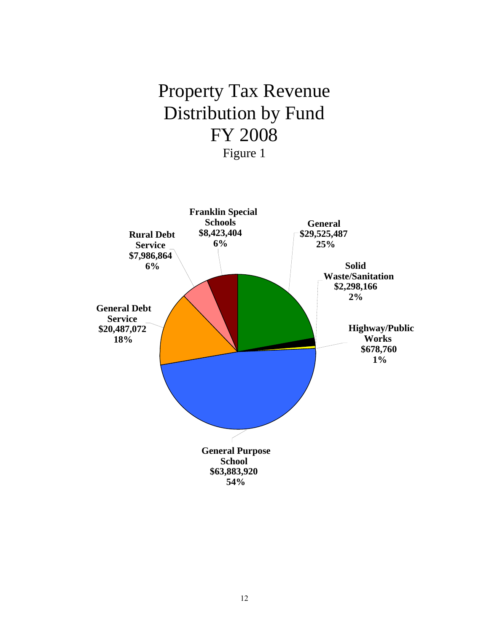# Property Tax Revenue Distribution by Fund FY 2008 Figure 1

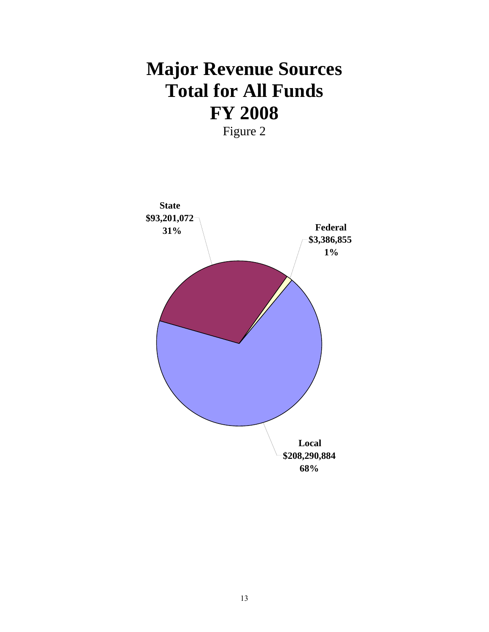# **Major Revenue Sources Total for All Funds FY 2008**

Figure 2

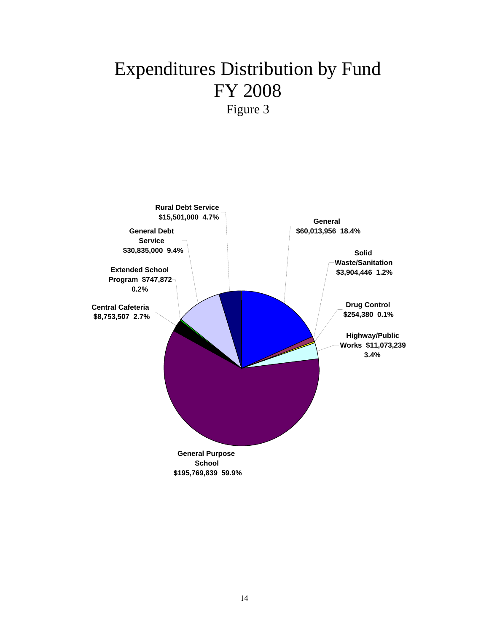# Expenditures Distribution by Fund FY 2008 Figure 3

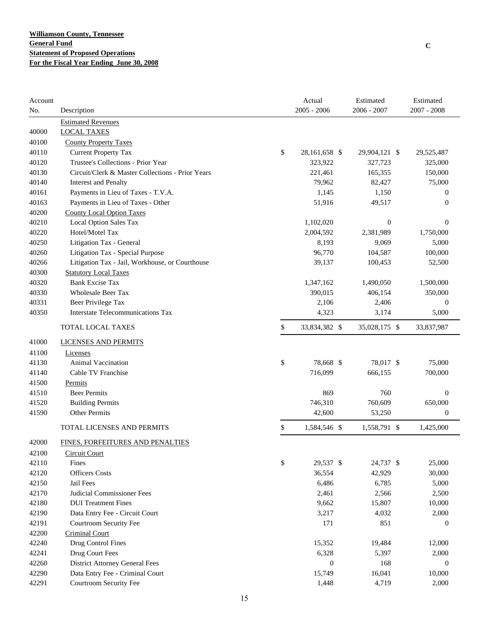| Account |                                                  | Actual              | Estimated        | Estimated        |
|---------|--------------------------------------------------|---------------------|------------------|------------------|
| No.     | Description                                      | $2005 - 2006$       | 2006 - 2007      | 2007 - 2008      |
|         | <b>Estimated Revenues</b>                        |                     |                  |                  |
| 40000   | <b>LOCAL TAXES</b>                               |                     |                  |                  |
| 40100   | <b>County Property Taxes</b>                     |                     |                  |                  |
| 40110   | <b>Current Property Tax</b>                      | \$<br>28,161,658 \$ | 29,904,121 \$    | 29,525,487       |
| 40120   | Trustee's Collections - Prior Year               | 323,922             | 327,723          | 325,000          |
| 40130   | Circuit/Clerk & Master Collections - Prior Years | 221,461             | 165,355          | 150,000          |
| 40140   | <b>Interest and Penalty</b>                      | 79,962              | 82,427           | 75,000           |
| 40161   | Payments in Lieu of Taxes - T.V.A.               | 1,145               | 1,150            | $\mathbf{0}$     |
| 40163   | Payments in Lieu of Taxes - Other                | 51,916              | 49,517           | $\mathbf{0}$     |
| 40200   | <b>County Local Option Taxes</b>                 |                     |                  |                  |
| 40210   | Local Option Sales Tax                           | 1,102,020           | $\boldsymbol{0}$ | $\mathbf{0}$     |
| 40220   | Hotel/Motel Tax                                  | 2,004,592           | 2,381,989        | 1,750,000        |
| 40250   | Litigation Tax - General                         | 8,193               | 9,069            | 5,000            |
| 40260   | Litigation Tax - Special Purpose                 | 96,770              | 104,587          | 100,000          |
| 40266   | Litigation Tax - Jail, Workhouse, or Courthouse  | 39,137              | 100,453          | 52,500           |
| 40300   | <b>Statutory Local Taxes</b>                     |                     |                  |                  |
| 40320   | <b>Bank Excise Tax</b>                           | 1,347,162           | 1,490,050        | 1,500,000        |
| 40330   | <b>Wholesale Beer Tax</b>                        | 390,015             | 406,154          | 350,000          |
| 40331   | Beer Privilege Tax                               | 2,106               | 2,406            | 0                |
| 40350   | Interstate Telecommunications Tax                | 4,323               | 3,174            | 5,000            |
|         | TOTAL LOCAL TAXES                                | \$<br>33,834,382 \$ | 35,028,175 \$    | 33,837,987       |
| 41000   | <b>LICENSES AND PERMITS</b>                      |                     |                  |                  |
| 41100   | Licenses                                         |                     |                  |                  |
| 41130   | Animal Vaccination                               | \$<br>78,668 \$     | 78,017 \$        | 75,000           |
| 41140   | Cable TV Franchise                               | 716,099             | 666,155          | 700,000          |
| 41500   | Permits                                          |                     |                  |                  |
| 41510   | <b>Beer Permits</b>                              | 869                 | 760              | $\boldsymbol{0}$ |
| 41520   | <b>Building Permits</b>                          | 746,310             | 760,609          | 650,000          |
| 41590   | Other Permits                                    | 42,600              | 53,250           | $\boldsymbol{0}$ |
|         | TOTAL LICENSES AND PERMITS                       | \$<br>1,584,546 \$  | 1,558,791 \$     | 1,425,000        |
|         |                                                  |                     |                  |                  |
| 42000   | FINES, FORFEITURES AND PENALTIES                 |                     |                  |                  |
| 42100   | <b>Circuit Court</b>                             |                     |                  |                  |
| 42110   | Fines                                            | \$<br>29,537 \$     | 24,737 \$        | 25,000           |
| 42120   | <b>Officers Costs</b>                            | 36,554              | 42,929           | 30,000           |
| 42150   | Jail Fees                                        | 6,486               | 6,785            | 5,000            |
| 42170   | Judicial Commissioner Fees                       | 2,461               | 2,566            | 2,500            |
| 42180   | <b>DUI</b> Treatment Fines                       | 9,662               | 15,807           | 10,000           |
| 42190   | Data Entry Fee - Circuit Court                   | 3,217               | 4,032            | 2,000            |
| 42191   | Courtroom Security Fee                           | 171                 | 851              | 0                |
| 42200   | <b>Criminal Court</b>                            |                     |                  |                  |
| 42240   | Drug Control Fines                               | 15,352              | 19,484           | 12,000           |
| 42241   | Drug Court Fees                                  | 6,328               | 5,397            | 2,000            |
| 42260   | <b>District Attorney General Fees</b>            | $\mathbf{0}$        | 168              | $\mathbf{0}$     |
| 42290   | Data Entry Fee - Criminal Court                  | 15,749              | 16,041           | 10,000           |
| 42291   | Courtroom Security Fee                           | 1,448               | 4,719            | 2,000            |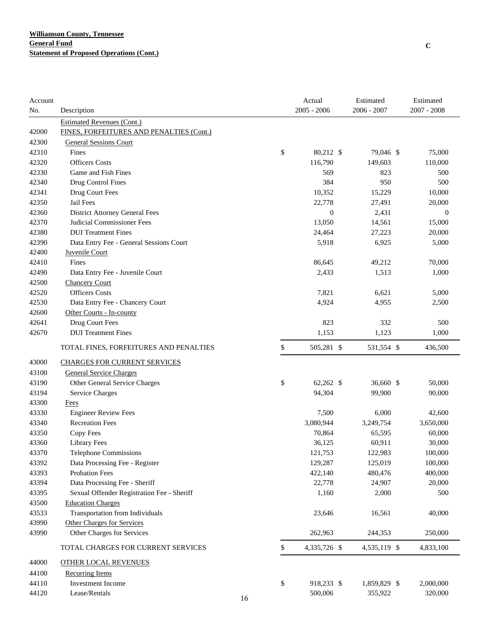| Account |                                            |    | Actual           | Estimated    | Estimated     |
|---------|--------------------------------------------|----|------------------|--------------|---------------|
| No.     | Description                                |    | $2005 - 2006$    | 2006 - 2007  | $2007 - 2008$ |
|         | <b>Estimated Revenues (Cont.)</b>          |    |                  |              |               |
| 42000   | FINES, FORFEITURES AND PENALTIES (Cont.)   |    |                  |              |               |
| 42300   | <b>General Sessions Court</b>              |    |                  |              |               |
| 42310   | Fines                                      | \$ | 80,212 \$        | 79,046 \$    | 75,000        |
| 42320   | <b>Officers Costs</b>                      |    | 116,790          | 149,603      | 110,000       |
| 42330   | Game and Fish Fines                        |    | 569              | 823          | 500           |
| 42340   | Drug Control Fines                         |    | 384              | 950          | 500           |
| 42341   | Drug Court Fees                            |    | 10,352           | 15,229       | 10,000        |
| 42350   | Jail Fees                                  |    | 22,778           | 27,491       | 20,000        |
| 42360   | <b>District Attorney General Fees</b>      |    | $\boldsymbol{0}$ | 2,431        | $\mathbf{0}$  |
| 42370   | Judicial Commissioner Fees                 |    | 13,050           | 14,561       | 15,000        |
| 42380   | <b>DUI</b> Treatment Fines                 |    | 24,464           | 27,223       | 20,000        |
| 42390   | Data Entry Fee - General Sessions Court    |    | 5,918            | 6,925        | 5,000         |
| 42400   | Juvenile Court                             |    |                  |              |               |
| 42410   | Fines                                      |    | 86,645           | 49,212       | 70,000        |
| 42490   | Data Entry Fee - Juvenile Court            |    | 2,433            | 1,513        | 1,000         |
| 42500   | <b>Chancery Court</b>                      |    |                  |              |               |
| 42520   | <b>Officers</b> Costs                      |    | 7,821            | 6,621        | 5,000         |
| 42530   | Data Entry Fee - Chancery Court            |    | 4,924            | 4,955        | 2,500         |
| 42600   | Other Courts - In-county                   |    |                  |              |               |
| 42641   | Drug Court Fees                            |    | 823              | 332          | 500           |
| 42670   | <b>DUI</b> Treatment Fines                 |    | 1,153            | 1,123        | 1,000         |
|         | TOTAL FINES, FORFEITURES AND PENALTIES     | \$ | 505,281 \$       | 531,554 \$   | 436,500       |
| 43000   | <b>CHARGES FOR CURRENT SERVICES</b>        |    |                  |              |               |
| 43100   | <b>General Service Charges</b>             |    |                  |              |               |
| 43190   | Other General Service Charges              | \$ | 62,262 \$        | 36,660 \$    | 50,000        |
| 43194   | <b>Service Charges</b>                     |    | 94,304           | 99,900       | 90,000        |
| 43300   | Fees                                       |    |                  |              |               |
| 43330   | <b>Engineer Review Fees</b>                |    | 7,500            | 6,000        | 42,600        |
| 43340   | <b>Recreation Fees</b>                     |    | 3,080,944        | 3,249,754    | 3,650,000     |
| 43350   | Copy Fees                                  |    | 70,864           | 65,595       | 60,000        |
| 43360   | <b>Library Fees</b>                        |    | 36,125           | 60,911       | 30,000        |
| 43370   | <b>Telephone Commissions</b>               |    | 121,753          | 122,983      | 100,000       |
| 43392   | Data Processing Fee - Register             |    | 129,287          | 125,019      | 100,000       |
| 43393   | <b>Probation Fees</b>                      |    | 422,140          | 480,476      | 400,000       |
| 43394   | Data Processing Fee - Sheriff              |    | 22,778           | 24,907       | 20,000        |
| 43395   | Sexual Offender Registration Fee - Sheriff |    | 1,160            | 2,000        | 500           |
| 43500   | <b>Education Charges</b>                   |    |                  |              |               |
| 43533   | Transportation from Individuals            |    | 23,646           | 16,561       | 40,000        |
| 43990   | Other Charges for Services                 |    |                  |              |               |
| 43990   | Other Charges for Services                 |    | 262,963          | 244,353      | 250,000       |
|         | TOTAL CHARGES FOR CURRENT SERVICES         | \$ | 4,335,726 \$     | 4,535,119 \$ | 4,833,100     |
| 44000   | <b>OTHER LOCAL REVENUES</b>                |    |                  |              |               |
| 44100   | <b>Recurring Items</b>                     |    |                  |              |               |
| 44110   | Investment Income                          | \$ | 918,233 \$       | 1,859,829 \$ | 2,000,000     |
| 44120   | Lease/Rentals                              | 16 | 500,006          | 355,922      | 320,000       |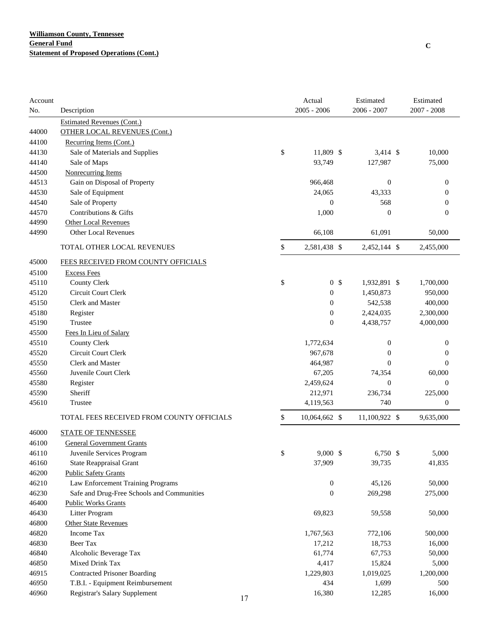| $2005 - 2006$<br>2006 - 2007<br>$2007 - 2008$<br>No.<br>Description<br><b>Estimated Revenues (Cont.)</b><br><b>OTHER LOCAL REVENUES (Cont.)</b><br>44000<br>44100<br>Recurring Items (Cont.)<br>\$<br>11,809 \$<br>44130<br>Sale of Materials and Supplies<br>$3,414$ \$<br>10,000<br>44140<br>Sale of Maps<br>93,749<br>127,987<br>75,000<br>44500<br>Nonrecurring Items<br>44513<br>Gain on Disposal of Property<br>966,468<br>$\boldsymbol{0}$<br>$\boldsymbol{0}$<br>44530<br>Sale of Equipment<br>24,065<br>43,333<br>$\theta$<br>44540<br>Sale of Property<br>$\boldsymbol{0}$<br>568<br>$\overline{0}$<br>Contributions & Gifts<br>44570<br>1,000<br>$\overline{0}$<br>$\theta$<br><b>Other Local Revenues</b><br>44990<br><b>Other Local Revenues</b><br>44990<br>66,108<br>61,091<br>50,000<br>\$<br>TOTAL OTHER LOCAL REVENUES<br>2,581,438 \$<br>2,452,144 \$<br>2,455,000<br>FEES RECEIVED FROM COUNTY OFFICIALS<br>45000<br>45100<br><b>Excess Fees</b><br>\$<br>45110<br><b>County Clerk</b><br>0 <sup>5</sup><br>1,932,891 \$<br>1,700,000<br>Circuit Court Clerk<br>45120<br>$\boldsymbol{0}$<br>1,450,873<br>950,000<br>45150<br><b>Clerk and Master</b><br>542,538<br>$\boldsymbol{0}$<br>400,000<br>45180<br>$\boldsymbol{0}$<br>2,424,035<br>Register<br>2,300,000<br>45190<br>Trustee<br>$\boldsymbol{0}$<br>4,438,757<br>4,000,000<br>45500<br>Fees In Lieu of Salary<br><b>County Clerk</b><br>45510<br>1,772,634<br>0<br>$\boldsymbol{0}$<br>45520<br>Circuit Court Clerk<br>967,678<br>$\boldsymbol{0}$<br>$\boldsymbol{0}$<br>45550<br><b>Clerk and Master</b><br>464,987<br>$\theta$<br>$\mathbf{0}$<br>45560<br>Juvenile Court Clerk<br>67,205<br>60,000<br>74,354<br>45580<br>Register<br>2,459,624<br>$\boldsymbol{0}$<br>$\mathbf{0}$<br>Sheriff<br>45590<br>212,971<br>236,734<br>225,000<br>45610<br>4,119,563<br>740<br>Trustee<br>$\boldsymbol{0}$<br>TOTAL FEES RECEIVED FROM COUNTY OFFICIALS<br>\$<br>11,100,922 \$<br>9,635,000<br>10,064,662 \$<br>46000<br><b>STATE OF TENNESSEE</b><br>46100<br><b>General Government Grants</b><br>\$<br>9,000 \$<br>6,750 \$<br>5,000<br>46110<br>Juvenile Services Program<br>37,909<br>46160<br><b>State Reappraisal Grant</b><br>39,735<br>41,835<br>46200<br><b>Public Safety Grants</b><br>46210<br>Law Enforcement Training Programs<br>$\boldsymbol{0}$<br>45,126<br>50,000<br>$\boldsymbol{0}$<br>46230<br>Safe and Drug-Free Schools and Communities<br>269,298<br>275,000<br>46400<br><b>Public Works Grants</b><br>46430<br>69,823 | Account |                | Actual | Estimated | Estimated |
|---------------------------------------------------------------------------------------------------------------------------------------------------------------------------------------------------------------------------------------------------------------------------------------------------------------------------------------------------------------------------------------------------------------------------------------------------------------------------------------------------------------------------------------------------------------------------------------------------------------------------------------------------------------------------------------------------------------------------------------------------------------------------------------------------------------------------------------------------------------------------------------------------------------------------------------------------------------------------------------------------------------------------------------------------------------------------------------------------------------------------------------------------------------------------------------------------------------------------------------------------------------------------------------------------------------------------------------------------------------------------------------------------------------------------------------------------------------------------------------------------------------------------------------------------------------------------------------------------------------------------------------------------------------------------------------------------------------------------------------------------------------------------------------------------------------------------------------------------------------------------------------------------------------------------------------------------------------------------------------------------------------------------------------------------------------------------------------------------------------------------------------------------------------------------------------------------------------------------------------------------------------------------------------------------------------------------------------------------------------------------------------------------------------------------------------------------------------------------------------------------------------------------|---------|----------------|--------|-----------|-----------|
|                                                                                                                                                                                                                                                                                                                                                                                                                                                                                                                                                                                                                                                                                                                                                                                                                                                                                                                                                                                                                                                                                                                                                                                                                                                                                                                                                                                                                                                                                                                                                                                                                                                                                                                                                                                                                                                                                                                                                                                                                                                                                                                                                                                                                                                                                                                                                                                                                                                                                                                           |         |                |        |           |           |
|                                                                                                                                                                                                                                                                                                                                                                                                                                                                                                                                                                                                                                                                                                                                                                                                                                                                                                                                                                                                                                                                                                                                                                                                                                                                                                                                                                                                                                                                                                                                                                                                                                                                                                                                                                                                                                                                                                                                                                                                                                                                                                                                                                                                                                                                                                                                                                                                                                                                                                                           |         |                |        |           |           |
|                                                                                                                                                                                                                                                                                                                                                                                                                                                                                                                                                                                                                                                                                                                                                                                                                                                                                                                                                                                                                                                                                                                                                                                                                                                                                                                                                                                                                                                                                                                                                                                                                                                                                                                                                                                                                                                                                                                                                                                                                                                                                                                                                                                                                                                                                                                                                                                                                                                                                                                           |         |                |        |           |           |
|                                                                                                                                                                                                                                                                                                                                                                                                                                                                                                                                                                                                                                                                                                                                                                                                                                                                                                                                                                                                                                                                                                                                                                                                                                                                                                                                                                                                                                                                                                                                                                                                                                                                                                                                                                                                                                                                                                                                                                                                                                                                                                                                                                                                                                                                                                                                                                                                                                                                                                                           |         |                |        |           |           |
|                                                                                                                                                                                                                                                                                                                                                                                                                                                                                                                                                                                                                                                                                                                                                                                                                                                                                                                                                                                                                                                                                                                                                                                                                                                                                                                                                                                                                                                                                                                                                                                                                                                                                                                                                                                                                                                                                                                                                                                                                                                                                                                                                                                                                                                                                                                                                                                                                                                                                                                           |         |                |        |           |           |
|                                                                                                                                                                                                                                                                                                                                                                                                                                                                                                                                                                                                                                                                                                                                                                                                                                                                                                                                                                                                                                                                                                                                                                                                                                                                                                                                                                                                                                                                                                                                                                                                                                                                                                                                                                                                                                                                                                                                                                                                                                                                                                                                                                                                                                                                                                                                                                                                                                                                                                                           |         |                |        |           |           |
|                                                                                                                                                                                                                                                                                                                                                                                                                                                                                                                                                                                                                                                                                                                                                                                                                                                                                                                                                                                                                                                                                                                                                                                                                                                                                                                                                                                                                                                                                                                                                                                                                                                                                                                                                                                                                                                                                                                                                                                                                                                                                                                                                                                                                                                                                                                                                                                                                                                                                                                           |         |                |        |           |           |
|                                                                                                                                                                                                                                                                                                                                                                                                                                                                                                                                                                                                                                                                                                                                                                                                                                                                                                                                                                                                                                                                                                                                                                                                                                                                                                                                                                                                                                                                                                                                                                                                                                                                                                                                                                                                                                                                                                                                                                                                                                                                                                                                                                                                                                                                                                                                                                                                                                                                                                                           |         |                |        |           |           |
|                                                                                                                                                                                                                                                                                                                                                                                                                                                                                                                                                                                                                                                                                                                                                                                                                                                                                                                                                                                                                                                                                                                                                                                                                                                                                                                                                                                                                                                                                                                                                                                                                                                                                                                                                                                                                                                                                                                                                                                                                                                                                                                                                                                                                                                                                                                                                                                                                                                                                                                           |         |                |        |           |           |
|                                                                                                                                                                                                                                                                                                                                                                                                                                                                                                                                                                                                                                                                                                                                                                                                                                                                                                                                                                                                                                                                                                                                                                                                                                                                                                                                                                                                                                                                                                                                                                                                                                                                                                                                                                                                                                                                                                                                                                                                                                                                                                                                                                                                                                                                                                                                                                                                                                                                                                                           |         |                |        |           |           |
|                                                                                                                                                                                                                                                                                                                                                                                                                                                                                                                                                                                                                                                                                                                                                                                                                                                                                                                                                                                                                                                                                                                                                                                                                                                                                                                                                                                                                                                                                                                                                                                                                                                                                                                                                                                                                                                                                                                                                                                                                                                                                                                                                                                                                                                                                                                                                                                                                                                                                                                           |         |                |        |           |           |
|                                                                                                                                                                                                                                                                                                                                                                                                                                                                                                                                                                                                                                                                                                                                                                                                                                                                                                                                                                                                                                                                                                                                                                                                                                                                                                                                                                                                                                                                                                                                                                                                                                                                                                                                                                                                                                                                                                                                                                                                                                                                                                                                                                                                                                                                                                                                                                                                                                                                                                                           |         |                |        |           |           |
|                                                                                                                                                                                                                                                                                                                                                                                                                                                                                                                                                                                                                                                                                                                                                                                                                                                                                                                                                                                                                                                                                                                                                                                                                                                                                                                                                                                                                                                                                                                                                                                                                                                                                                                                                                                                                                                                                                                                                                                                                                                                                                                                                                                                                                                                                                                                                                                                                                                                                                                           |         |                |        |           |           |
|                                                                                                                                                                                                                                                                                                                                                                                                                                                                                                                                                                                                                                                                                                                                                                                                                                                                                                                                                                                                                                                                                                                                                                                                                                                                                                                                                                                                                                                                                                                                                                                                                                                                                                                                                                                                                                                                                                                                                                                                                                                                                                                                                                                                                                                                                                                                                                                                                                                                                                                           |         |                |        |           |           |
|                                                                                                                                                                                                                                                                                                                                                                                                                                                                                                                                                                                                                                                                                                                                                                                                                                                                                                                                                                                                                                                                                                                                                                                                                                                                                                                                                                                                                                                                                                                                                                                                                                                                                                                                                                                                                                                                                                                                                                                                                                                                                                                                                                                                                                                                                                                                                                                                                                                                                                                           |         |                |        |           |           |
|                                                                                                                                                                                                                                                                                                                                                                                                                                                                                                                                                                                                                                                                                                                                                                                                                                                                                                                                                                                                                                                                                                                                                                                                                                                                                                                                                                                                                                                                                                                                                                                                                                                                                                                                                                                                                                                                                                                                                                                                                                                                                                                                                                                                                                                                                                                                                                                                                                                                                                                           |         |                |        |           |           |
|                                                                                                                                                                                                                                                                                                                                                                                                                                                                                                                                                                                                                                                                                                                                                                                                                                                                                                                                                                                                                                                                                                                                                                                                                                                                                                                                                                                                                                                                                                                                                                                                                                                                                                                                                                                                                                                                                                                                                                                                                                                                                                                                                                                                                                                                                                                                                                                                                                                                                                                           |         |                |        |           |           |
|                                                                                                                                                                                                                                                                                                                                                                                                                                                                                                                                                                                                                                                                                                                                                                                                                                                                                                                                                                                                                                                                                                                                                                                                                                                                                                                                                                                                                                                                                                                                                                                                                                                                                                                                                                                                                                                                                                                                                                                                                                                                                                                                                                                                                                                                                                                                                                                                                                                                                                                           |         |                |        |           |           |
|                                                                                                                                                                                                                                                                                                                                                                                                                                                                                                                                                                                                                                                                                                                                                                                                                                                                                                                                                                                                                                                                                                                                                                                                                                                                                                                                                                                                                                                                                                                                                                                                                                                                                                                                                                                                                                                                                                                                                                                                                                                                                                                                                                                                                                                                                                                                                                                                                                                                                                                           |         |                |        |           |           |
|                                                                                                                                                                                                                                                                                                                                                                                                                                                                                                                                                                                                                                                                                                                                                                                                                                                                                                                                                                                                                                                                                                                                                                                                                                                                                                                                                                                                                                                                                                                                                                                                                                                                                                                                                                                                                                                                                                                                                                                                                                                                                                                                                                                                                                                                                                                                                                                                                                                                                                                           |         |                |        |           |           |
|                                                                                                                                                                                                                                                                                                                                                                                                                                                                                                                                                                                                                                                                                                                                                                                                                                                                                                                                                                                                                                                                                                                                                                                                                                                                                                                                                                                                                                                                                                                                                                                                                                                                                                                                                                                                                                                                                                                                                                                                                                                                                                                                                                                                                                                                                                                                                                                                                                                                                                                           |         |                |        |           |           |
|                                                                                                                                                                                                                                                                                                                                                                                                                                                                                                                                                                                                                                                                                                                                                                                                                                                                                                                                                                                                                                                                                                                                                                                                                                                                                                                                                                                                                                                                                                                                                                                                                                                                                                                                                                                                                                                                                                                                                                                                                                                                                                                                                                                                                                                                                                                                                                                                                                                                                                                           |         |                |        |           |           |
|                                                                                                                                                                                                                                                                                                                                                                                                                                                                                                                                                                                                                                                                                                                                                                                                                                                                                                                                                                                                                                                                                                                                                                                                                                                                                                                                                                                                                                                                                                                                                                                                                                                                                                                                                                                                                                                                                                                                                                                                                                                                                                                                                                                                                                                                                                                                                                                                                                                                                                                           |         |                |        |           |           |
|                                                                                                                                                                                                                                                                                                                                                                                                                                                                                                                                                                                                                                                                                                                                                                                                                                                                                                                                                                                                                                                                                                                                                                                                                                                                                                                                                                                                                                                                                                                                                                                                                                                                                                                                                                                                                                                                                                                                                                                                                                                                                                                                                                                                                                                                                                                                                                                                                                                                                                                           |         |                |        |           |           |
|                                                                                                                                                                                                                                                                                                                                                                                                                                                                                                                                                                                                                                                                                                                                                                                                                                                                                                                                                                                                                                                                                                                                                                                                                                                                                                                                                                                                                                                                                                                                                                                                                                                                                                                                                                                                                                                                                                                                                                                                                                                                                                                                                                                                                                                                                                                                                                                                                                                                                                                           |         |                |        |           |           |
|                                                                                                                                                                                                                                                                                                                                                                                                                                                                                                                                                                                                                                                                                                                                                                                                                                                                                                                                                                                                                                                                                                                                                                                                                                                                                                                                                                                                                                                                                                                                                                                                                                                                                                                                                                                                                                                                                                                                                                                                                                                                                                                                                                                                                                                                                                                                                                                                                                                                                                                           |         |                |        |           |           |
|                                                                                                                                                                                                                                                                                                                                                                                                                                                                                                                                                                                                                                                                                                                                                                                                                                                                                                                                                                                                                                                                                                                                                                                                                                                                                                                                                                                                                                                                                                                                                                                                                                                                                                                                                                                                                                                                                                                                                                                                                                                                                                                                                                                                                                                                                                                                                                                                                                                                                                                           |         |                |        |           |           |
|                                                                                                                                                                                                                                                                                                                                                                                                                                                                                                                                                                                                                                                                                                                                                                                                                                                                                                                                                                                                                                                                                                                                                                                                                                                                                                                                                                                                                                                                                                                                                                                                                                                                                                                                                                                                                                                                                                                                                                                                                                                                                                                                                                                                                                                                                                                                                                                                                                                                                                                           |         |                |        |           |           |
|                                                                                                                                                                                                                                                                                                                                                                                                                                                                                                                                                                                                                                                                                                                                                                                                                                                                                                                                                                                                                                                                                                                                                                                                                                                                                                                                                                                                                                                                                                                                                                                                                                                                                                                                                                                                                                                                                                                                                                                                                                                                                                                                                                                                                                                                                                                                                                                                                                                                                                                           |         |                |        |           |           |
|                                                                                                                                                                                                                                                                                                                                                                                                                                                                                                                                                                                                                                                                                                                                                                                                                                                                                                                                                                                                                                                                                                                                                                                                                                                                                                                                                                                                                                                                                                                                                                                                                                                                                                                                                                                                                                                                                                                                                                                                                                                                                                                                                                                                                                                                                                                                                                                                                                                                                                                           |         |                |        |           |           |
|                                                                                                                                                                                                                                                                                                                                                                                                                                                                                                                                                                                                                                                                                                                                                                                                                                                                                                                                                                                                                                                                                                                                                                                                                                                                                                                                                                                                                                                                                                                                                                                                                                                                                                                                                                                                                                                                                                                                                                                                                                                                                                                                                                                                                                                                                                                                                                                                                                                                                                                           |         |                |        |           |           |
|                                                                                                                                                                                                                                                                                                                                                                                                                                                                                                                                                                                                                                                                                                                                                                                                                                                                                                                                                                                                                                                                                                                                                                                                                                                                                                                                                                                                                                                                                                                                                                                                                                                                                                                                                                                                                                                                                                                                                                                                                                                                                                                                                                                                                                                                                                                                                                                                                                                                                                                           |         |                |        |           |           |
|                                                                                                                                                                                                                                                                                                                                                                                                                                                                                                                                                                                                                                                                                                                                                                                                                                                                                                                                                                                                                                                                                                                                                                                                                                                                                                                                                                                                                                                                                                                                                                                                                                                                                                                                                                                                                                                                                                                                                                                                                                                                                                                                                                                                                                                                                                                                                                                                                                                                                                                           |         |                |        |           |           |
|                                                                                                                                                                                                                                                                                                                                                                                                                                                                                                                                                                                                                                                                                                                                                                                                                                                                                                                                                                                                                                                                                                                                                                                                                                                                                                                                                                                                                                                                                                                                                                                                                                                                                                                                                                                                                                                                                                                                                                                                                                                                                                                                                                                                                                                                                                                                                                                                                                                                                                                           |         |                |        |           |           |
|                                                                                                                                                                                                                                                                                                                                                                                                                                                                                                                                                                                                                                                                                                                                                                                                                                                                                                                                                                                                                                                                                                                                                                                                                                                                                                                                                                                                                                                                                                                                                                                                                                                                                                                                                                                                                                                                                                                                                                                                                                                                                                                                                                                                                                                                                                                                                                                                                                                                                                                           |         |                |        |           |           |
|                                                                                                                                                                                                                                                                                                                                                                                                                                                                                                                                                                                                                                                                                                                                                                                                                                                                                                                                                                                                                                                                                                                                                                                                                                                                                                                                                                                                                                                                                                                                                                                                                                                                                                                                                                                                                                                                                                                                                                                                                                                                                                                                                                                                                                                                                                                                                                                                                                                                                                                           |         |                |        |           |           |
|                                                                                                                                                                                                                                                                                                                                                                                                                                                                                                                                                                                                                                                                                                                                                                                                                                                                                                                                                                                                                                                                                                                                                                                                                                                                                                                                                                                                                                                                                                                                                                                                                                                                                                                                                                                                                                                                                                                                                                                                                                                                                                                                                                                                                                                                                                                                                                                                                                                                                                                           |         |                |        |           |           |
|                                                                                                                                                                                                                                                                                                                                                                                                                                                                                                                                                                                                                                                                                                                                                                                                                                                                                                                                                                                                                                                                                                                                                                                                                                                                                                                                                                                                                                                                                                                                                                                                                                                                                                                                                                                                                                                                                                                                                                                                                                                                                                                                                                                                                                                                                                                                                                                                                                                                                                                           |         |                |        |           |           |
|                                                                                                                                                                                                                                                                                                                                                                                                                                                                                                                                                                                                                                                                                                                                                                                                                                                                                                                                                                                                                                                                                                                                                                                                                                                                                                                                                                                                                                                                                                                                                                                                                                                                                                                                                                                                                                                                                                                                                                                                                                                                                                                                                                                                                                                                                                                                                                                                                                                                                                                           |         | Litter Program |        | 59,558    | 50,000    |
| 46800<br><b>Other State Revenues</b>                                                                                                                                                                                                                                                                                                                                                                                                                                                                                                                                                                                                                                                                                                                                                                                                                                                                                                                                                                                                                                                                                                                                                                                                                                                                                                                                                                                                                                                                                                                                                                                                                                                                                                                                                                                                                                                                                                                                                                                                                                                                                                                                                                                                                                                                                                                                                                                                                                                                                      |         |                |        |           |           |
| 46820<br>Income Tax<br>1,767,563<br>772,106<br>500,000                                                                                                                                                                                                                                                                                                                                                                                                                                                                                                                                                                                                                                                                                                                                                                                                                                                                                                                                                                                                                                                                                                                                                                                                                                                                                                                                                                                                                                                                                                                                                                                                                                                                                                                                                                                                                                                                                                                                                                                                                                                                                                                                                                                                                                                                                                                                                                                                                                                                    |         |                |        |           |           |
| Beer Tax<br>46830<br>18,753<br>17,212<br>16,000                                                                                                                                                                                                                                                                                                                                                                                                                                                                                                                                                                                                                                                                                                                                                                                                                                                                                                                                                                                                                                                                                                                                                                                                                                                                                                                                                                                                                                                                                                                                                                                                                                                                                                                                                                                                                                                                                                                                                                                                                                                                                                                                                                                                                                                                                                                                                                                                                                                                           |         |                |        |           |           |
| 46840<br>Alcoholic Beverage Tax<br>61,774<br>67,753<br>50,000                                                                                                                                                                                                                                                                                                                                                                                                                                                                                                                                                                                                                                                                                                                                                                                                                                                                                                                                                                                                                                                                                                                                                                                                                                                                                                                                                                                                                                                                                                                                                                                                                                                                                                                                                                                                                                                                                                                                                                                                                                                                                                                                                                                                                                                                                                                                                                                                                                                             |         |                |        |           |           |
| Mixed Drink Tax<br>46850<br>4,417<br>15,824<br>5,000                                                                                                                                                                                                                                                                                                                                                                                                                                                                                                                                                                                                                                                                                                                                                                                                                                                                                                                                                                                                                                                                                                                                                                                                                                                                                                                                                                                                                                                                                                                                                                                                                                                                                                                                                                                                                                                                                                                                                                                                                                                                                                                                                                                                                                                                                                                                                                                                                                                                      |         |                |        |           |           |
| <b>Contracted Prisoner Boarding</b><br>46915<br>1,229,803<br>1,019,025<br>1,200,000                                                                                                                                                                                                                                                                                                                                                                                                                                                                                                                                                                                                                                                                                                                                                                                                                                                                                                                                                                                                                                                                                                                                                                                                                                                                                                                                                                                                                                                                                                                                                                                                                                                                                                                                                                                                                                                                                                                                                                                                                                                                                                                                                                                                                                                                                                                                                                                                                                       |         |                |        |           |           |
| 46950<br>T.B.I. - Equipment Reimbursement<br>434<br>1,699<br>500                                                                                                                                                                                                                                                                                                                                                                                                                                                                                                                                                                                                                                                                                                                                                                                                                                                                                                                                                                                                                                                                                                                                                                                                                                                                                                                                                                                                                                                                                                                                                                                                                                                                                                                                                                                                                                                                                                                                                                                                                                                                                                                                                                                                                                                                                                                                                                                                                                                          |         |                |        |           |           |
| 46960<br>Registrar's Salary Supplement<br>16,380<br>16,000<br>12,285<br>17                                                                                                                                                                                                                                                                                                                                                                                                                                                                                                                                                                                                                                                                                                                                                                                                                                                                                                                                                                                                                                                                                                                                                                                                                                                                                                                                                                                                                                                                                                                                                                                                                                                                                                                                                                                                                                                                                                                                                                                                                                                                                                                                                                                                                                                                                                                                                                                                                                                |         |                |        |           |           |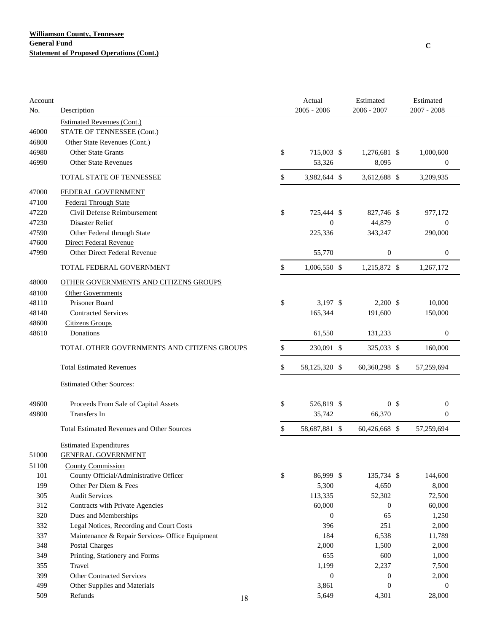| Account<br>No. | Description                                                |    | Actual<br>$2005 - 2006$ | Estimated<br>2006 - 2007 | Estimated<br>2007 - 2008 |  |
|----------------|------------------------------------------------------------|----|-------------------------|--------------------------|--------------------------|--|
|                | <b>Estimated Revenues (Cont.)</b>                          |    |                         |                          |                          |  |
| 46000          | <b>STATE OF TENNESSEE (Cont.)</b>                          |    |                         |                          |                          |  |
| 46800          | Other State Revenues (Cont.)                               |    |                         |                          |                          |  |
| 46980          | Other State Grants                                         |    | \$<br>715,003 \$        | 1,276,681 \$             | 1,000,600                |  |
| 46990          | <b>Other State Revenues</b>                                |    | 53,326                  | 8,095                    | $\boldsymbol{0}$         |  |
|                | <b>TOTAL STATE OF TENNESSEE</b>                            |    | \$<br>3,982,644 \$      | 3,612,688 \$             | 3,209,935                |  |
| 47000          | FEDERAL GOVERNMENT                                         |    |                         |                          |                          |  |
| 47100          | <b>Federal Through State</b>                               |    |                         |                          |                          |  |
| 47220          | Civil Defense Reimbursement                                |    | \$<br>725,444 \$        | 827,746 \$               | 977,172                  |  |
| 47230          | Disaster Relief                                            |    | $\theta$                | 44,879                   | $\mathbf{0}$             |  |
| 47590          | Other Federal through State                                |    | 225,336                 | 343,247                  | 290,000                  |  |
| 47600          | Direct Federal Revenue                                     |    |                         |                          |                          |  |
| 47990          | Other Direct Federal Revenue                               |    | 55,770                  | $\boldsymbol{0}$         | $\boldsymbol{0}$         |  |
|                | TOTAL FEDERAL GOVERNMENT                                   |    | \$<br>1,006,550 \$      | 1,215,872 \$             | 1,267,172                |  |
| 48000          | OTHER GOVERNMENTS AND CITIZENS GROUPS                      |    |                         |                          |                          |  |
| 48100          | <b>Other Governments</b>                                   |    |                         |                          |                          |  |
| 48110          | Prisoner Board                                             |    | \$<br>3,197 \$          | $2,200$ \$               | 10,000                   |  |
| 48140          | <b>Contracted Services</b>                                 |    | 165,344                 | 191,600                  | 150,000                  |  |
| 48600          | <b>Citizens Groups</b>                                     |    |                         |                          |                          |  |
| 48610          | Donations                                                  |    | 61,550                  | 131,233                  | $\boldsymbol{0}$         |  |
|                | TOTAL OTHER GOVERNMENTS AND CITIZENS GROUPS                |    | \$<br>230,091 \$        | 325,033 \$               | 160,000                  |  |
|                | <b>Total Estimated Revenues</b>                            |    | \$<br>58,125,320 \$     | 60,360,298 \$            | 57,259,694               |  |
|                | <b>Estimated Other Sources:</b>                            |    |                         |                          |                          |  |
| 49600          | Proceeds From Sale of Capital Assets                       |    | \$<br>526,819 \$        | 0 <sup>5</sup>           | $\boldsymbol{0}$         |  |
| 49800          | <b>Transfers In</b>                                        |    | 35,742                  | 66,370                   | 0                        |  |
|                |                                                            |    |                         |                          |                          |  |
|                | <b>Total Estimated Revenues and Other Sources</b>          |    | \$<br>58,687,881 \$     | 60,426,668 \$            | 57,259,694               |  |
| 51000          | <b>Estimated Expenditures</b><br><b>GENERAL GOVERNMENT</b> |    |                         |                          |                          |  |
| 51100          | <b>County Commission</b>                                   |    |                         |                          |                          |  |
| 101            | County Official/Administrative Officer                     |    | \$<br>86,999 \$         | 135,734 \$               | 144,600                  |  |
| 199            | Other Per Diem & Fees                                      |    | 5,300                   | 4,650                    | 8,000                    |  |
| 305            | <b>Audit Services</b>                                      |    | 113,335                 | 52,302                   | 72,500                   |  |
| 312            | Contracts with Private Agencies                            |    | 60,000                  | $\boldsymbol{0}$         | 60,000                   |  |
| 320            | Dues and Memberships                                       |    | $\overline{0}$          | 65                       | 1,250                    |  |
| 332            | Legal Notices, Recording and Court Costs                   |    | 396                     | 251                      | 2,000                    |  |
| 337            | Maintenance & Repair Services- Office Equipment            |    | 184                     | 6,538                    | 11,789                   |  |
| 348            | <b>Postal Charges</b>                                      |    | 2,000                   | 1,500                    | 2,000                    |  |
| 349            | Printing, Stationery and Forms                             |    | 655                     | 600                      | 1,000                    |  |
| 355            | Travel                                                     |    | 1,199                   | 2,237                    | 7,500                    |  |
| 399            | <b>Other Contracted Services</b>                           |    | $\boldsymbol{0}$        | $\boldsymbol{0}$         | 2,000                    |  |
| 499            | Other Supplies and Materials                               |    | 3,861                   | $\boldsymbol{0}$         | $\mathbf{0}$             |  |
| 509            | Refunds                                                    | 18 | 5,649                   | 4,301                    | 28,000                   |  |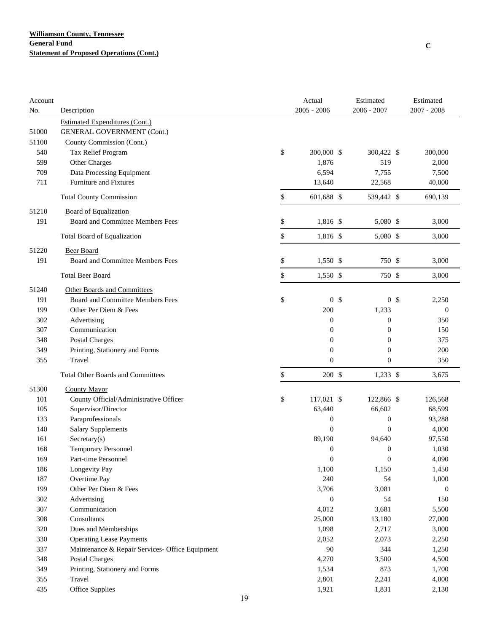| Account |                                                 |    | Actual           | Estimated        | Estimated   |              |
|---------|-------------------------------------------------|----|------------------|------------------|-------------|--------------|
| No.     | Description                                     |    | $2005 - 2006$    | $2006 - 2007$    | 2007 - 2008 |              |
|         | <b>Estimated Expenditures (Cont.)</b>           |    |                  |                  |             |              |
| 51000   | <b>GENERAL GOVERNMENT (Cont.)</b>               |    |                  |                  |             |              |
| 51100   | County Commission (Cont.)                       |    |                  |                  |             |              |
| 540     | Tax Relief Program                              | \$ | 300,000 \$       | 300,422 \$       | 300,000     |              |
| 599     | Other Charges                                   |    | 1,876            | 519              |             | 2,000        |
| 709     | Data Processing Equipment                       |    | 6,594            | 7,755            |             | 7,500        |
| 711     | Furniture and Fixtures                          |    | 13,640           | 22,568           |             | 40,000       |
|         | <b>Total County Commission</b>                  | \$ | 601,688 \$       | 539,442 \$       | 690,139     |              |
| 51210   | <b>Board of Equalization</b>                    |    |                  |                  |             |              |
| 191     | Board and Committee Members Fees                | \$ | 1,816 \$         | 5,080 \$         |             | 3,000        |
|         | Total Board of Equalization                     | \$ | 1,816 \$         | 5,080 \$         |             | 3,000        |
|         |                                                 |    |                  |                  |             |              |
| 51220   | <b>Beer Board</b>                               |    |                  |                  |             |              |
| 191     | Board and Committee Members Fees                | \$ | 1,550 \$         | 750 \$           |             | 3,000        |
|         | <b>Total Beer Board</b>                         | \$ | 1,550 \$         | 750 \$           |             | 3,000        |
| 51240   | Other Boards and Committees                     |    |                  |                  |             |              |
| 191     | Board and Committee Members Fees                | \$ | 0 <sup>5</sup>   | 0 <sup>5</sup>   |             | 2,250        |
| 199     | Other Per Diem & Fees                           |    | 200              | 1,233            |             | $\theta$     |
| 302     | Advertising                                     |    | $\boldsymbol{0}$ | $\boldsymbol{0}$ |             | 350          |
| 307     | Communication                                   |    | $\boldsymbol{0}$ | $\boldsymbol{0}$ |             | 150          |
| 348     | <b>Postal Charges</b>                           |    | $\boldsymbol{0}$ | $\boldsymbol{0}$ |             | 375          |
| 349     | Printing, Stationery and Forms                  |    | $\boldsymbol{0}$ | $\boldsymbol{0}$ |             | 200          |
| 355     | Travel                                          |    | $\overline{0}$   | $\boldsymbol{0}$ |             | 350          |
|         | <b>Total Other Boards and Committees</b>        | \$ | 200 \$           | $1,233$ \$       |             | 3,675        |
| 51300   | <b>County Mayor</b>                             |    |                  |                  |             |              |
| 101     | County Official/Administrative Officer          | \$ | 117,021 \$       | 122,866 \$       | 126,568     |              |
| 105     | Supervisor/Director                             |    | 63,440           | 66,602           |             | 68,599       |
| 133     | Paraprofessionals                               |    | $\boldsymbol{0}$ | $\boldsymbol{0}$ |             | 93,288       |
| 140     | <b>Salary Supplements</b>                       |    | $\overline{0}$   | $\overline{0}$   |             | 4,000        |
| 161     | Sercetary(s)                                    |    | 89,190           | 94,640           |             | 97,550       |
| 168     | <b>Temporary Personnel</b>                      |    | $\boldsymbol{0}$ | $\boldsymbol{0}$ |             | 1,030        |
| 169     | Part-time Personnel                             |    | $\mathbf{0}$     | $\boldsymbol{0}$ |             | 4,090        |
| 186     | Longevity Pay                                   |    | 1,100            | 1,150            |             | 1,450        |
| 187     | Overtime Pay                                    |    | 240              | 54               |             | 1,000        |
| 199     | Other Per Diem & Fees                           |    | 3,706            | 3,081            |             | $\mathbf{0}$ |
| 302     | Advertising                                     |    | $\boldsymbol{0}$ | 54               |             | 150          |
| 307     | Communication                                   |    | 4,012            | 3,681            |             | 5,500        |
| 308     | Consultants                                     |    | 25,000           | 13,180           |             | 27,000       |
| 320     | Dues and Memberships                            |    | 1,098            | 2,717            |             | 3,000        |
| 330     | <b>Operating Lease Payments</b>                 |    | 2,052            | 2,073            |             | 2,250        |
| 337     | Maintenance & Repair Services- Office Equipment |    | 90               | 344              |             | 1,250        |
| 348     | <b>Postal Charges</b>                           |    | 4,270            | 3,500            |             | 4,500        |
| 349     | Printing, Stationery and Forms                  |    | 1,534            | 873              |             | 1,700        |
| 355     | Travel                                          |    | 2,801            | 2,241            |             | 4,000        |
| 435     | Office Supplies                                 |    | 1,921            | 1,831            |             | 2,130        |
|         |                                                 | 19 |                  |                  |             |              |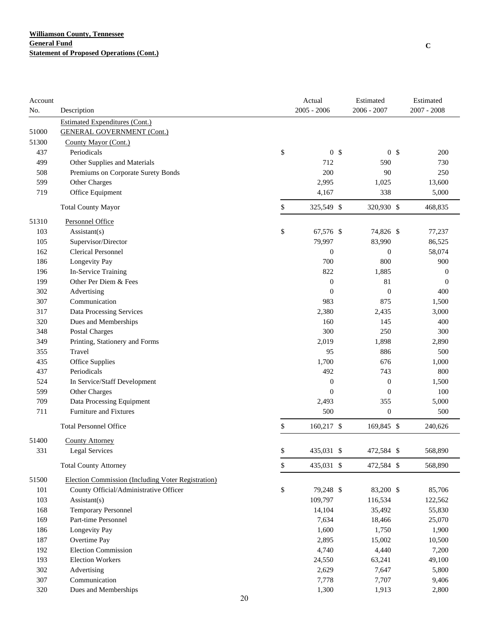| Account |                                                    | Actual               | Estimated        | Estimated             |
|---------|----------------------------------------------------|----------------------|------------------|-----------------------|
| No.     | Description                                        | $2005 - 2006$        | 2006 - 2007      | 2007 - 2008           |
|         | <b>Estimated Expenditures (Cont.)</b>              |                      |                  |                       |
| 51000   | <b>GENERAL GOVERNMENT (Cont.)</b>                  |                      |                  |                       |
| 51300   | County Mayor (Cont.)                               |                      |                  |                       |
| 437     | Periodicals                                        | \$<br>0 <sup>5</sup> |                  | 0 <sup>5</sup><br>200 |
| 499     | Other Supplies and Materials                       | 712                  | 590              | 730                   |
| 508     | Premiums on Corporate Surety Bonds                 | 200                  | 90               | 250                   |
| 599     | Other Charges                                      | 2,995                | 1,025            | 13,600                |
| 719     | Office Equipment                                   | 4,167                | 338              | 5,000                 |
|         | <b>Total County Mayor</b>                          | \$<br>325,549 \$     | 320,930 \$       | 468,835               |
| 51310   | <b>Personnel Office</b>                            |                      |                  |                       |
| 103     | Assistant(s)                                       | \$<br>67,576 \$      | 74,826 \$        | 77,237                |
| 105     | Supervisor/Director                                | 79,997               | 83,990           | 86,525                |
| 162     | <b>Clerical Personnel</b>                          | $\boldsymbol{0}$     | $\boldsymbol{0}$ | 58,074                |
| 186     | Longevity Pay                                      | 700                  | 800              | 900                   |
| 196     | In-Service Training                                | 822                  | 1,885            | $\mathbf{0}$          |
| 199     | Other Per Diem & Fees                              | $\boldsymbol{0}$     | 81               | $\mathbf{0}$          |
| 302     | Advertising                                        | $\boldsymbol{0}$     | $\boldsymbol{0}$ | 400                   |
| 307     | Communication                                      | 983                  | 875              | 1,500                 |
| 317     | Data Processing Services                           | 2,380                | 2,435            | 3,000                 |
| 320     | Dues and Memberships                               | 160                  | 145              | 400                   |
| 348     | Postal Charges                                     | 300                  | 250              | 300                   |
| 349     | Printing, Stationery and Forms                     | 2,019                | 1,898            | 2,890                 |
| 355     | Travel                                             | 95                   | 886              | 500                   |
| 435     | Office Supplies                                    | 1,700                | 676              | 1,000                 |
| 437     | Periodicals                                        | 492                  | 743              | 800                   |
| 524     | In Service/Staff Development                       | $\boldsymbol{0}$     | $\boldsymbol{0}$ | 1,500                 |
| 599     | Other Charges                                      | $\overline{0}$       | $\boldsymbol{0}$ | 100                   |
| 709     | Data Processing Equipment                          | 2,493                | 355              | 5,000                 |
| 711     | Furniture and Fixtures                             | 500                  | $\boldsymbol{0}$ | 500                   |
|         | <b>Total Personnel Office</b>                      | \$<br>160,217 \$     | 169,845 \$       | 240,626               |
| 51400   | <b>County Attorney</b>                             |                      |                  |                       |
| 331     | Legal Services                                     | \$<br>435,031 \$     | 472,584 \$       | 568,890               |
|         | <b>Total County Attorney</b>                       | \$<br>435,031 \$     | 472,584 \$       | 568,890               |
| 51500   | Election Commission (Including Voter Registration) |                      |                  |                       |
| 101     | County Official/Administrative Officer             | \$<br>79,248 \$      | 83,200 \$        | 85,706                |
| 103     | $\text{Assistant}(s)$                              | 109,797              | 116,534          | 122,562               |
| 168     | <b>Temporary Personnel</b>                         | 14,104               | 35,492           | 55,830                |
| 169     | Part-time Personnel                                | 7,634                | 18,466           | 25,070                |
| 186     | Longevity Pay                                      | 1,600                | 1,750            | 1,900                 |
| 187     | Overtime Pay                                       | 2,895                | 15,002           | 10,500                |
| 192     | <b>Election Commission</b>                         | 4,740                | 4,440            | 7,200                 |
| 193     | <b>Election Workers</b>                            | 24,550               | 63,241           | 49,100                |
| 302     | Advertising                                        | 2,629                | 7,647            | 5,800                 |
| 307     | Communication                                      | 7,778                | 7,707            | 9,406                 |
| 320     | Dues and Memberships                               | 1,300                | 1,913            | 2,800                 |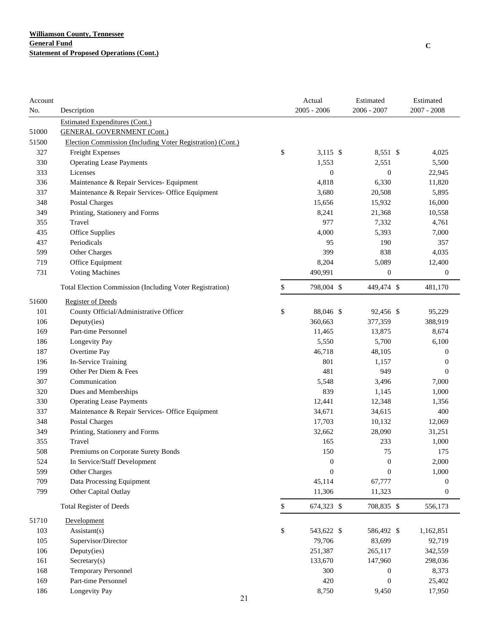| Account |                                                                            |              | Actual<br>$2005 - 2006$ | Estimated<br>2006 - 2007 | Estimated<br>2007 - 2008 |
|---------|----------------------------------------------------------------------------|--------------|-------------------------|--------------------------|--------------------------|
| No.     | Description                                                                |              |                         |                          |                          |
| 51000   | <b>Estimated Expenditures (Cont.)</b><br><b>GENERAL GOVERNMENT (Cont.)</b> |              |                         |                          |                          |
| 51500   | Election Commission (Including Voter Registration) (Cont.)                 |              |                         |                          |                          |
| 327     | Freight Expenses                                                           | \$           | $3,115$ \$              | 8,551 \$                 | 4,025                    |
| 330     | <b>Operating Lease Payments</b>                                            |              | 1,553                   | 2,551                    | 5,500                    |
| 333     | Licenses                                                                   |              | $\boldsymbol{0}$        | $\boldsymbol{0}$         | 22,945                   |
| 336     | Maintenance & Repair Services- Equipment                                   |              | 4,818                   | 6,330                    | 11,820                   |
| 337     | Maintenance & Repair Services- Office Equipment                            |              | 3,680                   | 20,508                   | 5,895                    |
| 348     | <b>Postal Charges</b>                                                      |              | 15,656                  | 15,932                   | 16,000                   |
| 349     | Printing, Stationery and Forms                                             |              | 8,241                   | 21,368                   | 10,558                   |
| 355     | Travel                                                                     |              | 977                     | 7,332                    | 4,761                    |
| 435     | <b>Office Supplies</b>                                                     |              | 4,000                   | 5,393                    | 7,000                    |
| 437     | Periodicals                                                                |              | 95                      | 190                      | 357                      |
| 599     | Other Charges                                                              |              | 399                     | 838                      | 4,035                    |
| 719     | Office Equipment                                                           |              | 8,204                   | 5,089                    | 12,400                   |
| 731     | <b>Voting Machines</b>                                                     |              | 490,991                 | $\boldsymbol{0}$         | $\boldsymbol{0}$         |
|         | Total Election Commission (Including Voter Registration)                   | \$           | 798,004 \$              | 449,474 \$               | 481,170                  |
| 51600   | <b>Register of Deeds</b>                                                   |              |                         |                          |                          |
| 101     | County Official/Administrative Officer                                     | \$           | 88,046 \$               | 92,456 \$                | 95,229                   |
| 106     | Deputy(ies)                                                                |              | 360,663                 | 377,359                  | 388,919                  |
| 169     | Part-time Personnel                                                        |              | 11,465                  | 13,875                   | 8,674                    |
| 186     | Longevity Pay                                                              |              | 5,550                   | 5,700                    | 6,100                    |
| 187     | Overtime Pay                                                               |              | 46,718                  | 48,105                   | 0                        |
| 196     | In-Service Training                                                        |              | 801                     | 1,157                    | $\boldsymbol{0}$         |
| 199     | Other Per Diem & Fees                                                      |              | 481                     | 949                      | $\theta$                 |
| 307     | Communication                                                              |              | 5,548                   | 3,496                    | 7,000                    |
| 320     | Dues and Memberships                                                       |              | 839                     | 1,145                    | 1,000                    |
| 330     | <b>Operating Lease Payments</b>                                            |              | 12,441                  | 12,348                   | 1,356                    |
| 337     | Maintenance & Repair Services- Office Equipment                            |              | 34,671                  | 34,615                   | 400                      |
| 348     | Postal Charges                                                             |              | 17,703                  | 10,132                   | 12,069                   |
| 349     | Printing, Stationery and Forms                                             |              | 32,662                  | 28,090                   | 31,251                   |
| 355     | Travel                                                                     |              | 165                     | 233                      | 1,000                    |
| 508     | Premiums on Corporate Surety Bonds                                         |              | 150                     | 75                       | 175                      |
| 524     | In Service/Staff Development                                               |              | $\boldsymbol{0}$        | $\boldsymbol{0}$         | 2,000                    |
| 599     | Other Charges                                                              |              | $\theta$                | $\overline{0}$           | 1,000                    |
| 709     | Data Processing Equipment                                                  |              | 45,114                  | 67,777                   | $\boldsymbol{0}$         |
| 799     | Other Capital Outlay                                                       |              | 11,306                  | 11,323                   | $\boldsymbol{0}$         |
|         | <b>Total Register of Deeds</b>                                             | $\mathbb{S}$ | 674,323 \$              | 708,835 \$               | 556,173                  |
| 51710   | Development                                                                |              |                         |                          |                          |
| 103     | Assistant(s)                                                               | \$           | 543,622 \$              | 586,492 \$               | 1,162,851                |
| 105     | Supervisor/Director                                                        |              | 79,706                  | 83,699                   | 92,719                   |
| 106     | Deputy(ies)                                                                |              | 251,387                 | 265,117                  | 342,559                  |
| 161     | Sercetary(s)                                                               |              | 133,670                 | 147,960                  | 298,036                  |
| 168     | <b>Temporary Personnel</b>                                                 |              | 300                     | $\boldsymbol{0}$         | 8,373                    |
| 169     | Part-time Personnel                                                        |              | 420                     | $\mathbf{0}$             | 25,402                   |
| 186     | Longevity Pay                                                              |              | 8,750                   | 9,450                    | 17,950                   |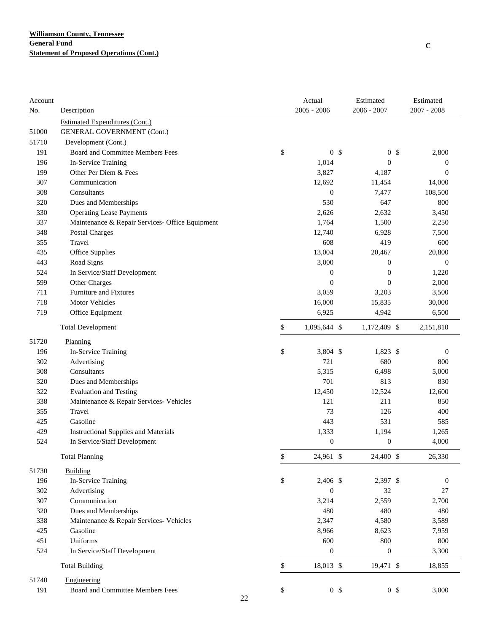| Account |                                                 |    | Actual             |                | Estimated        | Estimated        |
|---------|-------------------------------------------------|----|--------------------|----------------|------------------|------------------|
| No.     | Description                                     |    | $2005 - 2006$      |                | 2006 - 2007      | $2007 - 2008$    |
|         | <b>Estimated Expenditures (Cont.)</b>           |    |                    |                |                  |                  |
| 51000   | <b>GENERAL GOVERNMENT (Cont.)</b>               |    |                    |                |                  |                  |
| 51710   | Development (Cont.)                             |    |                    |                |                  |                  |
| 191     | <b>Board and Committee Members Fees</b>         |    | \$                 | 0 <sup>5</sup> | 0 <sup>5</sup>   | 2,800            |
| 196     | In-Service Training                             |    | 1,014              |                | $\boldsymbol{0}$ | $\boldsymbol{0}$ |
| 199     | Other Per Diem & Fees                           |    | 3,827              |                | 4,187            | $\mathbf{0}$     |
| 307     | Communication                                   |    | 12,692             |                | 11,454           | 14,000           |
| 308     | Consultants                                     |    | $\boldsymbol{0}$   |                | 7,477            | 108,500          |
| 320     | Dues and Memberships                            |    | 530                |                | 647              | 800              |
| 330     | <b>Operating Lease Payments</b>                 |    | 2,626              |                | 2,632            | 3,450            |
| 337     | Maintenance & Repair Services- Office Equipment |    | 1,764              |                | 1,500            | 2,250            |
| 348     | <b>Postal Charges</b>                           |    | 12,740             |                | 6,928            | 7,500            |
| 355     | Travel                                          |    | 608                |                | 419              | 600              |
| 435     | Office Supplies                                 |    | 13,004             |                | 20,467           | 20,800           |
| 443     | Road Signs                                      |    | 3,000              |                | $\mathbf{0}$     | $\boldsymbol{0}$ |
| 524     | In Service/Staff Development                    |    | $\boldsymbol{0}$   |                | $\mathbf{0}$     | 1,220            |
| 599     | Other Charges                                   |    | $\boldsymbol{0}$   |                | $\theta$         | 2,000            |
| 711     | Furniture and Fixtures                          |    | 3,059              |                | 3,203            | 3,500            |
| 718     | <b>Motor Vehicles</b>                           |    | 16,000             |                | 15,835           | 30,000           |
| 719     | Office Equipment                                |    | 6,925              |                | 4,942            | 6,500            |
|         | <b>Total Development</b>                        |    | \$<br>1,095,644 \$ |                | 1,172,409 \$     | 2,151,810        |
| 51720   | Planning                                        |    |                    |                |                  |                  |
| 196     | In-Service Training                             |    | \$<br>3,804 \$     |                | 1,823 \$         | $\boldsymbol{0}$ |
| 302     | Advertising                                     |    | 721                |                | 680              | 800              |
| 308     | Consultants                                     |    | 5,315              |                | 6,498            | 5,000            |
| 320     | Dues and Memberships                            |    | 701                |                | 813              | 830              |
| 322     | <b>Evaluation and Testing</b>                   |    | 12,450             |                | 12,524           | 12,600           |
| 338     | Maintenance & Repair Services- Vehicles         |    | 121                |                | 211              | 850              |
| 355     | Travel                                          |    | 73                 |                | 126              | 400              |
| 425     | Gasoline                                        |    | 443                |                | 531              | 585              |
| 429     | <b>Instructional Supplies and Materials</b>     |    | 1,333              |                | 1,194            | 1,265            |
| 524     | In Service/Staff Development                    |    | $\boldsymbol{0}$   |                | $\boldsymbol{0}$ | 4,000            |
|         | <b>Total Planning</b>                           |    | \$<br>24,961 \$    |                | 24,400 \$        | 26,330           |
| 51730   | Building                                        |    |                    |                |                  |                  |
| 196     | In-Service Training                             |    | \$<br>2,406 \$     |                | 2,397 \$         | $\boldsymbol{0}$ |
| 302     | Advertising                                     |    | $\boldsymbol{0}$   |                | 32               | 27               |
| 307     | Communication                                   |    | 3,214              |                | 2,559            | 2,700            |
| 320     | Dues and Memberships                            |    | 480                |                | 480              | 480              |
| 338     | Maintenance & Repair Services- Vehicles         |    | 2,347              |                | 4,580            | 3,589            |
| 425     | Gasoline                                        |    | 8,966              |                | 8,623            | 7,959            |
| 451     | Uniforms                                        |    | 600                |                | 800              | 800              |
| 524     | In Service/Staff Development                    |    | $\boldsymbol{0}$   |                | $\boldsymbol{0}$ | 3,300            |
|         | <b>Total Building</b>                           |    | \$<br>18,013 \$    |                | 19,471 \$        | 18,855           |
| 51740   | Engineering                                     |    |                    |                |                  |                  |
| 191     | Board and Committee Members Fees                |    | \$                 | 0 <sup>5</sup> | 0 <sup>5</sup>   | 3,000            |
|         |                                                 | 22 |                    |                |                  |                  |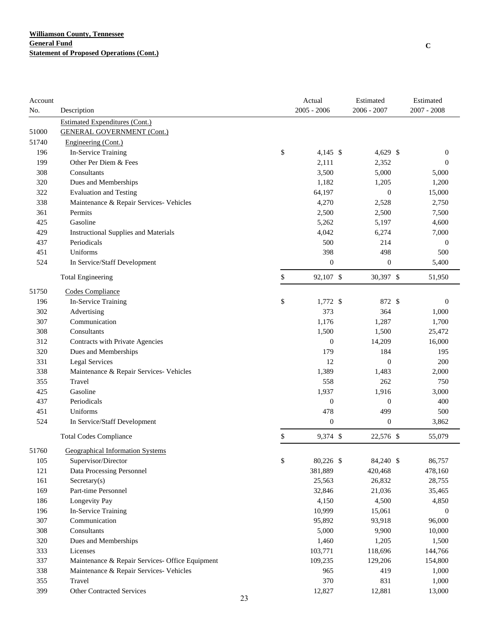| Account |                                                 |    | Actual           | Estimated        | Estimated        |
|---------|-------------------------------------------------|----|------------------|------------------|------------------|
| No.     | Description                                     |    | $2005 - 2006$    | $2006 - 2007$    | $2007 - 2008$    |
|         | <b>Estimated Expenditures (Cont.)</b>           |    |                  |                  |                  |
| 51000   | <b>GENERAL GOVERNMENT (Cont.)</b>               |    |                  |                  |                  |
| 51740   | Engineering (Cont.)                             |    |                  |                  |                  |
| 196     | In-Service Training                             | \$ | 4,145 \$         | 4,629 \$         | $\boldsymbol{0}$ |
| 199     | Other Per Diem & Fees                           |    | 2,111            | 2,352            | $\boldsymbol{0}$ |
| 308     | Consultants                                     |    | 3,500            | 5,000            | 5,000            |
| 320     | Dues and Memberships                            |    | 1,182            | 1,205            | 1,200            |
| 322     | <b>Evaluation and Testing</b>                   |    | 64,197           | $\mathbf{0}$     | 15,000           |
| 338     | Maintenance & Repair Services- Vehicles         |    | 4,270            | 2,528            | 2,750            |
| 361     | Permits                                         |    | 2,500            | 2,500            | 7,500            |
| 425     | Gasoline                                        |    | 5,262            | 5,197            | 4,600            |
| 429     | <b>Instructional Supplies and Materials</b>     |    | 4,042            | 6,274            | 7,000            |
| 437     | Periodicals                                     |    | 500              | 214              | $\boldsymbol{0}$ |
| 451     | Uniforms                                        |    | 398              | 498              | 500              |
| 524     | In Service/Staff Development                    |    | $\boldsymbol{0}$ | 0                | 5,400            |
|         | <b>Total Engineering</b>                        | \$ | 92,107 \$        | 30,397 \$        | 51,950           |
| 51750   | Codes Compliance                                |    |                  |                  |                  |
| 196     | In-Service Training                             | \$ | $1,772$ \$       | 872 \$           | $\boldsymbol{0}$ |
| 302     | Advertising                                     |    | 373              | 364              | 1,000            |
| 307     | Communication                                   |    | 1,176            | 1,287            | 1,700            |
| 308     | Consultants                                     |    | 1,500            | 1,500            | 25,472           |
| 312     | Contracts with Private Agencies                 |    | $\boldsymbol{0}$ | 14,209           | 16,000           |
| 320     | Dues and Memberships                            |    | 179              | 184              | 195              |
| 331     | <b>Legal Services</b>                           |    | 12               | $\boldsymbol{0}$ | 200              |
| 338     | Maintenance & Repair Services- Vehicles         |    | 1,389            | 1,483            | 2,000            |
| 355     | Travel                                          |    | 558              | 262              | 750              |
| 425     | Gasoline                                        |    | 1,937            | 1,916            | 3,000            |
| 437     | Periodicals                                     |    | $\boldsymbol{0}$ | 0                | 400              |
| 451     | Uniforms                                        |    | 478              | 499              | 500              |
| 524     | In Service/Staff Development                    |    | $\boldsymbol{0}$ | $\boldsymbol{0}$ | 3,862            |
|         | <b>Total Codes Compliance</b>                   | \$ | 9,374 \$         | 22,576 \$        | 55,079           |
| 51760   | <b>Geographical Information Systems</b>         |    |                  |                  |                  |
| 105     | Supervisor/Director                             | \$ | 80,226 \$        | 84,240 \$        | 86,757           |
| 121     | Data Processing Personnel                       |    | 381,889          | 420,468          | 478,160          |
| 161     | Sercetary(s)                                    |    | 25,563           | 26,832           | 28,755           |
| 169     | Part-time Personnel                             |    | 32,846           | 21,036           | 35,465           |
| 186     | Longevity Pay                                   |    | 4,150            | 4,500            | 4,850            |
| 196     | In-Service Training                             |    | 10,999           | 15,061           | 0                |
| 307     | Communication                                   |    | 95,892           | 93,918           | 96,000           |
| 308     | Consultants                                     |    | 5,000            | 9,900            | 10,000           |
| 320     | Dues and Memberships                            |    | 1,460            | 1,205            | 1,500            |
| 333     | Licenses                                        |    | 103,771          | 118,696          | 144,766          |
| 337     | Maintenance & Repair Services- Office Equipment |    | 109,235          | 129,206          | 154,800          |
| 338     | Maintenance & Repair Services- Vehicles         |    | 965              | 419              | 1,000            |
| 355     | Travel                                          |    | 370              | 831              | 1,000            |
| 399     | <b>Other Contracted Services</b>                |    | 12,827           | 12,881           | 13,000           |
|         |                                                 | 23 |                  |                  |                  |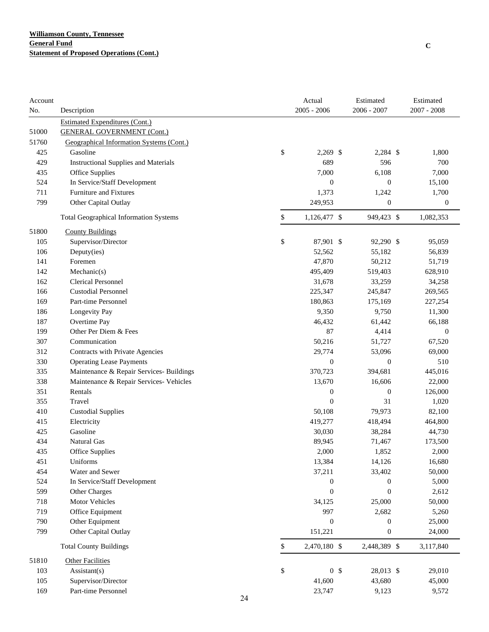| Account |                                               | Actual               | Estimated        | Estimated        |
|---------|-----------------------------------------------|----------------------|------------------|------------------|
| No.     | Description                                   | $2005 - 2006$        | $2006 - 2007$    | $2007 - 2008$    |
|         | <b>Estimated Expenditures (Cont.)</b>         |                      |                  |                  |
| 51000   | <b>GENERAL GOVERNMENT (Cont.)</b>             |                      |                  |                  |
| 51760   | Geographical Information Systems (Cont.)      |                      |                  |                  |
| 425     | Gasoline                                      | \$<br>$2,269$ \$     | $2,284$ \$       | 1,800            |
| 429     | <b>Instructional Supplies and Materials</b>   | 689                  | 596              | 700              |
| 435     | Office Supplies                               | 7,000                | 6,108            | 7,000            |
| 524     | In Service/Staff Development                  | $\boldsymbol{0}$     | $\boldsymbol{0}$ | 15,100           |
| 711     | <b>Furniture and Fixtures</b>                 | 1,373                | 1,242            | 1,700            |
| 799     | Other Capital Outlay                          | 249,953              | $\boldsymbol{0}$ | $\boldsymbol{0}$ |
|         | <b>Total Geographical Information Systems</b> | \$<br>1,126,477 \$   | 949,423 \$       | 1,082,353        |
| 51800   | <b>County Buildings</b>                       |                      |                  |                  |
| 105     | Supervisor/Director                           | \$<br>87,901 \$      | 92,290 \$        | 95,059           |
| 106     | Deputy(ies)                                   | 52,562               | 55,182           | 56,839           |
| 141     | Foremen                                       | 47,870               | 50,212           | 51,719           |
| 142     | Mechanic(s)                                   | 495,409              | 519,403          | 628,910          |
| 162     | <b>Clerical Personnel</b>                     | 31,678               | 33,259           | 34,258           |
| 166     | <b>Custodial Personnel</b>                    | 225,347              | 245,847          | 269,565          |
| 169     | Part-time Personnel                           | 180,863              | 175,169          | 227,254          |
| 186     | Longevity Pay                                 | 9,350                | 9,750            | 11,300           |
| 187     | Overtime Pay                                  | 46,432               | 61,442           | 66,188           |
| 199     | Other Per Diem & Fees                         | 87                   | 4,414            | $\mathbf{0}$     |
| 307     | Communication                                 | 50,216               | 51,727           | 67,520           |
| 312     | Contracts with Private Agencies               | 29,774               | 53,096           | 69,000           |
| 330     | <b>Operating Lease Payments</b>               | $\boldsymbol{0}$     | $\boldsymbol{0}$ | 510              |
| 335     | Maintenance & Repair Services- Buildings      | 370,723              | 394,681          | 445,016          |
| 338     | Maintenance & Repair Services- Vehicles       | 13,670               | 16,606           | 22,000           |
| 351     | Rentals                                       | 0                    | $\boldsymbol{0}$ | 126,000          |
| 355     | Travel                                        | $\boldsymbol{0}$     | 31               | 1,020            |
| 410     | <b>Custodial Supplies</b>                     | 50,108               | 79,973           | 82,100           |
| 415     | Electricity                                   | 419,277              | 418,494          | 464,800          |
| 425     | Gasoline                                      | 30,030               | 38,284           | 44,730           |
| 434     | Natural Gas                                   | 89,945               | 71,467           | 173,500          |
| 435     | Office Supplies                               | 2,000                | 1,852            | 2,000            |
| 451     | Uniforms                                      | 13,384               | 14,126           | 16,680           |
| 454     | Water and Sewer                               | 37,211               | 33,402           | 50,000           |
| 524     | In Service/Staff Development                  | $\boldsymbol{0}$     | $\boldsymbol{0}$ | 5,000            |
| 599     | Other Charges                                 | $\mathbf{0}$         | $\boldsymbol{0}$ | 2,612            |
| 718     | <b>Motor Vehicles</b>                         | 34,125               | 25,000           | 50,000           |
| 719     | Office Equipment                              | 997                  | 2,682            | 5,260            |
| 790     | Other Equipment                               | $\boldsymbol{0}$     | $\boldsymbol{0}$ | 25,000           |
| 799     | Other Capital Outlay                          | 151,221              | $\boldsymbol{0}$ | 24,000           |
|         | <b>Total County Buildings</b>                 | \$<br>2,470,180 \$   | 2,448,389 \$     | 3,117,840        |
| 51810   | <b>Other Facilities</b>                       |                      |                  |                  |
| 103     | Assistant(s)                                  | \$<br>0 <sup>5</sup> | 28,013 \$        | 29,010           |
| 105     | Supervisor/Director                           | 41,600               | 43,680           | 45,000           |
| 169     | Part-time Personnel                           | 23,747               | 9,123            | 9,572            |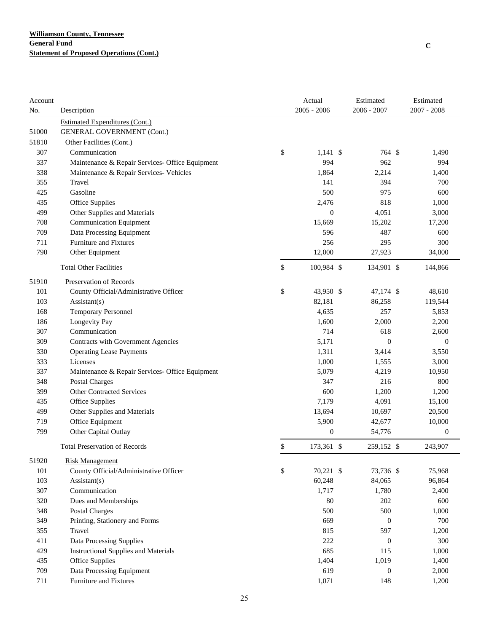| 2006 - 2007<br>$2007 - 2008$<br>Description<br>$2005 - 2006$<br>No.<br><b>Estimated Expenditures (Cont.)</b><br>51000<br><b>GENERAL GOVERNMENT (Cont.)</b><br>51810<br>Other Facilities (Cont.)<br>\$<br>307<br>Communication<br>$1,141$ \$<br>764 \$<br>1,490<br>337<br>994<br>962<br>994<br>Maintenance & Repair Services- Office Equipment<br>1,864<br>338<br>Maintenance & Repair Services- Vehicles<br>2,214<br>1,400<br>355<br>Travel<br>141<br>394<br>700<br>500<br>975<br>425<br>Gasoline<br>600<br>818<br>435<br>Office Supplies<br>2,476<br>1,000<br>499<br>Other Supplies and Materials<br>$\boldsymbol{0}$<br>4,051<br>3,000<br><b>Communication Equipment</b><br>708<br>15,669<br>15,202<br>17,200<br>Data Processing Equipment<br>487<br>709<br>596<br>600<br>Furniture and Fixtures<br>256<br>295<br>300<br>711<br>12,000<br>790<br>Other Equipment<br>27,923<br>34,000<br>\$<br>100,984 \$<br><b>Total Other Facilities</b><br>134,901 \$<br>144,866<br>51910<br>Preservation of Records<br>\$<br>101<br>County Official/Administrative Officer<br>43,950 \$<br>47,174 \$<br>48,610<br>82,181<br>103<br>Assistant(s)<br>86,258<br>119,544<br>4,635<br>168<br><b>Temporary Personnel</b><br>257<br>5,853<br>186<br>Longevity Pay<br>1,600<br>2,000<br>2,200<br>714<br>307<br>Communication<br>618<br>2,600<br>309<br>Contracts with Government Agencies<br>5,171<br>$\mathbf{0}$<br>$\mathbf{0}$<br>330<br>1,311<br>3,414<br>3,550<br><b>Operating Lease Payments</b><br>333<br>Licenses<br>1,000<br>3,000<br>1,555<br>5,079<br>337<br>4,219<br>10,950<br>Maintenance & Repair Services- Office Equipment<br>348<br><b>Postal Charges</b><br>347<br>216<br>800<br><b>Other Contracted Services</b><br>600<br>399<br>1,200<br>1,200<br>435<br>Office Supplies<br>7,179<br>4,091<br>15,100<br>499<br>Other Supplies and Materials<br>13,694<br>20,500<br>10,697<br>Office Equipment<br>719<br>5,900<br>42,677<br>10,000<br>799<br>$\boldsymbol{0}$<br>Other Capital Outlay<br>54,776<br>$\boldsymbol{0}$<br>\$<br><b>Total Preservation of Records</b><br>173,361 \$<br>259,152 \$<br>243,907<br>51920<br><b>Risk Management</b><br>101<br>\$<br>County Official/Administrative Officer<br>70,221 \$<br>73,736 \$<br>75,968<br>103<br>60,248<br>$\text{Assistant}(s)$<br>84,065<br>96,864<br>307<br>Communication<br>1,717<br>1,780<br>2,400<br>80<br>202<br>600<br>320<br>Dues and Memberships<br>500<br>500<br>348<br><b>Postal Charges</b><br>1,000<br>349<br>Printing, Stationery and Forms<br>669<br>$\boldsymbol{0}$<br>700<br>355<br>Travel<br>815<br>597<br>1,200<br>411<br>Data Processing Supplies<br>222<br>$\boldsymbol{0}$<br>300<br>685<br>429<br><b>Instructional Supplies and Materials</b><br>115<br>1,000<br>435<br>Office Supplies<br>1,404<br>1,019<br>1,400<br>709<br>Data Processing Equipment<br>619<br>$\boldsymbol{0}$<br>2,000<br>Furniture and Fixtures<br>711<br>1,071<br>148<br>1,200 | Account |  | Actual | Estimated | Estimated |
|---------------------------------------------------------------------------------------------------------------------------------------------------------------------------------------------------------------------------------------------------------------------------------------------------------------------------------------------------------------------------------------------------------------------------------------------------------------------------------------------------------------------------------------------------------------------------------------------------------------------------------------------------------------------------------------------------------------------------------------------------------------------------------------------------------------------------------------------------------------------------------------------------------------------------------------------------------------------------------------------------------------------------------------------------------------------------------------------------------------------------------------------------------------------------------------------------------------------------------------------------------------------------------------------------------------------------------------------------------------------------------------------------------------------------------------------------------------------------------------------------------------------------------------------------------------------------------------------------------------------------------------------------------------------------------------------------------------------------------------------------------------------------------------------------------------------------------------------------------------------------------------------------------------------------------------------------------------------------------------------------------------------------------------------------------------------------------------------------------------------------------------------------------------------------------------------------------------------------------------------------------------------------------------------------------------------------------------------------------------------------------------------------------------------------------------------------------------------------------------------------------------------------------------------------------------------------------------------------------------------------------------------------------------------------------------------------------------------------------------------------------------------------------------------------------------------------------------------------------------------------------------------------------------------------------|---------|--|--------|-----------|-----------|
|                                                                                                                                                                                                                                                                                                                                                                                                                                                                                                                                                                                                                                                                                                                                                                                                                                                                                                                                                                                                                                                                                                                                                                                                                                                                                                                                                                                                                                                                                                                                                                                                                                                                                                                                                                                                                                                                                                                                                                                                                                                                                                                                                                                                                                                                                                                                                                                                                                                                                                                                                                                                                                                                                                                                                                                                                                                                                                                                 |         |  |        |           |           |
|                                                                                                                                                                                                                                                                                                                                                                                                                                                                                                                                                                                                                                                                                                                                                                                                                                                                                                                                                                                                                                                                                                                                                                                                                                                                                                                                                                                                                                                                                                                                                                                                                                                                                                                                                                                                                                                                                                                                                                                                                                                                                                                                                                                                                                                                                                                                                                                                                                                                                                                                                                                                                                                                                                                                                                                                                                                                                                                                 |         |  |        |           |           |
|                                                                                                                                                                                                                                                                                                                                                                                                                                                                                                                                                                                                                                                                                                                                                                                                                                                                                                                                                                                                                                                                                                                                                                                                                                                                                                                                                                                                                                                                                                                                                                                                                                                                                                                                                                                                                                                                                                                                                                                                                                                                                                                                                                                                                                                                                                                                                                                                                                                                                                                                                                                                                                                                                                                                                                                                                                                                                                                                 |         |  |        |           |           |
|                                                                                                                                                                                                                                                                                                                                                                                                                                                                                                                                                                                                                                                                                                                                                                                                                                                                                                                                                                                                                                                                                                                                                                                                                                                                                                                                                                                                                                                                                                                                                                                                                                                                                                                                                                                                                                                                                                                                                                                                                                                                                                                                                                                                                                                                                                                                                                                                                                                                                                                                                                                                                                                                                                                                                                                                                                                                                                                                 |         |  |        |           |           |
|                                                                                                                                                                                                                                                                                                                                                                                                                                                                                                                                                                                                                                                                                                                                                                                                                                                                                                                                                                                                                                                                                                                                                                                                                                                                                                                                                                                                                                                                                                                                                                                                                                                                                                                                                                                                                                                                                                                                                                                                                                                                                                                                                                                                                                                                                                                                                                                                                                                                                                                                                                                                                                                                                                                                                                                                                                                                                                                                 |         |  |        |           |           |
|                                                                                                                                                                                                                                                                                                                                                                                                                                                                                                                                                                                                                                                                                                                                                                                                                                                                                                                                                                                                                                                                                                                                                                                                                                                                                                                                                                                                                                                                                                                                                                                                                                                                                                                                                                                                                                                                                                                                                                                                                                                                                                                                                                                                                                                                                                                                                                                                                                                                                                                                                                                                                                                                                                                                                                                                                                                                                                                                 |         |  |        |           |           |
|                                                                                                                                                                                                                                                                                                                                                                                                                                                                                                                                                                                                                                                                                                                                                                                                                                                                                                                                                                                                                                                                                                                                                                                                                                                                                                                                                                                                                                                                                                                                                                                                                                                                                                                                                                                                                                                                                                                                                                                                                                                                                                                                                                                                                                                                                                                                                                                                                                                                                                                                                                                                                                                                                                                                                                                                                                                                                                                                 |         |  |        |           |           |
|                                                                                                                                                                                                                                                                                                                                                                                                                                                                                                                                                                                                                                                                                                                                                                                                                                                                                                                                                                                                                                                                                                                                                                                                                                                                                                                                                                                                                                                                                                                                                                                                                                                                                                                                                                                                                                                                                                                                                                                                                                                                                                                                                                                                                                                                                                                                                                                                                                                                                                                                                                                                                                                                                                                                                                                                                                                                                                                                 |         |  |        |           |           |
|                                                                                                                                                                                                                                                                                                                                                                                                                                                                                                                                                                                                                                                                                                                                                                                                                                                                                                                                                                                                                                                                                                                                                                                                                                                                                                                                                                                                                                                                                                                                                                                                                                                                                                                                                                                                                                                                                                                                                                                                                                                                                                                                                                                                                                                                                                                                                                                                                                                                                                                                                                                                                                                                                                                                                                                                                                                                                                                                 |         |  |        |           |           |
|                                                                                                                                                                                                                                                                                                                                                                                                                                                                                                                                                                                                                                                                                                                                                                                                                                                                                                                                                                                                                                                                                                                                                                                                                                                                                                                                                                                                                                                                                                                                                                                                                                                                                                                                                                                                                                                                                                                                                                                                                                                                                                                                                                                                                                                                                                                                                                                                                                                                                                                                                                                                                                                                                                                                                                                                                                                                                                                                 |         |  |        |           |           |
|                                                                                                                                                                                                                                                                                                                                                                                                                                                                                                                                                                                                                                                                                                                                                                                                                                                                                                                                                                                                                                                                                                                                                                                                                                                                                                                                                                                                                                                                                                                                                                                                                                                                                                                                                                                                                                                                                                                                                                                                                                                                                                                                                                                                                                                                                                                                                                                                                                                                                                                                                                                                                                                                                                                                                                                                                                                                                                                                 |         |  |        |           |           |
|                                                                                                                                                                                                                                                                                                                                                                                                                                                                                                                                                                                                                                                                                                                                                                                                                                                                                                                                                                                                                                                                                                                                                                                                                                                                                                                                                                                                                                                                                                                                                                                                                                                                                                                                                                                                                                                                                                                                                                                                                                                                                                                                                                                                                                                                                                                                                                                                                                                                                                                                                                                                                                                                                                                                                                                                                                                                                                                                 |         |  |        |           |           |
|                                                                                                                                                                                                                                                                                                                                                                                                                                                                                                                                                                                                                                                                                                                                                                                                                                                                                                                                                                                                                                                                                                                                                                                                                                                                                                                                                                                                                                                                                                                                                                                                                                                                                                                                                                                                                                                                                                                                                                                                                                                                                                                                                                                                                                                                                                                                                                                                                                                                                                                                                                                                                                                                                                                                                                                                                                                                                                                                 |         |  |        |           |           |
|                                                                                                                                                                                                                                                                                                                                                                                                                                                                                                                                                                                                                                                                                                                                                                                                                                                                                                                                                                                                                                                                                                                                                                                                                                                                                                                                                                                                                                                                                                                                                                                                                                                                                                                                                                                                                                                                                                                                                                                                                                                                                                                                                                                                                                                                                                                                                                                                                                                                                                                                                                                                                                                                                                                                                                                                                                                                                                                                 |         |  |        |           |           |
|                                                                                                                                                                                                                                                                                                                                                                                                                                                                                                                                                                                                                                                                                                                                                                                                                                                                                                                                                                                                                                                                                                                                                                                                                                                                                                                                                                                                                                                                                                                                                                                                                                                                                                                                                                                                                                                                                                                                                                                                                                                                                                                                                                                                                                                                                                                                                                                                                                                                                                                                                                                                                                                                                                                                                                                                                                                                                                                                 |         |  |        |           |           |
|                                                                                                                                                                                                                                                                                                                                                                                                                                                                                                                                                                                                                                                                                                                                                                                                                                                                                                                                                                                                                                                                                                                                                                                                                                                                                                                                                                                                                                                                                                                                                                                                                                                                                                                                                                                                                                                                                                                                                                                                                                                                                                                                                                                                                                                                                                                                                                                                                                                                                                                                                                                                                                                                                                                                                                                                                                                                                                                                 |         |  |        |           |           |
|                                                                                                                                                                                                                                                                                                                                                                                                                                                                                                                                                                                                                                                                                                                                                                                                                                                                                                                                                                                                                                                                                                                                                                                                                                                                                                                                                                                                                                                                                                                                                                                                                                                                                                                                                                                                                                                                                                                                                                                                                                                                                                                                                                                                                                                                                                                                                                                                                                                                                                                                                                                                                                                                                                                                                                                                                                                                                                                                 |         |  |        |           |           |
|                                                                                                                                                                                                                                                                                                                                                                                                                                                                                                                                                                                                                                                                                                                                                                                                                                                                                                                                                                                                                                                                                                                                                                                                                                                                                                                                                                                                                                                                                                                                                                                                                                                                                                                                                                                                                                                                                                                                                                                                                                                                                                                                                                                                                                                                                                                                                                                                                                                                                                                                                                                                                                                                                                                                                                                                                                                                                                                                 |         |  |        |           |           |
|                                                                                                                                                                                                                                                                                                                                                                                                                                                                                                                                                                                                                                                                                                                                                                                                                                                                                                                                                                                                                                                                                                                                                                                                                                                                                                                                                                                                                                                                                                                                                                                                                                                                                                                                                                                                                                                                                                                                                                                                                                                                                                                                                                                                                                                                                                                                                                                                                                                                                                                                                                                                                                                                                                                                                                                                                                                                                                                                 |         |  |        |           |           |
|                                                                                                                                                                                                                                                                                                                                                                                                                                                                                                                                                                                                                                                                                                                                                                                                                                                                                                                                                                                                                                                                                                                                                                                                                                                                                                                                                                                                                                                                                                                                                                                                                                                                                                                                                                                                                                                                                                                                                                                                                                                                                                                                                                                                                                                                                                                                                                                                                                                                                                                                                                                                                                                                                                                                                                                                                                                                                                                                 |         |  |        |           |           |
|                                                                                                                                                                                                                                                                                                                                                                                                                                                                                                                                                                                                                                                                                                                                                                                                                                                                                                                                                                                                                                                                                                                                                                                                                                                                                                                                                                                                                                                                                                                                                                                                                                                                                                                                                                                                                                                                                                                                                                                                                                                                                                                                                                                                                                                                                                                                                                                                                                                                                                                                                                                                                                                                                                                                                                                                                                                                                                                                 |         |  |        |           |           |
|                                                                                                                                                                                                                                                                                                                                                                                                                                                                                                                                                                                                                                                                                                                                                                                                                                                                                                                                                                                                                                                                                                                                                                                                                                                                                                                                                                                                                                                                                                                                                                                                                                                                                                                                                                                                                                                                                                                                                                                                                                                                                                                                                                                                                                                                                                                                                                                                                                                                                                                                                                                                                                                                                                                                                                                                                                                                                                                                 |         |  |        |           |           |
|                                                                                                                                                                                                                                                                                                                                                                                                                                                                                                                                                                                                                                                                                                                                                                                                                                                                                                                                                                                                                                                                                                                                                                                                                                                                                                                                                                                                                                                                                                                                                                                                                                                                                                                                                                                                                                                                                                                                                                                                                                                                                                                                                                                                                                                                                                                                                                                                                                                                                                                                                                                                                                                                                                                                                                                                                                                                                                                                 |         |  |        |           |           |
|                                                                                                                                                                                                                                                                                                                                                                                                                                                                                                                                                                                                                                                                                                                                                                                                                                                                                                                                                                                                                                                                                                                                                                                                                                                                                                                                                                                                                                                                                                                                                                                                                                                                                                                                                                                                                                                                                                                                                                                                                                                                                                                                                                                                                                                                                                                                                                                                                                                                                                                                                                                                                                                                                                                                                                                                                                                                                                                                 |         |  |        |           |           |
|                                                                                                                                                                                                                                                                                                                                                                                                                                                                                                                                                                                                                                                                                                                                                                                                                                                                                                                                                                                                                                                                                                                                                                                                                                                                                                                                                                                                                                                                                                                                                                                                                                                                                                                                                                                                                                                                                                                                                                                                                                                                                                                                                                                                                                                                                                                                                                                                                                                                                                                                                                                                                                                                                                                                                                                                                                                                                                                                 |         |  |        |           |           |
|                                                                                                                                                                                                                                                                                                                                                                                                                                                                                                                                                                                                                                                                                                                                                                                                                                                                                                                                                                                                                                                                                                                                                                                                                                                                                                                                                                                                                                                                                                                                                                                                                                                                                                                                                                                                                                                                                                                                                                                                                                                                                                                                                                                                                                                                                                                                                                                                                                                                                                                                                                                                                                                                                                                                                                                                                                                                                                                                 |         |  |        |           |           |
|                                                                                                                                                                                                                                                                                                                                                                                                                                                                                                                                                                                                                                                                                                                                                                                                                                                                                                                                                                                                                                                                                                                                                                                                                                                                                                                                                                                                                                                                                                                                                                                                                                                                                                                                                                                                                                                                                                                                                                                                                                                                                                                                                                                                                                                                                                                                                                                                                                                                                                                                                                                                                                                                                                                                                                                                                                                                                                                                 |         |  |        |           |           |
|                                                                                                                                                                                                                                                                                                                                                                                                                                                                                                                                                                                                                                                                                                                                                                                                                                                                                                                                                                                                                                                                                                                                                                                                                                                                                                                                                                                                                                                                                                                                                                                                                                                                                                                                                                                                                                                                                                                                                                                                                                                                                                                                                                                                                                                                                                                                                                                                                                                                                                                                                                                                                                                                                                                                                                                                                                                                                                                                 |         |  |        |           |           |
|                                                                                                                                                                                                                                                                                                                                                                                                                                                                                                                                                                                                                                                                                                                                                                                                                                                                                                                                                                                                                                                                                                                                                                                                                                                                                                                                                                                                                                                                                                                                                                                                                                                                                                                                                                                                                                                                                                                                                                                                                                                                                                                                                                                                                                                                                                                                                                                                                                                                                                                                                                                                                                                                                                                                                                                                                                                                                                                                 |         |  |        |           |           |
|                                                                                                                                                                                                                                                                                                                                                                                                                                                                                                                                                                                                                                                                                                                                                                                                                                                                                                                                                                                                                                                                                                                                                                                                                                                                                                                                                                                                                                                                                                                                                                                                                                                                                                                                                                                                                                                                                                                                                                                                                                                                                                                                                                                                                                                                                                                                                                                                                                                                                                                                                                                                                                                                                                                                                                                                                                                                                                                                 |         |  |        |           |           |
|                                                                                                                                                                                                                                                                                                                                                                                                                                                                                                                                                                                                                                                                                                                                                                                                                                                                                                                                                                                                                                                                                                                                                                                                                                                                                                                                                                                                                                                                                                                                                                                                                                                                                                                                                                                                                                                                                                                                                                                                                                                                                                                                                                                                                                                                                                                                                                                                                                                                                                                                                                                                                                                                                                                                                                                                                                                                                                                                 |         |  |        |           |           |
|                                                                                                                                                                                                                                                                                                                                                                                                                                                                                                                                                                                                                                                                                                                                                                                                                                                                                                                                                                                                                                                                                                                                                                                                                                                                                                                                                                                                                                                                                                                                                                                                                                                                                                                                                                                                                                                                                                                                                                                                                                                                                                                                                                                                                                                                                                                                                                                                                                                                                                                                                                                                                                                                                                                                                                                                                                                                                                                                 |         |  |        |           |           |
|                                                                                                                                                                                                                                                                                                                                                                                                                                                                                                                                                                                                                                                                                                                                                                                                                                                                                                                                                                                                                                                                                                                                                                                                                                                                                                                                                                                                                                                                                                                                                                                                                                                                                                                                                                                                                                                                                                                                                                                                                                                                                                                                                                                                                                                                                                                                                                                                                                                                                                                                                                                                                                                                                                                                                                                                                                                                                                                                 |         |  |        |           |           |
|                                                                                                                                                                                                                                                                                                                                                                                                                                                                                                                                                                                                                                                                                                                                                                                                                                                                                                                                                                                                                                                                                                                                                                                                                                                                                                                                                                                                                                                                                                                                                                                                                                                                                                                                                                                                                                                                                                                                                                                                                                                                                                                                                                                                                                                                                                                                                                                                                                                                                                                                                                                                                                                                                                                                                                                                                                                                                                                                 |         |  |        |           |           |
|                                                                                                                                                                                                                                                                                                                                                                                                                                                                                                                                                                                                                                                                                                                                                                                                                                                                                                                                                                                                                                                                                                                                                                                                                                                                                                                                                                                                                                                                                                                                                                                                                                                                                                                                                                                                                                                                                                                                                                                                                                                                                                                                                                                                                                                                                                                                                                                                                                                                                                                                                                                                                                                                                                                                                                                                                                                                                                                                 |         |  |        |           |           |
|                                                                                                                                                                                                                                                                                                                                                                                                                                                                                                                                                                                                                                                                                                                                                                                                                                                                                                                                                                                                                                                                                                                                                                                                                                                                                                                                                                                                                                                                                                                                                                                                                                                                                                                                                                                                                                                                                                                                                                                                                                                                                                                                                                                                                                                                                                                                                                                                                                                                                                                                                                                                                                                                                                                                                                                                                                                                                                                                 |         |  |        |           |           |
|                                                                                                                                                                                                                                                                                                                                                                                                                                                                                                                                                                                                                                                                                                                                                                                                                                                                                                                                                                                                                                                                                                                                                                                                                                                                                                                                                                                                                                                                                                                                                                                                                                                                                                                                                                                                                                                                                                                                                                                                                                                                                                                                                                                                                                                                                                                                                                                                                                                                                                                                                                                                                                                                                                                                                                                                                                                                                                                                 |         |  |        |           |           |
|                                                                                                                                                                                                                                                                                                                                                                                                                                                                                                                                                                                                                                                                                                                                                                                                                                                                                                                                                                                                                                                                                                                                                                                                                                                                                                                                                                                                                                                                                                                                                                                                                                                                                                                                                                                                                                                                                                                                                                                                                                                                                                                                                                                                                                                                                                                                                                                                                                                                                                                                                                                                                                                                                                                                                                                                                                                                                                                                 |         |  |        |           |           |
|                                                                                                                                                                                                                                                                                                                                                                                                                                                                                                                                                                                                                                                                                                                                                                                                                                                                                                                                                                                                                                                                                                                                                                                                                                                                                                                                                                                                                                                                                                                                                                                                                                                                                                                                                                                                                                                                                                                                                                                                                                                                                                                                                                                                                                                                                                                                                                                                                                                                                                                                                                                                                                                                                                                                                                                                                                                                                                                                 |         |  |        |           |           |
|                                                                                                                                                                                                                                                                                                                                                                                                                                                                                                                                                                                                                                                                                                                                                                                                                                                                                                                                                                                                                                                                                                                                                                                                                                                                                                                                                                                                                                                                                                                                                                                                                                                                                                                                                                                                                                                                                                                                                                                                                                                                                                                                                                                                                                                                                                                                                                                                                                                                                                                                                                                                                                                                                                                                                                                                                                                                                                                                 |         |  |        |           |           |
|                                                                                                                                                                                                                                                                                                                                                                                                                                                                                                                                                                                                                                                                                                                                                                                                                                                                                                                                                                                                                                                                                                                                                                                                                                                                                                                                                                                                                                                                                                                                                                                                                                                                                                                                                                                                                                                                                                                                                                                                                                                                                                                                                                                                                                                                                                                                                                                                                                                                                                                                                                                                                                                                                                                                                                                                                                                                                                                                 |         |  |        |           |           |
|                                                                                                                                                                                                                                                                                                                                                                                                                                                                                                                                                                                                                                                                                                                                                                                                                                                                                                                                                                                                                                                                                                                                                                                                                                                                                                                                                                                                                                                                                                                                                                                                                                                                                                                                                                                                                                                                                                                                                                                                                                                                                                                                                                                                                                                                                                                                                                                                                                                                                                                                                                                                                                                                                                                                                                                                                                                                                                                                 |         |  |        |           |           |
|                                                                                                                                                                                                                                                                                                                                                                                                                                                                                                                                                                                                                                                                                                                                                                                                                                                                                                                                                                                                                                                                                                                                                                                                                                                                                                                                                                                                                                                                                                                                                                                                                                                                                                                                                                                                                                                                                                                                                                                                                                                                                                                                                                                                                                                                                                                                                                                                                                                                                                                                                                                                                                                                                                                                                                                                                                                                                                                                 |         |  |        |           |           |
|                                                                                                                                                                                                                                                                                                                                                                                                                                                                                                                                                                                                                                                                                                                                                                                                                                                                                                                                                                                                                                                                                                                                                                                                                                                                                                                                                                                                                                                                                                                                                                                                                                                                                                                                                                                                                                                                                                                                                                                                                                                                                                                                                                                                                                                                                                                                                                                                                                                                                                                                                                                                                                                                                                                                                                                                                                                                                                                                 |         |  |        |           |           |
|                                                                                                                                                                                                                                                                                                                                                                                                                                                                                                                                                                                                                                                                                                                                                                                                                                                                                                                                                                                                                                                                                                                                                                                                                                                                                                                                                                                                                                                                                                                                                                                                                                                                                                                                                                                                                                                                                                                                                                                                                                                                                                                                                                                                                                                                                                                                                                                                                                                                                                                                                                                                                                                                                                                                                                                                                                                                                                                                 |         |  |        |           |           |
|                                                                                                                                                                                                                                                                                                                                                                                                                                                                                                                                                                                                                                                                                                                                                                                                                                                                                                                                                                                                                                                                                                                                                                                                                                                                                                                                                                                                                                                                                                                                                                                                                                                                                                                                                                                                                                                                                                                                                                                                                                                                                                                                                                                                                                                                                                                                                                                                                                                                                                                                                                                                                                                                                                                                                                                                                                                                                                                                 |         |  |        |           |           |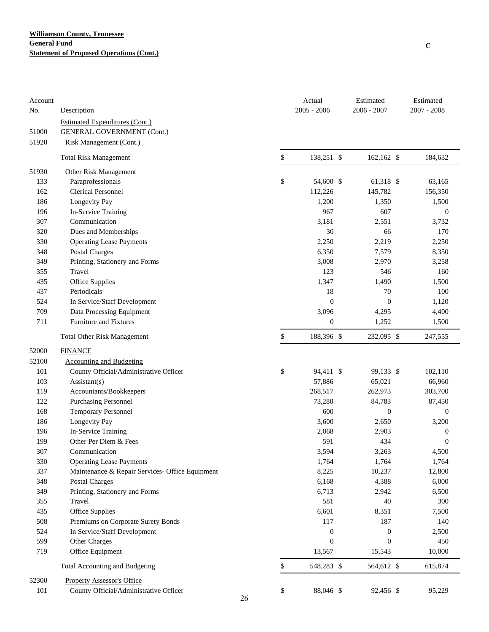| Account<br>No. | Description                                     |          | Actual<br>$2005 - 2006$ | Estimated<br>2006 - 2007 | Estimated<br>$2007 - 2008$ |
|----------------|-------------------------------------------------|----------|-------------------------|--------------------------|----------------------------|
|                | <b>Estimated Expenditures (Cont.)</b>           |          |                         |                          |                            |
| 51000          | <b>GENERAL GOVERNMENT (Cont.)</b>               |          |                         |                          |                            |
| 51920          | <b>Risk Management (Cont.)</b>                  |          |                         |                          |                            |
|                | <b>Total Risk Management</b>                    | \$       | 138,251 \$              | $162,162$ \$             | 184,632                    |
| 51930          | <b>Other Risk Management</b>                    |          |                         |                          |                            |
| 133            | Paraprofessionals                               | \$       | 54,600 \$               | 61,318 \$                | 63,165                     |
| 162            | <b>Clerical Personnel</b>                       |          | 112,226                 | 145,782                  | 156,350                    |
| 186            | Longevity Pay                                   |          | 1,200                   | 1,350                    | 1,500                      |
| 196            | In-Service Training                             |          | 967                     | 607                      | $\boldsymbol{0}$           |
| 307            | Communication                                   |          | 3,181                   | 2,551                    | 3,732                      |
| 320            | Dues and Memberships                            |          | 30                      | 66                       | 170                        |
| 330            | <b>Operating Lease Payments</b>                 |          | 2,250                   | 2,219                    | 2,250                      |
| 348            | <b>Postal Charges</b>                           |          | 6,350                   | 7,579                    | 8,350                      |
| 349            | Printing, Stationery and Forms                  |          | 3,008                   | 2,970                    | 3,258                      |
| 355            | Travel                                          |          | 123                     | 546                      | 160                        |
| 435            | Office Supplies                                 |          | 1,347                   | 1,490                    | 1,500                      |
| 437            | Periodicals                                     |          | 18                      | 70                       | 100                        |
| 524            | In Service/Staff Development                    |          | $\mathbf{0}$            | $\boldsymbol{0}$         | 1,120                      |
| 709            | Data Processing Equipment                       |          | 3,096                   | 4,295                    | 4,400                      |
| 711            | Furniture and Fixtures                          |          | $\boldsymbol{0}$        | 1,252                    | 1,500                      |
|                | <b>Total Other Risk Management</b>              | \$       | 188,396 \$              | 232,095 \$               | 247,555                    |
| 52000          | <b>FINANCE</b>                                  |          |                         |                          |                            |
| 52100          | <b>Accounting and Budgeting</b>                 |          |                         |                          |                            |
| 101            | County Official/Administrative Officer          | \$       | 94,411 \$               | 99,133 \$                | 102,110                    |
| 103            | $\text{Assistant}(s)$                           |          | 57,886                  | 65,021                   | 66,960                     |
| 119            | Accountants/Bookkeepers                         |          | 268,517                 | 262,973                  | 303,700                    |
| 122            | <b>Purchasing Personnel</b>                     |          | 73,280                  | 84,783                   | 87,450                     |
| 168            | <b>Temporary Personnel</b>                      |          | 600                     | $\boldsymbol{0}$         | $\boldsymbol{0}$           |
| 186            | Longevity Pay                                   |          | 3,600                   | 2,650                    | 3,200                      |
| 196            | In-Service Training                             |          | 2,068                   | 2,903                    | $\boldsymbol{0}$           |
| 199            | Other Per Diem & Fees                           |          | 591                     | 434                      | 0                          |
| 307            | Communication                                   |          | 3,594                   | 3,263                    | 4,500                      |
| 330            | <b>Operating Lease Payments</b>                 |          | 1,764                   | 1,764                    | 1,764                      |
| 337            | Maintenance & Repair Services- Office Equipment |          | 8,225                   | 10,237                   | 12,800                     |
| 348            | <b>Postal Charges</b>                           |          | 6,168                   | 4,388                    | 6,000                      |
| 349            | Printing, Stationery and Forms                  |          | 6,713                   | 2,942                    | 6,500                      |
| 355            | Travel                                          |          | 581                     | 40                       | 300                        |
| 435            | Office Supplies                                 |          | 6,601                   | 8,351                    | 7,500                      |
| 508            | Premiums on Corporate Surety Bonds              |          | 117                     | 187                      | 140                        |
| 524            | In Service/Staff Development                    |          | $\boldsymbol{0}$        | $\boldsymbol{0}$         | 2,500                      |
| 599            | Other Charges                                   |          | $\boldsymbol{0}$        | $\boldsymbol{0}$         | 450                        |
| 719            | Office Equipment                                |          | 13,567                  | 15,543                   | 10,000                     |
|                | Total Accounting and Budgeting                  | \$       | 548,283 \$              | 564,612 \$               | 615,874                    |
| 52300          | <b>Property Assessor's Office</b>               |          |                         |                          |                            |
| 101            | County Official/Administrative Officer          | \$<br>26 | 88,046 \$               | 92,456 \$                | 95,229                     |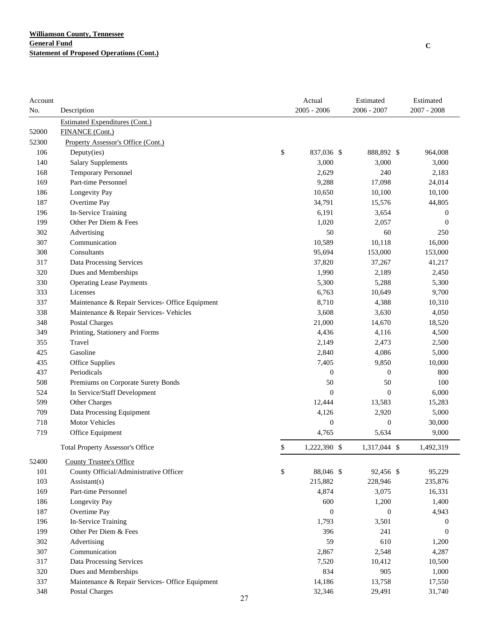| Account |                                                 |    | Actual           | Estimated        | Estimated        |
|---------|-------------------------------------------------|----|------------------|------------------|------------------|
| No.     | Description                                     |    | $2005 - 2006$    | 2006 - 2007      | $2007 - 2008$    |
|         | <b>Estimated Expenditures (Cont.)</b>           |    |                  |                  |                  |
| 52000   | FINANCE (Cont.)                                 |    |                  |                  |                  |
| 52300   | Property Assessor's Office (Cont.)              |    |                  |                  |                  |
| 106     | Deputy(ies)                                     | \$ | 837,036 \$       | 888,892 \$       | 964,008          |
| 140     | <b>Salary Supplements</b>                       |    | 3,000            | 3,000            | 3,000            |
| 168     | Temporary Personnel                             |    | 2,629            | 240              | 2,183            |
| 169     | Part-time Personnel                             |    | 9,288            | 17,098           | 24,014           |
| 186     | Longevity Pay                                   |    | 10,650           | 10,100           | 10,100           |
| 187     | Overtime Pay                                    |    | 34,791           | 15,576           | 44,805           |
| 196     | In-Service Training                             |    | 6,191            | 3,654            | $\boldsymbol{0}$ |
| 199     | Other Per Diem & Fees                           |    | 1,020            | 2,057            | $\mathbf{0}$     |
| 302     | Advertising                                     |    | 50               | 60               | 250              |
| 307     | Communication                                   |    | 10,589           | 10,118           | 16,000           |
| 308     | Consultants                                     |    | 95,694           | 153,000          | 153,000          |
| 317     | Data Processing Services                        |    | 37,820           | 37,267           | 41,217           |
| 320     | Dues and Memberships                            |    | 1,990            | 2,189            | 2,450            |
| 330     | <b>Operating Lease Payments</b>                 |    | 5,300            | 5,288            | 5,300            |
| 333     | Licenses                                        |    | 6,763            | 10,649           | 9,700            |
| 337     | Maintenance & Repair Services- Office Equipment |    | 8,710            | 4,388            | 10,310           |
| 338     | Maintenance & Repair Services- Vehicles         |    | 3,608            | 3,630            | 4,050            |
| 348     | Postal Charges                                  |    | 21,000           | 14,670           | 18,520           |
| 349     | Printing, Stationery and Forms                  |    | 4,436            | 4,116            | 4,500            |
| 355     | Travel                                          |    | 2,149            | 2,473            | 2,500            |
| 425     | Gasoline                                        |    | 2,840            | 4,086            | 5,000            |
| 435     | Office Supplies                                 |    | 7,405            | 9,850            | 10,000           |
| 437     | Periodicals                                     |    | $\boldsymbol{0}$ | $\boldsymbol{0}$ | 800              |
| 508     | Premiums on Corporate Surety Bonds              |    | 50               | 50               | 100              |
| 524     | In Service/Staff Development                    |    | $\boldsymbol{0}$ | $\boldsymbol{0}$ | 6,000            |
| 599     | Other Charges                                   |    | 12,444           | 13,583           | 15,283           |
| 709     | Data Processing Equipment                       |    | 4,126            | 2,920            | 5,000            |
| 718     | <b>Motor Vehicles</b>                           |    | $\boldsymbol{0}$ | $\boldsymbol{0}$ | 30,000           |
| 719     | Office Equipment                                |    | 4,765            | 5,634            | 9,000            |
|         | <b>Total Property Assessor's Office</b>         | \$ | 1,222,390 \$     | 1,317,044 \$     | 1,492,319        |
| 52400   | <b>County Trustee's Office</b>                  |    |                  |                  |                  |
| 101     | County Official/Administrative Officer          | \$ | 88,046 \$        | 92,456 \$        | 95,229           |
| 103     | Assistant(s)                                    |    | 215,882          | 228,946          | 235,876          |
| 169     | Part-time Personnel                             |    | 4,874            | 3,075            | 16,331           |
| 186     | Longevity Pay                                   |    | 600              | 1,200            | 1,400            |
| 187     | Overtime Pay                                    |    | $\boldsymbol{0}$ | $\mathbf{0}$     | 4,943            |
| 196     | In-Service Training                             |    | 1,793            | 3,501            | $\boldsymbol{0}$ |
| 199     | Other Per Diem & Fees                           |    | 396              | 241              | $\boldsymbol{0}$ |
| 302     | Advertising                                     |    | 59               | 610              | 1,200            |
| 307     | Communication                                   |    | 2,867            | 2,548            | 4,287            |
| 317     | Data Processing Services                        |    | 7,520            | 10,412           | 10,500           |
| 320     | Dues and Memberships                            |    | 834              | 905              | 1,000            |
| 337     | Maintenance & Repair Services- Office Equipment |    | 14,186           | 13,758           | 17,550           |
| 348     | Postal Charges                                  |    | 32,346           | 29,491           | 31,740           |
|         |                                                 | 27 |                  |                  |                  |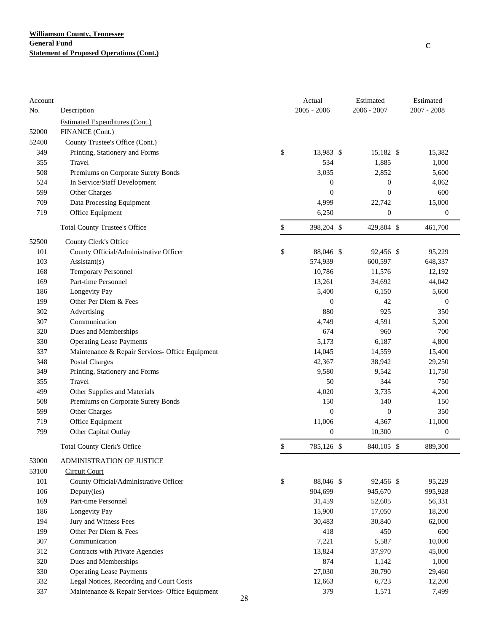| Account |                                                 |    | Actual           | Estimated        | Estimated        |
|---------|-------------------------------------------------|----|------------------|------------------|------------------|
| No.     | Description                                     |    | $2005 - 2006$    | 2006 - 2007      | $2007 - 2008$    |
|         | <b>Estimated Expenditures (Cont.)</b>           |    |                  |                  |                  |
| 52000   | <b>FINANCE (Cont.)</b>                          |    |                  |                  |                  |
| 52400   | County Trustee's Office (Cont.)                 |    |                  |                  |                  |
| 349     | Printing, Stationery and Forms                  | \$ | 13,983 \$        | 15,182 \$        | 15,382           |
| 355     | Travel                                          |    | 534              | 1,885            | 1,000            |
| 508     | Premiums on Corporate Surety Bonds              |    | 3,035            | 2,852            | 5,600            |
| 524     | In Service/Staff Development                    |    | $\boldsymbol{0}$ | 0                | 4,062            |
| 599     | Other Charges                                   |    | $\boldsymbol{0}$ | $\boldsymbol{0}$ | 600              |
| 709     | Data Processing Equipment                       |    | 4,999            | 22,742           | 15,000           |
| 719     | Office Equipment                                |    | 6,250            | $\boldsymbol{0}$ | $\boldsymbol{0}$ |
|         | <b>Total County Trustee's Office</b>            | \$ | 398,204 \$       | 429,804 \$       | 461,700          |
| 52500   | County Clerk's Office                           |    |                  |                  |                  |
| 101     | County Official/Administrative Officer          | \$ | 88,046 \$        | 92,456 \$        | 95,229           |
| 103     | $\text{Assistant}(s)$                           |    | 574,939          | 600,597          | 648,337          |
| 168     | <b>Temporary Personnel</b>                      |    | 10,786           | 11,576           | 12,192           |
| 169     | Part-time Personnel                             |    | 13,261           | 34,692           | 44,042           |
| 186     | Longevity Pay                                   |    | 5,400            | 6,150            | 5,600            |
| 199     | Other Per Diem & Fees                           |    | $\boldsymbol{0}$ | 42               | $\boldsymbol{0}$ |
| 302     | Advertising                                     |    | 880              | 925              | 350              |
| 307     | Communication                                   |    | 4,749            | 4,591            | 5,200            |
| 320     | Dues and Memberships                            |    | 674              | 960              | 700              |
| 330     | <b>Operating Lease Payments</b>                 |    | 5,173            | 6,187            | 4,800            |
| 337     | Maintenance & Repair Services- Office Equipment |    | 14,045           | 14,559           | 15,400           |
| 348     | <b>Postal Charges</b>                           |    | 42,367           | 38,942           | 29,250           |
| 349     | Printing, Stationery and Forms                  |    | 9,580            | 9,542            | 11,750           |
| 355     | Travel                                          |    | 50               | 344              | 750              |
| 499     | Other Supplies and Materials                    |    | 4,020            | 3,735            | 4,200            |
| 508     | Premiums on Corporate Surety Bonds              |    | 150              | 140              | 150              |
| 599     | Other Charges                                   |    | $\boldsymbol{0}$ | $\boldsymbol{0}$ | 350              |
| 719     | Office Equipment                                |    | 11,006           | 4,367            | 11,000           |
| 799     | Other Capital Outlay                            |    | $\boldsymbol{0}$ | 10,300           | $\boldsymbol{0}$ |
|         | Total County Clerk's Office                     | \$ | 785,126 \$       | 840,105 \$       | 889,300          |
| 53000   | <b>ADMINISTRATION OF JUSTICE</b>                |    |                  |                  |                  |
| 53100   | <b>Circuit Court</b>                            |    |                  |                  |                  |
| 101     | County Official/Administrative Officer          | \$ | 88,046 \$        | 92,456 \$        | 95,229           |
| 106     | Deputy(ies)                                     |    | 904,699          | 945,670          | 995,928          |
| 169     | Part-time Personnel                             |    | 31,459           | 52,605           | 56,331           |
| 186     | Longevity Pay                                   |    | 15,900           | 17,050           | 18,200           |
| 194     | Jury and Witness Fees                           |    | 30,483           | 30,840           | 62,000           |
| 199     | Other Per Diem & Fees                           |    | 418              | 450              | 600              |
| 307     | Communication                                   |    | 7,221            | 5,587            | 10,000           |
| 312     | Contracts with Private Agencies                 |    | 13,824           | 37,970           | 45,000           |
| 320     | Dues and Memberships                            |    | 874              | 1,142            | 1,000            |
| 330     | <b>Operating Lease Payments</b>                 |    | 27,030           | 30,790           | 29,460           |
| 332     | Legal Notices, Recording and Court Costs        |    | 12,663           | 6,723            | 12,200           |
| 337     | Maintenance & Repair Services- Office Equipment |    | 379              | 1,571            | 7,499            |
|         |                                                 | 28 |                  |                  |                  |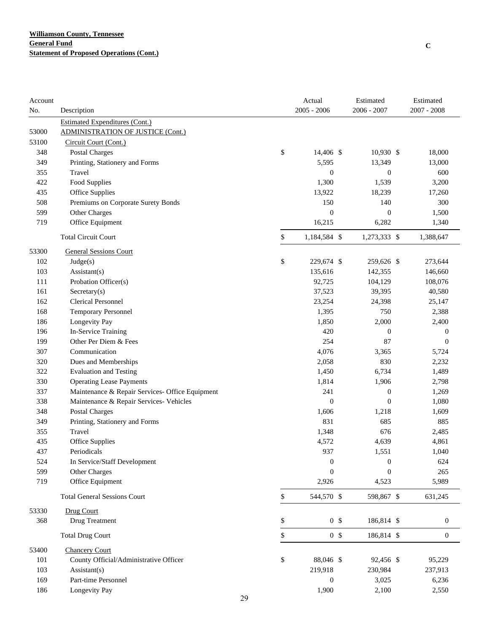| Account |                                                 |    | Actual                     |                  | Estimated        | Estimated        |
|---------|-------------------------------------------------|----|----------------------------|------------------|------------------|------------------|
| No.     | Description                                     |    | $2005 - 2006$              |                  | 2006 - 2007      | $2007 - 2008$    |
|         | <b>Estimated Expenditures (Cont.)</b>           |    |                            |                  |                  |                  |
| 53000   | <b>ADMINISTRATION OF JUSTICE (Cont.)</b>        |    |                            |                  |                  |                  |
| 53100   | Circuit Court (Cont.)                           |    |                            |                  |                  |                  |
| 348     | <b>Postal Charges</b>                           | \$ | 14,406 \$                  |                  | $10,930$ \$      | 18,000           |
| 349     | Printing, Stationery and Forms                  |    | 5,595                      |                  | 13,349           | 13,000           |
| 355     | Travel                                          |    |                            | $\boldsymbol{0}$ | $\boldsymbol{0}$ | 600              |
| 422     | Food Supplies                                   |    | 1,300                      |                  | 1,539            | 3,200            |
| 435     | Office Supplies                                 |    | 13,922                     |                  | 18,239           | 17,260           |
| 508     | Premiums on Corporate Surety Bonds              |    | 150                        |                  | 140              | 300              |
| 599     | Other Charges                                   |    |                            | $\boldsymbol{0}$ | $\boldsymbol{0}$ | 1,500            |
| 719     | Office Equipment                                |    | 16,215                     |                  | 6,282            | 1,340            |
|         | <b>Total Circuit Court</b>                      |    | \$<br>1,184,584 \$         |                  | 1,273,333 \$     | 1,388,647        |
| 53300   | <b>General Sessions Court</b>                   |    |                            |                  |                  |                  |
| 102     | Judge(s)                                        | \$ | 229,674 \$                 |                  | 259,626 \$       | 273,644          |
| 103     | Assistant(s)                                    |    | 135,616                    |                  | 142,355          | 146,660          |
| 111     | Probation Officer(s)                            |    | 92,725                     |                  | 104,129          | 108,076          |
| 161     | Sercetary(s)                                    |    | 37,523                     |                  | 39,395           | 40,580           |
| 162     | <b>Clerical Personnel</b>                       |    | 23,254                     |                  | 24,398           | 25,147           |
| 168     | <b>Temporary Personnel</b>                      |    | 1,395                      |                  | 750              | 2,388            |
| 186     | Longevity Pay                                   |    | 1,850                      |                  | 2,000            | 2,400            |
| 196     | In-Service Training                             |    | 420                        |                  | $\boldsymbol{0}$ | $\boldsymbol{0}$ |
| 199     | Other Per Diem & Fees                           |    | 254                        |                  | 87               | $\mathbf{0}$     |
| 307     | Communication                                   |    | 4,076                      |                  | 3,365            | 5,724            |
| 320     | Dues and Memberships                            |    | 2,058                      |                  | 830              | 2,232            |
| 322     | <b>Evaluation and Testing</b>                   |    | 1,450                      |                  | 6,734            | 1,489            |
| 330     | <b>Operating Lease Payments</b>                 |    | 1,814                      |                  | 1,906            | 2,798            |
| 337     | Maintenance & Repair Services- Office Equipment |    | 241                        |                  | $\boldsymbol{0}$ | 1,269            |
| 338     | Maintenance & Repair Services- Vehicles         |    |                            | $\boldsymbol{0}$ | $\boldsymbol{0}$ | 1,080            |
| 348     | Postal Charges                                  |    | 1,606                      |                  | 1,218            | 1,609            |
| 349     | Printing, Stationery and Forms                  |    | 831                        |                  | 685              | 885              |
| 355     | Travel                                          |    | 1,348                      |                  | 676              | 2,485            |
| 435     | Office Supplies                                 |    | 4,572                      |                  | 4,639            | 4,861            |
| 437     | Periodicals                                     |    | 937                        |                  | 1,551            | 1,040            |
| 524     | In Service/Staff Development                    |    |                            | $\boldsymbol{0}$ | $\boldsymbol{0}$ | 624              |
| 599     | Other Charges                                   |    |                            | $\mathbf{0}$     | $\overline{0}$   | 265              |
| 719     | Office Equipment                                |    | 2,926                      |                  | 4,523            | 5,989            |
|         | <b>Total General Sessions Court</b>             |    | $\mathbb{S}$<br>544,570 \$ |                  | 598,867 \$       | 631,245          |
| 53330   | Drug Court                                      |    |                            |                  |                  |                  |
| 368     | Drug Treatment                                  |    | \$                         | 0 <sup>5</sup>   | 186,814 \$       | $\boldsymbol{0}$ |
|         | <b>Total Drug Court</b>                         |    | \$                         | 0 <sup>5</sup>   | 186,814 \$       | $\boldsymbol{0}$ |
| 53400   | <b>Chancery Court</b>                           |    |                            |                  |                  |                  |
| 101     | County Official/Administrative Officer          |    | \$<br>88,046 \$            |                  | 92,456 \$        | 95,229           |
| 103     | Assistant(s)                                    |    | 219,918                    |                  | 230,984          | 237,913          |
| 169     | Part-time Personnel                             |    |                            | $\boldsymbol{0}$ | 3,025            | 6,236            |
| 186     | Longevity Pay                                   |    | 1,900                      |                  | 2,100            | 2,550            |
|         |                                                 | 29 |                            |                  |                  |                  |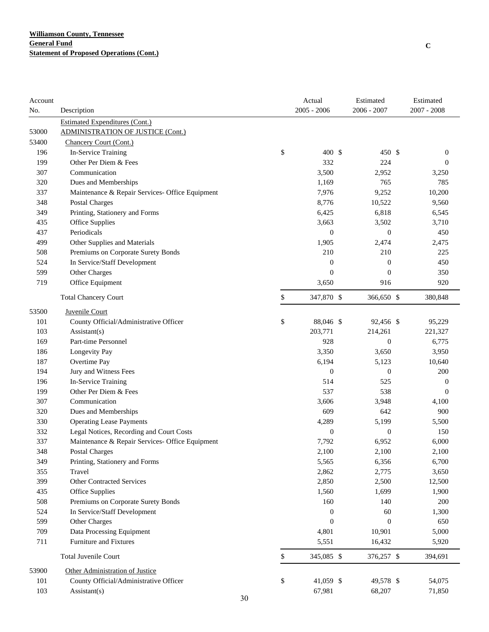| Account |                                                 | Actual           | Estimated        | Estimated        |
|---------|-------------------------------------------------|------------------|------------------|------------------|
| No.     | Description                                     | $2005 - 2006$    | $2006 - 2007$    | 2007 - 2008      |
|         | <b>Estimated Expenditures (Cont.)</b>           |                  |                  |                  |
| 53000   | <b>ADMINISTRATION OF JUSTICE (Cont.)</b>        |                  |                  |                  |
| 53400   | Chancery Court (Cont.)                          |                  |                  |                  |
| 196     | In-Service Training                             | \$<br>400 \$     | 450 \$           | $\boldsymbol{0}$ |
| 199     | Other Per Diem & Fees                           | 332              | 224              | $\theta$         |
| 307     | Communication                                   | 3,500            | 2,952            | 3,250            |
| 320     | Dues and Memberships                            | 1,169            | 765              | 785              |
| 337     | Maintenance & Repair Services- Office Equipment | 7,976            | 9,252            | 10,200           |
| 348     | Postal Charges                                  | 8,776            | 10,522           | 9,560            |
| 349     | Printing, Stationery and Forms                  | 6,425            | 6,818            | 6,545            |
| 435     | Office Supplies                                 | 3,663            | 3,502            | 3,710            |
| 437     | Periodicals                                     | $\boldsymbol{0}$ | $\boldsymbol{0}$ | 450              |
| 499     | Other Supplies and Materials                    | 1,905            | 2,474            | 2,475            |
| 508     | Premiums on Corporate Surety Bonds              | 210              | 210              | 225              |
| 524     | In Service/Staff Development                    | $\boldsymbol{0}$ | $\boldsymbol{0}$ | 450              |
| 599     | Other Charges                                   | $\overline{0}$   | $\overline{0}$   | 350              |
| 719     | Office Equipment                                | 3,650            | 916              | 920              |
|         | <b>Total Chancery Court</b>                     | \$<br>347,870 \$ | 366,650 \$       | 380,848          |
| 53500   | Juvenile Court                                  |                  |                  |                  |
| 101     | County Official/Administrative Officer          | \$<br>88,046 \$  | 92,456 \$        | 95,229           |
| 103     | $\text{Assistant}(s)$                           | 203,771          | 214,261          | 221,327          |
| 169     | Part-time Personnel                             | 928              | $\overline{0}$   | 6,775            |
| 186     | Longevity Pay                                   | 3,350            | 3,650            | 3,950            |
| 187     | Overtime Pay                                    | 6,194            | 5,123            | 10,640           |
| 194     | Jury and Witness Fees                           | $\boldsymbol{0}$ | $\overline{0}$   | 200              |
| 196     | In-Service Training                             | 514              | 525              | $\boldsymbol{0}$ |
| 199     | Other Per Diem & Fees                           | 537              | 538              | $\mathbf{0}$     |
| 307     | Communication                                   | 3,606            | 3,948            | 4,100            |
| 320     | Dues and Memberships                            | 609              | 642              | 900              |
| 330     | <b>Operating Lease Payments</b>                 | 4,289            | 5,199            | 5,500            |
| 332     | Legal Notices, Recording and Court Costs        | $\boldsymbol{0}$ | $\boldsymbol{0}$ | 150              |
| 337     | Maintenance & Repair Services- Office Equipment | 7,792            | 6,952            | 6,000            |
| 348     | Postal Charges                                  | 2,100            | 2,100            | 2,100            |
| 349     | Printing, Stationery and Forms                  | 5,565            | 6,356            | 6,700            |
| 355     | Travel                                          | 2,862            | 2,775            | 3,650            |
| 399     | Other Contracted Services                       | 2,850            | 2,500            | 12,500           |
| 435     | <b>Office Supplies</b>                          | 1,560            | 1,699            | 1,900            |
| 508     | Premiums on Corporate Surety Bonds              | 160              | 140              | 200              |
| 524     | In Service/Staff Development                    | $\boldsymbol{0}$ | 60               | 1,300            |
| 599     | Other Charges                                   | $\boldsymbol{0}$ | $\boldsymbol{0}$ | 650              |
| 709     | Data Processing Equipment                       | 4,801            | 10,901           | 5,000            |
| 711     | Furniture and Fixtures                          | 5,551            | 16,432           | 5,920            |
|         | <b>Total Juvenile Court</b>                     | \$<br>345,085 \$ | 376,257 \$       | 394,691          |
| 53900   | Other Administration of Justice                 |                  |                  |                  |
| 101     | County Official/Administrative Officer          | \$<br>41,059 \$  | 49,578 \$        | 54,075           |
| 103     | Assistant(s)                                    | 67,981           | 68,207           | 71,850           |
|         | 30                                              |                  |                  |                  |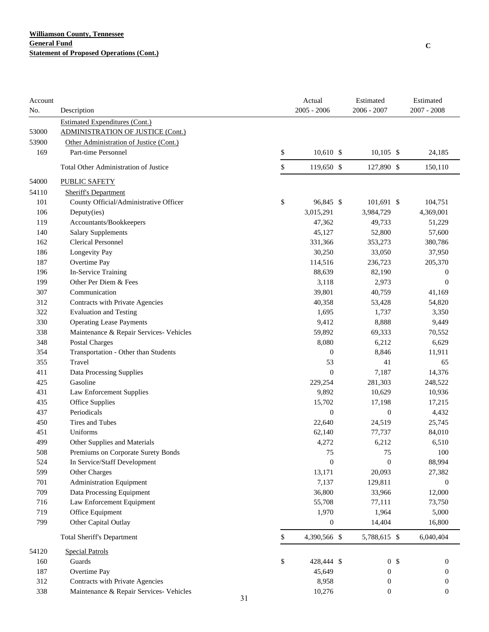| Account<br>No. | Description                              |    | Actual<br>$2005 - 2006$ | Estimated<br>$2006 - 2007$ | Estimated<br>$2007 - 2008$ |
|----------------|------------------------------------------|----|-------------------------|----------------------------|----------------------------|
|                | <b>Estimated Expenditures (Cont.)</b>    |    |                         |                            |                            |
| 53000          | <b>ADMINISTRATION OF JUSTICE (Cont.)</b> |    |                         |                            |                            |
| 53900          | Other Administration of Justice (Cont.)  |    |                         |                            |                            |
| 169            | Part-time Personnel                      | \$ | $10,610$ \$             | $10,105$ \$                | 24,185                     |
|                | Total Other Administration of Justice    | \$ | 119,650 \$              | 127,890 \$                 | 150,110                    |
| 54000          | <b>PUBLIC SAFETY</b>                     |    |                         |                            |                            |
| 54110          | <b>Sheriff's Department</b>              |    |                         |                            |                            |
| 101            | County Official/Administrative Officer   | \$ | 96,845 \$               | 101,691 \$                 | 104,751                    |
| 106            | Deputy(ies)                              |    | 3,015,291               | 3,984,729                  | 4,369,001                  |
| 119            | Accountants/Bookkeepers                  |    | 47,362                  | 49,733                     | 51,229                     |
| 140            | <b>Salary Supplements</b>                |    | 45,127                  | 52,800                     | 57,600                     |
| 162            | <b>Clerical Personnel</b>                |    | 331,366                 | 353,273                    | 380,786                    |
| 186            | Longevity Pay                            |    | 30,250                  | 33,050                     | 37,950                     |
| 187            | Overtime Pay                             |    | 114,516                 | 236,723                    | 205,370                    |
| 196            | In-Service Training                      |    | 88,639                  | 82,190                     | $\boldsymbol{0}$           |
| 199            | Other Per Diem & Fees                    |    | 3,118                   | 2,973                      | $\boldsymbol{0}$           |
| 307            | Communication                            |    | 39,801                  | 40,759                     | 41,169                     |
| 312            | Contracts with Private Agencies          |    | 40,358                  | 53,428                     | 54,820                     |
| 322            | <b>Evaluation and Testing</b>            |    | 1,695                   | 1,737                      | 3,350                      |
| 330            | <b>Operating Lease Payments</b>          |    | 9,412                   | 8,888                      | 9,449                      |
| 338            | Maintenance & Repair Services- Vehicles  |    | 59,892                  | 69,333                     | 70,552                     |
| 348            | Postal Charges                           |    | 8,080                   | 6,212                      | 6,629                      |
| 354            | Transportation - Other than Students     |    | $\boldsymbol{0}$        | 8,846                      | 11,911                     |
| 355            | Travel                                   |    | 53                      | 41                         | 65                         |
| 411            | Data Processing Supplies                 |    | $\mathbf{0}$            | 7,187                      | 14,376                     |
| 425            | Gasoline                                 |    | 229,254                 | 281,303                    | 248,522                    |
| 431            | Law Enforcement Supplies                 |    | 9,892                   | 10,629                     | 10,936                     |
| 435            | Office Supplies                          |    | 15,702                  | 17,198                     | 17,215                     |
| 437            | Periodicals                              |    | $\boldsymbol{0}$        | $\mathbf{0}$               | 4,432                      |
| 450            | Tires and Tubes                          |    | 22,640                  | 24,519                     | 25,745                     |
| 451            | Uniforms                                 |    | 62,140                  | 77,737                     | 84,010                     |
| 499            | Other Supplies and Materials             |    | 4,272                   | 6,212                      | 6,510                      |
| 508            | Premiums on Corporate Surety Bonds       |    | 75                      | 75                         | 100                        |
| 524            | In Service/Staff Development             |    | $\boldsymbol{0}$        | $\boldsymbol{0}$           | 88,994                     |
| 599            | Other Charges                            |    | 13,171                  | 20,093                     | 27,382                     |
| 701            | <b>Administration Equipment</b>          |    | 7,137                   | 129,811                    | $\boldsymbol{0}$           |
| 709            | Data Processing Equipment                |    | 36,800                  | 33,966                     | 12,000                     |
| 716            | Law Enforcement Equipment                |    | 55,708                  | 77,111                     | 73,750                     |
| 719            | Office Equipment                         |    | 1,970                   | 1,964                      | 5,000                      |
| 799            | Other Capital Outlay                     |    | $\boldsymbol{0}$        | 14,404                     | 16,800                     |
|                |                                          |    |                         |                            |                            |
|                | <b>Total Sheriff's Department</b>        | \$ | 4,390,566 \$            | 5,788,615 \$               | 6,040,404                  |
| 54120          | <b>Special Patrols</b>                   |    |                         |                            |                            |
| 160            | Guards                                   | \$ | 428,444 \$              | 0 <sup>5</sup>             | $\boldsymbol{0}$           |
| 187            | Overtime Pay                             |    | 45,649                  | $\boldsymbol{0}$           | 0                          |
| 312            | Contracts with Private Agencies          |    | 8,958                   | $\mathbf{0}$               | 0                          |
| 338            | Maintenance & Repair Services- Vehicles  | 31 | 10,276                  | $\boldsymbol{0}$           | $\boldsymbol{0}$           |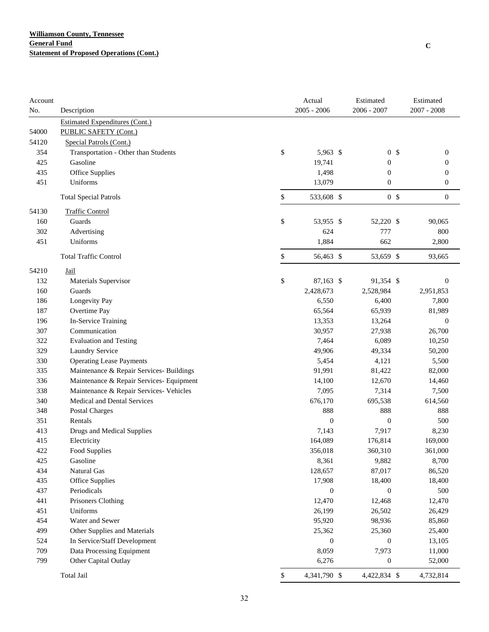| Account |                                          | Actual             | Estimated        | Estimated        |
|---------|------------------------------------------|--------------------|------------------|------------------|
| No.     | Description                              | $2005 - 2006$      | $2006 - 2007$    | $2007 - 2008$    |
|         | <b>Estimated Expenditures (Cont.)</b>    |                    |                  |                  |
| 54000   | PUBLIC SAFETY (Cont.)                    |                    |                  |                  |
| 54120   | Special Patrols (Cont.)                  |                    |                  |                  |
| 354     | Transportation - Other than Students     | \$<br>5,963 \$     | 0 <sup>5</sup>   | $\boldsymbol{0}$ |
| 425     | Gasoline                                 | 19,741             | $\boldsymbol{0}$ | $\boldsymbol{0}$ |
| 435     | Office Supplies                          | 1,498              | $\boldsymbol{0}$ | $\boldsymbol{0}$ |
| 451     | Uniforms                                 | 13,079             | $\boldsymbol{0}$ | $\boldsymbol{0}$ |
|         | <b>Total Special Patrols</b>             | \$<br>533,608 \$   | 0 <sup>5</sup>   | $\boldsymbol{0}$ |
| 54130   | <b>Traffic Control</b>                   |                    |                  |                  |
| 160     | Guards                                   | \$<br>53,955 \$    | 52,220 \$        | 90,065           |
| 302     | Advertising                              | 624                | 777              | 800              |
| 451     | Uniforms                                 | 1,884              | 662              | 2,800            |
|         | <b>Total Traffic Control</b>             | \$<br>56,463 \$    | 53,659 \$        | 93,665           |
| 54210   | Jail                                     |                    |                  |                  |
| 132     | Materials Supervisor                     | \$<br>87,163 \$    | 91,354 \$        | $\mathbf{0}$     |
| 160     | Guards                                   | 2,428,673          | 2,528,984        | 2,951,853        |
| 186     | Longevity Pay                            | 6,550              | 6,400            | 7,800            |
| 187     | Overtime Pay                             | 65,564             | 65,939           | 81,989           |
| 196     | In-Service Training                      | 13,353             | 13,264           | $\boldsymbol{0}$ |
| 307     | Communication                            | 30,957             | 27,938           | 26,700           |
| 322     | <b>Evaluation and Testing</b>            | 7,464              | 6,089            | 10,250           |
| 329     | Laundry Service                          | 49,906             | 49,334           | 50,200           |
| 330     | <b>Operating Lease Payments</b>          | 5,454              | 4,121            | 5,500            |
| 335     | Maintenance & Repair Services- Buildings | 91,991             | 81,422           | 82,000           |
| 336     | Maintenance & Repair Services- Equipment | 14,100             | 12,670           | 14,460           |
| 338     | Maintenance & Repair Services- Vehicles  | 7,095              | 7,314            | 7,500            |
| 340     | <b>Medical and Dental Services</b>       | 676,170            | 695,538          | 614,560          |
| 348     | Postal Charges                           | 888                | 888              | 888              |
| 351     | Rentals                                  | $\boldsymbol{0}$   | $\boldsymbol{0}$ | 500              |
| 413     | Drugs and Medical Supplies               | 7,143              | 7,917            | 8,230            |
| 415     | Electricity                              | 164,089            | 176,814          | 169,000          |
| 422     | Food Supplies                            | 356,018            | 360,310          | 361,000          |
| 425     | Gasoline                                 | 8,361              | 9,882            | 8,700            |
| 434     | Natural Gas                              | 128,657            | 87,017           | 86,520           |
| 435     | <b>Office Supplies</b>                   | 17,908             | 18,400           | 18,400           |
| 437     | Periodicals                              | $\boldsymbol{0}$   | $\boldsymbol{0}$ | 500              |
| 441     | Prisoners Clothing                       | 12,470             | 12,468           | 12,470           |
| 451     | Uniforms                                 | 26,199             | 26,502           | 26,429           |
| 454     | Water and Sewer                          | 95,920             | 98,936           | 85,860           |
| 499     | Other Supplies and Materials             | 25,362             | 25,360           | 25,400           |
| 524     | In Service/Staff Development             | $\boldsymbol{0}$   | $\boldsymbol{0}$ | 13,105           |
| 709     | Data Processing Equipment                | 8,059              | 7,973            | 11,000           |
| 799     | Other Capital Outlay                     | 6,276              | $\boldsymbol{0}$ | 52,000           |
|         | Total Jail                               | \$<br>4,341,790 \$ | 4,422,834 \$     | 4,732,814        |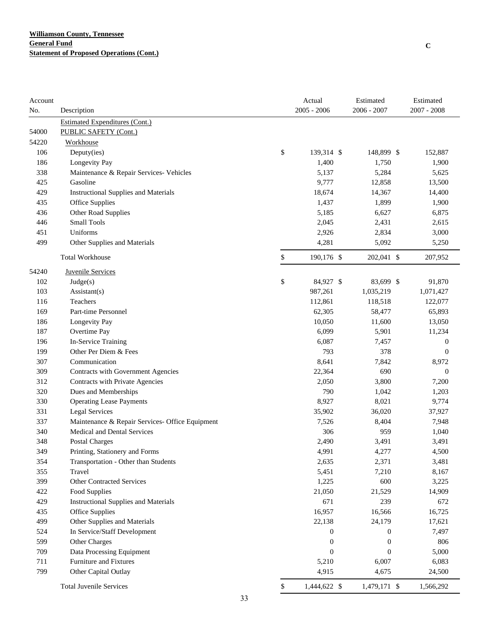| Account |                                                 | Actual             | Estimated        | Estimated        |
|---------|-------------------------------------------------|--------------------|------------------|------------------|
| No.     | Description                                     | $2005 - 2006$      | $2006 - 2007$    | $2007 - 2008$    |
|         | <b>Estimated Expenditures (Cont.)</b>           |                    |                  |                  |
| 54000   | PUBLIC SAFETY (Cont.)                           |                    |                  |                  |
| 54220   | Workhouse                                       |                    |                  |                  |
| 106     | Deputy(ies)                                     | \$<br>139,314 \$   | 148,899 \$       | 152,887          |
| 186     | Longevity Pay                                   | 1,400              | 1,750            | 1,900            |
| 338     | Maintenance & Repair Services- Vehicles         | 5,137              | 5,284            | 5,625            |
| 425     | Gasoline                                        | 9,777              | 12,858           | 13,500           |
| 429     | <b>Instructional Supplies and Materials</b>     | 18,674             | 14,367           | 14,400           |
| 435     | Office Supplies                                 | 1,437              | 1,899            | 1,900            |
| 436     | Other Road Supplies                             | 5,185              | 6,627            | 6,875            |
| 446     | <b>Small Tools</b>                              | 2,045              | 2,431            | 2,615            |
| 451     | Uniforms                                        | 2,926              | 2,834            | 3,000            |
| 499     | Other Supplies and Materials                    | 4,281              | 5,092            | 5,250            |
|         | <b>Total Workhouse</b>                          | \$<br>190,176 \$   | 202,041 \$       | 207,952          |
| 54240   | <b>Juvenile Services</b>                        |                    |                  |                  |
| 102     | Judge(s)                                        | \$<br>84,927 \$    | 83,699 \$        | 91,870           |
| 103     | Assistant(s)                                    | 987,261            | 1,035,219        | 1,071,427        |
| 116     | Teachers                                        | 112,861            | 118,518          | 122,077          |
| 169     | Part-time Personnel                             | 62,305             | 58,477           | 65,893           |
| 186     | Longevity Pay                                   | 10,050             | 11,600           | 13,050           |
| 187     | Overtime Pay                                    | 6,099              | 5,901            | 11,234           |
| 196     | In-Service Training                             | 6,087              | 7,457            | $\boldsymbol{0}$ |
| 199     | Other Per Diem & Fees                           | 793                | 378              | $\mathbf{0}$     |
| 307     | Communication                                   | 8,641              | 7,842            | 8,972            |
| 309     | Contracts with Government Agencies              | 22,364             | 690              | $\mathbf{0}$     |
| 312     | Contracts with Private Agencies                 | 2,050              | 3,800            | 7,200            |
| 320     | Dues and Memberships                            | 790                | 1,042            | 1,203            |
| 330     | <b>Operating Lease Payments</b>                 | 8,927              | 8,021            | 9,774            |
| 331     | <b>Legal Services</b>                           | 35,902             | 36,020           | 37,927           |
| 337     | Maintenance & Repair Services- Office Equipment | 7,526              | 8,404            | 7,948            |
| 340     | Medical and Dental Services                     | 306                | 959              | 1,040            |
| 348     | Postal Charges                                  | 2,490              | 3,491            | 3,491            |
| 349     | Printing, Stationery and Forms                  | 4,991              | 4,277            | 4,500            |
| 354     | Transportation - Other than Students            | 2,635              | 2,371            | 3,481            |
| 355     | Travel                                          | 5,451              | 7,210            | 8,167            |
| 399     | Other Contracted Services                       | 1,225              | 600              | 3,225            |
| 422     | Food Supplies                                   | 21,050             | 21,529           | 14,909           |
| 429     | <b>Instructional Supplies and Materials</b>     | 671                | 239              | 672              |
| 435     | Office Supplies                                 | 16,957             | 16,566           | 16,725           |
| 499     | Other Supplies and Materials                    | 22,138             | 24,179           | 17,621           |
| 524     | In Service/Staff Development                    | $\boldsymbol{0}$   | $\boldsymbol{0}$ | 7,497            |
| 599     | Other Charges                                   | $\boldsymbol{0}$   | $\boldsymbol{0}$ | 806              |
| 709     | Data Processing Equipment                       | $\boldsymbol{0}$   | $\boldsymbol{0}$ | 5,000            |
| 711     | <b>Furniture and Fixtures</b>                   | 5,210              | 6,007            | 6,083            |
| 799     | Other Capital Outlay                            | 4,915              | 4,675            | 24,500           |
|         | <b>Total Juvenile Services</b>                  | \$<br>1,444,622 \$ | 1,479,171 \$     | 1,566,292        |

**C**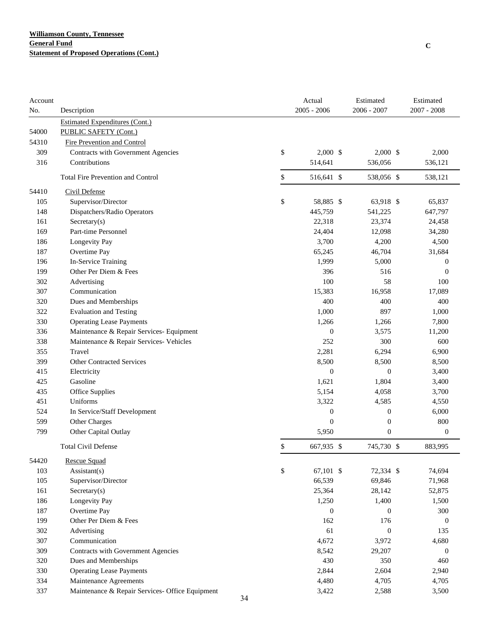| Account<br>No. | Description                                     | Actual<br>$2005 - 2006$ | Estimated<br>2006 - 2007 | Estimated<br>$2007 - 2008$ |
|----------------|-------------------------------------------------|-------------------------|--------------------------|----------------------------|
|                | <b>Estimated Expenditures (Cont.)</b>           |                         |                          |                            |
| 54000          | PUBLIC SAFETY (Cont.)                           |                         |                          |                            |
| 54310          | <b>Fire Prevention and Control</b>              |                         |                          |                            |
| 309            | Contracts with Government Agencies              | \$<br>$2,000$ \$        | $2,000$ \$               | 2,000                      |
| 316            | Contributions                                   | 514,641                 | 536,056                  | 536,121                    |
|                | <b>Total Fire Prevention and Control</b>        | \$<br>516,641 \$        | 538,056 \$               | 538,121                    |
| 54410          | Civil Defense                                   |                         |                          |                            |
| 105            | Supervisor/Director                             | \$<br>58,885 \$         | 63,918 \$                | 65,837                     |
| 148            | Dispatchers/Radio Operators                     | 445,759                 | 541,225                  | 647,797                    |
| 161            | Sercetary(s)                                    | 22,318                  | 23,374                   | 24,458                     |
| 169            | Part-time Personnel                             | 24,404                  | 12,098                   | 34,280                     |
| 186            | Longevity Pay                                   | 3,700                   | 4,200                    | 4,500                      |
| 187            | Overtime Pay                                    | 65,245                  | 46,704                   | 31,684                     |
| 196            | In-Service Training                             | 1,999                   | 5,000                    | $\boldsymbol{0}$           |
| 199            | Other Per Diem & Fees                           | 396                     | 516                      | $\mathbf{0}$               |
| 302            | Advertising                                     | 100                     | 58                       | 100                        |
| 307            | Communication                                   | 15,383                  | 16,958                   | 17,089                     |
| 320            | Dues and Memberships                            | 400                     | 400                      | 400                        |
| 322            | <b>Evaluation and Testing</b>                   | 1,000                   | 897                      | 1,000                      |
| 330            | <b>Operating Lease Payments</b>                 | 1,266                   | 1,266                    | 7,800                      |
| 336            | Maintenance & Repair Services- Equipment        | $\boldsymbol{0}$        | 3,575                    | 11,200                     |
| 338            | Maintenance & Repair Services- Vehicles         | 252                     | 300                      | 600                        |
| 355            | Travel                                          | 2,281                   | 6,294                    | 6,900                      |
| 399            | <b>Other Contracted Services</b>                | 8,500                   | 8,500                    | 8,500                      |
| 415            | Electricity                                     | $\boldsymbol{0}$        | $\boldsymbol{0}$         | 3,400                      |
| 425            | Gasoline                                        | 1,621                   | 1,804                    | 3,400                      |
| 435            | Office Supplies                                 | 5,154                   | 4,058                    | 3,700                      |
| 451            | Uniforms                                        | 3,322                   | 4,585                    | 4,550                      |
| 524            | In Service/Staff Development                    | $\boldsymbol{0}$        | $\boldsymbol{0}$         | 6,000                      |
| 599            | Other Charges                                   | $\mathbf{0}$            | $\boldsymbol{0}$         | 800                        |
| 799            | Other Capital Outlay                            | 5,950                   | $\boldsymbol{0}$         | $\boldsymbol{0}$           |
|                | <b>Total Civil Defense</b>                      | \$<br>667,935 \$        | 745,730 \$               | 883,995                    |
| 54420          | <b>Rescue Squad</b>                             |                         |                          |                            |
| 103            | $\text{Assistant}(s)$                           | \$<br>67,101 \$         | 72,334 \$                | 74,694                     |
| 105            | Supervisor/Director                             | 66,539                  | 69,846                   | 71,968                     |
| 161            | $S \text{ecc} \text{tary}(s)$                   | 25,364                  | 28,142                   | 52,875                     |
| 186            | Longevity Pay                                   | 1,250                   | 1,400                    | 1,500                      |
| 187            | Overtime Pay                                    | $\boldsymbol{0}$        | $\boldsymbol{0}$         | 300                        |
| 199            | Other Per Diem & Fees                           | 162                     | 176                      | $\mathbf{0}$               |
| 302            | Advertising                                     | 61                      | $\boldsymbol{0}$         | 135                        |
| 307            | Communication                                   | 4,672                   | 3,972                    | 4,680                      |
| 309            | Contracts with Government Agencies              | 8,542                   | 29,207                   | $\boldsymbol{0}$           |
| 320            | Dues and Memberships                            | 430                     | 350                      | 460                        |
| 330            | <b>Operating Lease Payments</b>                 | 2,844                   | 2,604                    | 2,940                      |
| 334            | Maintenance Agreements                          | 4,480                   | 4,705                    | 4,705                      |
| 337            | Maintenance & Repair Services- Office Equipment | 3,422                   | 2,588                    | 3,500                      |
|                | 34                                              |                         |                          |                            |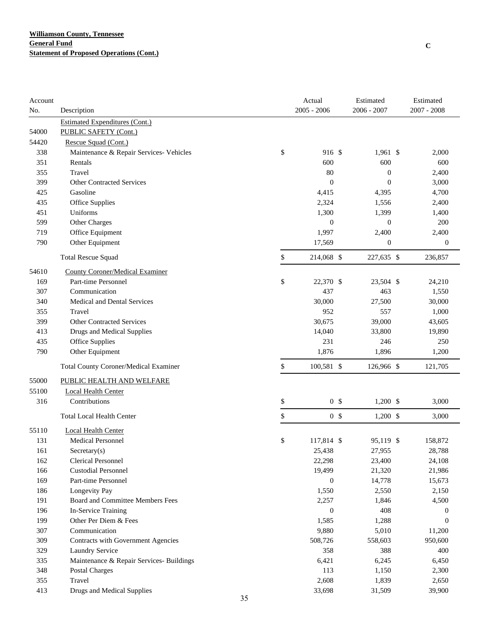| Account |                                              | Actual               | Estimated        | Estimated        |
|---------|----------------------------------------------|----------------------|------------------|------------------|
| No.     | Description                                  | $2005 - 2006$        | 2006 - 2007      | $2007 - 2008$    |
|         | <b>Estimated Expenditures (Cont.)</b>        |                      |                  |                  |
| 54000   | PUBLIC SAFETY (Cont.)                        |                      |                  |                  |
| 54420   | Rescue Squad (Cont.)                         |                      |                  |                  |
| 338     | Maintenance & Repair Services- Vehicles      | \$<br>916 \$         | $1,961$ \$       | 2,000            |
| 351     | Rentals                                      | 600                  | 600              | 600              |
| 355     | Travel                                       | 80                   | $\boldsymbol{0}$ | 2,400            |
| 399     | <b>Other Contracted Services</b>             | $\boldsymbol{0}$     | $\boldsymbol{0}$ | 3,000            |
| 425     | Gasoline                                     | 4,415                | 4,395            | 4,700            |
| 435     | Office Supplies                              | 2,324                | 1,556            | 2,400            |
| 451     | Uniforms                                     | 1,300                | 1,399            | 1,400            |
| 599     | Other Charges                                | $\boldsymbol{0}$     | $\boldsymbol{0}$ | 200              |
| 719     | Office Equipment                             | 1,997                | 2,400            | 2,400            |
| 790     | Other Equipment                              | 17,569               | $\boldsymbol{0}$ | $\boldsymbol{0}$ |
|         | <b>Total Rescue Squad</b>                    | \$<br>214,068 \$     | 227,635 \$       | 236,857          |
| 54610   | <b>County Coroner/Medical Examiner</b>       |                      |                  |                  |
| 169     | Part-time Personnel                          | \$<br>22,370 \$      | 23,504 \$        | 24,210           |
| 307     | Communication                                | 437                  | 463              | 1,550            |
| 340     | Medical and Dental Services                  | 30,000               | 27,500           | 30,000           |
| 355     | Travel                                       | 952                  | 557              | 1,000            |
| 399     | <b>Other Contracted Services</b>             | 30,675               | 39,000           | 43,605           |
| 413     | Drugs and Medical Supplies                   | 14,040               | 33,800           | 19,890           |
| 435     | Office Supplies                              | 231                  | 246              | 250              |
| 790     | Other Equipment                              | 1,876                | 1,896            | 1,200            |
|         | <b>Total County Coroner/Medical Examiner</b> | \$<br>100,581 \$     | 126,966 \$       | 121,705          |
| 55000   | PUBLIC HEALTH AND WELFARE                    |                      |                  |                  |
| 55100   | <b>Local Health Center</b>                   |                      |                  |                  |
| 316     | Contributions                                | \$<br>0 <sup>5</sup> | $1,200$ \$       | 3,000            |
|         | <b>Total Local Health Center</b>             | \$<br>0 <sup>5</sup> | $1,200$ \$       | 3,000            |
| 55110   | <b>Local Health Center</b>                   |                      |                  |                  |
| 131     | Medical Personnel                            | \$<br>117,814 \$     | 95,119 \$        | 158,872          |
| 161     | Secretary(s)                                 | 25,438               | 27,955           | 28,788           |
| 162     | <b>Clerical Personnel</b>                    | 22,298               | 23,400           | 24,108           |
| 166     | <b>Custodial Personnel</b>                   | 19,499               | 21,320           | 21,986           |
| 169     | Part-time Personnel                          | $\boldsymbol{0}$     | 14,778           | 15,673           |
| 186     | Longevity Pay                                | 1,550                | 2,550            | 2,150            |
| 191     | Board and Committee Members Fees             | 2,257                | 1,846            | 4,500            |
| 196     | In-Service Training                          | $\boldsymbol{0}$     | 408              | $\boldsymbol{0}$ |
| 199     | Other Per Diem & Fees                        | 1,585                | 1,288            | $\mathbf{0}$     |
| 307     | Communication                                | 9,880                | 5,010            | 11,200           |
| 309     | Contracts with Government Agencies           | 508,726              | 558,603          | 950,600          |
| 329     | Laundry Service                              | 358                  | 388              | 400              |
| 335     | Maintenance & Repair Services- Buildings     | 6,421                | 6,245            | 6,450            |
| 348     | Postal Charges                               | 113                  | 1,150            | 2,300            |
| 355     | Travel                                       | 2,608                | 1,839            | 2,650            |
| 413     | Drugs and Medical Supplies                   | 33,698               | 31,509           | 39,900           |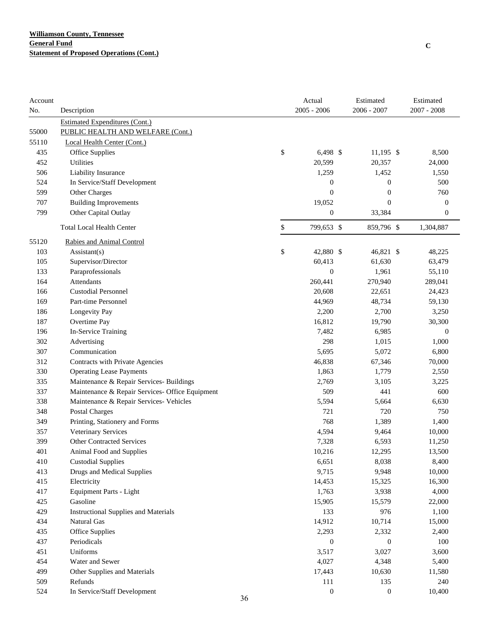| Account |                                                 |    | Actual           | Estimated        | Estimated        |
|---------|-------------------------------------------------|----|------------------|------------------|------------------|
| No.     | Description                                     |    | $2005 - 2006$    | 2006 - 2007      | $2007 - 2008$    |
|         | <b>Estimated Expenditures (Cont.)</b>           |    |                  |                  |                  |
| 55000   | PUBLIC HEALTH AND WELFARE (Cont.)               |    |                  |                  |                  |
| 55110   | Local Health Center (Cont.)                     |    |                  |                  |                  |
| 435     | Office Supplies                                 | \$ | 6,498 \$         | $11,195$ \$      | 8,500            |
| 452     | Utilities                                       |    | 20,599           | 20,357           | 24,000           |
| 506     | Liability Insurance                             |    | 1,259            | 1,452            | 1,550            |
| 524     | In Service/Staff Development                    |    | $\boldsymbol{0}$ | $\boldsymbol{0}$ | 500              |
| 599     | Other Charges                                   |    | $\boldsymbol{0}$ | $\boldsymbol{0}$ | 760              |
| 707     | <b>Building Improvements</b>                    |    | 19,052           | $\boldsymbol{0}$ | $\boldsymbol{0}$ |
| 799     | Other Capital Outlay                            |    | $\boldsymbol{0}$ | 33,384           | $\boldsymbol{0}$ |
|         | <b>Total Local Health Center</b>                | \$ | 799,653 \$       | 859,796 \$       | 1,304,887        |
| 55120   | Rabies and Animal Control                       |    |                  |                  |                  |
| 103     | $\text{Assistant}(s)$                           | \$ | 42,880 \$        | 46,821 \$        | 48,225           |
| 105     | Supervisor/Director                             |    | 60,413           | 61,630           | 63,479           |
| 133     | Paraprofessionals                               |    | $\boldsymbol{0}$ | 1,961            | 55,110           |
| 164     | Attendants                                      |    | 260,441          | 270,940          | 289,041          |
| 166     | <b>Custodial Personnel</b>                      |    | 20,608           | 22,651           | 24,423           |
| 169     | Part-time Personnel                             |    | 44,969           | 48,734           | 59,130           |
| 186     | Longevity Pay                                   |    | 2,200            | 2,700            | 3,250            |
| 187     | Overtime Pay                                    |    | 16,812           | 19,790           | 30,300           |
| 196     | In-Service Training                             |    | 7,482            | 6,985            | $\boldsymbol{0}$ |
| 302     | Advertising                                     |    | 298              | 1,015            | 1,000            |
| 307     | Communication                                   |    | 5,695            | 5,072            | 6,800            |
| 312     | Contracts with Private Agencies                 |    | 46,838           | 67,346           | 70,000           |
| 330     | <b>Operating Lease Payments</b>                 |    | 1,863            | 1,779            | 2,550            |
| 335     | Maintenance & Repair Services- Buildings        |    | 2,769            | 3,105            | 3,225            |
| 337     | Maintenance & Repair Services- Office Equipment |    | 509              | 441              | 600              |
| 338     | Maintenance & Repair Services- Vehicles         |    | 5,594            | 5,664            | 6,630            |
| 348     | <b>Postal Charges</b>                           |    | 721              | 720              | 750              |
| 349     | Printing, Stationery and Forms                  |    | 768              | 1,389            | 1,400            |
| 357     | Veterinary Services                             |    | 4,594            | 9,464            | 10,000           |
| 399     | <b>Other Contracted Services</b>                |    | 7,328            | 6,593            | 11,250           |
| 401     | Animal Food and Supplies                        |    | 10,216           | 12,295           | 13,500           |
| 410     | <b>Custodial Supplies</b>                       |    | 6,651            | 8,038            | 8,400            |
| 413     | Drugs and Medical Supplies                      |    | 9,715            | 9,948            | 10,000           |
| 415     | Electricity                                     |    | 14,453           | 15,325           | 16,300           |
| 417     | <b>Equipment Parts - Light</b>                  |    | 1,763            | 3,938            | 4,000            |
| 425     | Gasoline                                        |    | 15,905           | 15,579           | 22,000           |
| 429     | <b>Instructional Supplies and Materials</b>     |    | 133              | 976              | 1,100            |
| 434     | Natural Gas                                     |    | 14,912           | 10,714           | 15,000           |
| 435     | Office Supplies                                 |    | 2,293            | 2,332            | 2,400            |
| 437     | Periodicals                                     |    | $\boldsymbol{0}$ | $\boldsymbol{0}$ | 100              |
| 451     | Uniforms                                        |    | 3,517            | 3,027            | 3,600            |
| 454     | Water and Sewer                                 |    | 4,027            | 4,348            | 5,400            |
| 499     | Other Supplies and Materials                    |    | 17,443           | 10,630           | 11,580           |
| 509     | Refunds                                         |    | 111              | 135              | 240              |
| 524     | In Service/Staff Development                    |    | 0                | $\boldsymbol{0}$ | 10,400           |
|         |                                                 | 36 |                  |                  |                  |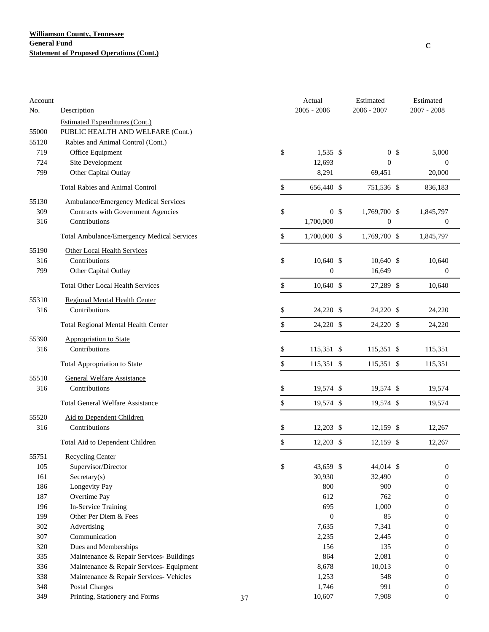| Account    |                                             |    | Actual<br>$2005 - 2006$ | Estimated<br>$2006 - 2007$ |                | Estimated<br>$2007 - 2008$ |
|------------|---------------------------------------------|----|-------------------------|----------------------------|----------------|----------------------------|
| No.        | Description                                 |    |                         |                            |                |                            |
|            | <b>Estimated Expenditures (Cont.)</b>       |    |                         |                            |                |                            |
| 55000      | PUBLIC HEALTH AND WELFARE (Cont.)           |    |                         |                            |                |                            |
| 55120      | Rabies and Animal Control (Cont.)           |    |                         |                            |                |                            |
| 719        | Office Equipment                            |    | \$<br>$1,535$ \$        |                            | 0 <sup>5</sup> | 5,000                      |
| 724        | Site Development                            |    | 12,693                  | $\boldsymbol{0}$           |                | $\mathbf{0}$               |
| 799        | Other Capital Outlay                        |    | 8,291                   | 69,451                     |                | 20,000                     |
|            | <b>Total Rabies and Animal Control</b>      |    | \$<br>656,440 \$        | 751,536 \$                 |                | 836,183                    |
| 55130      | <b>Ambulance/Emergency Medical Services</b> |    |                         |                            |                |                            |
| 309        | Contracts with Government Agencies          |    | \$<br>0 <sup>5</sup>    | 1,769,700 \$               |                | 1,845,797                  |
| 316        | Contributions                               |    | 1,700,000               | $\boldsymbol{0}$           |                | $\boldsymbol{0}$           |
|            | Total Ambulance/Emergency Medical Services  |    | \$<br>1,700,000 \$      | 1,769,700 \$               |                | 1,845,797                  |
| 55190      | Other Local Health Services                 |    |                         |                            |                |                            |
| 316        | Contributions                               |    | \$<br>10,640 \$         | 10,640 \$                  |                | 10,640                     |
| 799        | Other Capital Outlay                        |    | $\mathbf{0}$            | 16,649                     |                | $\boldsymbol{0}$           |
|            | <b>Total Other Local Health Services</b>    |    | \$<br>10,640 \$         | 27,289 \$                  |                | 10,640                     |
| 55310      | <b>Regional Mental Health Center</b>        |    |                         |                            |                |                            |
| 316        | Contributions                               |    | \$<br>24,220 \$         | 24,220 \$                  |                | 24,220                     |
|            | Total Regional Mental Health Center         |    | \$<br>24,220 \$         | 24,220 \$                  |                | 24,220                     |
| 55390      | <b>Appropriation to State</b>               |    |                         |                            |                |                            |
| 316        | Contributions                               |    | \$<br>115,351 \$        | 115,351 \$                 |                | 115,351                    |
|            | <b>Total Appropriation to State</b>         |    | \$<br>115,351 \$        | 115,351 \$                 |                | 115,351                    |
| 55510      | <b>General Welfare Assistance</b>           |    |                         |                            |                |                            |
| 316        | Contributions                               |    | \$<br>19,574 \$         | 19,574 \$                  |                | 19,574                     |
|            | <b>Total General Welfare Assistance</b>     |    | \$<br>19,574 \$         | 19,574 \$                  |                | 19,574                     |
| 55520      | Aid to Dependent Children                   |    |                         |                            |                |                            |
| 316        | Contributions                               |    | \$<br>12,203 \$         | 12,159 \$                  |                | 12,267                     |
|            | Total Aid to Dependent Children             |    | \$<br>$12,203$ \$       | 12,159 \$                  |                | 12,267                     |
|            |                                             |    |                         |                            |                |                            |
| 55751      | <b>Recycling Center</b>                     |    |                         |                            |                |                            |
| 105        | Supervisor/Director                         |    | \$<br>43,659 \$         | 44,014 \$                  |                | $\mathbf{0}$               |
| 161<br>186 | Sercetary(s)                                |    | 30,930<br>800           | 32,490<br>900              |                | $\mathbf{0}$               |
|            | Longevity Pay                               |    |                         |                            |                | $\mathbf{0}$               |
| 187        | Overtime Pay<br>In-Service Training         |    | 612                     | 762                        |                | $\mathbf{0}$               |
| 196<br>199 | Other Per Diem & Fees                       |    | 695<br>$\boldsymbol{0}$ | 1,000<br>85                |                | $\mathbf{0}$               |
| 302        | Advertising                                 |    |                         | 7,341                      |                | $\mathbf{0}$               |
| 307        | Communication                               |    | 7,635                   |                            |                | $\mathbf{0}$               |
|            |                                             |    | 2,235<br>156            | 2,445                      |                | $\theta$                   |
| 320        | Dues and Memberships                        |    |                         | 135                        |                | $\overline{0}$             |
| 335        | Maintenance & Repair Services- Buildings    |    | 864                     | 2,081                      |                | $\mathbf{0}$               |
| 336        | Maintenance & Repair Services- Equipment    |    | 8,678                   | 10,013                     |                | $\theta$                   |
| 338        | Maintenance & Repair Services- Vehicles     |    | 1,253                   | 548                        |                | $\theta$                   |
| 348        | Postal Charges                              |    | 1,746                   | 991                        |                | $\mathbf{0}$               |
| 349        | Printing, Stationery and Forms              | 37 | 10,607                  | 7,908                      |                | $\boldsymbol{0}$           |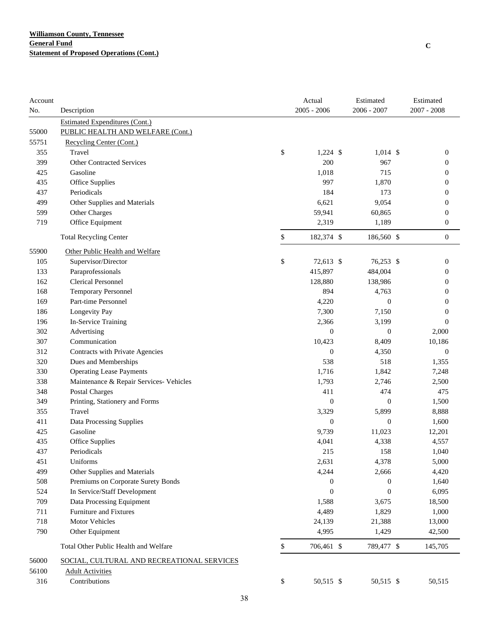| Account |                                            | Actual           | Estimated        | Estimated        |
|---------|--------------------------------------------|------------------|------------------|------------------|
| No.     | Description                                | $2005 - 2006$    | $2006 - 2007$    | $2007 - 2008$    |
|         | <b>Estimated Expenditures (Cont.)</b>      |                  |                  |                  |
| 55000   | PUBLIC HEALTH AND WELFARE (Cont.)          |                  |                  |                  |
| 55751   | Recycling Center (Cont.)                   |                  |                  |                  |
| 355     | Travel                                     | \$<br>$1,224$ \$ | $1,014$ \$       | $\boldsymbol{0}$ |
| 399     | <b>Other Contracted Services</b>           | 200              | 967              | $\mathbf{0}$     |
| 425     | Gasoline                                   | 1,018            | 715              | $\mathbf{0}$     |
| 435     | Office Supplies                            | 997              | 1,870            | 0                |
| 437     | Periodicals                                | 184              | 173              | $\mathbf{0}$     |
| 499     | Other Supplies and Materials               | 6,621            | 9,054            | $\mathbf{0}$     |
| 599     | Other Charges                              | 59,941           | 60,865           | $\mathbf{0}$     |
| 719     | Office Equipment                           | 2,319            | 1,189            | $\boldsymbol{0}$ |
|         | <b>Total Recycling Center</b>              | \$<br>182,374 \$ | 186,560 \$       | $\boldsymbol{0}$ |
| 55900   | Other Public Health and Welfare            |                  |                  |                  |
| 105     | Supervisor/Director                        | \$<br>72,613 \$  | 76,253 \$        | $\boldsymbol{0}$ |
| 133     | Paraprofessionals                          | 415,897          | 484,004          | $\mathbf{0}$     |
| 162     | <b>Clerical Personnel</b>                  | 128,880          | 138,986          | $\mathbf{0}$     |
| 168     | <b>Temporary Personnel</b>                 | 894              | 4,763            | $\mathbf{0}$     |
| 169     | Part-time Personnel                        | 4,220            | $\theta$         | $\mathbf{0}$     |
| 186     | Longevity Pay                              | 7,300            | 7,150            | $\overline{0}$   |
| 196     | In-Service Training                        | 2,366            | 3,199            | $\mathbf{0}$     |
| 302     | Advertising                                | $\boldsymbol{0}$ | $\boldsymbol{0}$ | 2,000            |
| 307     | Communication                              | 10,423           | 8,409            | 10,186           |
| 312     | Contracts with Private Agencies            | $\boldsymbol{0}$ | 4,350            | $\boldsymbol{0}$ |
| 320     | Dues and Memberships                       | 538              | 518              | 1,355            |
| 330     | <b>Operating Lease Payments</b>            | 1,716            | 1,842            | 7,248            |
| 338     | Maintenance & Repair Services- Vehicles    | 1,793            | 2,746            | 2,500            |
| 348     | <b>Postal Charges</b>                      | 411              | 474              | 475              |
| 349     | Printing, Stationery and Forms             | $\mathbf{0}$     | $\boldsymbol{0}$ | 1,500            |
| 355     | Travel                                     | 3,329            | 5,899            | 8,888            |
| 411     | Data Processing Supplies                   | $\boldsymbol{0}$ | $\boldsymbol{0}$ | 1,600            |
| 425     | Gasoline                                   | 9,739            | 11,023           | 12,201           |
| 435     | Office Supplies                            | 4,041            | 4,338            | 4,557            |
| 437     | Periodicals                                | 215              | 158              | 1,040            |
| 451     | Uniforms                                   | 2,631            | 4,378            | 5,000            |
| 499     | Other Supplies and Materials               | 4,244            | 2,666            | 4,420            |
| 508     | Premiums on Corporate Surety Bonds         | $\boldsymbol{0}$ | $\boldsymbol{0}$ | 1,640            |
| 524     | In Service/Staff Development               | $\boldsymbol{0}$ | $\boldsymbol{0}$ | 6,095            |
| 709     | Data Processing Equipment                  | 1,588            | 3,675            | 18,500           |
| 711     | Furniture and Fixtures                     | 4,489            | 1,829            | 1,000            |
| 718     | <b>Motor Vehicles</b>                      | 24,139           | 21,388           | 13,000           |
| 790     | Other Equipment                            | 4,995            | 1,429            | 42,500           |
|         | Total Other Public Health and Welfare      | \$<br>706,461 \$ | 789,477 \$       | 145,705          |
| 56000   | SOCIAL, CULTURAL AND RECREATIONAL SERVICES |                  |                  |                  |
| 56100   | <b>Adult Activities</b>                    |                  |                  |                  |
| 316     | Contributions                              | \$<br>50,515 \$  | 50,515 \$        | 50,515           |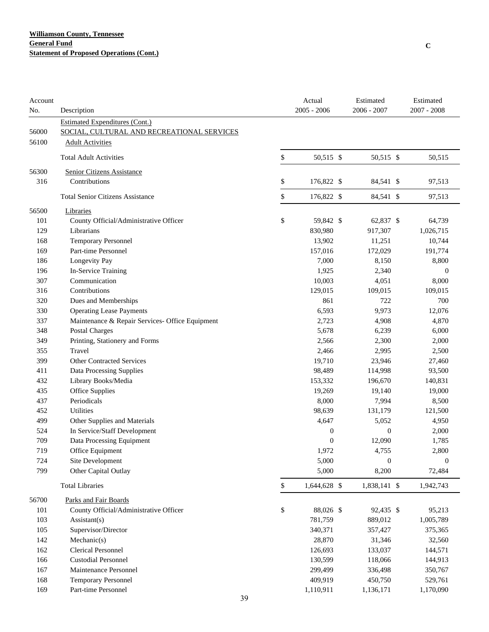| Account<br>No. | Description                                     | Actual<br>$2005 - 2006$ | Estimated<br>2006 - 2007 | Estimated<br>$2007 - 2008$ |
|----------------|-------------------------------------------------|-------------------------|--------------------------|----------------------------|
|                | <b>Estimated Expenditures (Cont.)</b>           |                         |                          |                            |
| 56000          | SOCIAL, CULTURAL AND RECREATIONAL SERVICES      |                         |                          |                            |
| 56100          | <b>Adult Activities</b>                         |                         |                          |                            |
|                | <b>Total Adult Activities</b>                   | \$<br>50,515 \$         | 50,515 \$                | 50,515                     |
| 56300          | <b>Senior Citizens Assistance</b>               |                         |                          |                            |
| 316            | Contributions                                   | \$<br>176,822 \$        | 84,541 \$                | 97,513                     |
|                | <b>Total Senior Citizens Assistance</b>         | \$<br>176,822 \$        | 84,541 \$                | 97,513                     |
| 56500          | Libraries                                       |                         |                          |                            |
| 101            | County Official/Administrative Officer          | \$<br>59,842 \$         | 62,837 \$                | 64,739                     |
| 129            | Librarians                                      | 830,980                 | 917,307                  | 1,026,715                  |
| 168            | Temporary Personnel                             | 13,902                  | 11,251                   | 10,744                     |
| 169            | Part-time Personnel                             | 157,016                 | 172,029                  | 191,774                    |
| 186            | Longevity Pay                                   | 7,000                   | 8,150                    | 8,800                      |
| 196            | In-Service Training                             | 1,925                   | 2,340                    | $\mathbf{0}$               |
| 307            | Communication                                   | 10,003                  | 4,051                    | 8,000                      |
| 316            | Contributions                                   | 129,015                 | 109,015                  | 109,015                    |
| 320            | Dues and Memberships                            | 861                     | 722                      | 700                        |
| 330            | <b>Operating Lease Payments</b>                 | 6,593                   | 9,973                    | 12,076                     |
| 337            | Maintenance & Repair Services- Office Equipment | 2,723                   | 4,908                    | 4,870                      |
| 348            | Postal Charges                                  | 5,678                   | 6,239                    | 6,000                      |
| 349            | Printing, Stationery and Forms                  | 2,566                   | 2,300                    | 2,000                      |
| 355            | Travel                                          | 2,466                   | 2,995                    | 2,500                      |
| 399            | <b>Other Contracted Services</b>                | 19,710                  | 23,946                   | 27,460                     |
| 411            | Data Processing Supplies                        | 98,489                  | 114,998                  | 93,500                     |
| 432            | Library Books/Media                             | 153,332                 | 196,670                  | 140,831                    |
| 435            | Office Supplies                                 | 19,269                  | 19,140                   | 19,000                     |
| 437            | Periodicals                                     | 8,000                   | 7,994                    | 8,500                      |
| 452            | Utilities                                       | 98,639                  | 131,179                  | 121,500                    |
| 499            | Other Supplies and Materials                    | 4,647                   | 5,052                    | 4,950                      |
| 524            | In Service/Staff Development                    | $\boldsymbol{0}$        | $\boldsymbol{0}$         | 2,000                      |
| 709            | Data Processing Equipment                       | $\boldsymbol{0}$        | 12,090                   | 1,785                      |
| 719            | Office Equipment                                | 1,972                   | 4,755                    | 2,800                      |
| 724            | Site Development                                | 5,000                   | $\boldsymbol{0}$         | $\boldsymbol{0}$           |
| 799            | Other Capital Outlay                            | 5,000                   | 8,200                    | 72,484                     |
|                | <b>Total Libraries</b>                          | \$<br>1,644,628 \$      | 1,838,141 \$             | 1,942,743                  |
| 56700          | Parks and Fair Boards                           |                         |                          |                            |
| 101            | County Official/Administrative Officer          | \$<br>88,026 \$         | 92,435 \$                | 95,213                     |
| 103            | $\text{Assistant}(s)$                           | 781,759                 | 889,012                  | 1,005,789                  |
| 105            | Supervisor/Director                             | 340,371                 | 357,427                  | 375,365                    |
| 142            | Mechanic(s)                                     | 28,870                  | 31,346                   | 32,560                     |
| 162            | <b>Clerical Personnel</b>                       | 126,693                 | 133,037                  | 144,571                    |
| 166            | <b>Custodial Personnel</b>                      | 130,599                 | 118,066                  | 144,913                    |
| 167            | Maintenance Personnel                           | 299,499                 | 336,498                  | 350,767                    |
| 168            | Temporary Personnel                             | 409,919                 | 450,750                  | 529,761                    |
| 169            | Part-time Personnel                             | 1,110,911               | 1,136,171                | 1,170,090                  |
|                | 39                                              |                         |                          |                            |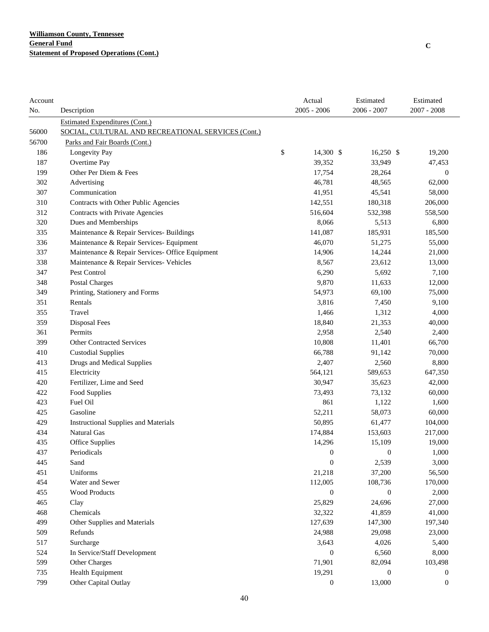| Account |                                                    | Actual           | Estimated        | Estimated        |
|---------|----------------------------------------------------|------------------|------------------|------------------|
| No.     | Description                                        | $2005 - 2006$    | 2006 - 2007      | $2007 - 2008$    |
|         | <b>Estimated Expenditures (Cont.)</b>              |                  |                  |                  |
| 56000   | SOCIAL, CULTURAL AND RECREATIONAL SERVICES (Cont.) |                  |                  |                  |
| 56700   | Parks and Fair Boards (Cont.)                      |                  |                  |                  |
| 186     | Longevity Pay                                      | \$<br>14,300 \$  | $16,250$ \$      | 19,200           |
| 187     | Overtime Pay                                       | 39,352           | 33,949           | 47,453           |
| 199     | Other Per Diem & Fees                              | 17,754           | 28,264           | $\boldsymbol{0}$ |
| 302     | Advertising                                        | 46,781           | 48,565           | 62,000           |
| 307     | Communication                                      | 41,951           | 45,541           | 58,000           |
| 310     | Contracts with Other Public Agencies               | 142,551          | 180,318          | 206,000          |
| 312     | Contracts with Private Agencies                    | 516,604          | 532,398          | 558,500          |
| 320     | Dues and Memberships                               | 8,066            | 5,513            | 6,800            |
| 335     | Maintenance & Repair Services- Buildings           | 141,087          | 185,931          | 185,500          |
| 336     | Maintenance & Repair Services- Equipment           | 46,070           | 51,275           | 55,000           |
| 337     | Maintenance & Repair Services- Office Equipment    | 14,906           | 14,244           | 21,000           |
| 338     | Maintenance & Repair Services- Vehicles            | 8,567            | 23,612           | 13,000           |
| 347     | Pest Control                                       | 6,290            | 5,692            | 7,100            |
| 348     | Postal Charges                                     | 9,870            | 11,633           | 12,000           |
| 349     | Printing, Stationery and Forms                     | 54,973           | 69,100           | 75,000           |
| 351     | Rentals                                            | 3,816            | 7,450            | 9,100            |
| 355     | Travel                                             | 1,466            | 1,312            | 4,000            |
| 359     | Disposal Fees                                      | 18,840           | 21,353           | 40,000           |
| 361     | Permits                                            | 2,958            | 2,540            | 2,400            |
| 399     | <b>Other Contracted Services</b>                   | 10,808           | 11,401           | 66,700           |
| 410     | <b>Custodial Supplies</b>                          | 66,788           | 91,142           | 70,000           |
| 413     | Drugs and Medical Supplies                         | 2,407            | 2,560            | 8,800            |
| 415     | Electricity                                        | 564,121          | 589,653          | 647,350          |
| 420     | Fertilizer, Lime and Seed                          | 30,947           | 35,623           | 42,000           |
| 422     | Food Supplies                                      | 73,493           | 73,132           | 60,000           |
| 423     | Fuel Oil                                           | 861              | 1,122            | 1,600            |
| 425     | Gasoline                                           | 52,211           | 58,073           | 60,000           |
| 429     | <b>Instructional Supplies and Materials</b>        | 50,895           | 61,477           | 104,000          |
| 434     | Natural Gas                                        | 174,884          | 153,603          | 217,000          |
| 435     | <b>Office Supplies</b>                             | 14,296           | 15,109           | 19,000           |
| 437     | Periodicals                                        | $\boldsymbol{0}$ | $\bf{0}$         | 1,000            |
| 445     | Sand                                               | $\boldsymbol{0}$ | 2,539            | 3,000            |
| 451     | Uniforms                                           | 21,218           | 37,200           | 56,500           |
| 454     | Water and Sewer                                    | 112,005          | 108,736          | 170,000          |
| 455     | <b>Wood Products</b>                               | $\mathbf{0}$     | $\boldsymbol{0}$ | 2,000            |
| 465     | Clay                                               | 25,829           | 24,696           | 27,000           |
| 468     | Chemicals                                          | 32,322           | 41,859           | 41,000           |
| 499     | Other Supplies and Materials                       | 127,639          | 147,300          | 197,340          |
| 509     | Refunds                                            | 24,988           | 29,098           | 23,000           |
| 517     | Surcharge                                          | 3,643            | 4,026            | 5,400            |
| 524     | In Service/Staff Development                       | $\boldsymbol{0}$ | 6,560            | 8,000            |
| 599     | Other Charges                                      | 71,901           | 82,094           | 103,498          |
| 735     | Health Equipment                                   | 19,291           | $\overline{0}$   | 0                |
| 799     | Other Capital Outlay                               | $\mathbf{0}$     | 13,000           | $\boldsymbol{0}$ |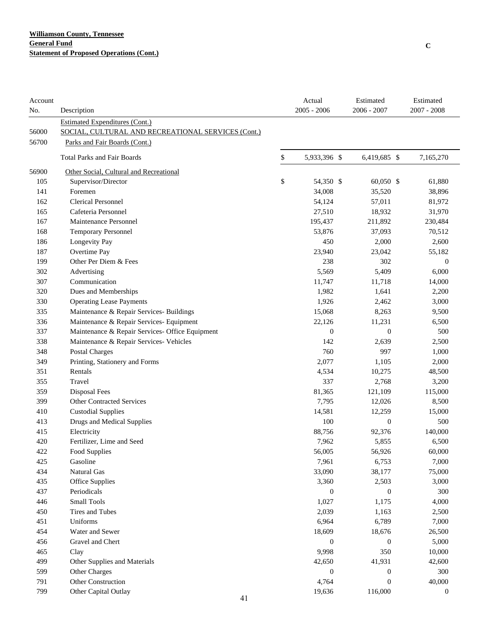| Account<br>No. | Description                                                                          | Actual<br>$2005 - 2006$ | Estimated<br>$2006 - 2007$ | Estimated<br>$2007 - 2008$ |
|----------------|--------------------------------------------------------------------------------------|-------------------------|----------------------------|----------------------------|
| 56000          | Estimated Expenditures (Cont.)<br>SOCIAL, CULTURAL AND RECREATIONAL SERVICES (Cont.) |                         |                            |                            |
| 56700          | Parks and Fair Boards (Cont.)                                                        |                         |                            |                            |
|                | <b>Total Parks and Fair Boards</b>                                                   | \$<br>5,933,396 \$      | 6,419,685 \$               | 7,165,270                  |
| 56900          | Other Social, Cultural and Recreational                                              |                         |                            |                            |
| 105            | Supervisor/Director                                                                  | \$<br>54,350 \$         | 60,050 \$                  | 61,880                     |
| 141            | Foremen                                                                              | 34,008                  | 35,520                     | 38,896                     |
| 162            | <b>Clerical Personnel</b>                                                            | 54,124                  | 57,011                     | 81,972                     |
| 165            | Cafeteria Personnel                                                                  | 27,510                  | 18,932                     | 31,970                     |
| 167            | Maintenance Personnel                                                                | 195,437                 | 211,892                    | 230,484                    |
| 168            | <b>Temporary Personnel</b>                                                           | 53,876                  | 37,093                     | 70,512                     |
| 186            | Longevity Pay                                                                        | 450                     | 2,000                      | 2,600                      |
| 187            | Overtime Pay                                                                         | 23,940                  | 23,042                     | 55,182                     |
| 199            | Other Per Diem & Fees                                                                | 238                     | 302                        | $\theta$                   |
| 302            | Advertising                                                                          | 5,569                   | 5,409                      | 6,000                      |
| 307            | Communication                                                                        | 11,747                  | 11,718                     | 14,000                     |
| 320            | Dues and Memberships                                                                 | 1,982                   | 1,641                      | 2,200                      |
| 330            | <b>Operating Lease Payments</b>                                                      | 1,926                   | 2,462                      | 3,000                      |
| 335            | Maintenance & Repair Services- Buildings                                             | 15,068                  | 8,263                      | 9,500                      |
| 336            | Maintenance & Repair Services- Equipment                                             | 22,126                  | 11,231                     | 6,500                      |
| 337            | Maintenance & Repair Services- Office Equipment                                      | $\theta$                | $\overline{0}$             | 500                        |
| 338            | Maintenance & Repair Services- Vehicles                                              | 142                     | 2,639                      | 2,500                      |
| 348            | Postal Charges                                                                       | 760                     | 997                        | 1,000                      |
| 349            | Printing, Stationery and Forms                                                       | 2,077                   | 1,105                      | 2,000                      |
| 351            | Rentals                                                                              | 4,534                   | 10,275                     | 48,500                     |
| 355            | Travel                                                                               | 337                     | 2,768                      | 3,200                      |
| 359            | Disposal Fees                                                                        | 81,365                  | 121,109                    | 115,000                    |
| 399            | <b>Other Contracted Services</b>                                                     | 7,795                   | 12,026                     | 8,500                      |
| 410            | <b>Custodial Supplies</b>                                                            | 14,581                  | 12,259                     | 15,000                     |
| 413            | <b>Drugs and Medical Supplies</b>                                                    | 100                     | $\boldsymbol{0}$           | 500                        |
| 415            | Electricity                                                                          | 88,756                  | 92,376                     | 140,000                    |
| 420            | Fertilizer, Lime and Seed                                                            | 7,962                   | 5,855                      | 6,500                      |
| 422            | Food Supplies                                                                        | 56,005                  | 56,926                     | 60,000                     |
| 425            | Gasoline                                                                             | 7,961                   | 6,753                      | 7,000                      |
| 434            | Natural Gas                                                                          | 33,090                  | 38,177                     | 75,000                     |
| 435            | <b>Office Supplies</b>                                                               | 3,360                   | 2,503                      | 3,000                      |
| 437            | Periodicals                                                                          | $\boldsymbol{0}$        | $\boldsymbol{0}$           | 300                        |
| 446            | <b>Small Tools</b>                                                                   | 1,027                   | 1,175                      | 4,000                      |
| 450            | <b>Tires and Tubes</b>                                                               | 2,039                   | 1,163                      | 2,500                      |
| 451            | Uniforms                                                                             | 6,964                   | 6,789                      | 7,000                      |
| 454            | Water and Sewer                                                                      | 18,609                  | 18,676                     | 26,500                     |
| 456            | Gravel and Chert                                                                     | $\boldsymbol{0}$        | $\boldsymbol{0}$           | 5,000                      |
| 465            | Clay                                                                                 | 9,998                   | 350                        | 10,000                     |
| 499            | Other Supplies and Materials                                                         | 42,650                  | 41,931                     | 42,600                     |
| 599            | Other Charges                                                                        | $\theta$                | $\theta$                   | 300                        |
| 791            | Other Construction                                                                   | 4,764                   | $\Omega$                   | 40,000                     |
| 799            | Other Capital Outlay                                                                 | 19,636                  | 116,000                    | $\boldsymbol{0}$           |
|                | 41                                                                                   |                         |                            |                            |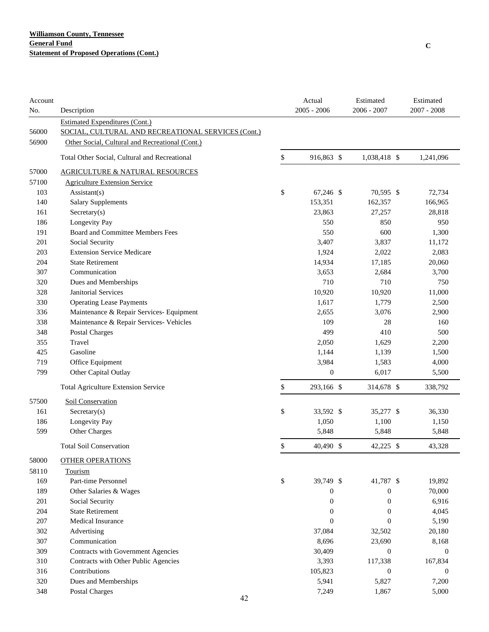| Account<br>No. | Description                                        | Actual<br>$2005 - 2006$ | Estimated<br>$2006 - 2007$ | Estimated<br>$2007 - 2008$ |
|----------------|----------------------------------------------------|-------------------------|----------------------------|----------------------------|
|                | <b>Estimated Expenditures (Cont.)</b>              |                         |                            |                            |
| 56000          | SOCIAL, CULTURAL AND RECREATIONAL SERVICES (Cont.) |                         |                            |                            |
| 56900          | Other Social, Cultural and Recreational (Cont.)    |                         |                            |                            |
|                | Total Other Social, Cultural and Recreational      | \$<br>916,863 \$        | 1,038,418 \$               | 1,241,096                  |
| 57000          | <b>AGRICULTURE &amp; NATURAL RESOURCES</b>         |                         |                            |                            |
| 57100          | <b>Agriculture Extension Service</b>               |                         |                            |                            |
| 103            | Assistant(s)                                       | \$<br>67,246 \$         | 70,595 \$                  | 72,734                     |
| 140            | <b>Salary Supplements</b>                          | 153,351                 | 162,357                    | 166,965                    |
| 161            | Sercetary(s)                                       | 23,863                  | 27,257                     | 28,818                     |
| 186            | Longevity Pay                                      | 550                     | 850                        | 950                        |
| 191            | Board and Committee Members Fees                   | 550                     | 600                        | 1,300                      |
| 201            | Social Security                                    | 3,407                   | 3,837                      | 11,172                     |
| 203            | <b>Extension Service Medicare</b>                  | 1,924                   | 2,022                      | 2,083                      |
| 204            | <b>State Retirement</b>                            | 14,934                  | 17,185                     | 20,060                     |
| 307            | Communication                                      | 3,653                   | 2,684                      | 3,700                      |
| 320            | Dues and Memberships                               | 710                     | 710                        | 750                        |
| 328            | <b>Janitorial Services</b>                         | 10,920                  | 10,920                     | 11,000                     |
| 330            | <b>Operating Lease Payments</b>                    | 1,617                   | 1,779                      | 2,500                      |
| 336            | Maintenance & Repair Services- Equipment           | 2,655                   | 3,076                      | 2,900                      |
| 338            | Maintenance & Repair Services- Vehicles            | 109                     | 28                         | 160                        |
| 348            | Postal Charges                                     | 499                     | 410                        | 500                        |
| 355            | Travel                                             | 2,050                   | 1,629                      | 2,200                      |
| 425            | Gasoline                                           | 1,144                   | 1,139                      | 1,500                      |
| 719            | Office Equipment                                   | 3,984                   | 1,583                      | 4,000                      |
| 799            | Other Capital Outlay                               | $\boldsymbol{0}$        | 6,017                      | 5,500                      |
|                | <b>Total Agriculture Extension Service</b>         | \$<br>293,166 \$        | 314,678 \$                 | 338,792                    |
| 57500          | Soil Conservation                                  |                         |                            |                            |
| 161            | Sercetary(s)                                       | \$<br>33,592 \$         | 35,277 \$                  | 36,330                     |
| 186            | Longevity Pay                                      | 1,050                   | 1,100                      | 1,150                      |
| 599            | Other Charges                                      | 5,848                   | 5,848                      | 5,848                      |
|                | <b>Total Soil Conservation</b>                     | \$<br>40,490 \$         | 42,225 \$                  | 43,328                     |
| 58000          | <b>OTHER OPERATIONS</b>                            |                         |                            |                            |
| 58110          | Tourism                                            |                         |                            |                            |
| 169            | Part-time Personnel                                | \$<br>39,749 \$         | 41,787 \$                  | 19,892                     |
| 189            | Other Salaries & Wages                             | $\boldsymbol{0}$        | $\boldsymbol{0}$           | 70,000                     |
| 201            | Social Security                                    | $\boldsymbol{0}$        | $\boldsymbol{0}$           | 6,916                      |
| 204            | <b>State Retirement</b>                            | $\boldsymbol{0}$        | $\boldsymbol{0}$           | 4,045                      |
| 207            | Medical Insurance                                  | $\boldsymbol{0}$        | $\boldsymbol{0}$           | 5,190                      |
| 302            | Advertising                                        | 37,084                  | 32,502                     | 20,180                     |
| 307            | Communication                                      | 8,696                   | 23,690                     | 8,168                      |
| 309            | Contracts with Government Agencies                 | 30,409                  | $\boldsymbol{0}$           | $\boldsymbol{0}$           |
| 310            | Contracts with Other Public Agencies               | 3,393                   | 117,338                    | 167,834                    |
| 316            | Contributions                                      | 105,823                 | $\boldsymbol{0}$           | $\boldsymbol{0}$           |
| 320            | Dues and Memberships                               | 5,941                   | 5,827                      | 7,200                      |
| 348            | Postal Charges                                     | 7,249                   | 1,867                      | 5,000                      |
|                | 42                                                 |                         |                            |                            |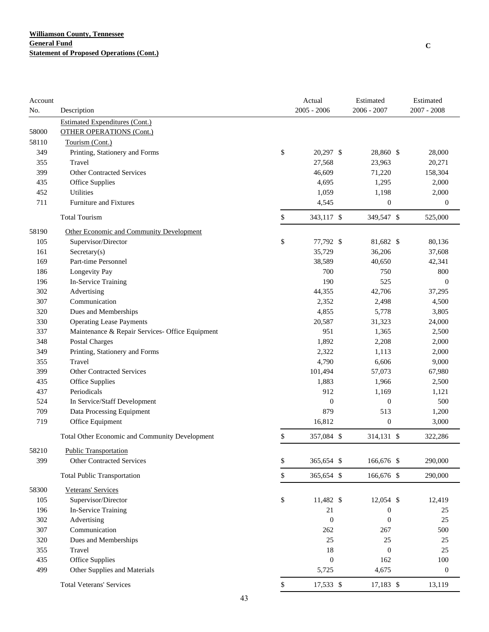| Account |                                                 | Actual           | Estimated        | Estimated        |
|---------|-------------------------------------------------|------------------|------------------|------------------|
| No.     | Description                                     | $2005 - 2006$    | 2006 - 2007      | $2007 - 2008$    |
|         | <b>Estimated Expenditures (Cont.)</b>           |                  |                  |                  |
| 58000   | <b>OTHER OPERATIONS (Cont.)</b>                 |                  |                  |                  |
| 58110   | Tourism (Cont.)                                 |                  |                  |                  |
| 349     | Printing, Stationery and Forms                  | \$<br>20,297 \$  | 28,860 \$        | 28,000           |
| 355     | Travel                                          | 27,568           | 23,963           | 20,271           |
| 399     | <b>Other Contracted Services</b>                | 46,609           | 71,220           | 158,304          |
| 435     | Office Supplies                                 | 4,695            | 1,295            | 2,000            |
| 452     | <b>Utilities</b>                                | 1,059            | 1,198            | 2,000            |
| 711     | Furniture and Fixtures                          | 4,545            | $\boldsymbol{0}$ | $\boldsymbol{0}$ |
|         | <b>Total Tourism</b>                            | \$<br>343,117 \$ | 349,547 \$       | 525,000          |
| 58190   | Other Economic and Community Development        |                  |                  |                  |
| 105     | Supervisor/Director                             | \$<br>77,792 \$  | 81,682 \$        | 80,136           |
| 161     | Sercetary(s)                                    | 35,729           | 36,206           | 37,608           |
| 169     | Part-time Personnel                             | 38,589           | 40,650           | 42,341           |
| 186     | Longevity Pay                                   | 700              | 750              | 800              |
| 196     | In-Service Training                             | 190              | 525              | $\boldsymbol{0}$ |
| 302     | Advertising                                     | 44,355           | 42,706           | 37,295           |
| 307     | Communication                                   | 2,352            | 2,498            | 4,500            |
| 320     | Dues and Memberships                            | 4,855            | 5,778            | 3,805            |
| 330     | <b>Operating Lease Payments</b>                 | 20,587           | 31,323           | 24,000           |
| 337     | Maintenance & Repair Services- Office Equipment | 951              | 1,365            | 2,500            |
| 348     | <b>Postal Charges</b>                           | 1,892            | 2,208            | 2,000            |
| 349     | Printing, Stationery and Forms                  | 2,322            | 1,113            | 2,000            |
| 355     | Travel                                          | 4,790            | 6,606            | 9,000            |
| 399     | <b>Other Contracted Services</b>                | 101,494          | 57,073           | 67,980           |
| 435     | Office Supplies                                 | 1,883            | 1,966            | 2,500            |
| 437     | Periodicals                                     | 912              | 1,169            | 1,121            |
| 524     | In Service/Staff Development                    | $\boldsymbol{0}$ | $\boldsymbol{0}$ | 500              |
| 709     | Data Processing Equipment                       | 879              | 513              | 1,200            |
| 719     | Office Equipment                                | 16,812           | $\boldsymbol{0}$ | 3,000            |
|         |                                                 |                  |                  |                  |
|         | Total Other Economic and Community Development  | \$<br>357,084 \$ | 314,131 \$       | 322,286          |
| 58210   | <b>Public Transportation</b>                    |                  |                  |                  |
| 399     | <b>Other Contracted Services</b>                | \$<br>365,654 \$ | 166,676 \$       | 290,000          |
|         | <b>Total Public Transportation</b>              | \$<br>365,654 \$ | 166,676 \$       | 290,000          |
| 58300   | Veterans' Services                              |                  |                  |                  |
| 105     | Supervisor/Director                             | \$<br>11,482 \$  | 12,054 \$        | 12,419           |
| 196     | In-Service Training                             | 21               | $\boldsymbol{0}$ | 25               |
| 302     | Advertising                                     | $\boldsymbol{0}$ | $\boldsymbol{0}$ | 25               |
| 307     | Communication                                   | 262              | 267              | 500              |
| 320     | Dues and Memberships                            | 25               | 25               | $25\,$           |
| 355     | Travel                                          | 18               | $\boldsymbol{0}$ | $25\,$           |
| 435     | Office Supplies                                 | $\boldsymbol{0}$ | 162              | $100\,$          |
| 499     | Other Supplies and Materials                    | 5,725            | 4,675            | $\boldsymbol{0}$ |
|         | <b>Total Veterans' Services</b>                 | \$<br>17,533 \$  | 17,183 \$        | 13,119           |
|         |                                                 |                  |                  |                  |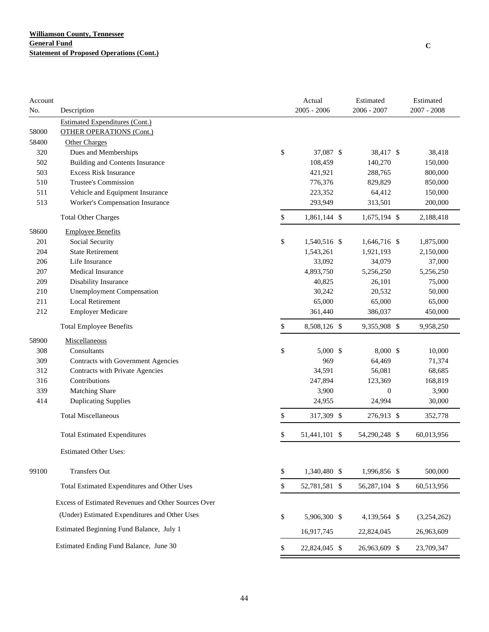| Account |                                                     | Actual              | Estimated        | Estimated     |
|---------|-----------------------------------------------------|---------------------|------------------|---------------|
| No.     | Description                                         | $2005 - 2006$       | 2006 - 2007      | $2007 - 2008$ |
|         | <b>Estimated Expenditures (Cont.)</b>               |                     |                  |               |
| 58000   | <b>OTHER OPERATIONS (Cont.)</b>                     |                     |                  |               |
| 58400   | <b>Other Charges</b>                                |                     |                  |               |
| 320     | Dues and Memberships                                | \$<br>37,087 \$     | 38,417 \$        | 38,418        |
| 502     | <b>Building and Contents Insurance</b>              | 108,459             | 140,270          | 150,000       |
| 503     | <b>Excess Risk Insurance</b>                        | 421,921             | 288,765          | 800,000       |
| 510     | Trustee's Commission                                | 776,376             | 829,829          | 850,000       |
| 511     | Vehicle and Equipment Insurance                     | 223,352             | 64,412           | 150,000       |
| 513     | Worker's Compensation Insurance                     | 293,949             | 313,501          | 200,000       |
|         | <b>Total Other Charges</b>                          | \$<br>1,861,144 \$  | 1,675,194 \$     | 2,188,418     |
| 58600   | <b>Employee Benefits</b>                            |                     |                  |               |
| 201     | Social Security                                     | \$<br>1,540,516 \$  | 1,646,716 \$     | 1,875,000     |
| 204     | <b>State Retirement</b>                             | 1,543,261           | 1,921,193        | 2,150,000     |
| 206     | Life Insurance                                      | 33,092              | 34,079           | 37,000        |
| 207     | Medical Insurance                                   | 4,893,750           | 5,256,250        | 5,256,250     |
| 209     | Disability Insurance                                | 40,825              | 26,101           | 75,000        |
| 210     | <b>Unemployment Compensation</b>                    | 30,242              | 20,532           | 50,000        |
| 211     | <b>Local Retirement</b>                             | 65,000              | 65,000           | 65,000        |
| 212     | <b>Employer Medicare</b>                            | 361,440             | 386,037          | 450,000       |
|         | <b>Total Employee Benefits</b>                      | \$<br>8,508,126 \$  | 9,355,908 \$     | 9,958,250     |
| 58900   | Miscellaneous                                       |                     |                  |               |
| 308     | Consultants                                         | \$<br>$5,000$ \$    | $8,000$ \$       | 10,000        |
| 309     | Contracts with Government Agencies                  | 969                 | 64,469           | 71,374        |
| 312     | Contracts with Private Agencies                     | 34,591              | 56,081           | 68,685        |
| 316     | Contributions                                       | 247,894             | 123,369          | 168,819       |
| 339     | Matching Share                                      | 3,900               | $\boldsymbol{0}$ | 3,900         |
| 414     | <b>Duplicating Supplies</b>                         | 24,955              | 24,994           | 30,000        |
|         | <b>Total Miscellaneous</b>                          | \$<br>317,309 \$    | 276,913 \$       | 352,778       |
|         | <b>Total Estimated Expenditures</b>                 | \$<br>51,441,101 \$ | 54,290,248 \$    | 60,013,956    |
|         | <b>Estimated Other Uses:</b>                        |                     |                  |               |
| 99100   | <b>Transfers Out</b>                                | \$<br>1,340,480 \$  | 1,996,856 \$     | 500,000       |
|         | Total Estimated Expenditures and Other Uses         | \$<br>52,781,581 \$ | 56,287,104 \$    | 60,513,956    |
|         | Excess of Estimated Revenues and Other Sources Over |                     |                  |               |
|         |                                                     |                     |                  |               |
|         | (Under) Estimated Expenditures and Other Uses       | \$<br>5,906,300 \$  | 4,139,564 \$     | (3,254,262)   |
|         | Estimated Beginning Fund Balance, July 1            | 16,917,745          | 22,824,045       | 26,963,609    |
|         | Estimated Ending Fund Balance, June 30              | \$<br>22,824,045 \$ | 26,963,609 \$    | 23,709,347    |

**C**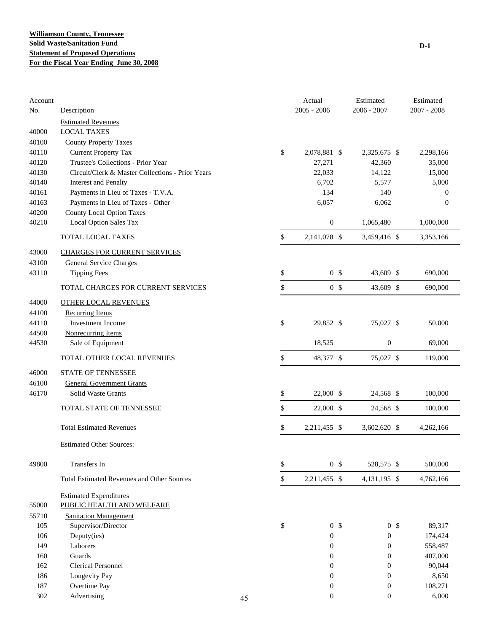| Account<br>No. | Description                                       |    | Actual<br>$2005 - 2006$ | Estimated<br>$2006 - 2007$ | Estimated<br>$2007 - 2008$ |
|----------------|---------------------------------------------------|----|-------------------------|----------------------------|----------------------------|
|                | <b>Estimated Revenues</b>                         |    |                         |                            |                            |
| 40000          | <b>LOCAL TAXES</b>                                |    |                         |                            |                            |
| 40100          | <b>County Property Taxes</b>                      |    |                         |                            |                            |
| 40110          | <b>Current Property Tax</b>                       |    | \$<br>2,078,881 \$      | 2,325,675 \$               | 2,298,166                  |
| 40120          | Trustee's Collections - Prior Year                |    | 27,271                  | 42,360                     | 35,000                     |
| 40130          | Circuit/Clerk & Master Collections - Prior Years  |    | 22,033                  | 14,122                     | 15,000                     |
| 40140          | <b>Interest and Penalty</b>                       |    | 6,702                   | 5,577                      | 5,000                      |
| 40161          | Payments in Lieu of Taxes - T.V.A.                |    | 134                     | 140                        | $\theta$                   |
| 40163          | Payments in Lieu of Taxes - Other                 |    | 6,057                   | 6,062                      | $\theta$                   |
| 40200          | <b>County Local Option Taxes</b>                  |    |                         |                            |                            |
| 40210          | Local Option Sales Tax                            |    | $\boldsymbol{0}$        | 1,065,480                  | 1,000,000                  |
|                | TOTAL LOCAL TAXES                                 |    | \$<br>2,141,078 \$      | 3,459,416 \$               | 3,353,166                  |
| 43000          | <b>CHARGES FOR CURRENT SERVICES</b>               |    |                         |                            |                            |
| 43100          | <b>General Service Charges</b>                    |    |                         |                            |                            |
| 43110          | <b>Tipping Fees</b>                               |    | \$<br>0 <sup>5</sup>    | 43,609 \$                  | 690,000                    |
|                | TOTAL CHARGES FOR CURRENT SERVICES                |    | \$<br>0 <sup>5</sup>    | 43,609 \$                  | 690,000                    |
| 44000          | <b>OTHER LOCAL REVENUES</b>                       |    |                         |                            |                            |
| 44100          | <b>Recurring Items</b>                            |    |                         |                            |                            |
| 44110          | <b>Investment Income</b>                          |    | \$<br>29,852 \$         | 75,027 \$                  | 50,000                     |
| 44500          | <b>Nonrecurring Items</b>                         |    |                         |                            |                            |
| 44530          | Sale of Equipment                                 |    | 18,525                  | $\boldsymbol{0}$           | 69,000                     |
|                | TOTAL OTHER LOCAL REVENUES                        |    | \$<br>48,377 \$         | 75,027 \$                  | 119,000                    |
| 46000          | <b>STATE OF TENNESSEE</b>                         |    |                         |                            |                            |
| 46100          | <b>General Government Grants</b>                  |    |                         |                            |                            |
| 46170          | Solid Waste Grants                                |    | \$<br>22,000 \$         | 24,568 \$                  | 100,000                    |
|                | TOTAL STATE OF TENNESSEE                          |    | \$<br>22,000 \$         | 24,568 \$                  | 100,000                    |
|                | <b>Total Estimated Revenues</b>                   |    | \$<br>2,211,455 \$      | 3,602,620 \$               | 4,262,166                  |
|                | <b>Estimated Other Sources:</b>                   |    |                         |                            |                            |
| 49800          | Transfers In                                      |    | \$<br>0 <sup>5</sup>    | 528,575 \$                 | 500,000                    |
|                | <b>Total Estimated Revenues and Other Sources</b> |    | \$<br>2,211,455 \$      | 4, 131, 195 \$             | 4,762,166                  |
|                | <b>Estimated Expenditures</b>                     |    |                         |                            |                            |
| 55000          | PUBLIC HEALTH AND WELFARE                         |    |                         |                            |                            |
| 55710          | <b>Sanitation Management</b>                      |    |                         |                            |                            |
| 105            | Supervisor/Director                               |    | \$<br>0 <sup>5</sup>    | 0 <sup>5</sup>             | 89,317                     |
| 106            | Deputy(ies)                                       |    | $\boldsymbol{0}$        | $\boldsymbol{0}$           | 174,424                    |
| 149            | Laborers                                          |    | $\boldsymbol{0}$        | $\boldsymbol{0}$           | 558,487                    |
| 160            | Guards                                            |    | 0                       | $\boldsymbol{0}$           | 407,000                    |
| 162            | <b>Clerical Personnel</b>                         |    | $\boldsymbol{0}$        | $\boldsymbol{0}$           | 90,044                     |
| 186            | Longevity Pay                                     |    | $\boldsymbol{0}$        | $\boldsymbol{0}$           | 8,650                      |
| 187            | Overtime Pay                                      |    | $\boldsymbol{0}$        | $\boldsymbol{0}$           | 108,271                    |
| 302            | Advertising                                       | 45 | $\boldsymbol{0}$        | $\boldsymbol{0}$           | 6,000                      |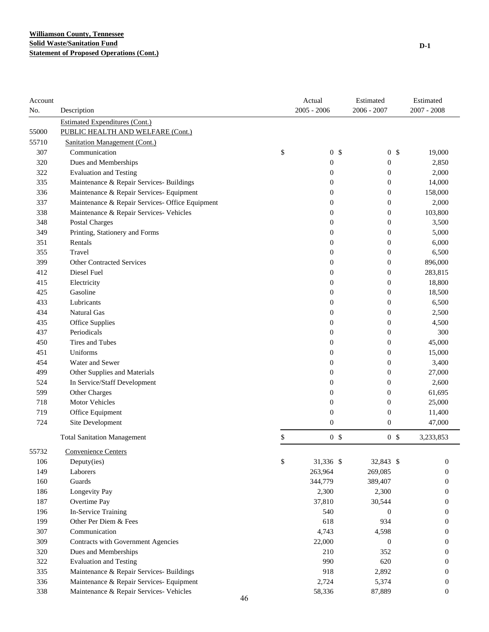| Account |                                                 | Actual               | Estimated        | Estimated        |
|---------|-------------------------------------------------|----------------------|------------------|------------------|
| No.     | Description                                     | $2005 - 2006$        | 2006 - 2007      | $2007 - 2008$    |
|         | <b>Estimated Expenditures (Cont.)</b>           |                      |                  |                  |
| 55000   | PUBLIC HEALTH AND WELFARE (Cont.)               |                      |                  |                  |
| 55710   | <b>Sanitation Management (Cont.)</b>            |                      |                  |                  |
| 307     | Communication                                   | \$<br>0 <sup>5</sup> | 0 <sup>5</sup>   | 19,000           |
| 320     | Dues and Memberships                            | $\boldsymbol{0}$     | 0                | 2,850            |
| 322     | <b>Evaluation and Testing</b>                   | $\boldsymbol{0}$     | $\boldsymbol{0}$ | 2,000            |
| 335     | Maintenance & Repair Services- Buildings        | $\boldsymbol{0}$     | $\boldsymbol{0}$ | 14,000           |
| 336     | Maintenance & Repair Services- Equipment        | $\boldsymbol{0}$     | $\boldsymbol{0}$ | 158,000          |
| 337     | Maintenance & Repair Services- Office Equipment | $\boldsymbol{0}$     | $\boldsymbol{0}$ | 2,000            |
| 338     | Maintenance & Repair Services- Vehicles         | $\boldsymbol{0}$     | $\boldsymbol{0}$ | 103,800          |
| 348     | <b>Postal Charges</b>                           | $\boldsymbol{0}$     | $\mathbf{0}$     | 3,500            |
| 349     | Printing, Stationery and Forms                  | $\boldsymbol{0}$     | $\boldsymbol{0}$ | 5,000            |
| 351     | Rentals                                         | $\boldsymbol{0}$     | $\mathbf{0}$     | 6,000            |
| 355     | Travel                                          | $\boldsymbol{0}$     | $\mathbf{0}$     | 6,500            |
| 399     | <b>Other Contracted Services</b>                | $\boldsymbol{0}$     | $\mathbf{0}$     | 896,000          |
| 412     | Diesel Fuel                                     | $\boldsymbol{0}$     | $\mathbf{0}$     | 283,815          |
| 415     | Electricity                                     | $\boldsymbol{0}$     | $\mathbf{0}$     | 18,800           |
| 425     | Gasoline                                        | $\boldsymbol{0}$     | $\mathbf{0}$     | 18,500           |
| 433     | Lubricants                                      | 0                    | $\mathbf{0}$     | 6,500            |
| 434     | <b>Natural Gas</b>                              | $\boldsymbol{0}$     | $\mathbf{0}$     | 2,500            |
| 435     | Office Supplies                                 | $\boldsymbol{0}$     | $\mathbf{0}$     | 4,500            |
| 437     | Periodicals                                     | $\boldsymbol{0}$     | $\mathbf{0}$     | 300              |
| 450     | Tires and Tubes                                 | $\boldsymbol{0}$     | $\boldsymbol{0}$ | 45,000           |
| 451     | Uniforms                                        | $\boldsymbol{0}$     | $\mathbf{0}$     | 15,000           |
| 454     | Water and Sewer                                 | $\boldsymbol{0}$     | $\mathbf{0}$     | 3,400            |
| 499     | Other Supplies and Materials                    | $\boldsymbol{0}$     | $\boldsymbol{0}$ | 27,000           |
| 524     | In Service/Staff Development                    | $\boldsymbol{0}$     | $\boldsymbol{0}$ | 2,600            |
| 599     | Other Charges                                   | $\boldsymbol{0}$     | $\boldsymbol{0}$ | 61,695           |
| 718     | Motor Vehicles                                  | $\boldsymbol{0}$     | $\boldsymbol{0}$ | 25,000           |
| 719     | Office Equipment                                | $\boldsymbol{0}$     | $\boldsymbol{0}$ | 11,400           |
| 724     | Site Development                                | $\boldsymbol{0}$     | $\boldsymbol{0}$ | 47,000           |
|         | <b>Total Sanitation Management</b>              | \$<br>0 <sup>5</sup> | 0 <sup>5</sup>   | 3,233,853        |
| 55732   | Convenience Centers                             |                      |                  |                  |
| 106     | Deputy(ies)                                     | \$<br>31,336 \$      | 32,843 \$        | $\boldsymbol{0}$ |
| 149     | Laborers                                        | 263,964              | 269,085          | 0                |
| 160     | Guards                                          | 344,779              | 389,407          | 0                |
| 186     | Longevity Pay                                   | 2,300                | 2,300            | 0                |
| 187     | Overtime Pay                                    | 37,810               | 30,544           | $\boldsymbol{0}$ |
| 196     | In-Service Training                             | 540                  | $\boldsymbol{0}$ | 0                |
| 199     | Other Per Diem & Fees                           | 618                  | 934              | 0                |
| 307     | Communication                                   | 4,743                | 4,598            | 0                |
| 309     | Contracts with Government Agencies              | 22,000               | $\boldsymbol{0}$ | $\bf{0}$         |
| 320     | Dues and Memberships                            | 210                  | 352              | 0                |
| 322     | <b>Evaluation and Testing</b>                   | 990                  | 620              | 0                |
| 335     | Maintenance & Repair Services- Buildings        | 918                  | 2,892            | $\bf{0}$         |
| 336     | Maintenance & Repair Services- Equipment        | 2,724                | 5,374            | $\boldsymbol{0}$ |
| 338     | Maintenance & Repair Services- Vehicles         | 58,336               | 87,889           | $\mathbf{0}$     |
|         | 46                                              |                      |                  |                  |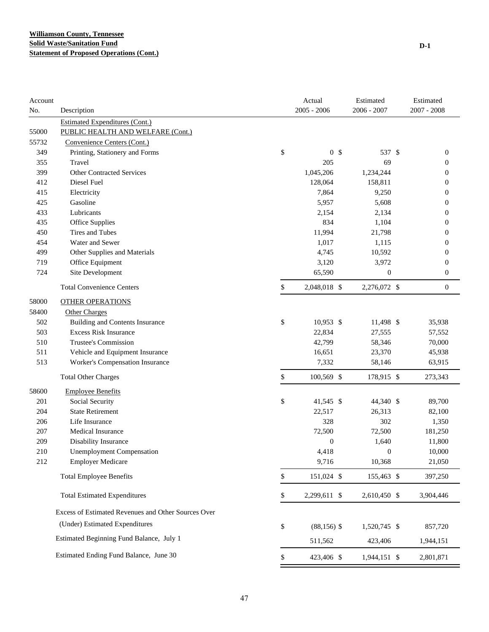| Account |                                                     | Actual               | Estimated    | Estimated        |
|---------|-----------------------------------------------------|----------------------|--------------|------------------|
| No.     | Description                                         | $2005 - 2006$        | 2006 - 2007  | $2007 - 2008$    |
|         | <b>Estimated Expenditures (Cont.)</b>               |                      |              |                  |
| 55000   | PUBLIC HEALTH AND WELFARE (Cont.)                   |                      |              |                  |
| 55732   | Convenience Centers (Cont.)                         |                      |              |                  |
| 349     | Printing, Stationery and Forms                      | \$<br>0 <sup>5</sup> | 537 \$       | $\boldsymbol{0}$ |
| 355     | Travel                                              | 205                  | 69           | $\boldsymbol{0}$ |
| 399     | <b>Other Contracted Services</b>                    | 1,045,206            | 1,234,244    | $\boldsymbol{0}$ |
| 412     | Diesel Fuel                                         | 128,064              | 158,811      | 0                |
| 415     | Electricity                                         | 7,864                | 9,250        | $\boldsymbol{0}$ |
| 425     | Gasoline                                            | 5,957                | 5,608        | 0                |
| 433     | Lubricants                                          | 2,154                | 2,134        | 0                |
| 435     | Office Supplies                                     | 834                  | 1,104        | 0                |
| 450     | Tires and Tubes                                     | 11,994               | 21,798       | 0                |
| 454     | Water and Sewer                                     | 1,017                | 1,115        | 0                |
| 499     | Other Supplies and Materials                        | 4,745                | 10,592       | $\boldsymbol{0}$ |
| 719     | Office Equipment                                    | 3,120                | 3,972        | $\boldsymbol{0}$ |
| 724     | Site Development                                    | 65,590               | 0            | $\boldsymbol{0}$ |
|         | <b>Total Convenience Centers</b>                    | \$<br>2,048,018 \$   | 2,276,072 \$ | $\boldsymbol{0}$ |
| 58000   | <b>OTHER OPERATIONS</b>                             |                      |              |                  |
| 58400   | Other Charges                                       |                      |              |                  |
| 502     | <b>Building and Contents Insurance</b>              | \$<br>$10,953$ \$    | 11,498 \$    | 35,938           |
| 503     | <b>Excess Risk Insurance</b>                        | 22,834               | 27,555       | 57,552           |
| 510     | Trustee's Commission                                | 42,799               | 58,346       | 70,000           |
| 511     | Vehicle and Equipment Insurance                     | 16,651               | 23,370       | 45,938           |
| 513     | Worker's Compensation Insurance                     | 7,332                | 58,146       | 63,915           |
|         | <b>Total Other Charges</b>                          | \$<br>100,569 \$     | 178,915 \$   | 273,343          |
| 58600   | <b>Employee Benefits</b>                            |                      |              |                  |
| 201     | Social Security                                     | \$<br>41,545 \$      | 44,340 \$    | 89,700           |
| 204     | <b>State Retirement</b>                             | 22,517               | 26,313       | 82,100           |
| 206     | Life Insurance                                      | 328                  | 302          | 1,350            |
| 207     | <b>Medical Insurance</b>                            | 72,500               | 72,500       | 181,250          |
| 209     | Disability Insurance                                | $\boldsymbol{0}$     | 1,640        | 11,800           |
| 210     | <b>Unemployment Compensation</b>                    | 4,418                | 0            | 10,000           |
| 212     | <b>Employer Medicare</b>                            | 9,716                | 10,368       | 21,050           |
|         | <b>Total Employee Benefits</b>                      | \$<br>151,024 \$     | 155,463 \$   | 397,250          |
|         | <b>Total Estimated Expenditures</b>                 | \$<br>2,299,611 \$   | 2,610,450 \$ | 3,904,446        |
|         | Excess of Estimated Revenues and Other Sources Over |                      |              |                  |
|         | (Under) Estimated Expenditures                      | \$<br>$(88, 156)$ \$ | 1,520,745 \$ | 857,720          |
|         | Estimated Beginning Fund Balance, July 1            | 511,562              | 423,406      | 1,944,151        |
|         | Estimated Ending Fund Balance, June 30              | \$<br>423,406 \$     | 1,944,151 \$ | 2,801,871        |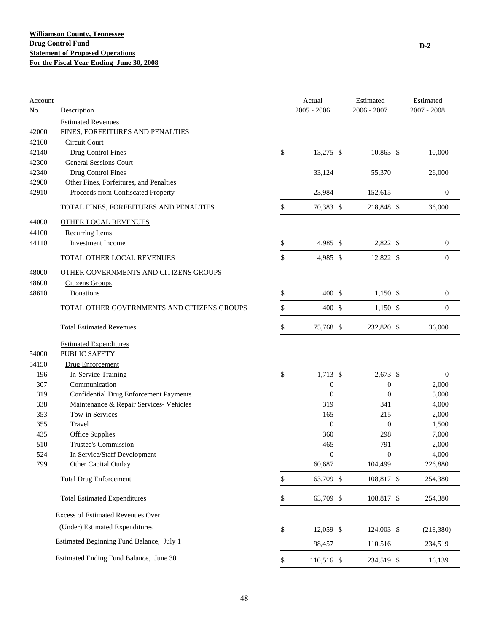| Account<br>No. | Description                                   | Actual<br>$2005 - 2006$ | Estimated<br>$2006 - 2007$ | Estimated<br>$2007 - 2008$ |
|----------------|-----------------------------------------------|-------------------------|----------------------------|----------------------------|
|                | <b>Estimated Revenues</b>                     |                         |                            |                            |
| 42000          | FINES, FORFEITURES AND PENALTIES              |                         |                            |                            |
| 42100          | <b>Circuit Court</b>                          |                         |                            |                            |
| 42140          | Drug Control Fines                            | \$<br>13,275 \$         | $10,863$ \$                | 10,000                     |
| 42300          | <b>General Sessions Court</b>                 |                         |                            |                            |
| 42340          | Drug Control Fines                            | 33,124                  | 55,370                     | 26,000                     |
| 42900          | Other Fines, Forfeitures, and Penalties       |                         |                            |                            |
| 42910          | Proceeds from Confiscated Property            | 23,984                  | 152,615                    | $\boldsymbol{0}$           |
|                | TOTAL FINES, FORFEITURES AND PENALTIES        | \$<br>70,383 \$         | 218,848 \$                 | 36,000                     |
| 44000          | <b>OTHER LOCAL REVENUES</b>                   |                         |                            |                            |
| 44100          | <b>Recurring Items</b>                        |                         |                            |                            |
| 44110          | Investment Income                             | \$<br>4,985 \$          | 12,822 \$                  | $\boldsymbol{0}$           |
|                | TOTAL OTHER LOCAL REVENUES                    | \$<br>4,985 \$          | 12,822 \$                  | $\boldsymbol{0}$           |
| 48000          | <b>OTHER GOVERNMENTS AND CITIZENS GROUPS</b>  |                         |                            |                            |
| 48600          | <b>Citizens Groups</b>                        |                         |                            |                            |
| 48610          | Donations                                     | \$<br>400 \$            | $1,150$ \$                 | $\boldsymbol{0}$           |
|                | TOTAL OTHER GOVERNMENTS AND CITIZENS GROUPS   | \$<br>400S              | $1,150$ \$                 | $\mathbf{0}$               |
|                | <b>Total Estimated Revenues</b>               | \$<br>75,768 \$         | 232,820 \$                 | 36,000                     |
|                | <b>Estimated Expenditures</b>                 |                         |                            |                            |
| 54000          | <b>PUBLIC SAFETY</b>                          |                         |                            |                            |
| 54150          | <b>Drug Enforcement</b>                       |                         |                            |                            |
| 196            | In-Service Training                           | \$<br>1,713 \$          | $2,673$ \$                 | $\boldsymbol{0}$           |
| 307            | Communication                                 | $\boldsymbol{0}$        | $\boldsymbol{0}$           | 2,000                      |
| 319            | <b>Confidential Drug Enforcement Payments</b> | $\mathbf{0}$            | $\theta$                   | 5,000                      |
| 338            | Maintenance & Repair Services- Vehicles       | 319                     | 341                        | 4,000                      |
| 353            | <b>Tow-in Services</b>                        | 165                     | 215                        | 2,000                      |
| 355            | Travel                                        | $\boldsymbol{0}$        | $\boldsymbol{0}$           | 1,500                      |
| 435            | Office Supplies                               | 360                     | 298                        | 7,000                      |
| 510            | Trustee's Commission                          | 465                     | 791                        | 2,000                      |
| 524            | In Service/Staff Development                  | $\mathbf{0}$            | $\theta$                   | 4,000                      |
| 799            | Other Capital Outlay                          | 60,687                  | 104,499                    | 226,880                    |
|                | <b>Total Drug Enforcement</b>                 | \$<br>63,709 \$         | 108,817 \$                 | 254,380                    |
|                | <b>Total Estimated Expenditures</b>           | \$<br>63,709 \$         | 108,817 \$                 | 254,380                    |
|                | <b>Excess of Estimated Revenues Over</b>      |                         |                            |                            |
|                | (Under) Estimated Expenditures                | \$<br>12,059 \$         | 124,003 \$                 | (218, 380)                 |
|                | Estimated Beginning Fund Balance, July 1      | 98,457                  | 110,516                    | 234,519                    |
|                | Estimated Ending Fund Balance, June 30        | \$<br>110,516 \$        | 234,519 \$                 | 16,139                     |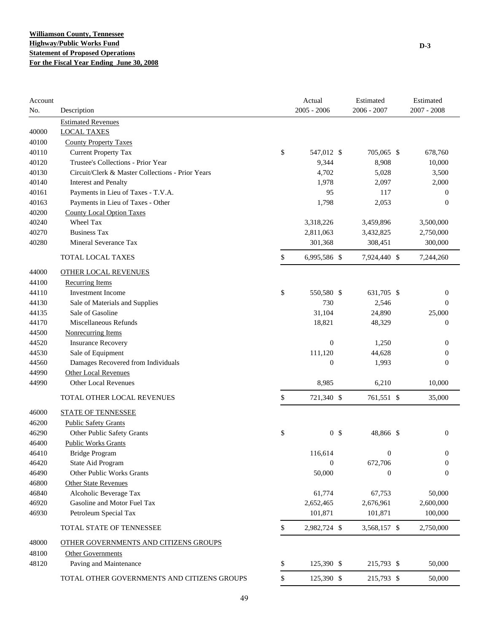| Account<br>No. | Description                                      | Actual<br>$2005 - 2006$ | Estimated<br>$2006 - 2007$ | Estimated<br>$2007 - 2008$ |
|----------------|--------------------------------------------------|-------------------------|----------------------------|----------------------------|
|                | <b>Estimated Revenues</b>                        |                         |                            |                            |
| 40000          | <b>LOCAL TAXES</b>                               |                         |                            |                            |
| 40100          | <b>County Property Taxes</b>                     |                         |                            |                            |
| 40110          | <b>Current Property Tax</b>                      | \$<br>547,012 \$        | 705,065 \$                 | 678,760                    |
| 40120          | Trustee's Collections - Prior Year               | 9,344                   | 8,908                      | 10,000                     |
| 40130          | Circuit/Clerk & Master Collections - Prior Years | 4,702                   | 5,028                      | 3,500                      |
| 40140          | <b>Interest and Penalty</b>                      | 1,978                   | 2,097                      | 2,000                      |
| 40161          | Payments in Lieu of Taxes - T.V.A.               | 95                      | 117                        | $\theta$                   |
| 40163          | Payments in Lieu of Taxes - Other                | 1,798                   | 2,053                      | $\theta$                   |
| 40200          | <b>County Local Option Taxes</b>                 |                         |                            |                            |
| 40240          | Wheel Tax                                        | 3,318,226               | 3,459,896                  | 3,500,000                  |
| 40270          | <b>Business Tax</b>                              | 2,811,063               | 3,432,825                  | 2,750,000                  |
| 40280          | Mineral Severance Tax                            | 301,368                 | 308,451                    | 300,000                    |
|                | TOTAL LOCAL TAXES                                | \$<br>6,995,586 \$      | 7,924,440 \$               | 7,244,260                  |
| 44000          | <b>OTHER LOCAL REVENUES</b>                      |                         |                            |                            |
| 44100          | Recurring Items                                  |                         |                            |                            |
| 44110          | <b>Investment Income</b>                         | \$<br>550,580 \$        | 631,705 \$                 | $\mathbf{0}$               |
| 44130          | Sale of Materials and Supplies                   | 730                     | 2,546                      | $\mathbf{0}$               |
| 44135          | Sale of Gasoline                                 | 31,104                  | 24,890                     | 25,000                     |
| 44170          | Miscellaneous Refunds                            | 18,821                  | 48,329                     | $\boldsymbol{0}$           |
| 44500          | <b>Nonrecurring Items</b>                        |                         |                            |                            |
| 44520          | <b>Insurance Recovery</b>                        | $\mathbf{0}$            | 1,250                      | $\mathbf{0}$               |
| 44530          | Sale of Equipment                                | 111,120                 | 44,628                     | $\mathbf{0}$               |
| 44560          | Damages Recovered from Individuals               | $\boldsymbol{0}$        | 1,993                      | $\boldsymbol{0}$           |
| 44990          | <b>Other Local Revenues</b>                      |                         |                            |                            |
| 44990          | <b>Other Local Revenues</b>                      | 8,985                   | 6,210                      | 10,000                     |
|                | TOTAL OTHER LOCAL REVENUES                       | \$<br>721,340 \$        | 761,551 \$                 | 35,000                     |
| 46000          | <b>STATE OF TENNESSEE</b>                        |                         |                            |                            |
| 46200          | <b>Public Safety Grants</b>                      |                         |                            |                            |
| 46290          | Other Public Safety Grants                       | \$<br>0 <sup>5</sup>    | 48,866 \$                  | $\mathbf{0}$               |
| 46400          | <b>Public Works Grants</b>                       |                         |                            |                            |
| 46410          | <b>Bridge Program</b>                            | 116,614                 | 0                          | $\boldsymbol{0}$           |
| 46420          | State Aid Program                                | $\boldsymbol{0}$        | 672,706                    | $\boldsymbol{0}$           |
| 46490          | Other Public Works Grants                        | 50,000                  | $\boldsymbol{0}$           | $\boldsymbol{0}$           |
| 46800          | <b>Other State Revenues</b>                      |                         |                            |                            |
| 46840          | Alcoholic Beverage Tax                           | 61,774                  | 67,753                     | 50,000                     |
| 46920          | Gasoline and Motor Fuel Tax                      | 2,652,465               | 2,676,961                  | 2,600,000                  |
| 46930          | Petroleum Special Tax                            | 101,871                 | 101,871                    | 100,000                    |
|                | TOTAL STATE OF TENNESSEE                         | \$<br>2,982,724 \$      | 3,568,157 \$               | 2,750,000                  |
| 48000          | OTHER GOVERNMENTS AND CITIZENS GROUPS            |                         |                            |                            |
| 48100          | <b>Other Governments</b>                         |                         |                            |                            |
| 48120          | Paving and Maintenance                           | \$<br>125,390 \$        | 215,793 \$                 | 50,000                     |
|                |                                                  |                         |                            |                            |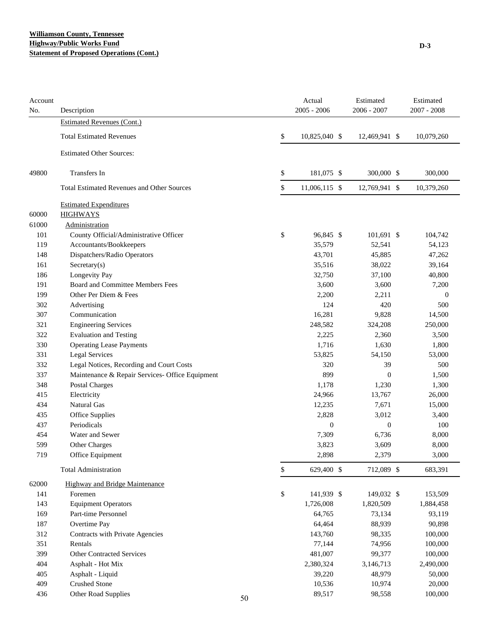## **Williamson County, Tennessee Highway/Public Works Fund Statement of Proposed Operations (Cont.)**

| Account<br>No. | Description                                       |    | Actual<br>$2005 - 2006$ | Estimated<br>$2006 - 2007$ | Estimated<br>$2007 - 2008$ |
|----------------|---------------------------------------------------|----|-------------------------|----------------------------|----------------------------|
|                | Estimated Revenues (Cont.)                        |    |                         |                            |                            |
|                | <b>Total Estimated Revenues</b>                   |    | \$<br>10,825,040 \$     | 12,469,941 \$              | 10,079,260                 |
|                | <b>Estimated Other Sources:</b>                   |    |                         |                            |                            |
| 49800          | Transfers In                                      |    | \$<br>181,075 \$        | 300,000 \$                 | 300,000                    |
|                | <b>Total Estimated Revenues and Other Sources</b> |    | \$<br>11,006,115 \$     | 12,769,941 \$              | 10,379,260                 |
|                | <b>Estimated Expenditures</b>                     |    |                         |                            |                            |
| 60000          | <b>HIGHWAYS</b>                                   |    |                         |                            |                            |
| 61000          | Administration                                    |    |                         |                            |                            |
| 101            | County Official/Administrative Officer            |    | \$<br>96,845 \$         | 101,691 \$                 | 104,742                    |
| 119            | Accountants/Bookkeepers                           |    | 35,579                  | 52,541                     | 54,123                     |
| 148            | Dispatchers/Radio Operators                       |    | 43,701                  | 45,885                     | 47,262                     |
| 161            | Secretary(s)                                      |    | 35,516                  | 38,022                     | 39,164                     |
| 186            | Longevity Pay                                     |    | 32,750                  | 37,100                     | 40,800                     |
| 191            | Board and Committee Members Fees                  |    | 3,600                   | 3,600                      | 7,200                      |
| 199            | Other Per Diem & Fees                             |    | 2,200                   | 2,211                      | $\boldsymbol{0}$           |
| 302            | Advertising                                       |    | 124                     | 420                        | 500                        |
| 307            | Communication                                     |    | 16,281                  | 9,828                      | 14,500                     |
| 321            | <b>Engineering Services</b>                       |    | 248,582                 | 324,208                    | 250,000                    |
| 322            | <b>Evaluation and Testing</b>                     |    | 2,225                   | 2,360                      | 3,500                      |
| 330            | <b>Operating Lease Payments</b>                   |    | 1,716                   | 1,630                      | 1,800                      |
| 331            | <b>Legal Services</b>                             |    | 53,825                  | 54,150                     | 53,000                     |
| 332            | Legal Notices, Recording and Court Costs          |    | 320                     | 39                         | 500                        |
| 337            | Maintenance & Repair Services- Office Equipment   |    | 899                     | $\mathbf{0}$               | 1,500                      |
| 348            | Postal Charges                                    |    | 1,178                   | 1,230                      | 1,300                      |
| 415            | Electricity                                       |    | 24,966                  | 13,767                     | 26,000                     |
| 434            | Natural Gas                                       |    | 12,235                  | 7,671                      | 15,000                     |
| 435            | Office Supplies                                   |    | 2,828                   | 3,012                      | 3,400                      |
| 437            | Periodicals                                       |    | $\boldsymbol{0}$        | $\boldsymbol{0}$           | 100                        |
| 454            | Water and Sewer                                   |    | 7,309                   | 6,736                      | 8,000                      |
| 599            | Other Charges                                     |    | 3,823                   | 3,609                      | 8,000                      |
| 719            | Office Equipment                                  |    | 2,898                   | 2,379                      | 3,000                      |
|                | <b>Total Administration</b>                       |    | \$<br>629,400 \$        | 712,089 \$                 | 683,391                    |
| 62000          | Highway and Bridge Maintenance                    |    |                         |                            |                            |
| 141            | Foremen                                           |    | \$<br>141,939 \$        | 149,032 \$                 | 153,509                    |
| 143            | <b>Equipment Operators</b>                        |    | 1,726,008               | 1,820,509                  | 1,884,458                  |
| 169            | Part-time Personnel                               |    | 64,765                  | 73,134                     | 93,119                     |
| 187            | Overtime Pay                                      |    | 64,464                  | 88,939                     | 90,898                     |
| 312            | Contracts with Private Agencies                   |    | 143,760                 | 98,335                     | 100,000                    |
| 351            | Rentals                                           |    | 77,144                  | 74,956                     | 100,000                    |
| 399            | <b>Other Contracted Services</b>                  |    | 481,007                 | 99,377                     | 100,000                    |
| 404            | Asphalt - Hot Mix                                 |    | 2,380,324               | 3,146,713                  | 2,490,000                  |
| 405            | Asphalt - Liquid                                  |    | 39,220                  | 48,979                     | 50,000                     |
| 409            | <b>Crushed Stone</b>                              |    | 10,536                  | 10,974                     | 20,000                     |
| 436            | Other Road Supplies                               | 50 | 89,517                  | 98,558                     | 100,000                    |
|                |                                                   |    |                         |                            |                            |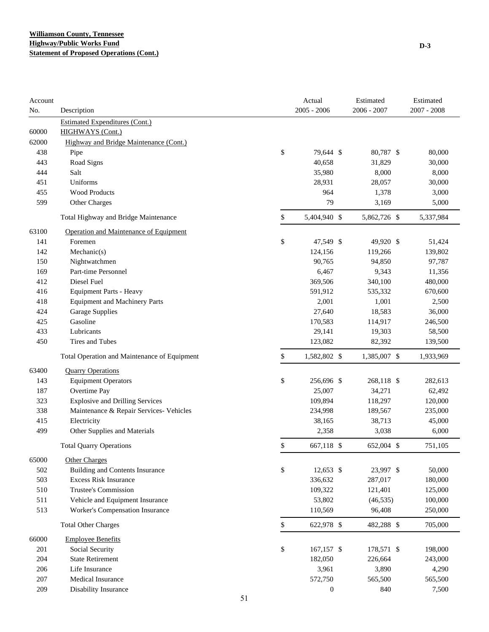| Account    |                                                            |    | Actual           | Estimated     | Estimated        |
|------------|------------------------------------------------------------|----|------------------|---------------|------------------|
| No.        | Description                                                |    | $2005 - 2006$    | $2006 - 2007$ | $2007 - 2008$    |
|            | <b>Estimated Expenditures (Cont.)</b>                      |    |                  |               |                  |
| 60000      | HIGHWAYS (Cont.)<br>Highway and Bridge Maintenance (Cont.) |    |                  |               |                  |
| 62000      |                                                            | \$ | 79,644 \$        | 80,787 \$     |                  |
| 438<br>443 | Pipe<br>Road Signs                                         |    | 40,658           | 31,829        | 80,000<br>30,000 |
| 444        | Salt                                                       |    | 35,980           | 8,000         | 8,000            |
| 451        | Uniforms                                                   |    | 28,931           | 28,057        | 30,000           |
| 455        | <b>Wood Products</b>                                       |    | 964              | 1,378         | 3,000            |
| 599        | Other Charges                                              |    | 79               | 3,169         | 5,000            |
|            |                                                            |    |                  |               |                  |
|            | Total Highway and Bridge Maintenance                       | \$ | 5,404,940 \$     | 5,862,726 \$  | 5,337,984        |
| 63100      | Operation and Maintenance of Equipment                     |    |                  |               |                  |
| 141        | Foremen                                                    | \$ | 47,549 \$        | 49,920 \$     | 51,424           |
| 142        | Mechanic(s)                                                |    | 124,156          | 119,266       | 139,802          |
| 150        | Nightwatchmen                                              |    | 90,765           | 94,850        | 97,787           |
| 169        | Part-time Personnel                                        |    | 6,467            | 9,343         | 11,356           |
| 412        | Diesel Fuel                                                |    | 369,506          | 340,100       | 480,000          |
| 416        | <b>Equipment Parts - Heavy</b>                             |    | 591,912          | 535,332       | 670,600          |
| 418        | <b>Equipment and Machinery Parts</b>                       |    | 2,001            | 1,001         | 2,500            |
| 424        | <b>Garage Supplies</b>                                     |    | 27,640           | 18,583        | 36,000           |
| 425        | Gasoline                                                   |    | 170,583          | 114,917       | 246,500          |
| 433        | Lubricants                                                 |    | 29,141           | 19,303        | 58,500           |
| 450        | Tires and Tubes                                            |    | 123,082          | 82,392        | 139,500          |
|            | Total Operation and Maintenance of Equipment               | \$ | 1,582,802 \$     | 1,385,007 \$  | 1,933,969        |
| 63400      | <b>Quarry Operations</b>                                   |    |                  |               |                  |
| 143        | <b>Equipment Operators</b>                                 | \$ | 256,696 \$       | 268,118 \$    | 282,613          |
| 187        | Overtime Pay                                               |    | 25,007           | 34,271        | 62,492           |
| 323        | <b>Explosive and Drilling Services</b>                     |    | 109,894          | 118,297       | 120,000          |
| 338        | Maintenance & Repair Services- Vehicles                    |    | 234,998          | 189,567       | 235,000          |
| 415        | Electricity                                                |    | 38,165           | 38,713        | 45,000           |
| 499        | Other Supplies and Materials                               |    | 2,358            | 3,038         | 6,000            |
|            | <b>Total Quarry Operations</b>                             | \$ | 667,118 \$       | 652,004 \$    | 751,105          |
| 65000      | <b>Other Charges</b>                                       |    |                  |               |                  |
| 502        | <b>Building and Contents Insurance</b>                     | \$ | $12,653$ \$      | 23,997 \$     | 50,000           |
| 503        | <b>Excess Risk Insurance</b>                               |    | 336,632          | 287,017       | 180,000          |
| 510        | Trustee's Commission                                       |    | 109,322          | 121,401       | 125,000          |
| 511        | Vehicle and Equipment Insurance                            |    | 53,802           | (46, 535)     | 100,000          |
| 513        | Worker's Compensation Insurance                            |    | 110,569          | 96,408        | 250,000          |
|            | <b>Total Other Charges</b>                                 | \$ | 622,978 \$       | 482,288 \$    | 705,000          |
| 66000      | <b>Employee Benefits</b>                                   |    |                  |               |                  |
| 201        | Social Security                                            | \$ | 167,157 \$       | 178,571 \$    | 198,000          |
| 204        | <b>State Retirement</b>                                    |    | 182,050          | 226,664       | 243,000          |
| 206        | Life Insurance                                             |    | 3,961            | 3,890         | 4,290            |
| 207        | <b>Medical Insurance</b>                                   |    | 572,750          | 565,500       | 565,500          |
| 209        | Disability Insurance                                       |    | $\boldsymbol{0}$ | 840           | 7,500            |
|            |                                                            | 51 |                  |               |                  |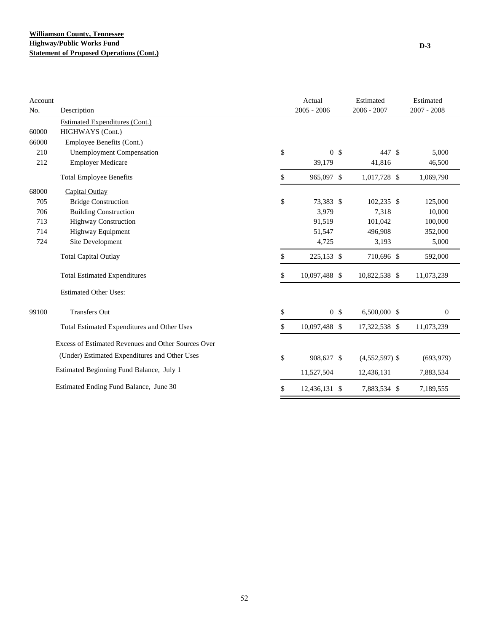| Account |                                                     | Actual               | Estimated        | Estimated        |
|---------|-----------------------------------------------------|----------------------|------------------|------------------|
| No.     | Description                                         | $2005 - 2006$        | $2006 - 2007$    | $2007 - 2008$    |
|         | <b>Estimated Expenditures (Cont.)</b>               |                      |                  |                  |
| 60000   | <b>HIGHWAYS</b> (Cont.)                             |                      |                  |                  |
| 66000   | <b>Employee Benefits (Cont.)</b>                    |                      |                  |                  |
| 210     | <b>Unemployment Compensation</b>                    | \$<br>0 <sup>5</sup> | 447 \$           | 5,000            |
| 212     | <b>Employer Medicare</b>                            | 39,179               | 41,816           | 46,500           |
|         | <b>Total Employee Benefits</b>                      | \$<br>965,097 \$     | 1,017,728 \$     | 1,069,790        |
| 68000   | Capital Outlay                                      |                      |                  |                  |
| 705     | <b>Bridge Construction</b>                          | \$<br>73,383 \$      | $102,235$ \$     | 125,000          |
| 706     | <b>Building Construction</b>                        | 3,979                | 7,318            | 10,000           |
| 713     | <b>Highway Construction</b>                         | 91,519               | 101,042          | 100,000          |
| 714     | Highway Equipment                                   | 51,547               | 496,908          | 352,000          |
| 724     | Site Development                                    | 4,725                | 3,193            | 5,000            |
|         | <b>Total Capital Outlay</b>                         | \$<br>225,153 \$     | 710,696 \$       | 592,000          |
|         | <b>Total Estimated Expenditures</b>                 | \$<br>10,097,488 \$  | 10,822,538 \$    | 11,073,239       |
|         | <b>Estimated Other Uses:</b>                        |                      |                  |                  |
| 99100   | <b>Transfers Out</b>                                | \$<br>0 <sup>5</sup> | 6,500,000 \$     | $\boldsymbol{0}$ |
|         | Total Estimated Expenditures and Other Uses         | \$<br>10,097,488 \$  | 17,322,538 \$    | 11,073,239       |
|         | Excess of Estimated Revenues and Other Sources Over |                      |                  |                  |
|         | (Under) Estimated Expenditures and Other Uses       | \$<br>908,627 \$     | $(4,552,597)$ \$ | (693,979)        |
|         | Estimated Beginning Fund Balance, July 1            | 11,527,504           | 12,436,131       | 7,883,534        |
|         | Estimated Ending Fund Balance, June 30              | \$<br>12,436,131 \$  | 7,883,534 \$     | 7,189,555        |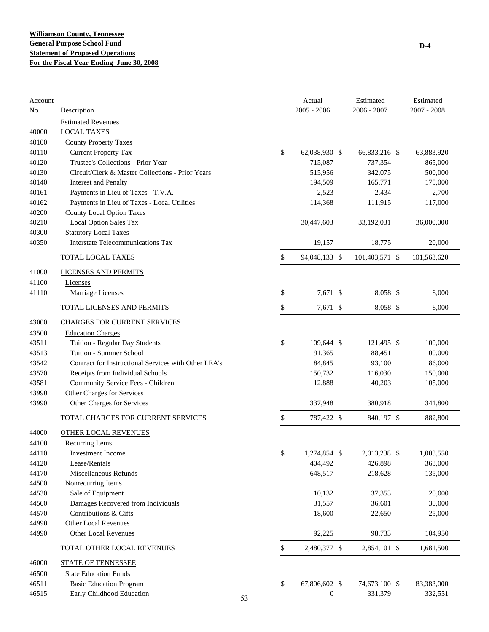| Account<br>No. | Description                                          |    | Actual<br>$2005 - 2006$ | Estimated<br>$2006 - 2007$ | Estimated<br>$2007 - 2008$ |
|----------------|------------------------------------------------------|----|-------------------------|----------------------------|----------------------------|
|                | <b>Estimated Revenues</b>                            |    |                         |                            |                            |
| 40000          | <b>LOCAL TAXES</b>                                   |    |                         |                            |                            |
| 40100          | <b>County Property Taxes</b>                         |    |                         |                            |                            |
| 40110          | <b>Current Property Tax</b>                          | \$ | 62,038,930 \$           | 66,833,216 \$              | 63,883,920                 |
| 40120          | Trustee's Collections - Prior Year                   |    | 715,087                 | 737,354                    | 865,000                    |
| 40130          | Circuit/Clerk & Master Collections - Prior Years     |    | 515,956                 | 342,075                    | 500,000                    |
| 40140          | <b>Interest and Penalty</b>                          |    | 194,509                 | 165,771                    | 175,000                    |
| 40161          | Payments in Lieu of Taxes - T.V.A.                   |    | 2,523                   | 2,434                      | 2,700                      |
| 40162          | Payments in Lieu of Taxes - Local Utilities          |    | 114,368                 | 111,915                    | 117,000                    |
| 40200          | <b>County Local Option Taxes</b>                     |    |                         |                            |                            |
| 40210          | Local Option Sales Tax                               |    | 30,447,603              | 33,192,031                 | 36,000,000                 |
| 40300          | <b>Statutory Local Taxes</b>                         |    |                         |                            |                            |
| 40350          | <b>Interstate Telecommunications Tax</b>             |    | 19,157                  | 18,775                     | 20,000                     |
|                | <b>TOTAL LOCAL TAXES</b>                             | \$ | 94,048,133 \$           | 101,403,571 \$             | 101,563,620                |
| 41000          | LICENSES AND PERMITS                                 |    |                         |                            |                            |
| 41100          | Licenses                                             |    |                         |                            |                            |
| 41110          | Marriage Licenses                                    | \$ | 7,671 \$                | 8,058 \$                   | 8,000                      |
|                | TOTAL LICENSES AND PERMITS                           | \$ | 7,671 \$                | 8,058 \$                   | 8,000                      |
| 43000          | <b>CHARGES FOR CURRENT SERVICES</b>                  |    |                         |                            |                            |
| 43500          | <b>Education Charges</b>                             |    |                         |                            |                            |
| 43511          | Tuition - Regular Day Students                       | \$ | 109,644 \$              | 121,495 \$                 | 100,000                    |
| 43513          | Tuition - Summer School                              |    | 91,365                  | 88,451                     | 100,000                    |
| 43542          | Contract for Instructional Services with Other LEA's |    | 84,845                  | 93,100                     | 86,000                     |
| 43570          | Receipts from Individual Schools                     |    | 150,732                 | 116,030                    | 150,000                    |
| 43581          | Community Service Fees - Children                    |    | 12,888                  | 40,203                     | 105,000                    |
| 43990          | Other Charges for Services                           |    |                         |                            |                            |
| 43990          | Other Charges for Services                           |    | 337,948                 | 380,918                    | 341,800                    |
|                | TOTAL CHARGES FOR CURRENT SERVICES                   | \$ | 787,422 \$              | 840,197 \$                 | 882,800                    |
| 44000          | OTHER LOCAL REVENUES                                 |    |                         |                            |                            |
| 44100          | Recurring Items                                      |    |                         |                            |                            |
| 44110          | Investment Income                                    | \$ | 1,274,854 \$            | 2,013,238 \$               | 1,003,550                  |
| 44120          | Lease/Rentals                                        |    | 404,492                 | 426,898                    | 363,000                    |
| 44170          | Miscellaneous Refunds                                |    | 648,517                 | 218,628                    | 135,000                    |
| 44500          | <b>Nonrecurring Items</b>                            |    |                         |                            |                            |
| 44530          | Sale of Equipment                                    |    | 10,132                  | 37,353                     | 20,000                     |
| 44560          | Damages Recovered from Individuals                   |    | 31,557                  | 36,601                     | 30,000                     |
| 44570          | Contributions & Gifts                                |    | 18,600                  | 22,650                     | 25,000                     |
| 44990          | <b>Other Local Revenues</b>                          |    |                         |                            |                            |
| 44990          | Other Local Revenues                                 |    | 92,225                  | 98,733                     | 104,950                    |
|                | TOTAL OTHER LOCAL REVENUES                           | \$ | 2,480,377 \$            | 2,854,101 \$               | 1,681,500                  |
| 46000          | <b>STATE OF TENNESSEE</b>                            |    |                         |                            |                            |
| 46500          | <b>State Education Funds</b>                         |    |                         |                            |                            |
| 46511          | <b>Basic Education Program</b>                       | \$ | 67,806,602 \$           | 74,673,100 \$              | 83,383,000                 |
| 46515          | Early Childhood Education                            | 53 | $\boldsymbol{0}$        | 331,379                    | 332,551                    |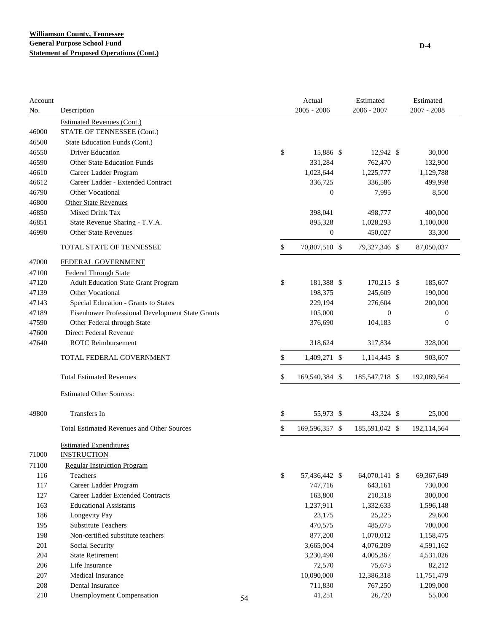| Account<br>No. | Description                                       |    | Actual<br>$2005 - 2006$ | Estimated<br>$2006 - 2007$ | Estimated<br>$2007 - 2008$ |
|----------------|---------------------------------------------------|----|-------------------------|----------------------------|----------------------------|
|                | <b>Estimated Revenues (Cont.)</b>                 |    |                         |                            |                            |
| 46000          | <b>STATE OF TENNESSEE (Cont.)</b>                 |    |                         |                            |                            |
| 46500          | <b>State Education Funds (Cont.)</b>              |    |                         |                            |                            |
| 46550          | <b>Driver Education</b>                           |    | \$<br>15,886 \$         | 12,942 \$                  | 30,000                     |
| 46590          | <b>Other State Education Funds</b>                |    | 331,284                 | 762,470                    | 132,900                    |
| 46610          | Career Ladder Program                             |    | 1,023,644               | 1,225,777                  | 1,129,788                  |
| 46612          | Career Ladder - Extended Contract                 |    | 336,725                 | 336,586                    | 499,998                    |
| 46790          | Other Vocational                                  |    | $\boldsymbol{0}$        | 7,995                      | 8,500                      |
| 46800          | <b>Other State Revenues</b>                       |    |                         |                            |                            |
| 46850          | Mixed Drink Tax                                   |    | 398,041                 | 498,777                    | 400,000                    |
| 46851          | State Revenue Sharing - T.V.A.                    |    | 895,328                 | 1,028,293                  | 1,100,000                  |
| 46990          | <b>Other State Revenues</b>                       |    | $\boldsymbol{0}$        | 450,027                    | 33,300                     |
|                |                                                   |    |                         |                            |                            |
|                | TOTAL STATE OF TENNESSEE                          |    | \$<br>70,807,510 \$     | 79,327,346 \$              | 87,050,037                 |
| 47000          | FEDERAL GOVERNMENT                                |    |                         |                            |                            |
| 47100          | <b>Federal Through State</b>                      |    |                         |                            |                            |
| 47120          | <b>Adult Education State Grant Program</b>        |    | \$<br>181,388 \$        | 170,215 \$                 | 185,607                    |
| 47139          | <b>Other Vocational</b>                           |    | 198,375                 | 245,609                    | 190,000                    |
| 47143          | Special Education - Grants to States              |    | 229,194                 | 276,604                    | 200,000                    |
| 47189          | Eisenhower Professional Development State Grants  |    | 105,000                 | $\theta$                   | $\boldsymbol{0}$           |
| 47590          | Other Federal through State                       |    | 376,690                 | 104,183                    | $\boldsymbol{0}$           |
| 47600          | Direct Federal Revenue                            |    |                         |                            |                            |
| 47640          | <b>ROTC</b> Reimbursement                         |    | 318,624                 | 317,834                    | 328,000                    |
|                | TOTAL FEDERAL GOVERNMENT                          |    | \$<br>1,409,271 \$      | 1,114,445 \$               | 903,607                    |
|                | <b>Total Estimated Revenues</b>                   |    | \$<br>169,540,384 \$    | 185, 547, 718 \$           | 192,089,564                |
|                | <b>Estimated Other Sources:</b>                   |    |                         |                            |                            |
| 49800          | Transfers In                                      |    | \$<br>55,973 \$         | 43,324 \$                  | 25,000                     |
|                | <b>Total Estimated Revenues and Other Sources</b> |    | \$<br>169,596,357 \$    | 185,591,042 \$             | 192,114,564                |
|                | <b>Estimated Expenditures</b>                     |    |                         |                            |                            |
| 71000          | <b>INSTRUCTION</b>                                |    |                         |                            |                            |
| 71100          | <b>Regular Instruction Program</b>                |    |                         |                            |                            |
| 116            | Teachers                                          |    | \$<br>57,436,442 \$     | 64,070,141 \$              | 69,367,649                 |
| 117            | Career Ladder Program                             |    | 747,716                 | 643,161                    | 730,000                    |
| 127            | Career Ladder Extended Contracts                  |    | 163,800                 | 210,318                    | 300,000                    |
| 163            | <b>Educational Assistants</b>                     |    | 1,237,911               | 1,332,633                  | 1,596,148                  |
| 186            | Longevity Pay                                     |    | 23,175                  | 25,225                     | 29,600                     |
| 195            | <b>Substitute Teachers</b>                        |    | 470,575                 | 485,075                    | 700,000                    |
| 198            | Non-certified substitute teachers                 |    | 877,200                 | 1,070,012                  | 1,158,475                  |
| 201            | Social Security                                   |    | 3,665,004               | 4,076,209                  | 4,591,162                  |
| 204            | <b>State Retirement</b>                           |    | 3,230,490               | 4,005,367                  | 4,531,026                  |
| 206            | Life Insurance                                    |    | 72,570                  | 75,673                     | 82,212                     |
| 207            | Medical Insurance                                 |    | 10,090,000              | 12,386,318                 | 11,751,479                 |
| 208            | Dental Insurance                                  |    | 711,830                 | 767,250                    | 1,209,000                  |
| 210            | <b>Unemployment Compensation</b>                  | 54 | 41,251                  | 26,720                     | 55,000                     |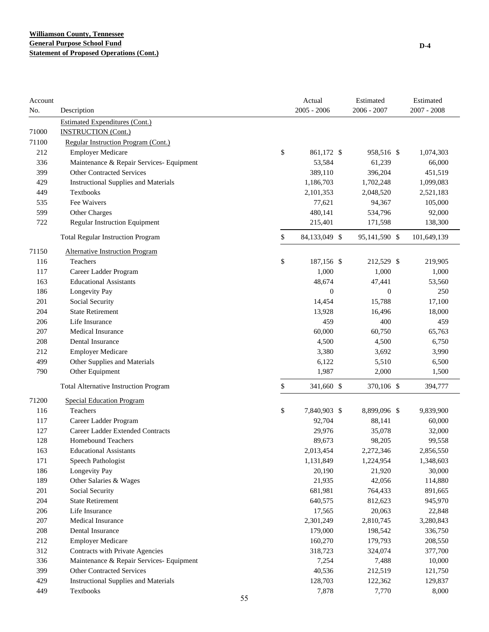| $2005 - 2006$<br>$2006 - 2007$<br>$2007 - 2008$<br>No.<br>Description<br><b>Estimated Expenditures (Cont.)</b><br>71000<br><b>INSTRUCTION</b> (Cont.)<br>71100<br>Regular Instruction Program (Cont.)<br>\$<br>212<br><b>Employer Medicare</b><br>861,172 \$<br>958,516 \$<br>1,074,303<br>53,584<br>336<br>Maintenance & Repair Services- Equipment<br>61,239<br>66,000<br>399<br><b>Other Contracted Services</b><br>389,110<br>396,204<br>451,519<br>429<br><b>Instructional Supplies and Materials</b><br>1,186,703<br>1,702,248<br>1,099,083<br>449<br>Textbooks<br>2,101,353<br>2,048,520<br>2,521,183<br>Fee Waivers<br>535<br>77,621<br>94,367<br>105,000<br>599<br>Other Charges<br>480,141<br>534,796<br>92,000<br>722<br>Regular Instruction Equipment<br>215,401<br>171,598<br>138,300<br>\$<br><b>Total Regular Instruction Program</b><br>84,133,049 \$<br>95,141,590 \$<br>101,649,139<br>71150<br><b>Alternative Instruction Program</b><br>\$<br>Teachers<br>116<br>187,156 \$<br>212,529 \$<br>219,905<br>1,000<br>1,000<br>117<br>Career Ladder Program<br>1,000<br>163<br><b>Educational Assistants</b><br>48,674<br>53,560<br>47,441<br>186<br>Longevity Pay<br>$\overline{0}$<br>250<br>$\theta$<br>201<br>Social Security<br>14,454<br>15,788<br>17,100<br><b>State Retirement</b><br>204<br>13,928<br>16,496<br>18,000<br>459<br>400<br>206<br>Life Insurance<br>459<br>207<br><b>Medical Insurance</b><br>60,000<br>60,750<br>65,763<br>208<br>Dental Insurance<br>4,500<br>4,500<br>6,750<br>212<br><b>Employer Medicare</b><br>3,380<br>3,692<br>3,990<br>Other Supplies and Materials<br>499<br>6,122<br>5,510<br>6,500<br>790<br>Other Equipment<br>1,987<br>2,000<br>1,500<br>\$<br>341,660 \$<br>370,106 \$<br><b>Total Alternative Instruction Program</b><br>394,777<br>71200<br><b>Special Education Program</b><br>\$<br>116<br>Teachers<br>7,840,903 \$<br>8,899,096 \$<br>9,839,900<br>117<br>Career Ladder Program<br>92,704<br>88,141<br>60,000<br>127<br><b>Career Ladder Extended Contracts</b><br>29,976<br>35,078<br>32,000<br>128<br><b>Homebound Teachers</b><br>89,673<br>98,205<br>99,558<br>163<br>2,013,454<br>2,272,346<br>2,856,550<br><b>Educational Assistants</b><br>171<br>Speech Pathologist<br>1,131,849<br>1,224,954<br>1,348,603<br>186<br>Longevity Pay<br>20,190<br>21,920<br>30,000<br>189<br>Other Salaries & Wages<br>21,935<br>42,056<br>114,880<br>201<br>Social Security<br>681,981<br>764,433<br>891,665<br>204<br><b>State Retirement</b><br>640,575<br>812,623<br>945,970<br>206<br>Life Insurance<br>17,565<br>20,063<br>22,848<br>207<br>Medical Insurance<br>2,301,249<br>2,810,745<br>3,280,843<br>Dental Insurance<br>208<br>179,000<br>198,542<br>336,750<br>212<br><b>Employer Medicare</b><br>160,270<br>179,793<br>208,550<br>312<br>Contracts with Private Agencies<br>318,723<br>324,074<br>377,700<br>336<br>Maintenance & Repair Services- Equipment<br>7,254<br>7,488<br>10,000<br>399<br><b>Other Contracted Services</b><br>40,536<br>212,519<br>121,750<br>429<br><b>Instructional Supplies and Materials</b><br>128,703<br>122,362<br>129,837<br>7,878<br>449<br>Textbooks<br>7,770<br>8,000 | Account |  | Actual | Estimated | Estimated |
|--------------------------------------------------------------------------------------------------------------------------------------------------------------------------------------------------------------------------------------------------------------------------------------------------------------------------------------------------------------------------------------------------------------------------------------------------------------------------------------------------------------------------------------------------------------------------------------------------------------------------------------------------------------------------------------------------------------------------------------------------------------------------------------------------------------------------------------------------------------------------------------------------------------------------------------------------------------------------------------------------------------------------------------------------------------------------------------------------------------------------------------------------------------------------------------------------------------------------------------------------------------------------------------------------------------------------------------------------------------------------------------------------------------------------------------------------------------------------------------------------------------------------------------------------------------------------------------------------------------------------------------------------------------------------------------------------------------------------------------------------------------------------------------------------------------------------------------------------------------------------------------------------------------------------------------------------------------------------------------------------------------------------------------------------------------------------------------------------------------------------------------------------------------------------------------------------------------------------------------------------------------------------------------------------------------------------------------------------------------------------------------------------------------------------------------------------------------------------------------------------------------------------------------------------------------------------------------------------------------------------------------------------------------------------------------------------------------------------------------------------------------------------------------------------------------------------------------------------------------------------------------------------------------------------------------------------------------------------------------------------------------------------------------------------------------------------------------------------------------------------------------------------------------------------------------|---------|--|--------|-----------|-----------|
|                                                                                                                                                                                                                                                                                                                                                                                                                                                                                                                                                                                                                                                                                                                                                                                                                                                                                                                                                                                                                                                                                                                                                                                                                                                                                                                                                                                                                                                                                                                                                                                                                                                                                                                                                                                                                                                                                                                                                                                                                                                                                                                                                                                                                                                                                                                                                                                                                                                                                                                                                                                                                                                                                                                                                                                                                                                                                                                                                                                                                                                                                                                                                                                      |         |  |        |           |           |
|                                                                                                                                                                                                                                                                                                                                                                                                                                                                                                                                                                                                                                                                                                                                                                                                                                                                                                                                                                                                                                                                                                                                                                                                                                                                                                                                                                                                                                                                                                                                                                                                                                                                                                                                                                                                                                                                                                                                                                                                                                                                                                                                                                                                                                                                                                                                                                                                                                                                                                                                                                                                                                                                                                                                                                                                                                                                                                                                                                                                                                                                                                                                                                                      |         |  |        |           |           |
|                                                                                                                                                                                                                                                                                                                                                                                                                                                                                                                                                                                                                                                                                                                                                                                                                                                                                                                                                                                                                                                                                                                                                                                                                                                                                                                                                                                                                                                                                                                                                                                                                                                                                                                                                                                                                                                                                                                                                                                                                                                                                                                                                                                                                                                                                                                                                                                                                                                                                                                                                                                                                                                                                                                                                                                                                                                                                                                                                                                                                                                                                                                                                                                      |         |  |        |           |           |
|                                                                                                                                                                                                                                                                                                                                                                                                                                                                                                                                                                                                                                                                                                                                                                                                                                                                                                                                                                                                                                                                                                                                                                                                                                                                                                                                                                                                                                                                                                                                                                                                                                                                                                                                                                                                                                                                                                                                                                                                                                                                                                                                                                                                                                                                                                                                                                                                                                                                                                                                                                                                                                                                                                                                                                                                                                                                                                                                                                                                                                                                                                                                                                                      |         |  |        |           |           |
|                                                                                                                                                                                                                                                                                                                                                                                                                                                                                                                                                                                                                                                                                                                                                                                                                                                                                                                                                                                                                                                                                                                                                                                                                                                                                                                                                                                                                                                                                                                                                                                                                                                                                                                                                                                                                                                                                                                                                                                                                                                                                                                                                                                                                                                                                                                                                                                                                                                                                                                                                                                                                                                                                                                                                                                                                                                                                                                                                                                                                                                                                                                                                                                      |         |  |        |           |           |
|                                                                                                                                                                                                                                                                                                                                                                                                                                                                                                                                                                                                                                                                                                                                                                                                                                                                                                                                                                                                                                                                                                                                                                                                                                                                                                                                                                                                                                                                                                                                                                                                                                                                                                                                                                                                                                                                                                                                                                                                                                                                                                                                                                                                                                                                                                                                                                                                                                                                                                                                                                                                                                                                                                                                                                                                                                                                                                                                                                                                                                                                                                                                                                                      |         |  |        |           |           |
|                                                                                                                                                                                                                                                                                                                                                                                                                                                                                                                                                                                                                                                                                                                                                                                                                                                                                                                                                                                                                                                                                                                                                                                                                                                                                                                                                                                                                                                                                                                                                                                                                                                                                                                                                                                                                                                                                                                                                                                                                                                                                                                                                                                                                                                                                                                                                                                                                                                                                                                                                                                                                                                                                                                                                                                                                                                                                                                                                                                                                                                                                                                                                                                      |         |  |        |           |           |
|                                                                                                                                                                                                                                                                                                                                                                                                                                                                                                                                                                                                                                                                                                                                                                                                                                                                                                                                                                                                                                                                                                                                                                                                                                                                                                                                                                                                                                                                                                                                                                                                                                                                                                                                                                                                                                                                                                                                                                                                                                                                                                                                                                                                                                                                                                                                                                                                                                                                                                                                                                                                                                                                                                                                                                                                                                                                                                                                                                                                                                                                                                                                                                                      |         |  |        |           |           |
|                                                                                                                                                                                                                                                                                                                                                                                                                                                                                                                                                                                                                                                                                                                                                                                                                                                                                                                                                                                                                                                                                                                                                                                                                                                                                                                                                                                                                                                                                                                                                                                                                                                                                                                                                                                                                                                                                                                                                                                                                                                                                                                                                                                                                                                                                                                                                                                                                                                                                                                                                                                                                                                                                                                                                                                                                                                                                                                                                                                                                                                                                                                                                                                      |         |  |        |           |           |
|                                                                                                                                                                                                                                                                                                                                                                                                                                                                                                                                                                                                                                                                                                                                                                                                                                                                                                                                                                                                                                                                                                                                                                                                                                                                                                                                                                                                                                                                                                                                                                                                                                                                                                                                                                                                                                                                                                                                                                                                                                                                                                                                                                                                                                                                                                                                                                                                                                                                                                                                                                                                                                                                                                                                                                                                                                                                                                                                                                                                                                                                                                                                                                                      |         |  |        |           |           |
|                                                                                                                                                                                                                                                                                                                                                                                                                                                                                                                                                                                                                                                                                                                                                                                                                                                                                                                                                                                                                                                                                                                                                                                                                                                                                                                                                                                                                                                                                                                                                                                                                                                                                                                                                                                                                                                                                                                                                                                                                                                                                                                                                                                                                                                                                                                                                                                                                                                                                                                                                                                                                                                                                                                                                                                                                                                                                                                                                                                                                                                                                                                                                                                      |         |  |        |           |           |
|                                                                                                                                                                                                                                                                                                                                                                                                                                                                                                                                                                                                                                                                                                                                                                                                                                                                                                                                                                                                                                                                                                                                                                                                                                                                                                                                                                                                                                                                                                                                                                                                                                                                                                                                                                                                                                                                                                                                                                                                                                                                                                                                                                                                                                                                                                                                                                                                                                                                                                                                                                                                                                                                                                                                                                                                                                                                                                                                                                                                                                                                                                                                                                                      |         |  |        |           |           |
|                                                                                                                                                                                                                                                                                                                                                                                                                                                                                                                                                                                                                                                                                                                                                                                                                                                                                                                                                                                                                                                                                                                                                                                                                                                                                                                                                                                                                                                                                                                                                                                                                                                                                                                                                                                                                                                                                                                                                                                                                                                                                                                                                                                                                                                                                                                                                                                                                                                                                                                                                                                                                                                                                                                                                                                                                                                                                                                                                                                                                                                                                                                                                                                      |         |  |        |           |           |
|                                                                                                                                                                                                                                                                                                                                                                                                                                                                                                                                                                                                                                                                                                                                                                                                                                                                                                                                                                                                                                                                                                                                                                                                                                                                                                                                                                                                                                                                                                                                                                                                                                                                                                                                                                                                                                                                                                                                                                                                                                                                                                                                                                                                                                                                                                                                                                                                                                                                                                                                                                                                                                                                                                                                                                                                                                                                                                                                                                                                                                                                                                                                                                                      |         |  |        |           |           |
|                                                                                                                                                                                                                                                                                                                                                                                                                                                                                                                                                                                                                                                                                                                                                                                                                                                                                                                                                                                                                                                                                                                                                                                                                                                                                                                                                                                                                                                                                                                                                                                                                                                                                                                                                                                                                                                                                                                                                                                                                                                                                                                                                                                                                                                                                                                                                                                                                                                                                                                                                                                                                                                                                                                                                                                                                                                                                                                                                                                                                                                                                                                                                                                      |         |  |        |           |           |
|                                                                                                                                                                                                                                                                                                                                                                                                                                                                                                                                                                                                                                                                                                                                                                                                                                                                                                                                                                                                                                                                                                                                                                                                                                                                                                                                                                                                                                                                                                                                                                                                                                                                                                                                                                                                                                                                                                                                                                                                                                                                                                                                                                                                                                                                                                                                                                                                                                                                                                                                                                                                                                                                                                                                                                                                                                                                                                                                                                                                                                                                                                                                                                                      |         |  |        |           |           |
|                                                                                                                                                                                                                                                                                                                                                                                                                                                                                                                                                                                                                                                                                                                                                                                                                                                                                                                                                                                                                                                                                                                                                                                                                                                                                                                                                                                                                                                                                                                                                                                                                                                                                                                                                                                                                                                                                                                                                                                                                                                                                                                                                                                                                                                                                                                                                                                                                                                                                                                                                                                                                                                                                                                                                                                                                                                                                                                                                                                                                                                                                                                                                                                      |         |  |        |           |           |
|                                                                                                                                                                                                                                                                                                                                                                                                                                                                                                                                                                                                                                                                                                                                                                                                                                                                                                                                                                                                                                                                                                                                                                                                                                                                                                                                                                                                                                                                                                                                                                                                                                                                                                                                                                                                                                                                                                                                                                                                                                                                                                                                                                                                                                                                                                                                                                                                                                                                                                                                                                                                                                                                                                                                                                                                                                                                                                                                                                                                                                                                                                                                                                                      |         |  |        |           |           |
|                                                                                                                                                                                                                                                                                                                                                                                                                                                                                                                                                                                                                                                                                                                                                                                                                                                                                                                                                                                                                                                                                                                                                                                                                                                                                                                                                                                                                                                                                                                                                                                                                                                                                                                                                                                                                                                                                                                                                                                                                                                                                                                                                                                                                                                                                                                                                                                                                                                                                                                                                                                                                                                                                                                                                                                                                                                                                                                                                                                                                                                                                                                                                                                      |         |  |        |           |           |
|                                                                                                                                                                                                                                                                                                                                                                                                                                                                                                                                                                                                                                                                                                                                                                                                                                                                                                                                                                                                                                                                                                                                                                                                                                                                                                                                                                                                                                                                                                                                                                                                                                                                                                                                                                                                                                                                                                                                                                                                                                                                                                                                                                                                                                                                                                                                                                                                                                                                                                                                                                                                                                                                                                                                                                                                                                                                                                                                                                                                                                                                                                                                                                                      |         |  |        |           |           |
|                                                                                                                                                                                                                                                                                                                                                                                                                                                                                                                                                                                                                                                                                                                                                                                                                                                                                                                                                                                                                                                                                                                                                                                                                                                                                                                                                                                                                                                                                                                                                                                                                                                                                                                                                                                                                                                                                                                                                                                                                                                                                                                                                                                                                                                                                                                                                                                                                                                                                                                                                                                                                                                                                                                                                                                                                                                                                                                                                                                                                                                                                                                                                                                      |         |  |        |           |           |
|                                                                                                                                                                                                                                                                                                                                                                                                                                                                                                                                                                                                                                                                                                                                                                                                                                                                                                                                                                                                                                                                                                                                                                                                                                                                                                                                                                                                                                                                                                                                                                                                                                                                                                                                                                                                                                                                                                                                                                                                                                                                                                                                                                                                                                                                                                                                                                                                                                                                                                                                                                                                                                                                                                                                                                                                                                                                                                                                                                                                                                                                                                                                                                                      |         |  |        |           |           |
|                                                                                                                                                                                                                                                                                                                                                                                                                                                                                                                                                                                                                                                                                                                                                                                                                                                                                                                                                                                                                                                                                                                                                                                                                                                                                                                                                                                                                                                                                                                                                                                                                                                                                                                                                                                                                                                                                                                                                                                                                                                                                                                                                                                                                                                                                                                                                                                                                                                                                                                                                                                                                                                                                                                                                                                                                                                                                                                                                                                                                                                                                                                                                                                      |         |  |        |           |           |
|                                                                                                                                                                                                                                                                                                                                                                                                                                                                                                                                                                                                                                                                                                                                                                                                                                                                                                                                                                                                                                                                                                                                                                                                                                                                                                                                                                                                                                                                                                                                                                                                                                                                                                                                                                                                                                                                                                                                                                                                                                                                                                                                                                                                                                                                                                                                                                                                                                                                                                                                                                                                                                                                                                                                                                                                                                                                                                                                                                                                                                                                                                                                                                                      |         |  |        |           |           |
|                                                                                                                                                                                                                                                                                                                                                                                                                                                                                                                                                                                                                                                                                                                                                                                                                                                                                                                                                                                                                                                                                                                                                                                                                                                                                                                                                                                                                                                                                                                                                                                                                                                                                                                                                                                                                                                                                                                                                                                                                                                                                                                                                                                                                                                                                                                                                                                                                                                                                                                                                                                                                                                                                                                                                                                                                                                                                                                                                                                                                                                                                                                                                                                      |         |  |        |           |           |
|                                                                                                                                                                                                                                                                                                                                                                                                                                                                                                                                                                                                                                                                                                                                                                                                                                                                                                                                                                                                                                                                                                                                                                                                                                                                                                                                                                                                                                                                                                                                                                                                                                                                                                                                                                                                                                                                                                                                                                                                                                                                                                                                                                                                                                                                                                                                                                                                                                                                                                                                                                                                                                                                                                                                                                                                                                                                                                                                                                                                                                                                                                                                                                                      |         |  |        |           |           |
|                                                                                                                                                                                                                                                                                                                                                                                                                                                                                                                                                                                                                                                                                                                                                                                                                                                                                                                                                                                                                                                                                                                                                                                                                                                                                                                                                                                                                                                                                                                                                                                                                                                                                                                                                                                                                                                                                                                                                                                                                                                                                                                                                                                                                                                                                                                                                                                                                                                                                                                                                                                                                                                                                                                                                                                                                                                                                                                                                                                                                                                                                                                                                                                      |         |  |        |           |           |
|                                                                                                                                                                                                                                                                                                                                                                                                                                                                                                                                                                                                                                                                                                                                                                                                                                                                                                                                                                                                                                                                                                                                                                                                                                                                                                                                                                                                                                                                                                                                                                                                                                                                                                                                                                                                                                                                                                                                                                                                                                                                                                                                                                                                                                                                                                                                                                                                                                                                                                                                                                                                                                                                                                                                                                                                                                                                                                                                                                                                                                                                                                                                                                                      |         |  |        |           |           |
|                                                                                                                                                                                                                                                                                                                                                                                                                                                                                                                                                                                                                                                                                                                                                                                                                                                                                                                                                                                                                                                                                                                                                                                                                                                                                                                                                                                                                                                                                                                                                                                                                                                                                                                                                                                                                                                                                                                                                                                                                                                                                                                                                                                                                                                                                                                                                                                                                                                                                                                                                                                                                                                                                                                                                                                                                                                                                                                                                                                                                                                                                                                                                                                      |         |  |        |           |           |
|                                                                                                                                                                                                                                                                                                                                                                                                                                                                                                                                                                                                                                                                                                                                                                                                                                                                                                                                                                                                                                                                                                                                                                                                                                                                                                                                                                                                                                                                                                                                                                                                                                                                                                                                                                                                                                                                                                                                                                                                                                                                                                                                                                                                                                                                                                                                                                                                                                                                                                                                                                                                                                                                                                                                                                                                                                                                                                                                                                                                                                                                                                                                                                                      |         |  |        |           |           |
|                                                                                                                                                                                                                                                                                                                                                                                                                                                                                                                                                                                                                                                                                                                                                                                                                                                                                                                                                                                                                                                                                                                                                                                                                                                                                                                                                                                                                                                                                                                                                                                                                                                                                                                                                                                                                                                                                                                                                                                                                                                                                                                                                                                                                                                                                                                                                                                                                                                                                                                                                                                                                                                                                                                                                                                                                                                                                                                                                                                                                                                                                                                                                                                      |         |  |        |           |           |
|                                                                                                                                                                                                                                                                                                                                                                                                                                                                                                                                                                                                                                                                                                                                                                                                                                                                                                                                                                                                                                                                                                                                                                                                                                                                                                                                                                                                                                                                                                                                                                                                                                                                                                                                                                                                                                                                                                                                                                                                                                                                                                                                                                                                                                                                                                                                                                                                                                                                                                                                                                                                                                                                                                                                                                                                                                                                                                                                                                                                                                                                                                                                                                                      |         |  |        |           |           |
|                                                                                                                                                                                                                                                                                                                                                                                                                                                                                                                                                                                                                                                                                                                                                                                                                                                                                                                                                                                                                                                                                                                                                                                                                                                                                                                                                                                                                                                                                                                                                                                                                                                                                                                                                                                                                                                                                                                                                                                                                                                                                                                                                                                                                                                                                                                                                                                                                                                                                                                                                                                                                                                                                                                                                                                                                                                                                                                                                                                                                                                                                                                                                                                      |         |  |        |           |           |
|                                                                                                                                                                                                                                                                                                                                                                                                                                                                                                                                                                                                                                                                                                                                                                                                                                                                                                                                                                                                                                                                                                                                                                                                                                                                                                                                                                                                                                                                                                                                                                                                                                                                                                                                                                                                                                                                                                                                                                                                                                                                                                                                                                                                                                                                                                                                                                                                                                                                                                                                                                                                                                                                                                                                                                                                                                                                                                                                                                                                                                                                                                                                                                                      |         |  |        |           |           |
|                                                                                                                                                                                                                                                                                                                                                                                                                                                                                                                                                                                                                                                                                                                                                                                                                                                                                                                                                                                                                                                                                                                                                                                                                                                                                                                                                                                                                                                                                                                                                                                                                                                                                                                                                                                                                                                                                                                                                                                                                                                                                                                                                                                                                                                                                                                                                                                                                                                                                                                                                                                                                                                                                                                                                                                                                                                                                                                                                                                                                                                                                                                                                                                      |         |  |        |           |           |
|                                                                                                                                                                                                                                                                                                                                                                                                                                                                                                                                                                                                                                                                                                                                                                                                                                                                                                                                                                                                                                                                                                                                                                                                                                                                                                                                                                                                                                                                                                                                                                                                                                                                                                                                                                                                                                                                                                                                                                                                                                                                                                                                                                                                                                                                                                                                                                                                                                                                                                                                                                                                                                                                                                                                                                                                                                                                                                                                                                                                                                                                                                                                                                                      |         |  |        |           |           |
|                                                                                                                                                                                                                                                                                                                                                                                                                                                                                                                                                                                                                                                                                                                                                                                                                                                                                                                                                                                                                                                                                                                                                                                                                                                                                                                                                                                                                                                                                                                                                                                                                                                                                                                                                                                                                                                                                                                                                                                                                                                                                                                                                                                                                                                                                                                                                                                                                                                                                                                                                                                                                                                                                                                                                                                                                                                                                                                                                                                                                                                                                                                                                                                      |         |  |        |           |           |
|                                                                                                                                                                                                                                                                                                                                                                                                                                                                                                                                                                                                                                                                                                                                                                                                                                                                                                                                                                                                                                                                                                                                                                                                                                                                                                                                                                                                                                                                                                                                                                                                                                                                                                                                                                                                                                                                                                                                                                                                                                                                                                                                                                                                                                                                                                                                                                                                                                                                                                                                                                                                                                                                                                                                                                                                                                                                                                                                                                                                                                                                                                                                                                                      |         |  |        |           |           |
|                                                                                                                                                                                                                                                                                                                                                                                                                                                                                                                                                                                                                                                                                                                                                                                                                                                                                                                                                                                                                                                                                                                                                                                                                                                                                                                                                                                                                                                                                                                                                                                                                                                                                                                                                                                                                                                                                                                                                                                                                                                                                                                                                                                                                                                                                                                                                                                                                                                                                                                                                                                                                                                                                                                                                                                                                                                                                                                                                                                                                                                                                                                                                                                      |         |  |        |           |           |
|                                                                                                                                                                                                                                                                                                                                                                                                                                                                                                                                                                                                                                                                                                                                                                                                                                                                                                                                                                                                                                                                                                                                                                                                                                                                                                                                                                                                                                                                                                                                                                                                                                                                                                                                                                                                                                                                                                                                                                                                                                                                                                                                                                                                                                                                                                                                                                                                                                                                                                                                                                                                                                                                                                                                                                                                                                                                                                                                                                                                                                                                                                                                                                                      |         |  |        |           |           |
|                                                                                                                                                                                                                                                                                                                                                                                                                                                                                                                                                                                                                                                                                                                                                                                                                                                                                                                                                                                                                                                                                                                                                                                                                                                                                                                                                                                                                                                                                                                                                                                                                                                                                                                                                                                                                                                                                                                                                                                                                                                                                                                                                                                                                                                                                                                                                                                                                                                                                                                                                                                                                                                                                                                                                                                                                                                                                                                                                                                                                                                                                                                                                                                      |         |  |        |           |           |
|                                                                                                                                                                                                                                                                                                                                                                                                                                                                                                                                                                                                                                                                                                                                                                                                                                                                                                                                                                                                                                                                                                                                                                                                                                                                                                                                                                                                                                                                                                                                                                                                                                                                                                                                                                                                                                                                                                                                                                                                                                                                                                                                                                                                                                                                                                                                                                                                                                                                                                                                                                                                                                                                                                                                                                                                                                                                                                                                                                                                                                                                                                                                                                                      |         |  |        |           |           |
|                                                                                                                                                                                                                                                                                                                                                                                                                                                                                                                                                                                                                                                                                                                                                                                                                                                                                                                                                                                                                                                                                                                                                                                                                                                                                                                                                                                                                                                                                                                                                                                                                                                                                                                                                                                                                                                                                                                                                                                                                                                                                                                                                                                                                                                                                                                                                                                                                                                                                                                                                                                                                                                                                                                                                                                                                                                                                                                                                                                                                                                                                                                                                                                      |         |  |        |           |           |
|                                                                                                                                                                                                                                                                                                                                                                                                                                                                                                                                                                                                                                                                                                                                                                                                                                                                                                                                                                                                                                                                                                                                                                                                                                                                                                                                                                                                                                                                                                                                                                                                                                                                                                                                                                                                                                                                                                                                                                                                                                                                                                                                                                                                                                                                                                                                                                                                                                                                                                                                                                                                                                                                                                                                                                                                                                                                                                                                                                                                                                                                                                                                                                                      |         |  |        |           |           |
|                                                                                                                                                                                                                                                                                                                                                                                                                                                                                                                                                                                                                                                                                                                                                                                                                                                                                                                                                                                                                                                                                                                                                                                                                                                                                                                                                                                                                                                                                                                                                                                                                                                                                                                                                                                                                                                                                                                                                                                                                                                                                                                                                                                                                                                                                                                                                                                                                                                                                                                                                                                                                                                                                                                                                                                                                                                                                                                                                                                                                                                                                                                                                                                      |         |  |        |           |           |
|                                                                                                                                                                                                                                                                                                                                                                                                                                                                                                                                                                                                                                                                                                                                                                                                                                                                                                                                                                                                                                                                                                                                                                                                                                                                                                                                                                                                                                                                                                                                                                                                                                                                                                                                                                                                                                                                                                                                                                                                                                                                                                                                                                                                                                                                                                                                                                                                                                                                                                                                                                                                                                                                                                                                                                                                                                                                                                                                                                                                                                                                                                                                                                                      |         |  |        |           |           |
|                                                                                                                                                                                                                                                                                                                                                                                                                                                                                                                                                                                                                                                                                                                                                                                                                                                                                                                                                                                                                                                                                                                                                                                                                                                                                                                                                                                                                                                                                                                                                                                                                                                                                                                                                                                                                                                                                                                                                                                                                                                                                                                                                                                                                                                                                                                                                                                                                                                                                                                                                                                                                                                                                                                                                                                                                                                                                                                                                                                                                                                                                                                                                                                      |         |  |        |           |           |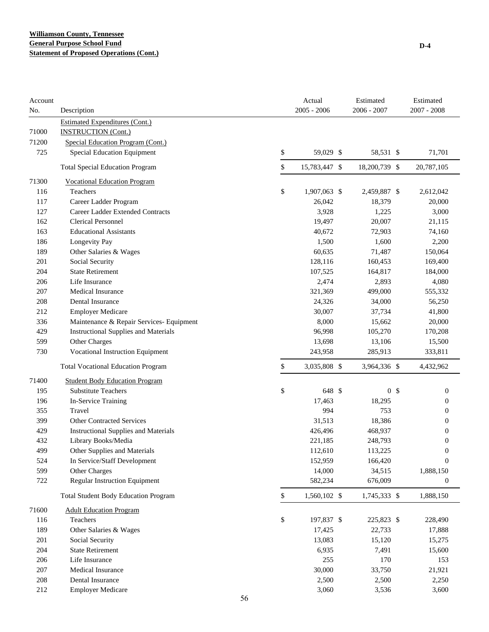| Account<br>No. | Description                                 | Actual<br>$2005 - 2006$ | Estimated<br>2006 - 2007 |                | Estimated<br>$2007 - 2008$ |
|----------------|---------------------------------------------|-------------------------|--------------------------|----------------|----------------------------|
|                | <b>Estimated Expenditures (Cont.)</b>       |                         |                          |                |                            |
| 71000          | <b>INSTRUCTION (Cont.)</b>                  |                         |                          |                |                            |
| 71200          | Special Education Program (Cont.)           |                         |                          |                |                            |
| 725            | <b>Special Education Equipment</b>          | \$<br>59,029 \$         | 58,531 \$                |                | 71,701                     |
|                | <b>Total Special Education Program</b>      | \$<br>15,783,447 \$     | 18,200,739 \$            |                | 20,787,105                 |
| 71300          | <b>Vocational Education Program</b>         |                         |                          |                |                            |
| 116            | Teachers                                    | \$<br>1,907,063 \$      | 2,459,887 \$             |                | 2,612,042                  |
| 117            | Career Ladder Program                       | 26,042                  | 18,379                   |                | 20,000                     |
| 127            | Career Ladder Extended Contracts            | 3,928                   | 1,225                    |                | 3,000                      |
| 162            | <b>Clerical Personnel</b>                   | 19,497                  | 20,007                   |                | 21,115                     |
| 163            | <b>Educational Assistants</b>               | 40,672                  | 72,903                   |                | 74,160                     |
| 186            | Longevity Pay                               | 1,500                   | 1,600                    |                | 2,200                      |
| 189            | Other Salaries & Wages                      | 60,635                  | 71,487                   |                | 150,064                    |
| 201            | Social Security                             | 128,116                 | 160,453                  |                | 169,400                    |
| 204            | <b>State Retirement</b>                     | 107,525                 | 164,817                  |                | 184,000                    |
| 206            | Life Insurance                              | 2,474                   | 2,893                    |                | 4,080                      |
| 207            | Medical Insurance                           | 321,369                 | 499,000                  |                | 555,332                    |
| 208            | <b>Dental Insurance</b>                     | 24,326                  | 34,000                   |                | 56,250                     |
| 212            | <b>Employer Medicare</b>                    | 30,007                  | 37,734                   |                | 41,800                     |
| 336            | Maintenance & Repair Services- Equipment    | 8,000                   | 15,662                   |                | 20,000                     |
| 429            | <b>Instructional Supplies and Materials</b> | 96,998                  | 105,270                  |                | 170,208                    |
| 599            | Other Charges                               | 13,698                  | 13,106                   |                | 15,500                     |
| 730            | Vocational Instruction Equipment            | 243,958                 | 285,913                  |                | 333,811                    |
|                | <b>Total Vocational Education Program</b>   | \$<br>3,035,808 \$      | 3,964,336 \$             |                | 4,432,962                  |
| 71400          | <b>Student Body Education Program</b>       |                         |                          |                |                            |
| 195            | <b>Substitute Teachers</b>                  | \$<br>648 \$            |                          | 0 <sup>5</sup> | $\boldsymbol{0}$           |
| 196            | In-Service Training                         | 17,463                  | 18,295                   |                | $\mathbf{0}$               |
| 355            | Travel                                      | 994                     | 753                      |                | $\mathbf{0}$               |
| 399            | <b>Other Contracted Services</b>            | 31,513                  | 18,386                   |                | $\mathbf{0}$               |
| 429            | <b>Instructional Supplies and Materials</b> | 426,496                 | 468,937                  |                | $\mathbf{0}$               |
| 432            | Library Books/Media                         | 221,185                 | 248,793                  |                | 0                          |
| 499            | Other Supplies and Materials                | 112,610                 | 113,225                  |                | 0                          |
| 524            | In Service/Staff Development                | 152,959                 | 166,420                  |                | $\boldsymbol{0}$           |
| 599            | Other Charges                               | 14,000                  | 34,515                   |                | 1,888,150                  |
| 722            | <b>Regular Instruction Equipment</b>        | 582,234                 | 676,009                  |                | $\boldsymbol{0}$           |
|                | <b>Total Student Body Education Program</b> | \$<br>1,560,102 \$      | 1,745,333 \$             |                | 1,888,150                  |
| 71600          | <b>Adult Education Program</b>              |                         |                          |                |                            |
| 116            | Teachers                                    | \$<br>197,837 \$        | 225,823 \$               |                | 228,490                    |
| 189            | Other Salaries & Wages                      | 17,425                  | 22,733                   |                | 17,888                     |
| 201            | Social Security                             | 13,083                  | 15,120                   |                | 15,275                     |
| 204            | <b>State Retirement</b>                     | 6,935                   | 7,491                    |                | 15,600                     |
| 206            | Life Insurance                              | 255                     | 170                      |                | 153                        |
| 207            | Medical Insurance                           | 30,000                  | 33,750                   |                | 21,921                     |
| 208            | Dental Insurance                            | 2,500                   | 2,500                    |                | 2,250                      |
| 212            | <b>Employer Medicare</b>                    | 3,060                   | 3,536                    |                | 3,600                      |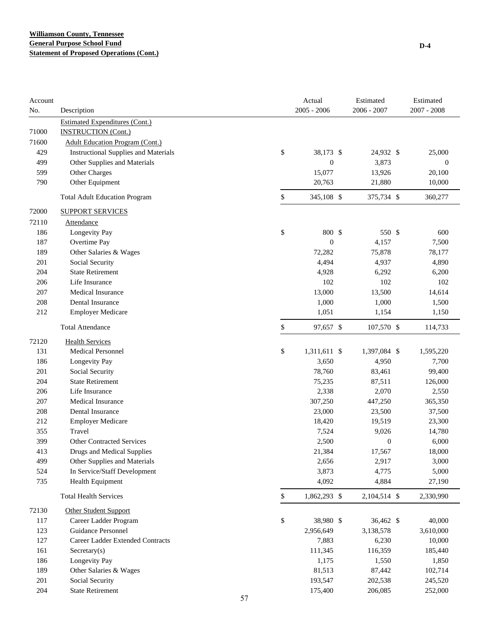| $2005 - 2006$<br>$2006 - 2007$<br>$2007 - 2008$<br>No.<br>Description<br><b>Estimated Expenditures (Cont.)</b><br>71000<br><b>INSTRUCTION (Cont.)</b><br>71600<br><b>Adult Education Program (Cont.)</b><br>\$<br>38,173 \$<br>429<br><b>Instructional Supplies and Materials</b><br>24,932 \$<br>25,000<br>$\boldsymbol{0}$<br>3,873<br>499<br>Other Supplies and Materials<br>$\boldsymbol{0}$<br>599<br>15,077<br>13,926<br>Other Charges<br>20,100<br>790<br>Other Equipment<br>20,763<br>21,880<br>10,000<br>\$<br>345,108 \$<br>375,734 \$<br>360,277<br><b>Total Adult Education Program</b><br>72000<br><b>SUPPORT SERVICES</b><br>72110<br>Attendance<br>\$<br>800 \$<br>550 \$<br>186<br>Longevity Pay<br>600<br>$\boldsymbol{0}$<br>4,157<br>187<br>Overtime Pay<br>7,500<br>189<br>Other Salaries & Wages<br>72,282<br>75,878<br>78,177<br>4,494<br>201<br>Social Security<br>4,937<br>4,890<br>204<br><b>State Retirement</b><br>4,928<br>6,292<br>6,200<br>Life Insurance<br>102<br>102<br>102<br>206<br>Medical Insurance<br>13,000<br>13,500<br>14,614<br>207<br>1,000<br>208<br>Dental Insurance<br>1,000<br>1,500<br>212<br><b>Employer Medicare</b><br>1,051<br>1,154<br>1,150<br>\$<br><b>Total Attendance</b><br>97,657 \$<br>107,570 \$<br>114,733<br>72120<br><b>Health Services</b><br>131<br>\$<br><b>Medical Personnel</b><br>1,311,611 \$<br>1,397,084 \$<br>1,595,220<br>186<br>Longevity Pay<br>3,650<br>4,950<br>7,700<br>201<br>Social Security<br>78,760<br>83,461<br>99,400<br>204<br><b>State Retirement</b><br>75,235<br>87,511<br>126,000<br>206<br>Life Insurance<br>2,338<br>2,070<br>2,550<br>Medical Insurance<br>207<br>307,250<br>447,250<br>365,350<br>208<br>Dental Insurance<br>23,000<br>23,500<br>37,500<br>212<br><b>Employer Medicare</b><br>18,420<br>19,519<br>23,300<br>Travel<br>7,524<br>355<br>9,026<br>14,780<br>399<br><b>Other Contracted Services</b><br>2,500<br>$\boldsymbol{0}$<br>6,000<br>413<br>21,384<br>17,567<br>18,000<br>Drugs and Medical Supplies<br>499<br>Other Supplies and Materials<br>2,917<br>2,656<br>3,000<br>In Service/Staff Development<br>3,873<br>4,775<br>524<br>5,000<br>735<br>4,092<br>Health Equipment<br>4,884<br>27,190<br>\$<br>1,862,293 \$<br><b>Total Health Services</b><br>2,104,514 \$<br>2,330,990<br>72130<br><b>Other Student Support</b><br>\$<br>117<br>Career Ladder Program<br>38,980 \$<br>36,462 \$<br>40,000<br>123<br>Guidance Personnel<br>2,956,649<br>3,138,578<br>3,610,000<br>127<br>Career Ladder Extended Contracts<br>7,883<br>6,230<br>10,000<br>161<br>Secretary(s)<br>111,345<br>116,359<br>185,440<br>186<br>Longevity Pay<br>1,175<br>1,550<br>1,850<br>Other Salaries & Wages<br>81,513<br>87,442<br>189<br>102,714<br>201<br>Social Security<br>193,547<br>202,538<br>245,520<br>204<br><b>State Retirement</b><br>175,400<br>206,085<br>252,000<br>57 | Account |  | Actual | Estimated | Estimated |
|--------------------------------------------------------------------------------------------------------------------------------------------------------------------------------------------------------------------------------------------------------------------------------------------------------------------------------------------------------------------------------------------------------------------------------------------------------------------------------------------------------------------------------------------------------------------------------------------------------------------------------------------------------------------------------------------------------------------------------------------------------------------------------------------------------------------------------------------------------------------------------------------------------------------------------------------------------------------------------------------------------------------------------------------------------------------------------------------------------------------------------------------------------------------------------------------------------------------------------------------------------------------------------------------------------------------------------------------------------------------------------------------------------------------------------------------------------------------------------------------------------------------------------------------------------------------------------------------------------------------------------------------------------------------------------------------------------------------------------------------------------------------------------------------------------------------------------------------------------------------------------------------------------------------------------------------------------------------------------------------------------------------------------------------------------------------------------------------------------------------------------------------------------------------------------------------------------------------------------------------------------------------------------------------------------------------------------------------------------------------------------------------------------------------------------------------------------------------------------------------------------------------------------------------------------------------------------------------------------------------------------------------------------------------------------------------------------------------------------------------------------------------------------------------------------------------------------------------------------------------------------------|---------|--|--------|-----------|-----------|
|                                                                                                                                                                                                                                                                                                                                                                                                                                                                                                                                                                                                                                                                                                                                                                                                                                                                                                                                                                                                                                                                                                                                                                                                                                                                                                                                                                                                                                                                                                                                                                                                                                                                                                                                                                                                                                                                                                                                                                                                                                                                                                                                                                                                                                                                                                                                                                                                                                                                                                                                                                                                                                                                                                                                                                                                                                                                                      |         |  |        |           |           |
|                                                                                                                                                                                                                                                                                                                                                                                                                                                                                                                                                                                                                                                                                                                                                                                                                                                                                                                                                                                                                                                                                                                                                                                                                                                                                                                                                                                                                                                                                                                                                                                                                                                                                                                                                                                                                                                                                                                                                                                                                                                                                                                                                                                                                                                                                                                                                                                                                                                                                                                                                                                                                                                                                                                                                                                                                                                                                      |         |  |        |           |           |
|                                                                                                                                                                                                                                                                                                                                                                                                                                                                                                                                                                                                                                                                                                                                                                                                                                                                                                                                                                                                                                                                                                                                                                                                                                                                                                                                                                                                                                                                                                                                                                                                                                                                                                                                                                                                                                                                                                                                                                                                                                                                                                                                                                                                                                                                                                                                                                                                                                                                                                                                                                                                                                                                                                                                                                                                                                                                                      |         |  |        |           |           |
|                                                                                                                                                                                                                                                                                                                                                                                                                                                                                                                                                                                                                                                                                                                                                                                                                                                                                                                                                                                                                                                                                                                                                                                                                                                                                                                                                                                                                                                                                                                                                                                                                                                                                                                                                                                                                                                                                                                                                                                                                                                                                                                                                                                                                                                                                                                                                                                                                                                                                                                                                                                                                                                                                                                                                                                                                                                                                      |         |  |        |           |           |
|                                                                                                                                                                                                                                                                                                                                                                                                                                                                                                                                                                                                                                                                                                                                                                                                                                                                                                                                                                                                                                                                                                                                                                                                                                                                                                                                                                                                                                                                                                                                                                                                                                                                                                                                                                                                                                                                                                                                                                                                                                                                                                                                                                                                                                                                                                                                                                                                                                                                                                                                                                                                                                                                                                                                                                                                                                                                                      |         |  |        |           |           |
|                                                                                                                                                                                                                                                                                                                                                                                                                                                                                                                                                                                                                                                                                                                                                                                                                                                                                                                                                                                                                                                                                                                                                                                                                                                                                                                                                                                                                                                                                                                                                                                                                                                                                                                                                                                                                                                                                                                                                                                                                                                                                                                                                                                                                                                                                                                                                                                                                                                                                                                                                                                                                                                                                                                                                                                                                                                                                      |         |  |        |           |           |
|                                                                                                                                                                                                                                                                                                                                                                                                                                                                                                                                                                                                                                                                                                                                                                                                                                                                                                                                                                                                                                                                                                                                                                                                                                                                                                                                                                                                                                                                                                                                                                                                                                                                                                                                                                                                                                                                                                                                                                                                                                                                                                                                                                                                                                                                                                                                                                                                                                                                                                                                                                                                                                                                                                                                                                                                                                                                                      |         |  |        |           |           |
|                                                                                                                                                                                                                                                                                                                                                                                                                                                                                                                                                                                                                                                                                                                                                                                                                                                                                                                                                                                                                                                                                                                                                                                                                                                                                                                                                                                                                                                                                                                                                                                                                                                                                                                                                                                                                                                                                                                                                                                                                                                                                                                                                                                                                                                                                                                                                                                                                                                                                                                                                                                                                                                                                                                                                                                                                                                                                      |         |  |        |           |           |
|                                                                                                                                                                                                                                                                                                                                                                                                                                                                                                                                                                                                                                                                                                                                                                                                                                                                                                                                                                                                                                                                                                                                                                                                                                                                                                                                                                                                                                                                                                                                                                                                                                                                                                                                                                                                                                                                                                                                                                                                                                                                                                                                                                                                                                                                                                                                                                                                                                                                                                                                                                                                                                                                                                                                                                                                                                                                                      |         |  |        |           |           |
|                                                                                                                                                                                                                                                                                                                                                                                                                                                                                                                                                                                                                                                                                                                                                                                                                                                                                                                                                                                                                                                                                                                                                                                                                                                                                                                                                                                                                                                                                                                                                                                                                                                                                                                                                                                                                                                                                                                                                                                                                                                                                                                                                                                                                                                                                                                                                                                                                                                                                                                                                                                                                                                                                                                                                                                                                                                                                      |         |  |        |           |           |
|                                                                                                                                                                                                                                                                                                                                                                                                                                                                                                                                                                                                                                                                                                                                                                                                                                                                                                                                                                                                                                                                                                                                                                                                                                                                                                                                                                                                                                                                                                                                                                                                                                                                                                                                                                                                                                                                                                                                                                                                                                                                                                                                                                                                                                                                                                                                                                                                                                                                                                                                                                                                                                                                                                                                                                                                                                                                                      |         |  |        |           |           |
|                                                                                                                                                                                                                                                                                                                                                                                                                                                                                                                                                                                                                                                                                                                                                                                                                                                                                                                                                                                                                                                                                                                                                                                                                                                                                                                                                                                                                                                                                                                                                                                                                                                                                                                                                                                                                                                                                                                                                                                                                                                                                                                                                                                                                                                                                                                                                                                                                                                                                                                                                                                                                                                                                                                                                                                                                                                                                      |         |  |        |           |           |
|                                                                                                                                                                                                                                                                                                                                                                                                                                                                                                                                                                                                                                                                                                                                                                                                                                                                                                                                                                                                                                                                                                                                                                                                                                                                                                                                                                                                                                                                                                                                                                                                                                                                                                                                                                                                                                                                                                                                                                                                                                                                                                                                                                                                                                                                                                                                                                                                                                                                                                                                                                                                                                                                                                                                                                                                                                                                                      |         |  |        |           |           |
|                                                                                                                                                                                                                                                                                                                                                                                                                                                                                                                                                                                                                                                                                                                                                                                                                                                                                                                                                                                                                                                                                                                                                                                                                                                                                                                                                                                                                                                                                                                                                                                                                                                                                                                                                                                                                                                                                                                                                                                                                                                                                                                                                                                                                                                                                                                                                                                                                                                                                                                                                                                                                                                                                                                                                                                                                                                                                      |         |  |        |           |           |
|                                                                                                                                                                                                                                                                                                                                                                                                                                                                                                                                                                                                                                                                                                                                                                                                                                                                                                                                                                                                                                                                                                                                                                                                                                                                                                                                                                                                                                                                                                                                                                                                                                                                                                                                                                                                                                                                                                                                                                                                                                                                                                                                                                                                                                                                                                                                                                                                                                                                                                                                                                                                                                                                                                                                                                                                                                                                                      |         |  |        |           |           |
|                                                                                                                                                                                                                                                                                                                                                                                                                                                                                                                                                                                                                                                                                                                                                                                                                                                                                                                                                                                                                                                                                                                                                                                                                                                                                                                                                                                                                                                                                                                                                                                                                                                                                                                                                                                                                                                                                                                                                                                                                                                                                                                                                                                                                                                                                                                                                                                                                                                                                                                                                                                                                                                                                                                                                                                                                                                                                      |         |  |        |           |           |
|                                                                                                                                                                                                                                                                                                                                                                                                                                                                                                                                                                                                                                                                                                                                                                                                                                                                                                                                                                                                                                                                                                                                                                                                                                                                                                                                                                                                                                                                                                                                                                                                                                                                                                                                                                                                                                                                                                                                                                                                                                                                                                                                                                                                                                                                                                                                                                                                                                                                                                                                                                                                                                                                                                                                                                                                                                                                                      |         |  |        |           |           |
|                                                                                                                                                                                                                                                                                                                                                                                                                                                                                                                                                                                                                                                                                                                                                                                                                                                                                                                                                                                                                                                                                                                                                                                                                                                                                                                                                                                                                                                                                                                                                                                                                                                                                                                                                                                                                                                                                                                                                                                                                                                                                                                                                                                                                                                                                                                                                                                                                                                                                                                                                                                                                                                                                                                                                                                                                                                                                      |         |  |        |           |           |
|                                                                                                                                                                                                                                                                                                                                                                                                                                                                                                                                                                                                                                                                                                                                                                                                                                                                                                                                                                                                                                                                                                                                                                                                                                                                                                                                                                                                                                                                                                                                                                                                                                                                                                                                                                                                                                                                                                                                                                                                                                                                                                                                                                                                                                                                                                                                                                                                                                                                                                                                                                                                                                                                                                                                                                                                                                                                                      |         |  |        |           |           |
|                                                                                                                                                                                                                                                                                                                                                                                                                                                                                                                                                                                                                                                                                                                                                                                                                                                                                                                                                                                                                                                                                                                                                                                                                                                                                                                                                                                                                                                                                                                                                                                                                                                                                                                                                                                                                                                                                                                                                                                                                                                                                                                                                                                                                                                                                                                                                                                                                                                                                                                                                                                                                                                                                                                                                                                                                                                                                      |         |  |        |           |           |
|                                                                                                                                                                                                                                                                                                                                                                                                                                                                                                                                                                                                                                                                                                                                                                                                                                                                                                                                                                                                                                                                                                                                                                                                                                                                                                                                                                                                                                                                                                                                                                                                                                                                                                                                                                                                                                                                                                                                                                                                                                                                                                                                                                                                                                                                                                                                                                                                                                                                                                                                                                                                                                                                                                                                                                                                                                                                                      |         |  |        |           |           |
|                                                                                                                                                                                                                                                                                                                                                                                                                                                                                                                                                                                                                                                                                                                                                                                                                                                                                                                                                                                                                                                                                                                                                                                                                                                                                                                                                                                                                                                                                                                                                                                                                                                                                                                                                                                                                                                                                                                                                                                                                                                                                                                                                                                                                                                                                                                                                                                                                                                                                                                                                                                                                                                                                                                                                                                                                                                                                      |         |  |        |           |           |
|                                                                                                                                                                                                                                                                                                                                                                                                                                                                                                                                                                                                                                                                                                                                                                                                                                                                                                                                                                                                                                                                                                                                                                                                                                                                                                                                                                                                                                                                                                                                                                                                                                                                                                                                                                                                                                                                                                                                                                                                                                                                                                                                                                                                                                                                                                                                                                                                                                                                                                                                                                                                                                                                                                                                                                                                                                                                                      |         |  |        |           |           |
|                                                                                                                                                                                                                                                                                                                                                                                                                                                                                                                                                                                                                                                                                                                                                                                                                                                                                                                                                                                                                                                                                                                                                                                                                                                                                                                                                                                                                                                                                                                                                                                                                                                                                                                                                                                                                                                                                                                                                                                                                                                                                                                                                                                                                                                                                                                                                                                                                                                                                                                                                                                                                                                                                                                                                                                                                                                                                      |         |  |        |           |           |
|                                                                                                                                                                                                                                                                                                                                                                                                                                                                                                                                                                                                                                                                                                                                                                                                                                                                                                                                                                                                                                                                                                                                                                                                                                                                                                                                                                                                                                                                                                                                                                                                                                                                                                                                                                                                                                                                                                                                                                                                                                                                                                                                                                                                                                                                                                                                                                                                                                                                                                                                                                                                                                                                                                                                                                                                                                                                                      |         |  |        |           |           |
|                                                                                                                                                                                                                                                                                                                                                                                                                                                                                                                                                                                                                                                                                                                                                                                                                                                                                                                                                                                                                                                                                                                                                                                                                                                                                                                                                                                                                                                                                                                                                                                                                                                                                                                                                                                                                                                                                                                                                                                                                                                                                                                                                                                                                                                                                                                                                                                                                                                                                                                                                                                                                                                                                                                                                                                                                                                                                      |         |  |        |           |           |
|                                                                                                                                                                                                                                                                                                                                                                                                                                                                                                                                                                                                                                                                                                                                                                                                                                                                                                                                                                                                                                                                                                                                                                                                                                                                                                                                                                                                                                                                                                                                                                                                                                                                                                                                                                                                                                                                                                                                                                                                                                                                                                                                                                                                                                                                                                                                                                                                                                                                                                                                                                                                                                                                                                                                                                                                                                                                                      |         |  |        |           |           |
|                                                                                                                                                                                                                                                                                                                                                                                                                                                                                                                                                                                                                                                                                                                                                                                                                                                                                                                                                                                                                                                                                                                                                                                                                                                                                                                                                                                                                                                                                                                                                                                                                                                                                                                                                                                                                                                                                                                                                                                                                                                                                                                                                                                                                                                                                                                                                                                                                                                                                                                                                                                                                                                                                                                                                                                                                                                                                      |         |  |        |           |           |
|                                                                                                                                                                                                                                                                                                                                                                                                                                                                                                                                                                                                                                                                                                                                                                                                                                                                                                                                                                                                                                                                                                                                                                                                                                                                                                                                                                                                                                                                                                                                                                                                                                                                                                                                                                                                                                                                                                                                                                                                                                                                                                                                                                                                                                                                                                                                                                                                                                                                                                                                                                                                                                                                                                                                                                                                                                                                                      |         |  |        |           |           |
|                                                                                                                                                                                                                                                                                                                                                                                                                                                                                                                                                                                                                                                                                                                                                                                                                                                                                                                                                                                                                                                                                                                                                                                                                                                                                                                                                                                                                                                                                                                                                                                                                                                                                                                                                                                                                                                                                                                                                                                                                                                                                                                                                                                                                                                                                                                                                                                                                                                                                                                                                                                                                                                                                                                                                                                                                                                                                      |         |  |        |           |           |
|                                                                                                                                                                                                                                                                                                                                                                                                                                                                                                                                                                                                                                                                                                                                                                                                                                                                                                                                                                                                                                                                                                                                                                                                                                                                                                                                                                                                                                                                                                                                                                                                                                                                                                                                                                                                                                                                                                                                                                                                                                                                                                                                                                                                                                                                                                                                                                                                                                                                                                                                                                                                                                                                                                                                                                                                                                                                                      |         |  |        |           |           |
|                                                                                                                                                                                                                                                                                                                                                                                                                                                                                                                                                                                                                                                                                                                                                                                                                                                                                                                                                                                                                                                                                                                                                                                                                                                                                                                                                                                                                                                                                                                                                                                                                                                                                                                                                                                                                                                                                                                                                                                                                                                                                                                                                                                                                                                                                                                                                                                                                                                                                                                                                                                                                                                                                                                                                                                                                                                                                      |         |  |        |           |           |
|                                                                                                                                                                                                                                                                                                                                                                                                                                                                                                                                                                                                                                                                                                                                                                                                                                                                                                                                                                                                                                                                                                                                                                                                                                                                                                                                                                                                                                                                                                                                                                                                                                                                                                                                                                                                                                                                                                                                                                                                                                                                                                                                                                                                                                                                                                                                                                                                                                                                                                                                                                                                                                                                                                                                                                                                                                                                                      |         |  |        |           |           |
|                                                                                                                                                                                                                                                                                                                                                                                                                                                                                                                                                                                                                                                                                                                                                                                                                                                                                                                                                                                                                                                                                                                                                                                                                                                                                                                                                                                                                                                                                                                                                                                                                                                                                                                                                                                                                                                                                                                                                                                                                                                                                                                                                                                                                                                                                                                                                                                                                                                                                                                                                                                                                                                                                                                                                                                                                                                                                      |         |  |        |           |           |
|                                                                                                                                                                                                                                                                                                                                                                                                                                                                                                                                                                                                                                                                                                                                                                                                                                                                                                                                                                                                                                                                                                                                                                                                                                                                                                                                                                                                                                                                                                                                                                                                                                                                                                                                                                                                                                                                                                                                                                                                                                                                                                                                                                                                                                                                                                                                                                                                                                                                                                                                                                                                                                                                                                                                                                                                                                                                                      |         |  |        |           |           |
|                                                                                                                                                                                                                                                                                                                                                                                                                                                                                                                                                                                                                                                                                                                                                                                                                                                                                                                                                                                                                                                                                                                                                                                                                                                                                                                                                                                                                                                                                                                                                                                                                                                                                                                                                                                                                                                                                                                                                                                                                                                                                                                                                                                                                                                                                                                                                                                                                                                                                                                                                                                                                                                                                                                                                                                                                                                                                      |         |  |        |           |           |
|                                                                                                                                                                                                                                                                                                                                                                                                                                                                                                                                                                                                                                                                                                                                                                                                                                                                                                                                                                                                                                                                                                                                                                                                                                                                                                                                                                                                                                                                                                                                                                                                                                                                                                                                                                                                                                                                                                                                                                                                                                                                                                                                                                                                                                                                                                                                                                                                                                                                                                                                                                                                                                                                                                                                                                                                                                                                                      |         |  |        |           |           |
|                                                                                                                                                                                                                                                                                                                                                                                                                                                                                                                                                                                                                                                                                                                                                                                                                                                                                                                                                                                                                                                                                                                                                                                                                                                                                                                                                                                                                                                                                                                                                                                                                                                                                                                                                                                                                                                                                                                                                                                                                                                                                                                                                                                                                                                                                                                                                                                                                                                                                                                                                                                                                                                                                                                                                                                                                                                                                      |         |  |        |           |           |
|                                                                                                                                                                                                                                                                                                                                                                                                                                                                                                                                                                                                                                                                                                                                                                                                                                                                                                                                                                                                                                                                                                                                                                                                                                                                                                                                                                                                                                                                                                                                                                                                                                                                                                                                                                                                                                                                                                                                                                                                                                                                                                                                                                                                                                                                                                                                                                                                                                                                                                                                                                                                                                                                                                                                                                                                                                                                                      |         |  |        |           |           |
|                                                                                                                                                                                                                                                                                                                                                                                                                                                                                                                                                                                                                                                                                                                                                                                                                                                                                                                                                                                                                                                                                                                                                                                                                                                                                                                                                                                                                                                                                                                                                                                                                                                                                                                                                                                                                                                                                                                                                                                                                                                                                                                                                                                                                                                                                                                                                                                                                                                                                                                                                                                                                                                                                                                                                                                                                                                                                      |         |  |        |           |           |
|                                                                                                                                                                                                                                                                                                                                                                                                                                                                                                                                                                                                                                                                                                                                                                                                                                                                                                                                                                                                                                                                                                                                                                                                                                                                                                                                                                                                                                                                                                                                                                                                                                                                                                                                                                                                                                                                                                                                                                                                                                                                                                                                                                                                                                                                                                                                                                                                                                                                                                                                                                                                                                                                                                                                                                                                                                                                                      |         |  |        |           |           |
|                                                                                                                                                                                                                                                                                                                                                                                                                                                                                                                                                                                                                                                                                                                                                                                                                                                                                                                                                                                                                                                                                                                                                                                                                                                                                                                                                                                                                                                                                                                                                                                                                                                                                                                                                                                                                                                                                                                                                                                                                                                                                                                                                                                                                                                                                                                                                                                                                                                                                                                                                                                                                                                                                                                                                                                                                                                                                      |         |  |        |           |           |
|                                                                                                                                                                                                                                                                                                                                                                                                                                                                                                                                                                                                                                                                                                                                                                                                                                                                                                                                                                                                                                                                                                                                                                                                                                                                                                                                                                                                                                                                                                                                                                                                                                                                                                                                                                                                                                                                                                                                                                                                                                                                                                                                                                                                                                                                                                                                                                                                                                                                                                                                                                                                                                                                                                                                                                                                                                                                                      |         |  |        |           |           |
|                                                                                                                                                                                                                                                                                                                                                                                                                                                                                                                                                                                                                                                                                                                                                                                                                                                                                                                                                                                                                                                                                                                                                                                                                                                                                                                                                                                                                                                                                                                                                                                                                                                                                                                                                                                                                                                                                                                                                                                                                                                                                                                                                                                                                                                                                                                                                                                                                                                                                                                                                                                                                                                                                                                                                                                                                                                                                      |         |  |        |           |           |
|                                                                                                                                                                                                                                                                                                                                                                                                                                                                                                                                                                                                                                                                                                                                                                                                                                                                                                                                                                                                                                                                                                                                                                                                                                                                                                                                                                                                                                                                                                                                                                                                                                                                                                                                                                                                                                                                                                                                                                                                                                                                                                                                                                                                                                                                                                                                                                                                                                                                                                                                                                                                                                                                                                                                                                                                                                                                                      |         |  |        |           |           |
|                                                                                                                                                                                                                                                                                                                                                                                                                                                                                                                                                                                                                                                                                                                                                                                                                                                                                                                                                                                                                                                                                                                                                                                                                                                                                                                                                                                                                                                                                                                                                                                                                                                                                                                                                                                                                                                                                                                                                                                                                                                                                                                                                                                                                                                                                                                                                                                                                                                                                                                                                                                                                                                                                                                                                                                                                                                                                      |         |  |        |           |           |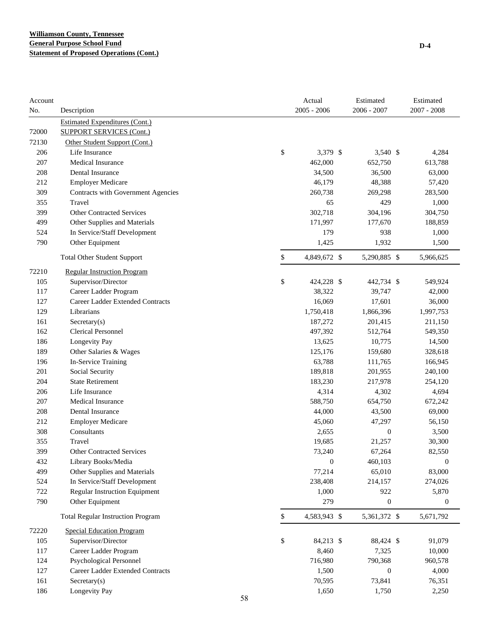| Account<br>No. | Description                              | Actual<br>$2005 - 2006$ | Estimated<br>$2006 - 2007$ | Estimated<br>$2007 - 2008$ |
|----------------|------------------------------------------|-------------------------|----------------------------|----------------------------|
|                | <b>Estimated Expenditures (Cont.)</b>    |                         |                            |                            |
| 72000          | <b>SUPPORT SERVICES (Cont.)</b>          |                         |                            |                            |
| 72130          | Other Student Support (Cont.)            |                         |                            |                            |
| 206            | Life Insurance                           | \$<br>3,379 \$          | 3,540 \$                   | 4,284                      |
| 207            | <b>Medical Insurance</b>                 | 462,000                 | 652,750                    | 613,788                    |
| 208            | Dental Insurance                         | 34,500                  | 36,500                     | 63,000                     |
| 212            | <b>Employer Medicare</b>                 | 46,179                  | 48,388                     | 57,420                     |
| 309            | Contracts with Government Agencies       | 260,738                 | 269,298                    | 283,500                    |
| 355            | Travel                                   | 65                      | 429                        | 1,000                      |
| 399            | <b>Other Contracted Services</b>         | 302,718                 | 304,196                    | 304,750                    |
| 499            | Other Supplies and Materials             | 171,997                 | 177,670                    | 188,859                    |
| 524            | In Service/Staff Development             | 179                     | 938                        | 1,000                      |
| 790            | Other Equipment                          | 1,425                   | 1,932                      | 1,500                      |
|                | <b>Total Other Student Support</b>       | \$<br>4,849,672 \$      | 5,290,885 \$               | 5,966,625                  |
| 72210          | <b>Regular Instruction Program</b>       |                         |                            |                            |
| 105            | Supervisor/Director                      | \$<br>424,228 \$        | 442,734 \$                 | 549,924                    |
| 117            | Career Ladder Program                    | 38,322                  | 39,747                     | 42,000                     |
| 127            | Career Ladder Extended Contracts         | 16,069                  | 17,601                     | 36,000                     |
| 129            | Librarians                               | 1,750,418               | 1,866,396                  | 1,997,753                  |
| 161            | $S \text{ecretary}(s)$                   | 187,272                 | 201,415                    | 211,150                    |
| 162            | <b>Clerical Personnel</b>                | 497,392                 | 512,764                    | 549,350                    |
| 186            | Longevity Pay                            | 13,625                  | 10,775                     | 14,500                     |
| 189            | Other Salaries & Wages                   | 125,176                 | 159,680                    | 328,618                    |
| 196            | In-Service Training                      | 63,788                  | 111,765                    | 166,945                    |
| 201            | Social Security                          | 189,818                 | 201,955                    | 240,100                    |
| 204            | <b>State Retirement</b>                  | 183,230                 | 217,978                    | 254,120                    |
| 206            | Life Insurance                           | 4,314                   | 4,302                      | 4,694                      |
| 207            | <b>Medical Insurance</b>                 | 588,750                 | 654,750                    | 672,242                    |
| 208            | Dental Insurance                         | 44,000                  | 43,500                     | 69,000                     |
| 212            | <b>Employer Medicare</b>                 | 45,060                  | 47,297                     | 56,150                     |
| 308            | Consultants                              | 2,655                   | $\boldsymbol{0}$           | 3,500                      |
| 355            | Travel                                   | 19,685                  | 21,257                     | 30,300                     |
| 399            | <b>Other Contracted Services</b>         | 73,240                  | 67,264                     | 82,550                     |
| 432            | Library Books/Media                      | $\boldsymbol{0}$        | 460,103                    | $\mathbf{0}$               |
| 499            | Other Supplies and Materials             | 77,214                  | 65,010                     | 83,000                     |
| 524            | In Service/Staff Development             | 238,408                 | 214,157                    | 274,026                    |
| 722            | Regular Instruction Equipment            | 1,000                   | 922                        | 5,870                      |
| 790            | Other Equipment                          | 279                     | $\boldsymbol{0}$           | $\boldsymbol{0}$           |
|                | <b>Total Regular Instruction Program</b> | \$<br>4,583,943 \$      | 5,361,372 \$               | 5,671,792                  |
| 72220          | <b>Special Education Program</b>         |                         |                            |                            |
| 105            | Supervisor/Director                      | \$<br>84,213 \$         | 88,424 \$                  | 91,079                     |
| 117            | Career Ladder Program                    | 8,460                   | 7,325                      | 10,000                     |
| 124            | Psychological Personnel                  | 716,980                 | 790,368                    | 960,578                    |
| 127            | Career Ladder Extended Contracts         | 1,500                   | $\mathbf{0}$               | 4,000                      |
| 161            | Sercetary(s)                             | 70,595                  | 73,841                     | 76,351                     |
| 186            | Longevity Pay                            | 1,650                   | 1,750                      | 2,250                      |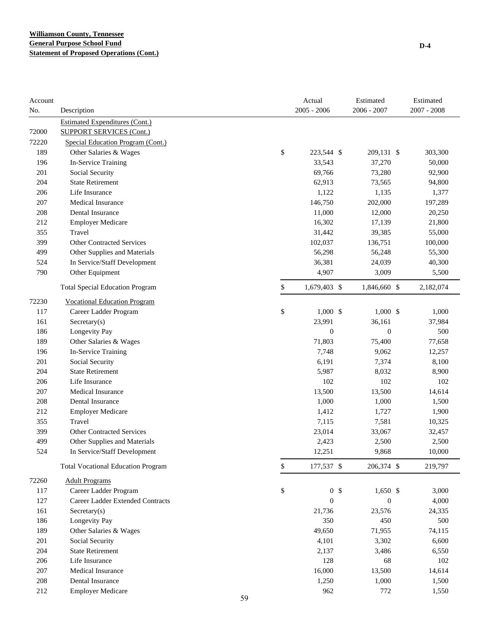| Account<br>No. | Description                               | Actual<br>$2005 - 2006$ | Estimated<br>2006 - 2007     | Estimated<br>$2007 - 2008$ |
|----------------|-------------------------------------------|-------------------------|------------------------------|----------------------------|
|                | <b>Estimated Expenditures (Cont.)</b>     |                         |                              |                            |
| 72000          | <b>SUPPORT SERVICES (Cont.)</b>           |                         |                              |                            |
| 72220          | Special Education Program (Cont.)         |                         |                              |                            |
| 189            | Other Salaries & Wages                    | \$<br>223,544 \$        | 209,131 \$                   | 303,300                    |
| 196            | In-Service Training                       | 33,543                  | 37,270                       | 50,000                     |
| 201            | Social Security                           | 69,766                  | 73,280                       | 92,900                     |
| 204            | <b>State Retirement</b>                   | 62,913                  | 73,565                       | 94,800                     |
| 206            | Life Insurance                            | 1,122                   | 1,135                        | 1,377                      |
| 207            | <b>Medical Insurance</b>                  | 146,750                 | 202,000                      | 197,289                    |
| 208            | Dental Insurance                          | 11,000                  | 12,000                       | 20,250                     |
| 212            | <b>Employer Medicare</b>                  | 16,302                  | 17,139                       | 21,800                     |
| 355            | Travel                                    | 31,442                  | 39,385                       | 55,000                     |
| 399            | <b>Other Contracted Services</b>          | 102,037                 | 136,751                      | 100,000                    |
| 499            | Other Supplies and Materials              | 56,298                  | 56,248                       | 55,300                     |
| 524            | In Service/Staff Development              | 36,381                  | 24,039                       | 40,300                     |
| 790            | Other Equipment                           | 4,907                   | 3,009                        | 5,500                      |
|                | <b>Total Special Education Program</b>    | \$<br>1,679,403 \$      | 1,846,660 \$                 | 2,182,074                  |
| 72230          | <b>Vocational Education Program</b>       |                         |                              |                            |
| 117            | Career Ladder Program                     | \$<br>$1,000$ \$        | $1,000$ \$                   | 1,000                      |
| 161            | Sercetary(s)                              | 23,991                  | 36,161                       | 37,984                     |
| 186            | Longevity Pay                             | $\mathbf{0}$            | $\boldsymbol{0}$             | 500                        |
| 189            | Other Salaries & Wages                    | 71,803                  | 75,400                       | 77,658                     |
| 196            | In-Service Training                       | 7,748                   | 9,062                        | 12,257                     |
| 201            | Social Security                           | 6,191                   | 7,374                        | 8,100                      |
| 204            | <b>State Retirement</b>                   | 5,987                   | 8,032                        | 8,900                      |
| 206            | Life Insurance                            | 102                     | 102                          | 102                        |
| 207            | <b>Medical Insurance</b>                  | 13,500                  | 13,500                       | 14,614                     |
| 208            | Dental Insurance                          | 1,000                   | 1,000                        | 1,500                      |
| 212            | <b>Employer Medicare</b>                  | 1,412                   | 1,727                        | 1,900                      |
| 355            | Travel                                    | 7,115                   | 7,581                        | 10,325                     |
| 399            | <b>Other Contracted Services</b>          | 23,014                  | 33,067                       | 32,457                     |
| 499            | Other Supplies and Materials              | 2,423                   | 2,500                        | 2,500                      |
| 524            | In Service/Staff Development              | 12,251                  | 9,868                        | 10,000                     |
|                | <b>Total Vocational Education Program</b> | \$<br>177,537 \$        | 206,374 \$                   | 219,797                    |
| 72260          | <b>Adult Programs</b>                     |                         |                              |                            |
| 117            | Career Ladder Program                     | \$                      | 0 <sup>5</sup><br>$1,650$ \$ | 3,000                      |
| 127            | <b>Career Ladder Extended Contracts</b>   | $\boldsymbol{0}$        | $\boldsymbol{0}$             | 4,000                      |
| 161            | Secretary(s)                              | 21,736                  | 23,576                       | 24,335                     |
| 186            | Longevity Pay                             | 350                     | 450                          | 500                        |
| 189            | Other Salaries & Wages                    | 49,650                  | 71,955                       | 74,115                     |
| 201            | Social Security                           | 4,101                   | 3,302                        | 6,600                      |
| 204            | <b>State Retirement</b>                   | 2,137                   | 3,486                        | 6,550                      |
| 206            | Life Insurance                            | 128                     | 68                           | 102                        |
| 207            | Medical Insurance                         | 16,000                  | 13,500                       | 14,614                     |
| 208            | Dental Insurance                          | 1,250                   | 1,000                        | 1,500                      |
| 212            | <b>Employer Medicare</b>                  | 962                     | 772                          | 1,550                      |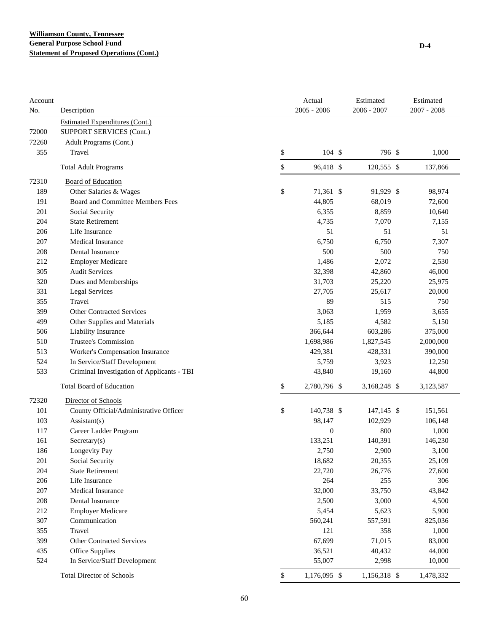| Account<br>No. | Description                                | Actual<br>$2005 - 2006$ | Estimated<br>2006 - 2007 | Estimated<br>$2007 - 2008$ |
|----------------|--------------------------------------------|-------------------------|--------------------------|----------------------------|
|                | <b>Estimated Expenditures (Cont.)</b>      |                         |                          |                            |
| 72000          | <b>SUPPORT SERVICES (Cont.)</b>            |                         |                          |                            |
| 72260          | Adult Programs (Cont.)                     |                         |                          |                            |
| 355            | Travel                                     | \$<br>104S              | 796 \$                   | 1,000                      |
|                | <b>Total Adult Programs</b>                | \$<br>96,418 \$         | 120,555 \$               | 137,866                    |
| 72310          | <b>Board of Education</b>                  |                         |                          |                            |
| 189            | Other Salaries & Wages                     | \$<br>71,361 \$         | 91,929 \$                | 98,974                     |
| 191            | Board and Committee Members Fees           | 44,805                  | 68,019                   | 72,600                     |
| 201            | Social Security                            | 6,355                   | 8,859                    | 10,640                     |
| 204            | <b>State Retirement</b>                    | 4,735                   | 7,070                    | 7,155                      |
| 206            | Life Insurance                             | 51                      | 51                       | 51                         |
| 207            | Medical Insurance                          | 6,750                   | 6,750                    | 7,307                      |
| 208            | Dental Insurance                           | 500                     | 500                      | 750                        |
| 212            | <b>Employer Medicare</b>                   | 1,486                   | 2,072                    | 2,530                      |
| 305            | <b>Audit Services</b>                      | 32,398                  | 42,860                   | 46,000                     |
| 320            | Dues and Memberships                       | 31,703                  | 25,220                   | 25,975                     |
| 331            | <b>Legal Services</b>                      | 27,705                  | 25,617                   | 20,000                     |
| 355            | Travel                                     | 89                      | 515                      | 750                        |
| 399            | <b>Other Contracted Services</b>           | 3,063                   | 1,959                    | 3,655                      |
| 499            | Other Supplies and Materials               | 5,185                   | 4,582                    | 5,150                      |
| 506            | Liability Insurance                        | 366,644                 | 603,286                  | 375,000                    |
| 510            | Trustee's Commission                       | 1,698,986               | 1,827,545                | 2,000,000                  |
| 513            | Worker's Compensation Insurance            | 429,381                 | 428,331                  | 390,000                    |
| 524            | In Service/Staff Development               | 5,759                   | 3,923                    | 12,250                     |
| 533            | Criminal Investigation of Applicants - TBI | 43,840                  | 19,160                   | 44,800                     |
|                | <b>Total Board of Education</b>            | \$<br>2,780,796 \$      | 3,168,248 \$             | 3,123,587                  |
| 72320          | Director of Schools                        |                         |                          |                            |
| 101            | County Official/Administrative Officer     | \$<br>140,738 \$        | 147,145 \$               | 151,561                    |
| 103            | Assistant(s)                               | 98,147                  | 102,929                  | 106,148                    |
| 117            | Career Ladder Program                      | $\mathbf{0}$            | 800                      | 1,000                      |
| 161            | $S \text{eccetary}(s)$                     | 133,251                 | 140,391                  | 146,230                    |
| 186            | Longevity Pay                              | 2,750                   | 2,900                    | 3,100                      |
| 201            | Social Security                            | 18,682                  | 20,355                   | 25,109                     |
| 204            | <b>State Retirement</b>                    | 22,720                  | 26,776                   | 27,600                     |
| 206            | Life Insurance                             | 264                     | 255                      | 306                        |
| 207            | Medical Insurance                          | 32,000                  | 33,750                   | 43,842                     |
| 208            | Dental Insurance                           | 2,500                   | 3,000                    | 4,500                      |
| 212            | <b>Employer Medicare</b>                   | 5,454                   | 5,623                    | 5,900                      |
| 307            | Communication                              | 560,241                 | 557,591                  | 825,036                    |
| 355            | Travel                                     | 121                     | 358                      | 1,000                      |
| 399            | <b>Other Contracted Services</b>           | 67,699                  | 71,015                   | 83,000                     |
| 435            | Office Supplies                            | 36,521                  | 40,432                   | 44,000                     |
| 524            | In Service/Staff Development               | 55,007                  | 2,998                    | 10,000                     |
|                | <b>Total Director of Schools</b>           | \$<br>1,176,095 \$      | 1,156,318 \$             | 1,478,332                  |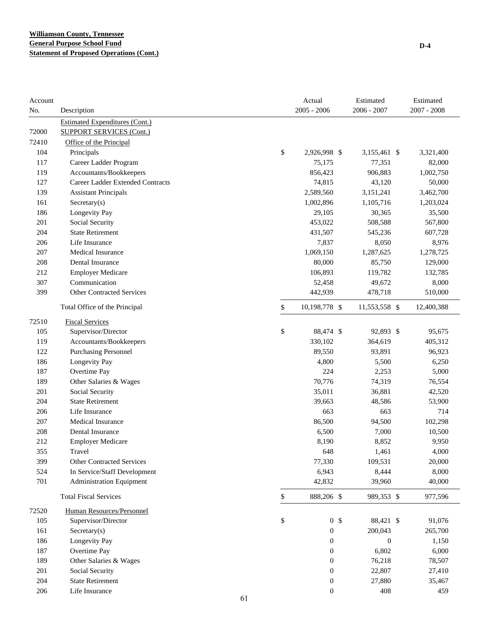| Account<br>No. |                                                                          |              | Actual<br>$2005 - 2006$ | Estimated<br>$2006 - 2007$  | Estimated<br>$2007 - 2008$ |
|----------------|--------------------------------------------------------------------------|--------------|-------------------------|-----------------------------|----------------------------|
|                | Description                                                              |              |                         |                             |                            |
| 72000          | <b>Estimated Expenditures (Cont.)</b><br><b>SUPPORT SERVICES (Cont.)</b> |              |                         |                             |                            |
| 72410          | Office of the Principal                                                  |              |                         |                             |                            |
| 104            | Principals                                                               | \$           | 2,926,998 \$            | 3,155,461 \$                | 3,321,400                  |
| 117            | Career Ladder Program                                                    |              | 75,175                  | 77,351                      | 82,000                     |
| 119            | Accountants/Bookkeepers                                                  |              | 856,423                 | 906,883                     | 1,002,750                  |
| 127            | Career Ladder Extended Contracts                                         |              | 74,815                  | 43,120                      | 50,000                     |
| 139            | <b>Assistant Principals</b>                                              |              | 2,589,560               | 3,151,241                   | 3,462,700                  |
| 161            | Sercetary(s)                                                             |              | 1,002,896               | 1,105,716                   | 1,203,024                  |
| 186            | Longevity Pay                                                            |              | 29,105                  | 30,365                      | 35,500                     |
| 201            | Social Security                                                          |              | 453,022                 | 508,588                     | 567,800                    |
| 204            | <b>State Retirement</b>                                                  |              | 431,507                 | 545,236                     | 607,728                    |
| 206            | Life Insurance                                                           |              | 7,837                   | 8,050                       | 8,976                      |
| 207            | <b>Medical Insurance</b>                                                 |              | 1,069,150               | 1,287,625                   | 1,278,725                  |
| 208            | Dental Insurance                                                         |              | 80,000                  | 85,750                      | 129,000                    |
| 212            | <b>Employer Medicare</b>                                                 |              | 106,893                 | 119,782                     | 132,785                    |
| 307            | Communication                                                            |              | 52,458                  | 49,672                      | 8,000                      |
| 399            | <b>Other Contracted Services</b>                                         |              | 442,939                 | 478,718                     | 510,000                    |
|                | Total Office of the Principal                                            | \$           | 10,198,778 \$           | 11,553,558 \$               | 12,400,388                 |
| 72510          | <b>Fiscal Services</b>                                                   |              |                         |                             |                            |
| 105            | Supervisor/Director                                                      | \$           | 88,474 \$               | 92,893 \$                   | 95,675                     |
| 119            | Accountants/Bookkeepers                                                  |              | 330,102                 | 364,619                     | 405,312                    |
| 122            | Purchasing Personnel                                                     |              | 89,550                  | 93,891                      | 96,923                     |
| 186            | Longevity Pay                                                            |              | 4,800                   | 5,500                       | 6,250                      |
| 187            | Overtime Pay                                                             |              | 224                     | 2,253                       | 5,000                      |
| 189            | Other Salaries & Wages                                                   |              | 70,776                  | 74,319                      | 76,554                     |
| 201            | Social Security                                                          |              | 35,011                  | 36,881                      | 42,520                     |
| 204            | <b>State Retirement</b>                                                  |              | 39,663                  | 48,586                      | 53,900                     |
| 206            | Life Insurance                                                           |              | 663                     | 663                         | 714                        |
| 207            | Medical Insurance                                                        |              | 86,500                  | 94,500                      | 102,298                    |
| 208            | Dental Insurance                                                         |              | 6,500                   | 7,000                       | 10,500                     |
| 212            | <b>Employer Medicare</b>                                                 |              | 8,190                   | 8,852                       | 9,950                      |
| 355            | Travel                                                                   |              | 648                     | 1,461                       | 4,000                      |
| 399            | <b>Other Contracted Services</b>                                         |              | 77,330                  | 109,531                     | 20,000                     |
| 524            | In Service/Staff Development                                             |              | 6,943                   | 8,444                       | 8,000                      |
| 701            | <b>Administration Equipment</b>                                          |              | 42,832                  | 39,960                      | 40,000                     |
|                | <b>Total Fiscal Services</b>                                             | $\mathbb{S}$ | 888,206 \$              | 989,353 \$                  | 977,596                    |
| 72520          | Human Resources/Personnel                                                |              |                         |                             |                            |
| 105            | Supervisor/Director                                                      | \$           |                         | 0 <sup>5</sup><br>88,421 \$ | 91,076                     |
| 161            | Sercetary(s)                                                             |              | $\boldsymbol{0}$        | 200,043                     | 265,700                    |
| 186            | Longevity Pay                                                            |              | $\boldsymbol{0}$        | $\boldsymbol{0}$            | 1,150                      |
| 187            | Overtime Pay                                                             |              | $\boldsymbol{0}$        | 6,802                       | 6,000                      |
| 189            | Other Salaries & Wages                                                   |              | $\boldsymbol{0}$        | 76,218                      | 78,507                     |
| 201            | Social Security                                                          |              | $\boldsymbol{0}$        | 22,807                      | 27,410                     |
| 204            | <b>State Retirement</b>                                                  |              | $\boldsymbol{0}$        | 27,880                      | 35,467                     |
| 206            | Life Insurance                                                           | 61           | $\boldsymbol{0}$        | 408                         | 459                        |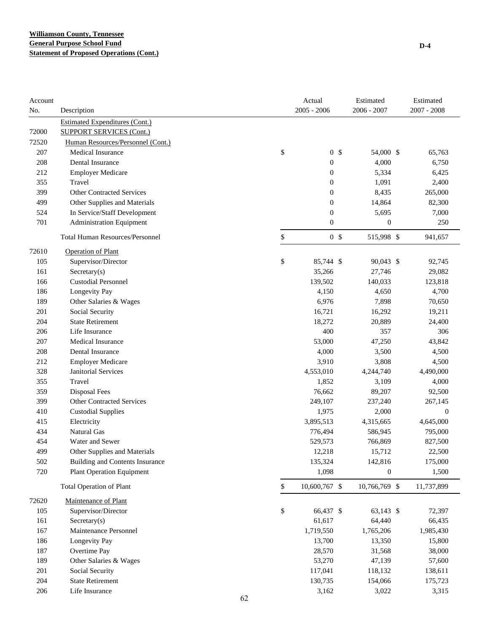| Account<br>No. | Description                            |    | Actual<br>$2005 - 2006$ |                  | Estimated<br>2006 - 2007 | Estimated<br>$2007 - 2008$ |
|----------------|----------------------------------------|----|-------------------------|------------------|--------------------------|----------------------------|
|                | <b>Estimated Expenditures (Cont.)</b>  |    |                         |                  |                          |                            |
| 72000          | <b>SUPPORT SERVICES (Cont.)</b>        |    |                         |                  |                          |                            |
| 72520          | Human Resources/Personnel (Cont.)      |    |                         |                  |                          |                            |
| 207            | Medical Insurance                      | \$ |                         | 0 <sup>5</sup>   | 54,000 \$                | 65,763                     |
| 208            | Dental Insurance                       |    |                         | $\boldsymbol{0}$ | 4,000                    | 6,750                      |
| 212            | <b>Employer Medicare</b>               |    |                         | $\boldsymbol{0}$ | 5,334                    | 6,425                      |
| 355            | Travel                                 |    |                         | $\boldsymbol{0}$ | 1,091                    | 2,400                      |
| 399            | <b>Other Contracted Services</b>       |    |                         | $\boldsymbol{0}$ | 8,435                    | 265,000                    |
| 499            | Other Supplies and Materials           |    |                         | $\boldsymbol{0}$ | 14,864                   | 82,300                     |
| 524            | In Service/Staff Development           |    |                         | $\boldsymbol{0}$ | 5,695                    | 7,000                      |
| 701            | <b>Administration Equipment</b>        |    |                         | $\boldsymbol{0}$ | $\boldsymbol{0}$         | 250                        |
|                | <b>Total Human Resources/Personnel</b> | \$ |                         | 0 <sup>5</sup>   | 515,998 \$               | 941,657                    |
| 72610          | <b>Operation of Plant</b>              |    |                         |                  |                          |                            |
| 105            | Supervisor/Director                    | \$ |                         | 85,744 \$        | 90,043 \$                | 92,745                     |
| 161            | $S \text{eccetary}(s)$                 |    |                         | 35,266           | 27,746                   | 29,082                     |
| 166            | <b>Custodial Personnel</b>             |    | 139,502                 |                  | 140,033                  | 123,818                    |
| 186            | Longevity Pay                          |    |                         | 4,150            | 4,650                    | 4,700                      |
| 189            | Other Salaries & Wages                 |    |                         | 6,976            | 7,898                    | 70,650                     |
| 201            | Social Security                        |    |                         | 16,721           | 16,292                   | 19,211                     |
| 204            | <b>State Retirement</b>                |    |                         | 18,272           | 20,889                   | 24,400                     |
| 206            | Life Insurance                         |    |                         | 400              | 357                      | 306                        |
| 207            | <b>Medical Insurance</b>               |    |                         | 53,000           | 47,250                   | 43,842                     |
| 208            | Dental Insurance                       |    |                         | 4,000            | 3,500                    | 4,500                      |
| 212            | <b>Employer Medicare</b>               |    |                         | 3,910            | 3,808                    | 4,500                      |
| 328            | <b>Janitorial Services</b>             |    | 4,553,010               |                  | 4,244,740                | 4,490,000                  |
| 355            | Travel                                 |    |                         | 1,852            | 3,109                    | 4,000                      |
| 359            | <b>Disposal Fees</b>                   |    |                         | 76,662           | 89,207                   | 92,500                     |
| 399            | <b>Other Contracted Services</b>       |    | 249,107                 |                  | 237,240                  | 267,145                    |
| 410            | <b>Custodial Supplies</b>              |    |                         | 1,975            | 2,000                    | $\boldsymbol{0}$           |
| 415            | Electricity                            |    | 3,895,513               |                  | 4,315,665                | 4,645,000                  |
| 434            | Natural Gas                            |    | 776,494                 |                  | 586,945                  | 795,000                    |
| 454            | Water and Sewer                        |    | 529,573                 |                  | 766,869                  | 827,500                    |
| 499            | Other Supplies and Materials           |    |                         | 12,218           | 15,712                   | 22,500                     |
| 502            | <b>Building and Contents Insurance</b> |    | 135,324                 |                  | 142,816                  | 175,000                    |
| 720            | <b>Plant Operation Equipment</b>       |    |                         | 1,098            | $\boldsymbol{0}$         | 1,500                      |
|                | <b>Total Operation of Plant</b>        | \$ | 10,600,767 \$           |                  | 10,766,769 \$            | 11,737,899                 |
| 72620          | Maintenance of Plant                   |    |                         |                  |                          |                            |
| 105            | Supervisor/Director                    | \$ |                         | 66,437 \$        | 63,143 \$                | 72,397                     |
| 161            | $S$ ecretary $(s)$                     |    |                         | 61,617           | 64,440                   | 66,435                     |
| 167            | Maintenance Personnel                  |    | 1,719,550               |                  | 1,765,206                | 1,985,430                  |
| 186            | Longevity Pay                          |    |                         | 13,700           | 13,350                   | 15,800                     |
| 187            | Overtime Pay                           |    |                         | 28,570           | 31,568                   | 38,000                     |
| 189            | Other Salaries & Wages                 |    |                         | 53,270           | 47,139                   | 57,600                     |
| 201            | Social Security                        |    | 117,041                 |                  | 118,132                  | 138,611                    |
| 204            | <b>State Retirement</b>                |    | 130,735                 |                  | 154,066                  | 175,723                    |
| 206            | Life Insurance                         |    |                         | 3,162            | 3,022                    | 3,315                      |
|                |                                        | 62 |                         |                  |                          |                            |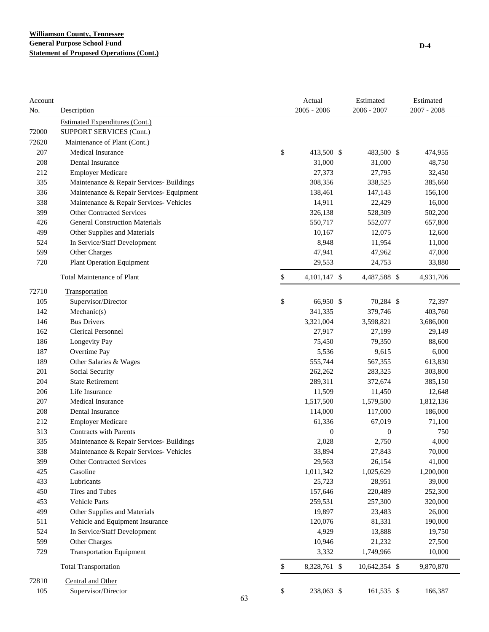| Account<br>No. | Description                              |    | Actual<br>$2005 - 2006$ | Estimated<br>$2006 - 2007$ | Estimated<br>$2007 - 2008$ |
|----------------|------------------------------------------|----|-------------------------|----------------------------|----------------------------|
|                | <b>Estimated Expenditures (Cont.)</b>    |    |                         |                            |                            |
| 72000          | <b>SUPPORT SERVICES (Cont.)</b>          |    |                         |                            |                            |
| 72620          | Maintenance of Plant (Cont.)             |    |                         |                            |                            |
| 207            | Medical Insurance                        |    | \$<br>413,500 \$        | 483,500 \$                 | 474,955                    |
| 208            | Dental Insurance                         |    | 31,000                  | 31,000                     | 48,750                     |
| 212            | <b>Employer Medicare</b>                 |    | 27,373                  | 27,795                     | 32,450                     |
| 335            | Maintenance & Repair Services- Buildings |    | 308,356                 | 338,525                    | 385,660                    |
| 336            | Maintenance & Repair Services- Equipment |    | 138,461                 | 147,143                    | 156,100                    |
| 338            | Maintenance & Repair Services- Vehicles  |    | 14,911                  | 22,429                     | 16,000                     |
| 399            | <b>Other Contracted Services</b>         |    | 326,138                 | 528,309                    | 502,200                    |
| 426            | <b>General Construction Materials</b>    |    | 550,717                 | 552,077                    | 657,800                    |
| 499            | Other Supplies and Materials             |    | 10,167                  | 12,075                     | 12,600                     |
| 524            | In Service/Staff Development             |    | 8,948                   | 11,954                     | 11,000                     |
| 599            | Other Charges                            |    | 47,941                  | 47,962                     | 47,000                     |
| 720            | <b>Plant Operation Equipment</b>         |    | 29,553                  | 24,753                     | 33,880                     |
|                | <b>Total Maintenance of Plant</b>        |    | \$<br>4,101,147 \$      | 4,487,588 \$               | 4,931,706                  |
| 72710          | Transportation                           |    |                         |                            |                            |
| 105            | Supervisor/Director                      |    | \$<br>66,950 \$         | 70,284 \$                  | 72,397                     |
| 142            | Mechanic(s)                              |    | 341,335                 | 379,746                    | 403,760                    |
| 146            | <b>Bus Drivers</b>                       |    | 3,321,004               | 3,598,821                  | 3,686,000                  |
| 162            | <b>Clerical Personnel</b>                |    | 27,917                  | 27,199                     | 29,149                     |
| 186            | Longevity Pay                            |    | 75,450                  | 79,350                     | 88,600                     |
| 187            | Overtime Pay                             |    | 5,536                   | 9,615                      | 6,000                      |
| 189            | Other Salaries & Wages                   |    | 555,744                 | 567,355                    | 613,830                    |
| 201            | Social Security                          |    | 262,262                 | 283,325                    | 303,800                    |
| 204            | <b>State Retirement</b>                  |    | 289,311                 | 372,674                    | 385,150                    |
| 206            | Life Insurance                           |    | 11,509                  | 11,450                     | 12,648                     |
| 207            | <b>Medical Insurance</b>                 |    | 1,517,500               | 1,579,500                  | 1,812,136                  |
| 208            | Dental Insurance                         |    | 114,000                 | 117,000                    | 186,000                    |
| 212            | <b>Employer Medicare</b>                 |    | 61,336                  | 67,019                     | 71,100                     |
| 313            | <b>Contracts with Parents</b>            |    | $\boldsymbol{0}$        | $\boldsymbol{0}$           | 750                        |
| 335            | Maintenance & Repair Services- Buildings |    | 2,028                   | 2,750                      | 4,000                      |
| 338            | Maintenance & Repair Services- Vehicles  |    | 33,894                  | 27,843                     | 70,000                     |
| 399            | <b>Other Contracted Services</b>         |    | 29,563                  | 26,154                     | 41,000                     |
| 425            | Gasoline                                 |    | 1,011,342               | 1,025,629                  | 1,200,000                  |
| 433            | Lubricants                               |    | 25,723                  | 28,951                     | 39,000                     |
| 450            | Tires and Tubes                          |    | 157,646                 | 220,489                    | 252,300                    |
| 453            | Vehicle Parts                            |    | 259,531                 | 257,300                    | 320,000                    |
| 499            | Other Supplies and Materials             |    | 19,897                  | 23,483                     | 26,000                     |
| 511            | Vehicle and Equipment Insurance          |    | 120,076                 | 81,331                     | 190,000                    |
| 524            | In Service/Staff Development             |    | 4,929                   | 13,888                     | 19,750                     |
| 599            | Other Charges                            |    | 10,946                  | 21,232                     | 27,500                     |
| 729            | <b>Transportation Equipment</b>          |    | 3,332                   | 1,749,966                  | 10,000                     |
|                | <b>Total Transportation</b>              |    | \$<br>8,328,761 \$      | 10,642,354 \$              | 9,870,870                  |
| 72810          | Central and Other                        |    |                         |                            |                            |
| 105            | Supervisor/Director                      | 63 | \$<br>238,063 \$        | 161,535 \$                 | 166,387                    |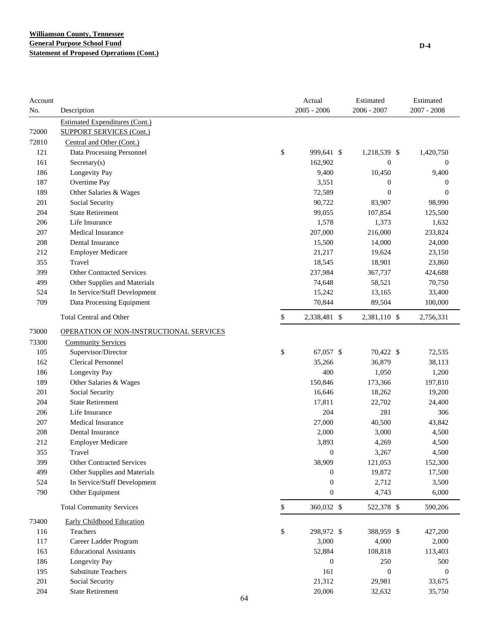| Account<br>No. | Description                             |    | Actual<br>$2005 - 2006$ | Estimated<br>2006 - 2007 | Estimated<br>$2007 - 2008$ |
|----------------|-----------------------------------------|----|-------------------------|--------------------------|----------------------------|
|                | <b>Estimated Expenditures (Cont.)</b>   |    |                         |                          |                            |
| 72000          | <b>SUPPORT SERVICES (Cont.)</b>         |    |                         |                          |                            |
| 72810          | Central and Other (Cont.)               |    |                         |                          |                            |
| 121            | Data Processing Personnel               | \$ | 999,641 \$              | 1,218,539 \$             | 1,420,750                  |
| 161            | $S \n    secretary(s)$                  |    | 162,902                 | $\boldsymbol{0}$         | $\boldsymbol{0}$           |
| 186            | Longevity Pay                           |    | 9,400                   | 10,450                   | 9,400                      |
| 187            | Overtime Pay                            |    | 3,551                   | $\boldsymbol{0}$         | $\boldsymbol{0}$           |
| 189            | Other Salaries & Wages                  |    | 72,589                  | $\boldsymbol{0}$         | $\mathbf{0}$               |
| 201            | Social Security                         |    | 90,722                  | 83,907                   | 98,990                     |
| 204            | <b>State Retirement</b>                 |    | 99,055                  | 107,854                  | 125,500                    |
| 206            | Life Insurance                          |    | 1,578                   | 1,373                    | 1,632                      |
| 207            | <b>Medical Insurance</b>                |    | 207,000                 | 216,000                  | 233,824                    |
| 208            | Dental Insurance                        |    | 15,500                  | 14,000                   | 24,000                     |
| 212            | <b>Employer Medicare</b>                |    | 21,217                  | 19,624                   | 23,150                     |
| 355            | Travel                                  |    | 18,545                  | 18,901                   | 23,860                     |
| 399            | <b>Other Contracted Services</b>        |    | 237,984                 | 367,737                  | 424,688                    |
| 499            | Other Supplies and Materials            |    | 74,648                  | 58,521                   | 70,750                     |
| 524            | In Service/Staff Development            |    | 15,242                  | 13,165                   | 33,400                     |
| 709            | Data Processing Equipment               |    | 70,844                  | 89,504                   | 100,000                    |
|                | <b>Total Central and Other</b>          | \$ | 2,338,481 \$            | 2,381,110 \$             | 2,756,331                  |
| 73000          | OPERATION OF NON-INSTRUCTIONAL SERVICES |    |                         |                          |                            |
| 73300          | <b>Community Services</b>               |    |                         |                          |                            |
| 105            | Supervisor/Director                     | \$ | 67,057 \$               | 70,422 \$                | 72,535                     |
| 162            | <b>Clerical Personnel</b>               |    | 35,266                  | 36,879                   | 38,113                     |
| 186            | Longevity Pay                           |    | 400                     | 1,050                    | 1,200                      |
| 189            | Other Salaries & Wages                  |    | 150,846                 | 173,366                  | 197,810                    |
| 201            | Social Security                         |    | 16,646                  | 18,262                   | 19,200                     |
| 204            | <b>State Retirement</b>                 |    | 17,811                  | 22,702                   | 24,400                     |
| 206            | Life Insurance                          |    | 204                     | 281                      | 306                        |
| 207            | Medical Insurance                       |    | 27,000                  | 40,500                   | 43,842                     |
| 208            | Dental Insurance                        |    | 2,000                   | 3,000                    | 4,500                      |
| 212            | <b>Employer Medicare</b>                |    | 3,893                   | 4,269                    | 4,500                      |
| 355            | Travel                                  |    | $\boldsymbol{0}$        | 3,267                    | 4,500                      |
| 399            | <b>Other Contracted Services</b>        |    | 38,909                  | 121,053                  | 152,300                    |
| 499            | Other Supplies and Materials            |    | 0                       | 19,872                   | 17,500                     |
| 524            | In Service/Staff Development            |    | $\boldsymbol{0}$        | 2,712                    | 3,500                      |
| 790            | Other Equipment                         |    | $\boldsymbol{0}$        | 4,743                    | 6,000                      |
|                | <b>Total Community Services</b>         | \$ | 360,032 \$              | 522,378 \$               | 590,206                    |
| 73400          | <b>Early Childhood Education</b>        |    |                         |                          |                            |
| 116            | Teachers                                | \$ | 298,972 \$              | 388,959 \$               | 427,200                    |
| 117            | Career Ladder Program                   |    | 3,000                   | 4,000                    | 2,000                      |
| 163            | <b>Educational Assistants</b>           |    | 52,884                  | 108,818                  | 113,403                    |
| 186            | Longevity Pay                           |    | $\boldsymbol{0}$        | 250                      | 500                        |
| 195            | Substitute Teachers                     |    | 161                     | $\boldsymbol{0}$         | $\boldsymbol{0}$           |
| 201            | Social Security                         |    | 21,312                  | 29,981                   | 33,675                     |
| 204            | <b>State Retirement</b>                 |    | 20,006                  | 32,632                   | 35,750                     |
|                |                                         | 64 |                         |                          |                            |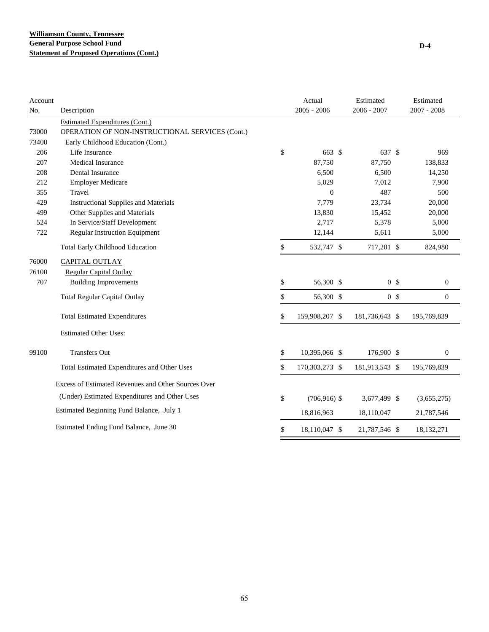| Account<br>No. | Description                                         | Actual<br>$2005 - 2006$ | Estimated<br>$2006 - 2007$ | Estimated<br>2007 - 2008 |
|----------------|-----------------------------------------------------|-------------------------|----------------------------|--------------------------|
|                | <b>Estimated Expenditures (Cont.)</b>               |                         |                            |                          |
| 73000          | OPERATION OF NON-INSTRUCTIONAL SERVICES (Cont.)     |                         |                            |                          |
| 73400          | Early Childhood Education (Cont.)                   |                         |                            |                          |
| 206            | Life Insurance                                      | \$<br>663 \$            | 637 \$                     | 969                      |
| 207            | Medical Insurance                                   | 87,750                  | 87,750                     | 138,833                  |
| 208            | Dental Insurance                                    | 6,500                   | 6,500                      | 14,250                   |
| 212            | <b>Employer Medicare</b>                            | 5,029                   | 7,012                      | 7,900                    |
| 355            | Travel                                              | $\overline{0}$          | 487                        | 500                      |
| 429            | <b>Instructional Supplies and Materials</b>         | 7,779                   | 23,734                     | 20,000                   |
| 499            | Other Supplies and Materials                        | 13,830                  | 15,452                     | 20,000                   |
| 524            | In Service/Staff Development                        | 2,717                   | 5,378                      | 5,000                    |
| 722            | <b>Regular Instruction Equipment</b>                | 12,144                  | 5,611                      | 5,000                    |
|                | <b>Total Early Childhood Education</b>              | \$<br>532,747 \$        | 717,201 \$                 | 824,980                  |
| 76000          | CAPITAL OUTLAY                                      |                         |                            |                          |
| 76100          | <b>Regular Capital Outlay</b>                       |                         |                            |                          |
| 707            | <b>Building Improvements</b>                        | \$<br>56,300 \$         | 0 <sup>5</sup>             | $\boldsymbol{0}$         |
|                | <b>Total Regular Capital Outlay</b>                 | \$<br>56,300 \$         | 0 <sup>5</sup>             | $\boldsymbol{0}$         |
|                | <b>Total Estimated Expenditures</b>                 | \$<br>159,908,207 \$    | 181,736,643 \$             | 195,769,839              |
|                | <b>Estimated Other Uses:</b>                        |                         |                            |                          |
| 99100          | <b>Transfers Out</b>                                | \$<br>10,395,066 \$     | 176,900 \$                 | $\boldsymbol{0}$         |
|                | Total Estimated Expenditures and Other Uses         | \$<br>170,303,273 \$    | 181,913,543 \$             | 195,769,839              |
|                | Excess of Estimated Revenues and Other Sources Over |                         |                            |                          |
|                | (Under) Estimated Expenditures and Other Uses       | \$<br>$(706, 916)$ \$   | 3,677,499 \$               | (3,655,275)              |
|                | Estimated Beginning Fund Balance, July 1            | 18,816,963              | 18,110,047                 | 21,787,546               |
|                | Estimated Ending Fund Balance, June 30              | \$<br>18,110,047 \$     | 21,787,546 \$              | 18,132,271               |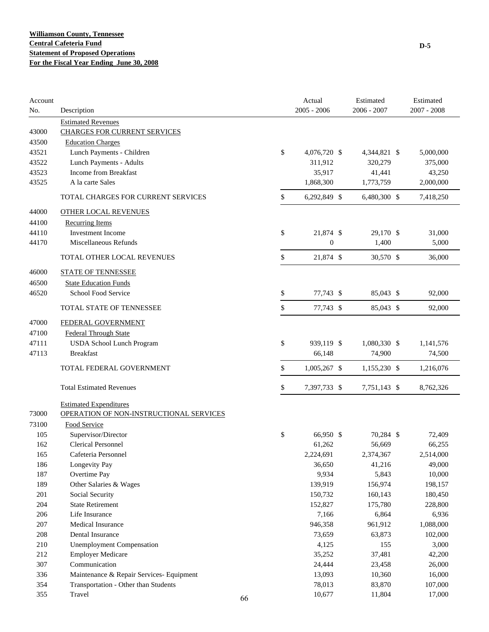| Account<br>No. | Description                              |    | Actual<br>$2005 - 2006$ | Estimated<br>$2006 - 2007$ | Estimated<br>$2007 - 2008$ |
|----------------|------------------------------------------|----|-------------------------|----------------------------|----------------------------|
|                | <b>Estimated Revenues</b>                |    |                         |                            |                            |
| 43000          | <b>CHARGES FOR CURRENT SERVICES</b>      |    |                         |                            |                            |
| 43500          | <b>Education Charges</b>                 |    |                         |                            |                            |
| 43521          | Lunch Payments - Children                |    | \$<br>4,076,720 \$      | 4,344,821 \$               | 5,000,000                  |
| 43522          | Lunch Payments - Adults                  |    | 311,912                 | 320,279                    | 375,000                    |
| 43523          | Income from Breakfast                    |    | 35,917                  | 41,441                     | 43,250                     |
| 43525          | A la carte Sales                         |    | 1,868,300               | 1,773,759                  | 2,000,000                  |
|                | TOTAL CHARGES FOR CURRENT SERVICES       |    | \$<br>6,292,849 \$      | 6,480,300 \$               | 7,418,250                  |
| 44000          | <b>OTHER LOCAL REVENUES</b>              |    |                         |                            |                            |
| 44100          | <b>Recurring Items</b>                   |    |                         |                            |                            |
| 44110          | <b>Investment Income</b>                 |    | \$<br>21,874 \$         | 29,170 \$                  | 31,000                     |
| 44170          | Miscellaneous Refunds                    |    | $\boldsymbol{0}$        | 1,400                      | 5,000                      |
|                | TOTAL OTHER LOCAL REVENUES               |    | \$<br>21,874 \$         | 30,570 \$                  | 36,000                     |
| 46000          | <b>STATE OF TENNESSEE</b>                |    |                         |                            |                            |
| 46500          | <b>State Education Funds</b>             |    |                         |                            |                            |
| 46520          | School Food Service                      |    | \$<br>77,743 \$         | 85,043 \$                  | 92,000                     |
|                | TOTAL STATE OF TENNESSEE                 |    | \$<br>77,743 \$         | 85,043 \$                  | 92,000                     |
| 47000          | FEDERAL GOVERNMENT                       |    |                         |                            |                            |
| 47100          | <b>Federal Through State</b>             |    |                         |                            |                            |
| 47111          | <b>USDA School Lunch Program</b>         |    | \$<br>939,119 \$        | 1,080,330 \$               | 1,141,576                  |
| 47113          | <b>Breakfast</b>                         |    | 66,148                  | 74,900                     | 74,500                     |
|                | TOTAL FEDERAL GOVERNMENT                 |    | \$<br>1,005,267 \$      | 1,155,230 \$               | 1,216,076                  |
|                | <b>Total Estimated Revenues</b>          |    | \$<br>7,397,733 \$      | 7,751,143 \$               | 8,762,326                  |
|                |                                          |    |                         |                            |                            |
|                | <b>Estimated Expenditures</b>            |    |                         |                            |                            |
| 73000          | OPERATION OF NON-INSTRUCTIONAL SERVICES  |    |                         |                            |                            |
| 73100          | Food Service                             |    |                         |                            |                            |
| 105            | Supervisor/Director                      |    | \$<br>66,950 \$         | 70,284 \$                  | 72,409                     |
| 162            | <b>Clerical Personnel</b>                |    | 61,262                  | 56,669                     | 66,255                     |
| 165            | Cafeteria Personnel                      |    | 2,224,691               | 2,374,367                  | 2,514,000                  |
| 186            | Longevity Pay                            |    | 36,650                  | 41,216                     | 49,000                     |
| 187            | Overtime Pay                             |    | 9,934                   | 5,843                      | 10,000                     |
| 189            | Other Salaries & Wages                   |    | 139,919                 | 156,974                    | 198,157                    |
| 201            | Social Security                          |    | 150,732                 | 160,143                    | 180,450                    |
| 204            | <b>State Retirement</b>                  |    | 152,827                 | 175,780                    | 228,800                    |
| 206            | Life Insurance                           |    | 7,166                   | 6,864                      | 6,936                      |
| $207\,$        | Medical Insurance                        |    | 946,358                 | 961,912                    | 1,088,000                  |
| 208            | Dental Insurance                         |    | 73,659                  | 63,873                     | 102,000                    |
| 210            | <b>Unemployment Compensation</b>         |    | 4,125                   | 155                        | 3,000                      |
| 212            | <b>Employer Medicare</b>                 |    | 35,252                  | 37,481                     | 42,200                     |
| 307            | Communication                            |    | 24,444                  | 23,458                     | 26,000                     |
| 336            | Maintenance & Repair Services- Equipment |    | 13,093                  | 10,360                     | 16,000                     |
| 354            | Transportation - Other than Students     |    | 78,013                  | 83,870                     | 107,000                    |
| 355            | Travel                                   | 66 | 10,677                  | 11,804                     | 17,000                     |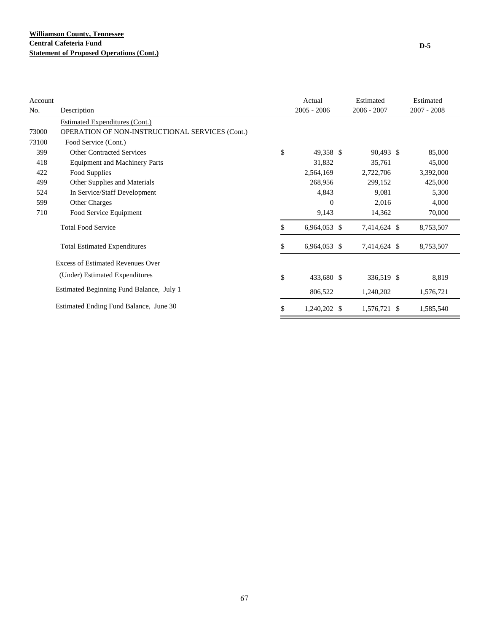| Account |                                                 | Actual             | Estimated     | Estimated   |
|---------|-------------------------------------------------|--------------------|---------------|-------------|
| No.     | Description                                     | $2005 - 2006$      | $2006 - 2007$ | 2007 - 2008 |
|         | Estimated Expenditures (Cont.)                  |                    |               |             |
| 73000   | OPERATION OF NON-INSTRUCTIONAL SERVICES (Cont.) |                    |               |             |
| 73100   | Food Service (Cont.)                            |                    |               |             |
| 399     | <b>Other Contracted Services</b>                | \$<br>49,358 \$    | 90,493 \$     | 85,000      |
| 418     | <b>Equipment and Machinery Parts</b>            | 31,832             | 35,761        | 45,000      |
| 422     | Food Supplies                                   | 2,564,169          | 2,722,706     | 3,392,000   |
| 499     | Other Supplies and Materials                    | 268,956            | 299,152       | 425,000     |
| 524     | In Service/Staff Development                    | 4,843              | 9,081         | 5,300       |
| 599     | Other Charges                                   | $\mathbf{0}$       | 2,016         | 4,000       |
| 710     | Food Service Equipment                          | 9,143              | 14,362        | 70,000      |
|         | <b>Total Food Service</b>                       | \$<br>6,964,053 \$ | 7,414,624 \$  | 8,753,507   |
|         | <b>Total Estimated Expenditures</b>             | \$<br>6,964,053 \$ | 7,414,624 \$  | 8,753,507   |
|         | <b>Excess of Estimated Revenues Over</b>        |                    |               |             |
|         | (Under) Estimated Expenditures                  | \$<br>433,680 \$   | 336,519 \$    | 8,819       |
|         | Estimated Beginning Fund Balance, July 1        | 806,522            | 1,240,202     | 1,576,721   |
|         | Estimated Ending Fund Balance, June 30          | \$<br>1,240,202 \$ | 1,576,721 \$  | 1,585,540   |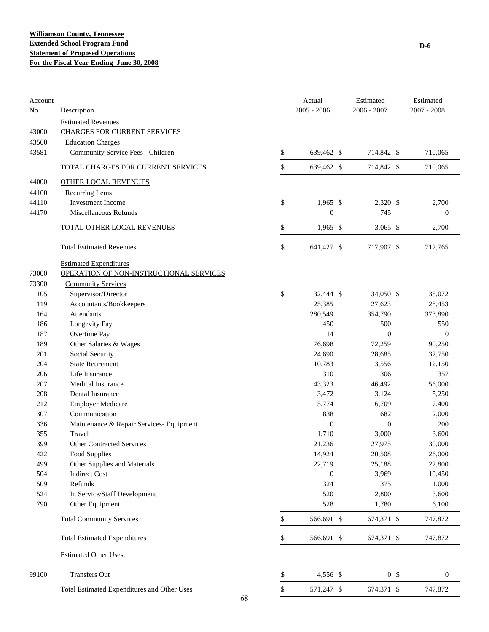| Account<br>No. | Description                                 | Actual<br>$2005 - 2006$ | Estimated<br>$2006 - 2007$ | Estimated<br>2007 - 2008 |
|----------------|---------------------------------------------|-------------------------|----------------------------|--------------------------|
|                | <b>Estimated Revenues</b>                   |                         |                            |                          |
| 43000          | <b>CHARGES FOR CURRENT SERVICES</b>         |                         |                            |                          |
| 43500          | <b>Education Charges</b>                    |                         |                            |                          |
| 43581          | Community Service Fees - Children           | \$<br>639,462 \$        | 714,842 \$                 | 710,065                  |
|                | TOTAL CHARGES FOR CURRENT SERVICES          | \$<br>639,462 \$        | 714,842 \$                 | 710,065                  |
| 44000          | <b>OTHER LOCAL REVENUES</b>                 |                         |                            |                          |
| 44100          | <b>Recurring Items</b>                      |                         |                            |                          |
| 44110          | <b>Investment Income</b>                    | \$<br>$1,965$ \$        | 2,320 \$                   | 2,700                    |
| 44170          | Miscellaneous Refunds                       | $\boldsymbol{0}$        | 745                        | $\boldsymbol{0}$         |
|                | TOTAL OTHER LOCAL REVENUES                  | \$<br>$1,965$ \$        | $3,065$ \$                 | 2,700                    |
|                |                                             |                         |                            |                          |
|                | <b>Total Estimated Revenues</b>             | \$<br>641,427 \$        | 717,907 \$                 | 712,765                  |
|                | <b>Estimated Expenditures</b>               |                         |                            |                          |
| 73000          | OPERATION OF NON-INSTRUCTIONAL SERVICES     |                         |                            |                          |
| 73300          | <b>Community Services</b>                   |                         |                            |                          |
| 105            | Supervisor/Director                         | \$<br>32,444 \$         | 34,050 \$                  | 35,072                   |
| 119            | Accountants/Bookkeepers                     | 25,385                  | 27,623                     | 28,453                   |
| 164            | Attendants                                  | 280,549                 | 354,790                    | 373,890                  |
| 186            | Longevity Pay                               | 450                     | 500                        | 550                      |
| 187            | Overtime Pay                                | 14                      | $\boldsymbol{0}$           | $\boldsymbol{0}$         |
| 189            | Other Salaries & Wages                      | 76,698                  | 72,259                     | 90,250                   |
| 201            | Social Security                             | 24,690                  | 28,685                     | 32,750                   |
| 204            | <b>State Retirement</b>                     | 10,783                  | 13,556                     | 12,150                   |
| 206            | Life Insurance                              | 310                     | 306                        | 357                      |
| 207            | <b>Medical Insurance</b>                    | 43,323                  | 46,492                     | 56,000                   |
| 208            | Dental Insurance                            | 3,472                   | 3,124                      | 5,250                    |
| 212            | <b>Employer Medicare</b>                    | 5,774                   | 6,709                      | 7,400                    |
| 307            | Communication                               | 838                     | 682                        | 2,000                    |
| 336            | Maintenance & Repair Services- Equipment    | $\boldsymbol{0}$        | $\mathbf{0}$               | 200                      |
| 355            | Travel                                      | 1,710                   | 3,000                      | 3,600                    |
| 399            | <b>Other Contracted Services</b>            | 21,236                  | 27,975                     | 30,000                   |
| 422            | Food Supplies                               | 14,924                  | 20,508                     | 26,000                   |
| 499            | Other Supplies and Materials                | 22,719                  | 25,188                     | 22,800                   |
| 504            | <b>Indirect Cost</b>                        | $\boldsymbol{0}$        | 3,969                      | 10,450                   |
| 509            | Refunds                                     | 324                     | 375                        | 1,000                    |
| 524            | In Service/Staff Development                | 520                     | 2,800                      | 3,600                    |
| 790            | Other Equipment                             | 528                     | 1,780                      | 6,100                    |
|                | <b>Total Community Services</b>             | \$<br>566,691 \$        | 674,371 \$                 | 747,872                  |
|                | <b>Total Estimated Expenditures</b>         | \$<br>566,691 \$        | 674,371 \$                 | 747,872                  |
|                | <b>Estimated Other Uses:</b>                |                         |                            |                          |
| 99100          | <b>Transfers Out</b>                        | \$<br>4,556 \$          | 0 <sup>5</sup>             | $\boldsymbol{0}$         |
|                | Total Estimated Expenditures and Other Uses | \$<br>571,247 \$        | 674,371 \$                 | 747,872                  |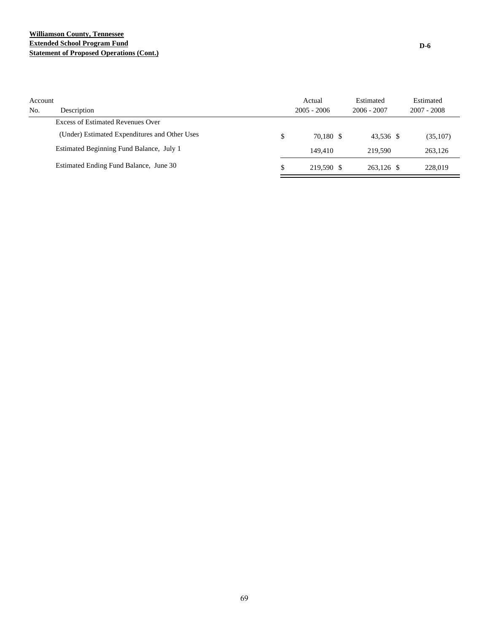## **Williamson County, Tennessee Extended School Program Fund Statement of Proposed Operations (Cont.)**

| Account<br>No. | Description                                   | Actual<br>$2005 - 2006$ | Estimated<br>$2006 - 2007$ | Estimated<br>$2007 - 2008$ |
|----------------|-----------------------------------------------|-------------------------|----------------------------|----------------------------|
|                | Excess of Estimated Revenues Over             |                         |                            |                            |
|                | (Under) Estimated Expenditures and Other Uses | \$<br>70.180 \$         | 43.536 \$                  | (35,107)                   |
|                | Estimated Beginning Fund Balance, July 1      | 149.410                 | 219.590                    | 263.126                    |
|                | Estimated Ending Fund Balance, June 30        | \$<br>219.590 \$        | 263.126 \$                 | 228,019                    |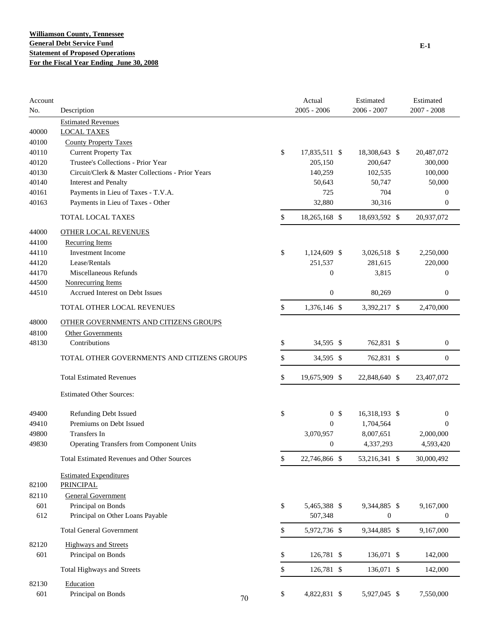| Account |                                                   |          | Actual           | Estimated        | Estimated        |
|---------|---------------------------------------------------|----------|------------------|------------------|------------------|
| No.     | Description                                       |          | $2005 - 2006$    | $2006 - 2007$    | $2007 - 2008$    |
|         | <b>Estimated Revenues</b>                         |          |                  |                  |                  |
| 40000   | <b>LOCAL TAXES</b>                                |          |                  |                  |                  |
| 40100   | <b>County Property Taxes</b>                      |          |                  |                  |                  |
| 40110   | <b>Current Property Tax</b>                       | \$       | 17,835,511 \$    | 18,308,643 \$    | 20,487,072       |
| 40120   | Trustee's Collections - Prior Year                |          | 205,150          | 200,647          | 300,000          |
| 40130   | Circuit/Clerk & Master Collections - Prior Years  |          | 140,259          | 102,535          | 100,000          |
| 40140   | <b>Interest and Penalty</b>                       |          | 50,643           | 50,747           | 50,000           |
| 40161   | Payments in Lieu of Taxes - T.V.A.                |          | 725              | 704              | $\boldsymbol{0}$ |
| 40163   | Payments in Lieu of Taxes - Other                 |          | 32,880           | 30,316           | $\mathbf{0}$     |
|         | TOTAL LOCAL TAXES                                 | \$       | 18,265,168 \$    | 18,693,592 \$    | 20,937,072       |
| 44000   | <b>OTHER LOCAL REVENUES</b>                       |          |                  |                  |                  |
| 44100   | <b>Recurring Items</b>                            |          |                  |                  |                  |
| 44110   | Investment Income                                 | \$       | 1,124,609 \$     | 3,026,518 \$     | 2,250,000        |
| 44120   | Lease/Rentals                                     |          | 251,537          | 281,615          | 220,000          |
| 44170   | Miscellaneous Refunds                             |          | $\boldsymbol{0}$ | 3,815            | $\boldsymbol{0}$ |
| 44500   | <b>Nonrecurring Items</b>                         |          |                  |                  |                  |
| 44510   | Accrued Interest on Debt Issues                   |          | $\boldsymbol{0}$ | 80,269           | $\boldsymbol{0}$ |
|         | TOTAL OTHER LOCAL REVENUES                        | \$       | 1,376,146 \$     | 3,392,217 \$     | 2,470,000        |
| 48000   | OTHER GOVERNMENTS AND CITIZENS GROUPS             |          |                  |                  |                  |
| 48100   | <b>Other Governments</b>                          |          |                  |                  |                  |
| 48130   | Contributions                                     | \$       | 34,595 \$        | 762,831 \$       | $\boldsymbol{0}$ |
|         | TOTAL OTHER GOVERNMENTS AND CITIZENS GROUPS       | \$       | 34,595 \$        | 762,831 \$       | $\mathbf{0}$     |
|         | <b>Total Estimated Revenues</b>                   | \$       | 19,675,909 \$    | 22,848,640 \$    | 23,407,072       |
|         | <b>Estimated Other Sources:</b>                   |          |                  |                  |                  |
| 49400   | Refunding Debt Issued                             | \$       | 0 <sup>5</sup>   | 16,318,193 \$    | $\boldsymbol{0}$ |
| 49410   | Premiums on Debt Issued                           |          | $\mathbf{0}$     | 1,704,564        | $\Omega$         |
| 49800   | Transfers In                                      |          | 3,070,957        | 8,007,651        | 2,000,000        |
| 49830   | <b>Operating Transfers from Component Units</b>   |          | $\boldsymbol{0}$ | 4,337,293        | 4,593,420        |
|         | <b>Total Estimated Revenues and Other Sources</b> | \$       | 22,746,866 \$    | 53,216,341 \$    | 30,000,492       |
|         | <b>Estimated Expenditures</b>                     |          |                  |                  |                  |
| 82100   | <b>PRINCIPAL</b>                                  |          |                  |                  |                  |
| 82110   | <b>General Government</b>                         |          |                  |                  |                  |
| 601     | Principal on Bonds                                | \$       | 5,465,388 \$     | 9,344,885 \$     | 9,167,000        |
| 612     | Principal on Other Loans Payable                  |          | 507,348          | $\boldsymbol{0}$ | $\boldsymbol{0}$ |
|         | <b>Total General Government</b>                   | \$       | 5,972,736 \$     | 9,344,885 \$     | 9,167,000        |
| 82120   | <b>Highways and Streets</b>                       |          |                  |                  |                  |
| 601     | Principal on Bonds                                | \$       | 126,781 \$       | 136,071 \$       | 142,000          |
|         | Total Highways and Streets                        | \$       | 126,781 \$       | 136,071 \$       | 142,000          |
| 82130   | Education                                         |          |                  |                  |                  |
| 601     | Principal on Bonds                                | \$<br>70 | 4,822,831 \$     | 5,927,045 \$     | 7,550,000        |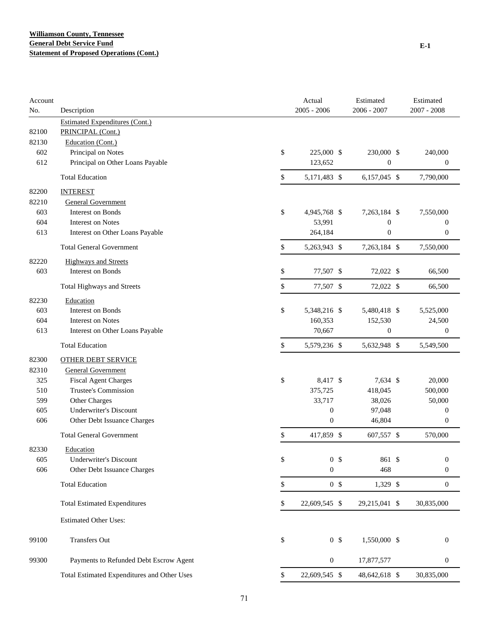| Account<br>No. | Description                                 | Actual<br>$2005 - 2006$ | Estimated<br>$2006 - 2007$ | Estimated<br>$2007 - 2008$ |
|----------------|---------------------------------------------|-------------------------|----------------------------|----------------------------|
|                | <b>Estimated Expenditures (Cont.)</b>       |                         |                            |                            |
| 82100          | PRINCIPAL (Cont.)                           |                         |                            |                            |
| 82130          | Education (Cont.)                           |                         |                            |                            |
| 602            | Principal on Notes                          | \$<br>225,000 \$        | 230,000 \$                 | 240,000                    |
| 612            | Principal on Other Loans Payable            | 123,652                 | $\boldsymbol{0}$           | $\boldsymbol{0}$           |
|                | <b>Total Education</b>                      | \$<br>5,171,483 \$      | 6,157,045 \$               | 7,790,000                  |
| 82200          | <b>INTEREST</b>                             |                         |                            |                            |
| 82210          | <b>General Government</b>                   |                         |                            |                            |
| 603            | <b>Interest on Bonds</b>                    | \$<br>4,945,768 \$      | 7,263,184 \$               | 7,550,000                  |
| 604            | Interest on Notes                           | 53,991                  | $\boldsymbol{0}$           | $\boldsymbol{0}$           |
| 613            | Interest on Other Loans Payable             | 264,184                 | $\boldsymbol{0}$           | $\boldsymbol{0}$           |
|                | <b>Total General Government</b>             | \$<br>5,263,943 \$      | 7,263,184 \$               | 7,550,000                  |
| 82220          | <b>Highways and Streets</b>                 |                         |                            |                            |
| 603            | Interest on Bonds                           | \$<br>77,507 \$         | 72,022 \$                  | 66,500                     |
|                | Total Highways and Streets                  | \$<br>77,507 \$         | 72,022 \$                  | 66,500                     |
| 82230          | Education                                   |                         |                            |                            |
| 603            | Interest on Bonds                           | \$<br>5,348,216 \$      | 5,480,418 \$               | 5,525,000                  |
| 604            | <b>Interest on Notes</b>                    | 160,353                 | 152,530                    | 24,500                     |
| 613            | Interest on Other Loans Payable             | 70,667                  | $\boldsymbol{0}$           | $\mathbf{0}$               |
|                | <b>Total Education</b>                      | \$<br>5,579,236 \$      | 5,632,948 \$               | 5,549,500                  |
| 82300          | <b>OTHER DEBT SERVICE</b>                   |                         |                            |                            |
| 82310          | <b>General Government</b>                   |                         |                            |                            |
| 325            | <b>Fiscal Agent Charges</b>                 | \$<br>8,417 \$          | 7,634 \$                   | 20,000                     |
| 510            | Trustee's Commission                        | 375,725                 | 418,045                    | 500,000                    |
| 599            | Other Charges                               | 33,717                  | 38,026                     | 50,000                     |
| 605            | <b>Underwriter's Discount</b>               | $\boldsymbol{0}$        | 97,048                     | $\boldsymbol{0}$           |
| 606            | Other Debt Issuance Charges                 | $\boldsymbol{0}$        | 46,804                     | $\boldsymbol{0}$           |
|                | <b>Total General Government</b>             | \$<br>417,859 \$        | 607,557 \$                 | 570,000                    |
| 82330          | Education                                   |                         |                            |                            |
| 605            | <b>Underwriter's Discount</b>               | \$<br>0 <sup>5</sup>    | 861 \$                     | $\boldsymbol{0}$           |
| 606            | Other Debt Issuance Charges                 | $\boldsymbol{0}$        | 468                        | $\boldsymbol{0}$           |
|                | <b>Total Education</b>                      | \$<br>0 <sup>5</sup>    | 1,329 \$                   | $\boldsymbol{0}$           |
|                | <b>Total Estimated Expenditures</b>         | \$<br>22,609,545 \$     | 29,215,041 \$              | 30,835,000                 |
|                | <b>Estimated Other Uses:</b>                |                         |                            |                            |
| 99100          | <b>Transfers Out</b>                        | \$<br>0 <sup>5</sup>    | 1,550,000 \$               | $\boldsymbol{0}$           |
| 99300          | Payments to Refunded Debt Escrow Agent      | $\boldsymbol{0}$        | 17,877,577                 | $\boldsymbol{0}$           |
|                | Total Estimated Expenditures and Other Uses | \$<br>22,609,545 \$     | 48,642,618 \$              | 30,835,000                 |
|                |                                             |                         |                            |                            |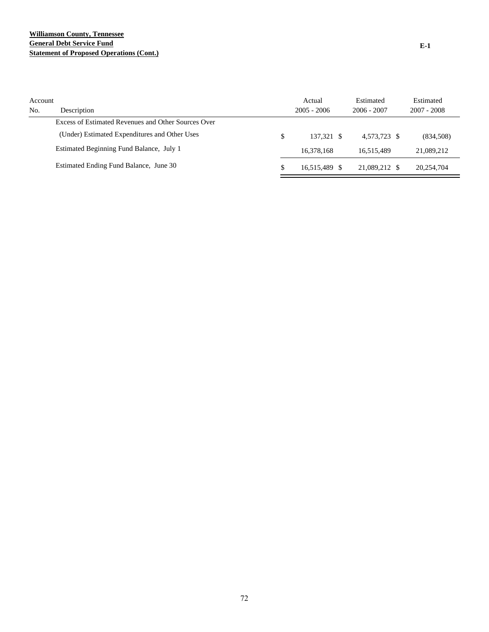## **Williamson County, Tennessee General Debt Service Fund Statement of Proposed Operations (Cont.)**

| Account<br>No. | Description                                         |   | Actual<br>$2005 - 2006$ | Estimated<br>$2006 - 2007$ | Estimated<br>$2007 - 2008$ |
|----------------|-----------------------------------------------------|---|-------------------------|----------------------------|----------------------------|
|                | Excess of Estimated Revenues and Other Sources Over |   |                         |                            |                            |
|                | (Under) Estimated Expenditures and Other Uses       | S | 137.321 \$              | 4.573.723 \$               | (834,508)                  |
|                | Estimated Beginning Fund Balance, July 1            |   | 16,378,168              | 16.515.489                 | 21,089,212                 |
|                | Estimated Ending Fund Balance, June 30              |   | 16.515.489 \$           | 21,089,212 \$              | 20.254.704                 |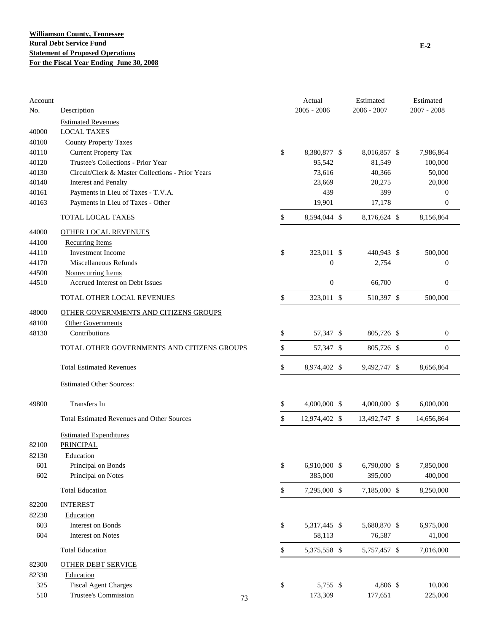| Account<br>No. | Description                                       |    | Actual<br>$2005 - 2006$ | Estimated<br>$2006 - 2007$ | Estimated<br>$2007 - 2008$ |
|----------------|---------------------------------------------------|----|-------------------------|----------------------------|----------------------------|
|                | <b>Estimated Revenues</b>                         |    |                         |                            |                            |
| 40000          | <b>LOCAL TAXES</b>                                |    |                         |                            |                            |
| 40100          | <b>County Property Taxes</b>                      |    |                         |                            |                            |
| 40110          | <b>Current Property Tax</b>                       | \$ | 8,380,877 \$            | 8,016,857 \$               | 7,986,864                  |
| 40120          | Trustee's Collections - Prior Year                |    | 95,542                  | 81,549                     | 100,000                    |
| 40130          | Circuit/Clerk & Master Collections - Prior Years  |    | 73,616                  | 40,366                     | 50,000                     |
| 40140          | <b>Interest and Penalty</b>                       |    | 23,669                  | 20,275                     | 20,000                     |
| 40161          | Payments in Lieu of Taxes - T.V.A.                |    | 439                     | 399                        | $\mathbf{0}$               |
| 40163          | Payments in Lieu of Taxes - Other                 |    | 19,901                  | 17,178                     | $\mathbf{0}$               |
|                | <b>TOTAL LOCAL TAXES</b>                          | \$ | 8,594,044 \$            | 8,176,624 \$               | 8,156,864                  |
| 44000          | <b>OTHER LOCAL REVENUES</b>                       |    |                         |                            |                            |
| 44100          | <b>Recurring Items</b>                            |    |                         |                            |                            |
| 44110          | <b>Investment Income</b>                          | \$ | 323,011 \$              | 440,943 \$                 | 500,000                    |
| 44170          | Miscellaneous Refunds                             |    | $\boldsymbol{0}$        | 2,754                      | $\mathbf{0}$               |
| 44500          | <b>Nonrecurring Items</b>                         |    |                         |                            |                            |
| 44510          | Accrued Interest on Debt Issues                   |    | $\boldsymbol{0}$        | 66,700                     | $\boldsymbol{0}$           |
|                | TOTAL OTHER LOCAL REVENUES                        | \$ | 323,011 \$              | 510,397 \$                 | 500,000                    |
| 48000          | OTHER GOVERNMENTS AND CITIZENS GROUPS             |    |                         |                            |                            |
| 48100          | <b>Other Governments</b>                          |    |                         |                            |                            |
| 48130          | Contributions                                     | \$ | 57,347 \$               | 805,726 \$                 | $\boldsymbol{0}$           |
|                | TOTAL OTHER GOVERNMENTS AND CITIZENS GROUPS       | \$ | 57,347 \$               | 805,726 \$                 | $\mathbf{0}$               |
|                | <b>Total Estimated Revenues</b>                   | \$ | 8,974,402 \$            | 9,492,747 \$               | 8,656,864                  |
|                | <b>Estimated Other Sources:</b>                   |    |                         |                            |                            |
| 49800          | Transfers In                                      | \$ | 4,000,000 \$            | 4,000,000 \$               | 6,000,000                  |
|                | <b>Total Estimated Revenues and Other Sources</b> | \$ | 12,974,402 \$           | 13,492,747 \$              | 14,656,864                 |
|                | <b>Estimated Expenditures</b>                     |    |                         |                            |                            |
| 82100          | <b>PRINCIPAL</b>                                  |    |                         |                            |                            |
| 82130          | Education                                         |    |                         |                            |                            |
| 601            | Principal on Bonds                                | \$ | 6,910,000 \$            | 6,790,000 \$               | 7,850,000                  |
| 602            | Principal on Notes                                |    | 385,000                 | 395,000                    | 400,000                    |
|                | <b>Total Education</b>                            | \$ | 7,295,000 \$            | 7,185,000 \$               | 8,250,000                  |
| 82200          | <b>INTEREST</b>                                   |    |                         |                            |                            |
| 82230          | Education                                         |    |                         |                            |                            |
| 603            | Interest on Bonds                                 | \$ | 5,317,445 \$            | 5,680,870 \$               | 6,975,000                  |
| 604            | <b>Interest on Notes</b>                          |    | 58,113                  | 76,587                     | 41,000                     |
|                | <b>Total Education</b>                            | \$ | 5,375,558 \$            | 5,757,457 \$               | 7,016,000                  |
| 82300          | <b>OTHER DEBT SERVICE</b>                         |    |                         |                            |                            |
| 82330          | Education                                         |    |                         |                            |                            |
| 325            | <b>Fiscal Agent Charges</b>                       | \$ | 5,755 \$                | 4,806 \$                   | 10,000                     |
| 510            | Trustee's Commission                              |    | 173,309                 | 177,651                    | 225,000                    |
|                |                                                   | 73 |                         |                            |                            |